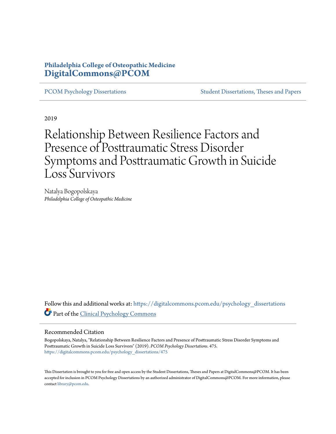## **Philadelphia College of Osteopathic Medicine [DigitalCommons@PCOM](https://digitalcommons.pcom.edu?utm_source=digitalcommons.pcom.edu%2Fpsychology_dissertations%2F475&utm_medium=PDF&utm_campaign=PDFCoverPages)**

[PCOM Psychology Dissertations](https://digitalcommons.pcom.edu/psychology_dissertations?utm_source=digitalcommons.pcom.edu%2Fpsychology_dissertations%2F475&utm_medium=PDF&utm_campaign=PDFCoverPages) [Student Dissertations, Theses and Papers](https://digitalcommons.pcom.edu/etds?utm_source=digitalcommons.pcom.edu%2Fpsychology_dissertations%2F475&utm_medium=PDF&utm_campaign=PDFCoverPages)

2019

# Relationship Between Resilience Factors and Presence of Posttraumatic Stress Disorder Symptoms and Posttraumatic Growth in Suicide Loss Survivors

Natalya Bogopolskaya *Philadelphia College of Osteopathic Medicine*

Follow this and additional works at: [https://digitalcommons.pcom.edu/psychology\\_dissertations](https://digitalcommons.pcom.edu/psychology_dissertations?utm_source=digitalcommons.pcom.edu%2Fpsychology_dissertations%2F475&utm_medium=PDF&utm_campaign=PDFCoverPages) Part of the [Clinical Psychology Commons](http://network.bepress.com/hgg/discipline/406?utm_source=digitalcommons.pcom.edu%2Fpsychology_dissertations%2F475&utm_medium=PDF&utm_campaign=PDFCoverPages)

## Recommended Citation

Bogopolskaya, Natalya, "Relationship Between Resilience Factors and Presence of Posttraumatic Stress Disorder Symptoms and Posttraumatic Growth in Suicide Loss Survivors" (2019). *PCOM Psychology Dissertations*. 475. [https://digitalcommons.pcom.edu/psychology\\_dissertations/475](https://digitalcommons.pcom.edu/psychology_dissertations/475?utm_source=digitalcommons.pcom.edu%2Fpsychology_dissertations%2F475&utm_medium=PDF&utm_campaign=PDFCoverPages)

This Dissertation is brought to you for free and open access by the Student Dissertations, Theses and Papers at DigitalCommons@PCOM. It has been accepted for inclusion in PCOM Psychology Dissertations by an authorized administrator of DigitalCommons@PCOM. For more information, please contact [library@pcom.edu.](mailto:library@pcom.edu)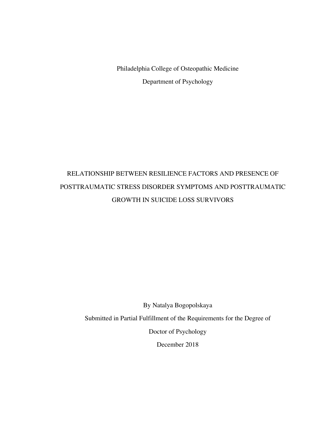Philadelphia College of Osteopathic Medicine Department of Psychology

## RELATIONSHIP BETWEEN RESILIENCE FACTORS AND PRESENCE OF POSTTRAUMATIC STRESS DISORDER SYMPTOMS AND POSTTRAUMATIC GROWTH IN SUICIDE LOSS SURVIVORS

By Natalya Bogopolskaya

Submitted in Partial Fulfillment of the Requirements for the Degree of

Doctor of Psychology

December 2018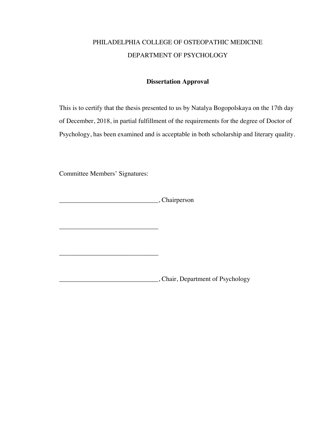## PHILADELPHIA COLLEGE OF OSTEOPATHIC MEDICINE DEPARTMENT OF PSYCHOLOGY

## **Dissertation Approval**

This is to certify that the thesis presented to us by Natalya Bogopolskaya on the 17th day of December, 2018, in partial fulfillment of the requirements for the degree of Doctor of Psychology, has been examined and is acceptable in both scholarship and literary quality.

Committee Members' Signatures:

\_\_\_\_\_\_\_\_\_\_\_\_\_\_\_\_\_\_\_\_\_\_\_\_\_\_\_\_\_\_

\_\_\_\_\_\_\_\_\_\_\_\_\_\_\_\_\_\_\_\_\_\_\_\_\_\_\_\_\_\_

\_\_\_\_\_\_\_\_\_\_\_\_\_\_\_\_\_\_\_\_\_\_\_\_\_\_\_\_\_\_, Chairperson

\_\_\_\_\_\_\_\_\_\_\_\_\_\_\_\_\_\_\_\_\_\_\_\_\_\_\_\_\_\_, Chair, Department of Psychology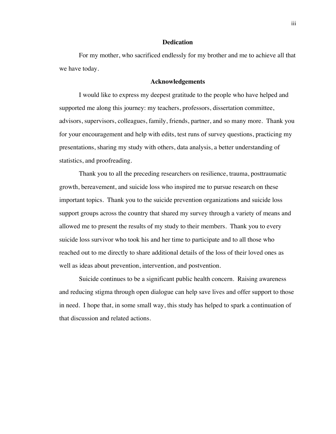## **Dedication**

For my mother, who sacrificed endlessly for my brother and me to achieve all that we have today.

### **Acknowledgements**

I would like to express my deepest gratitude to the people who have helped and supported me along this journey: my teachers, professors, dissertation committee, advisors, supervisors, colleagues, family, friends, partner, and so many more. Thank you for your encouragement and help with edits, test runs of survey questions, practicing my presentations, sharing my study with others, data analysis, a better understanding of statistics, and proofreading.

Thank you to all the preceding researchers on resilience, trauma, posttraumatic growth, bereavement, and suicide loss who inspired me to pursue research on these important topics. Thank you to the suicide prevention organizations and suicide loss support groups across the country that shared my survey through a variety of means and allowed me to present the results of my study to their members. Thank you to every suicide loss survivor who took his and her time to participate and to all those who reached out to me directly to share additional details of the loss of their loved ones as well as ideas about prevention, intervention, and postvention.

Suicide continues to be a significant public health concern. Raising awareness and reducing stigma through open dialogue can help save lives and offer support to those in need. I hope that, in some small way, this study has helped to spark a continuation of that discussion and related actions.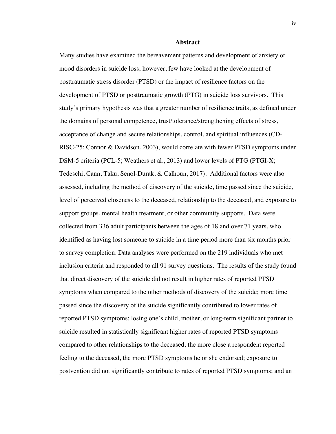#### **Abstract**

Many studies have examined the bereavement patterns and development of anxiety or mood disorders in suicide loss; however, few have looked at the development of posttraumatic stress disorder (PTSD) or the impact of resilience factors on the development of PTSD or posttraumatic growth (PTG) in suicide loss survivors. This study's primary hypothesis was that a greater number of resilience traits, as defined under the domains of personal competence, trust/tolerance/strengthening effects of stress, acceptance of change and secure relationships, control, and spiritual influences (CD-RISC-25; Connor & Davidson, 2003), would correlate with fewer PTSD symptoms under DSM-5 criteria (PCL-5; Weathers et al., 2013) and lower levels of PTG (PTGI-X; Tedeschi, Cann, Taku, Senol-Durak, & Calhoun, 2017). Additional factors were also assessed, including the method of discovery of the suicide, time passed since the suicide, level of perceived closeness to the deceased, relationship to the deceased, and exposure to support groups, mental health treatment, or other community supports. Data were collected from 336 adult participants between the ages of 18 and over 71 years, who identified as having lost someone to suicide in a time period more than six months prior to survey completion. Data analyses were performed on the 219 individuals who met inclusion criteria and responded to all 91 survey questions. The results of the study found that direct discovery of the suicide did not result in higher rates of reported PTSD symptoms when compared to the other methods of discovery of the suicide; more time passed since the discovery of the suicide significantly contributed to lower rates of reported PTSD symptoms; losing one's child, mother, or long-term significant partner to suicide resulted in statistically significant higher rates of reported PTSD symptoms compared to other relationships to the deceased; the more close a respondent reported feeling to the deceased, the more PTSD symptoms he or she endorsed; exposure to postvention did not significantly contribute to rates of reported PTSD symptoms; and an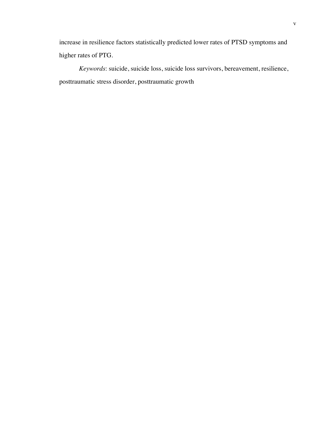increase in resilience factors statistically predicted lower rates of PTSD symptoms and higher rates of PTG.

*Keywords*: suicide, suicide loss, suicide loss survivors, bereavement, resilience, posttraumatic stress disorder, posttraumatic growth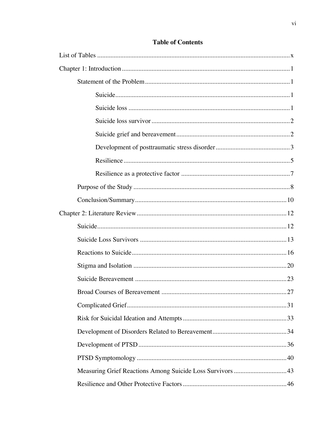## **Table of Contents**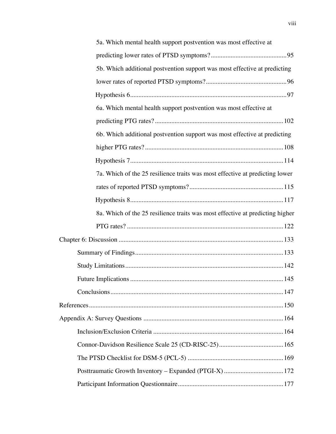| 5a. Which mental health support postvention was most effective at             |
|-------------------------------------------------------------------------------|
|                                                                               |
| 5b. Which additional postvention support was most effective at predicting     |
|                                                                               |
|                                                                               |
| 6a. Which mental health support postvention was most effective at             |
|                                                                               |
| 6b. Which additional postvention support was most effective at predicting     |
|                                                                               |
|                                                                               |
| 7a. Which of the 25 resilience traits was most effective at predicting lower  |
|                                                                               |
|                                                                               |
| 8a. Which of the 25 resilience traits was most effective at predicting higher |
|                                                                               |
|                                                                               |
|                                                                               |
|                                                                               |
|                                                                               |
|                                                                               |
|                                                                               |
|                                                                               |
|                                                                               |
|                                                                               |
|                                                                               |
|                                                                               |
|                                                                               |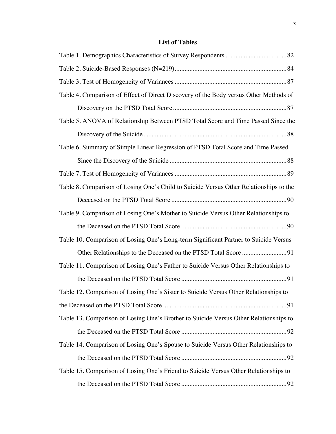## **List of Tables**

| Table 4. Comparison of Effect of Direct Discovery of the Body versus Other Methods of  |
|----------------------------------------------------------------------------------------|
|                                                                                        |
| Table 5. ANOVA of Relationship Between PTSD Total Score and Time Passed Since the      |
|                                                                                        |
| Table 6. Summary of Simple Linear Regression of PTSD Total Score and Time Passed       |
|                                                                                        |
|                                                                                        |
| Table 8. Comparison of Losing One's Child to Suicide Versus Other Relationships to the |
|                                                                                        |
| Table 9. Comparison of Losing One's Mother to Suicide Versus Other Relationships to    |
|                                                                                        |
| Table 10. Comparison of Losing One's Long-term Significant Partner to Suicide Versus   |
|                                                                                        |
| Table 11. Comparison of Losing One's Father to Suicide Versus Other Relationships to   |
|                                                                                        |
| Table 12. Comparison of Losing One's Sister to Suicide Versus Other Relationships to   |
|                                                                                        |
| Table 13. Comparison of Losing One's Brother to Suicide Versus Other Relationships to  |
|                                                                                        |
| Table 14. Comparison of Losing One's Spouse to Suicide Versus Other Relationships to   |
|                                                                                        |
| Table 15. Comparison of Losing One's Friend to Suicide Versus Other Relationships to   |
|                                                                                        |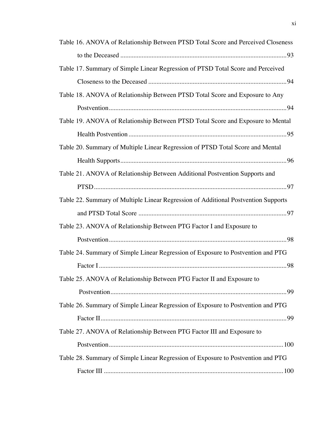| Table 16. ANOVA of Relationship Between PTSD Total Score and Perceived Closeness   |
|------------------------------------------------------------------------------------|
|                                                                                    |
| Table 17. Summary of Simple Linear Regression of PTSD Total Score and Perceived    |
|                                                                                    |
| Table 18. ANOVA of Relationship Between PTSD Total Score and Exposure to Any       |
|                                                                                    |
| Table 19. ANOVA of Relationship Between PTSD Total Score and Exposure to Mental    |
|                                                                                    |
| Table 20. Summary of Multiple Linear Regression of PTSD Total Score and Mental     |
|                                                                                    |
| Table 21. ANOVA of Relationship Between Additional Postvention Supports and        |
|                                                                                    |
| Table 22. Summary of Multiple Linear Regression of Additional Postvention Supports |
|                                                                                    |
| Table 23. ANOVA of Relationship Between PTG Factor I and Exposure to               |
|                                                                                    |
| Table 24. Summary of Simple Linear Regression of Exposure to Postvention and PTG   |
|                                                                                    |
| Table 25. ANOVA of Relationship Between PTG Factor II and Exposure to              |
|                                                                                    |
| Table 26. Summary of Simple Linear Regression of Exposure to Postvention and PTG   |
|                                                                                    |
| Table 27. ANOVA of Relationship Between PTG Factor III and Exposure to             |
|                                                                                    |
| Table 28. Summary of Simple Linear Regression of Exposure to Postvention and PTG   |
|                                                                                    |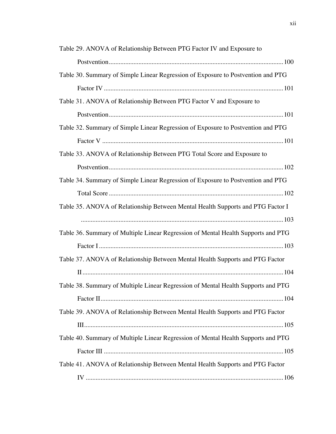| Table 29. ANOVA of Relationship Between PTG Factor IV and Exposure to             |
|-----------------------------------------------------------------------------------|
|                                                                                   |
| Table 30. Summary of Simple Linear Regression of Exposure to Postvention and PTG  |
|                                                                                   |
| Table 31. ANOVA of Relationship Between PTG Factor V and Exposure to              |
|                                                                                   |
| Table 32. Summary of Simple Linear Regression of Exposure to Postvention and PTG  |
|                                                                                   |
| Table 33. ANOVA of Relationship Between PTG Total Score and Exposure to           |
|                                                                                   |
| Table 34. Summary of Simple Linear Regression of Exposure to Postvention and PTG  |
|                                                                                   |
| Table 35. ANOVA of Relationship Between Mental Health Supports and PTG Factor I   |
|                                                                                   |
| Table 36. Summary of Multiple Linear Regression of Mental Health Supports and PTG |
|                                                                                   |
| Table 37. ANOVA of Relationship Between Mental Health Supports and PTG Factor     |
|                                                                                   |
| Table 38. Summary of Multiple Linear Regression of Mental Health Supports and PTG |
|                                                                                   |
| Table 39. ANOVA of Relationship Between Mental Health Supports and PTG Factor     |
|                                                                                   |
|                                                                                   |
| Table 40. Summary of Multiple Linear Regression of Mental Health Supports and PTG |
|                                                                                   |
| Table 41. ANOVA of Relationship Between Mental Health Supports and PTG Factor     |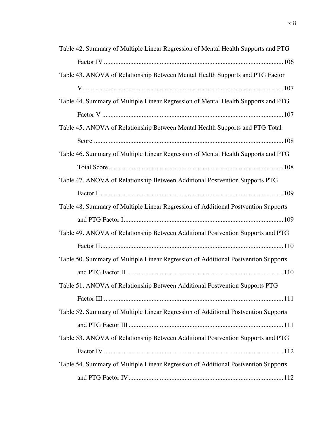| Table 42. Summary of Multiple Linear Regression of Mental Health Supports and PTG  |
|------------------------------------------------------------------------------------|
|                                                                                    |
| Table 43. ANOVA of Relationship Between Mental Health Supports and PTG Factor      |
|                                                                                    |
| Table 44. Summary of Multiple Linear Regression of Mental Health Supports and PTG  |
|                                                                                    |
| Table 45. ANOVA of Relationship Between Mental Health Supports and PTG Total       |
|                                                                                    |
| Table 46. Summary of Multiple Linear Regression of Mental Health Supports and PTG  |
|                                                                                    |
| Table 47. ANOVA of Relationship Between Additional Postvention Supports PTG        |
|                                                                                    |
| Table 48. Summary of Multiple Linear Regression of Additional Postvention Supports |
|                                                                                    |
| Table 49. ANOVA of Relationship Between Additional Postvention Supports and PTG    |
|                                                                                    |
| Table 50. Summary of Multiple Linear Regression of Additional Postvention Supports |
|                                                                                    |
| Table 51. ANOVA of Relationship Between Additional Postvention Supports PTG        |
|                                                                                    |
| Table 52. Summary of Multiple Linear Regression of Additional Postvention Supports |
|                                                                                    |
| Table 53. ANOVA of Relationship Between Additional Postvention Supports and PTG    |
|                                                                                    |
| Table 54. Summary of Multiple Linear Regression of Additional Postvention Supports |
|                                                                                    |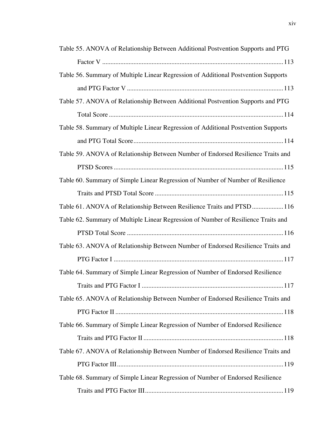| Table 55. ANOVA of Relationship Between Additional Postvention Supports and PTG    |
|------------------------------------------------------------------------------------|
|                                                                                    |
| Table 56. Summary of Multiple Linear Regression of Additional Postvention Supports |
|                                                                                    |
| Table 57. ANOVA of Relationship Between Additional Postvention Supports and PTG    |
|                                                                                    |
| Table 58. Summary of Multiple Linear Regression of Additional Postvention Supports |
|                                                                                    |
| Table 59. ANOVA of Relationship Between Number of Endorsed Resilience Traits and   |
|                                                                                    |
| Table 60. Summary of Simple Linear Regression of Number of Number of Resilience    |
|                                                                                    |
| Table 61. ANOVA of Relationship Between Resilience Traits and PTSD  116            |
| Table 62. Summary of Multiple Linear Regression of Number of Resilience Traits and |
|                                                                                    |
| Table 63. ANOVA of Relationship Between Number of Endorsed Resilience Traits and   |
|                                                                                    |
| Table 64. Summary of Simple Linear Regression of Number of Endorsed Resilience     |
|                                                                                    |
| Table 65. ANOVA of Relationship Between Number of Endorsed Resilience Traits and   |
|                                                                                    |
| Table 66. Summary of Simple Linear Regression of Number of Endorsed Resilience     |
|                                                                                    |
| Table 67. ANOVA of Relationship Between Number of Endorsed Resilience Traits and   |
|                                                                                    |
| Table 68. Summary of Simple Linear Regression of Number of Endorsed Resilience     |
|                                                                                    |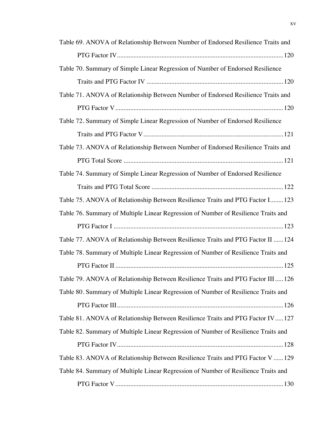| Table 69. ANOVA of Relationship Between Number of Endorsed Resilience Traits and   |
|------------------------------------------------------------------------------------|
|                                                                                    |
| Table 70. Summary of Simple Linear Regression of Number of Endorsed Resilience     |
|                                                                                    |
| Table 71. ANOVA of Relationship Between Number of Endorsed Resilience Traits and   |
|                                                                                    |
| Table 72. Summary of Simple Linear Regression of Number of Endorsed Resilience     |
|                                                                                    |
| Table 73. ANOVA of Relationship Between Number of Endorsed Resilience Traits and   |
|                                                                                    |
| Table 74. Summary of Simple Linear Regression of Number of Endorsed Resilience     |
|                                                                                    |
| Table 75. ANOVA of Relationship Between Resilience Traits and PTG Factor I 123     |
| Table 76. Summary of Multiple Linear Regression of Number of Resilience Traits and |
|                                                                                    |
| Table 77. ANOVA of Relationship Between Resilience Traits and PTG Factor II  124   |
| Table 78. Summary of Multiple Linear Regression of Number of Resilience Traits and |
|                                                                                    |
| Table 79. ANOVA of Relationship Between Resilience Traits and PTG Factor III126    |
| Table 80. Summary of Multiple Linear Regression of Number of Resilience Traits and |
|                                                                                    |
| Table 81. ANOVA of Relationship Between Resilience Traits and PTG Factor IV127     |
| Table 82. Summary of Multiple Linear Regression of Number of Resilience Traits and |
|                                                                                    |
| Table 83. ANOVA of Relationship Between Resilience Traits and PTG Factor V  129    |
| Table 84. Summary of Multiple Linear Regression of Number of Resilience Traits and |
|                                                                                    |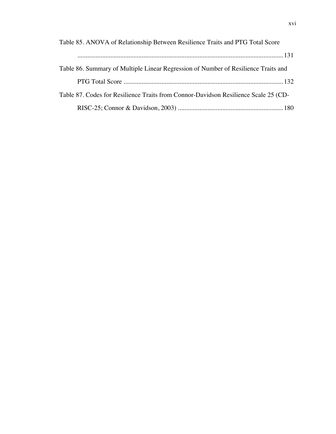| Table 85. ANOVA of Relationship Between Resilience Traits and PTG Total Score |                                                                                     |
|-------------------------------------------------------------------------------|-------------------------------------------------------------------------------------|
|                                                                               |                                                                                     |
|                                                                               | Table 86. Summary of Multiple Linear Regression of Number of Resilience Traits and  |
|                                                                               |                                                                                     |
|                                                                               | Table 87. Codes for Resilience Traits from Connor-Davidson Resilience Scale 25 (CD- |
|                                                                               |                                                                                     |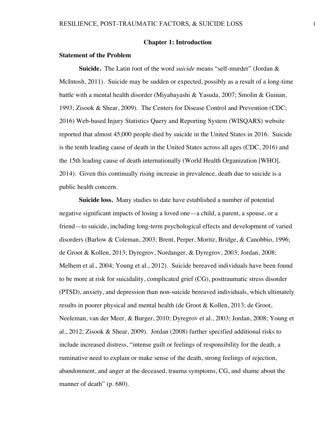## **Chapter 1: Introduction**

### **Statement of the Problem**

**Suicide.** The Latin root of the word *suicide* means "self-murder" (Jordan & McIntosh, 2011). Suicide may be sudden or expected, possibly as a result of a long-time battle with a mental health disorder (Miyabayashi & Yasuda, 2007; Smolin & Guinan, 1993; Zisook & Shear, 2009). The Centers for Disease Control and Prevention (CDC; 2016) Web-based Injury Statistics Query and Reporting System (WISQARS) website reported that almost 45,000 people died by suicide in the United States in 2016. Suicide is the tenth leading cause of death in the United States across all ages (CDC, 2016) and the 15th leading cause of death internationally (World Health Organization [WHO], 2014). Given this continually rising increase in prevalence, death due to suicide is a public health concern.

**Suicide loss.** Many studies to date have established a number of potential negative significant impacts of losing a loved one—a child, a parent, a spouse, or a friend—to suicide, including long-term psychological effects and development of varied disorders (Barlow & Coleman, 2003; Brent, Perper, Moritz, Bridge, & Canobbio, 1996; de Groot & Kollen, 2013; Dyregrov, Nordanger, & Dyregrov, 2003; Jordan, 2008; Melhem et al., 2004; Young et al., 2012). Suicide bereaved individuals have been found to be more at risk for suicidality, complicated grief (CG), posttraumatic stress disorder (PTSD), anxiety, and depression than non-suicide bereaved individuals, which ultimately results in poorer physical and mental health (de Groot & Kollen, 2013; de Groot, Neeleman, van der Meer, & Burger, 2010; Dyregrov et al., 2003; Jordan, 2008; Young et al., 2012; Zisook & Shear, 2009). Jordan (2008) further specified additional risks to include increased distress, "intense guilt or feelings of responsibility for the death, a ruminative need to explain or make sense of the death, strong feelings of rejection, abandonment, and anger at the deceased, trauma symptoms, CG, and shame about the manner of death" (p. 680).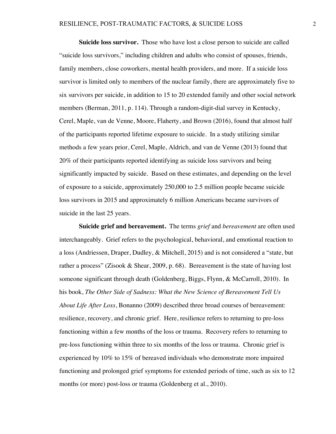**Suicide loss survivor.** Those who have lost a close person to suicide are called "suicide loss survivors," including children and adults who consist of spouses, friends, family members, close coworkers, mental health providers, and more. If a suicide loss survivor is limited only to members of the nuclear family, there are approximately five to six survivors per suicide, in addition to 15 to 20 extended family and other social network members (Berman, 2011, p. 114). Through a random-digit-dial survey in Kentucky, Cerel, Maple, van de Venne, Moore, Flaherty, and Brown (2016), found that almost half of the participants reported lifetime exposure to suicide. In a study utilizing similar methods a few years prior, Cerel, Maple, Aldrich, and van de Venne (2013) found that 20% of their participants reported identifying as suicide loss survivors and being significantly impacted by suicide. Based on these estimates, and depending on the level of exposure to a suicide, approximately 250,000 to 2.5 million people became suicide loss survivors in 2015 and approximately 6 million Americans became survivors of suicide in the last 25 years.

**Suicide grief and bereavement.** The terms *grief* and *bereavement* are often used interchangeably. Grief refers to the psychological, behavioral, and emotional reaction to a loss (Andriessen, Draper, Dudley, & Mitchell, 2015) and is not considered a "state, but rather a process" (Zisook & Shear, 2009, p. 68). Bereavement is the state of having lost someone significant through death (Goldenberg, Biggs, Flynn, & McCarroll, 2010). In his book, *The Other Side of Sadness: What the New Science of Bereavement Tell Us About Life After Loss*, Bonanno (2009) described three broad courses of bereavement: resilience, recovery, and chronic grief. Here, resilience refers to returning to pre-loss functioning within a few months of the loss or trauma. Recovery refers to returning to pre-loss functioning within three to six months of the loss or trauma. Chronic grief is experienced by 10% to 15% of bereaved individuals who demonstrate more impaired functioning and prolonged grief symptoms for extended periods of time, such as six to 12 months (or more) post-loss or trauma (Goldenberg et al., 2010).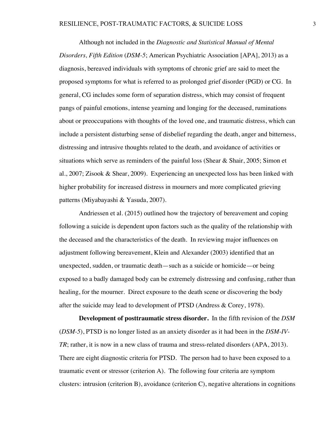Although not included in the *Diagnostic and Statistical Manual of Mental Disorders, Fifth Edition* (*DSM-5*; American Psychiatric Association [APA], 2013) as a diagnosis, bereaved individuals with symptoms of chronic grief are said to meet the proposed symptoms for what is referred to as prolonged grief disorder (PGD) or CG. In general, CG includes some form of separation distress, which may consist of frequent pangs of painful emotions, intense yearning and longing for the deceased, ruminations about or preoccupations with thoughts of the loved one, and traumatic distress, which can include a persistent disturbing sense of disbelief regarding the death, anger and bitterness, distressing and intrusive thoughts related to the death, and avoidance of activities or situations which serve as reminders of the painful loss (Shear & Shair, 2005; Simon et al., 2007; Zisook & Shear, 2009). Experiencing an unexpected loss has been linked with higher probability for increased distress in mourners and more complicated grieving patterns (Miyabayashi & Yasuda, 2007).

Andriessen et al. (2015) outlined how the trajectory of bereavement and coping following a suicide is dependent upon factors such as the quality of the relationship with the deceased and the characteristics of the death. In reviewing major influences on adjustment following bereavement, Klein and Alexander (2003) identified that an unexpected, sudden, or traumatic death—such as a suicide or homicide—or being exposed to a badly damaged body can be extremely distressing and confusing, rather than healing, for the mourner. Direct exposure to the death scene or discovering the body after the suicide may lead to development of PTSD (Andress & Corey, 1978).

**Development of posttraumatic stress disorder.** In the fifth revision of the *DSM*  (*DSM-5*), PTSD is no longer listed as an anxiety disorder as it had been in the *DSM-IV-TR*; rather, it is now in a new class of trauma and stress-related disorders (APA, 2013). There are eight diagnostic criteria for PTSD. The person had to have been exposed to a traumatic event or stressor (criterion A). The following four criteria are symptom clusters: intrusion (criterion B), avoidance (criterion C), negative alterations in cognitions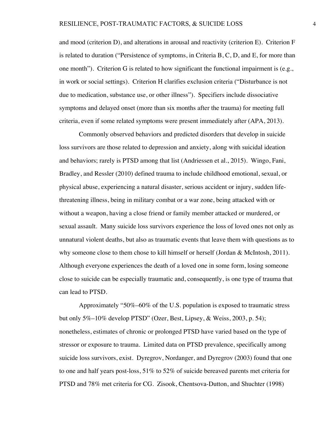and mood (criterion D), and alterations in arousal and reactivity (criterion E). Criterion F is related to duration ("Persistence of symptoms, in Criteria B, C, D, and E, for more than one month"). Criterion G is related to how significant the functional impairment is (e.g., in work or social settings). Criterion H clarifies exclusion criteria ("Disturbance is not due to medication, substance use, or other illness"). Specifiers include dissociative symptoms and delayed onset (more than six months after the trauma) for meeting full criteria, even if some related symptoms were present immediately after (APA, 2013).

Commonly observed behaviors and predicted disorders that develop in suicide loss survivors are those related to depression and anxiety, along with suicidal ideation and behaviors; rarely is PTSD among that list (Andriessen et al., 2015). Wingo, Fani, Bradley, and Ressler (2010) defined trauma to include childhood emotional, sexual, or physical abuse, experiencing a natural disaster, serious accident or injury, sudden lifethreatening illness, being in military combat or a war zone, being attacked with or without a weapon, having a close friend or family member attacked or murdered, or sexual assault. Many suicide loss survivors experience the loss of loved ones not only as unnatural violent deaths, but also as traumatic events that leave them with questions as to why someone close to them chose to kill himself or herself (Jordan & McIntosh, 2011). Although everyone experiences the death of a loved one in some form, losing someone close to suicide can be especially traumatic and, consequently, is one type of trauma that can lead to PTSD.

Approximately "50%–60% of the U.S. population is exposed to traumatic stress but only 5%–10% develop PTSD" (Ozer, Best, Lipsey, & Weiss, 2003, p. 54); nonetheless, estimates of chronic or prolonged PTSD have varied based on the type of stressor or exposure to trauma. Limited data on PTSD prevalence, specifically among suicide loss survivors, exist. Dyregrov, Nordanger, and Dyregrov (2003) found that one to one and half years post-loss, 51% to 52% of suicide bereaved parents met criteria for PTSD and 78% met criteria for CG. Zisook, Chentsova-Dutton, and Shuchter (1998)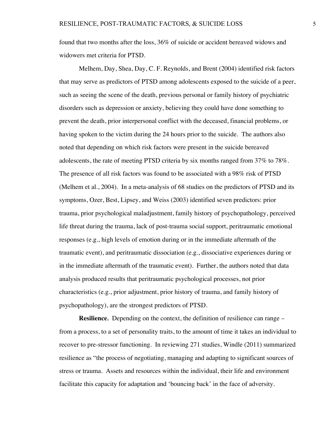found that two months after the loss, 36% of suicide or accident bereaved widows and widowers met criteria for PTSD.

Melhem, Day, Shea, Day, C. F. Reynolds, and Brent (2004) identified risk factors that may serve as predictors of PTSD among adolescents exposed to the suicide of a peer, such as seeing the scene of the death, previous personal or family history of psychiatric disorders such as depression or anxiety, believing they could have done something to prevent the death, prior interpersonal conflict with the deceased, financial problems, or having spoken to the victim during the 24 hours prior to the suicide. The authors also noted that depending on which risk factors were present in the suicide bereaved adolescents, the rate of meeting PTSD criteria by six months ranged from 37% to 78%. The presence of all risk factors was found to be associated with a 98% risk of PTSD (Melhem et al., 2004). In a meta-analysis of 68 studies on the predictors of PTSD and its symptoms, Ozer, Best, Lipsey, and Weiss (2003) identified seven predictors: prior trauma, prior psychological maladjustment, family history of psychopathology, perceived life threat during the trauma, lack of post-trauma social support, peritraumatic emotional responses (e.g., high levels of emotion during or in the immediate aftermath of the traumatic event), and peritraumatic dissociation (e.g., dissociative experiences during or in the immediate aftermath of the traumatic event). Further, the authors noted that data analysis produced results that peritraumatic psychological processes, not prior characteristics (e.g., prior adjustment, prior history of trauma, and family history of psychopathology), are the strongest predictors of PTSD.

**Resilience***.* Depending on the context, the definition of resilience can range – from a process, to a set of personality traits, to the amount of time it takes an individual to recover to pre-stressor functioning. In reviewing 271 studies, Windle (2011) summarized resilience as "the process of negotiating, managing and adapting to significant sources of stress or trauma. Assets and resources within the individual, their life and environment facilitate this capacity for adaptation and 'bouncing back' in the face of adversity.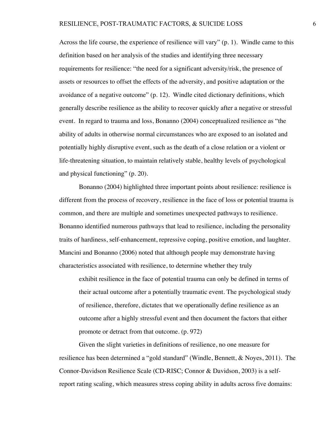Across the life course, the experience of resilience will vary" (p. 1). Windle came to this definition based on her analysis of the studies and identifying three necessary requirements for resilience: "the need for a significant adversity/risk, the presence of assets or resources to offset the effects of the adversity, and positive adaptation or the avoidance of a negative outcome" (p. 12). Windle cited dictionary definitions, which generally describe resilience as the ability to recover quickly after a negative or stressful event. In regard to trauma and loss, Bonanno (2004) conceptualized resilience as "the ability of adults in otherwise normal circumstances who are exposed to an isolated and potentially highly disruptive event, such as the death of a close relation or a violent or life-threatening situation, to maintain relatively stable, healthy levels of psychological and physical functioning" (p. 20).

Bonanno (2004) highlighted three important points about resilience: resilience is different from the process of recovery, resilience in the face of loss or potential trauma is common, and there are multiple and sometimes unexpected pathways to resilience. Bonanno identified numerous pathways that lead to resilience, including the personality traits of hardiness, self-enhancement, repressive coping, positive emotion, and laughter. Mancini and Bonanno (2006) noted that although people may demonstrate having characteristics associated with resilience, to determine whether they truly

exhibit resilience in the face of potential trauma can only be defined in terms of their actual outcome after a potentially traumatic event. The psychological study of resilience, therefore, dictates that we operationally define resilience as an outcome after a highly stressful event and then document the factors that either promote or detract from that outcome. (p. 972)

Given the slight varieties in definitions of resilience, no one measure for resilience has been determined a "gold standard" (Windle, Bennett, & Noyes, 2011). The Connor-Davidson Resilience Scale (CD-RISC; Connor & Davidson, 2003) is a selfreport rating scaling, which measures stress coping ability in adults across five domains: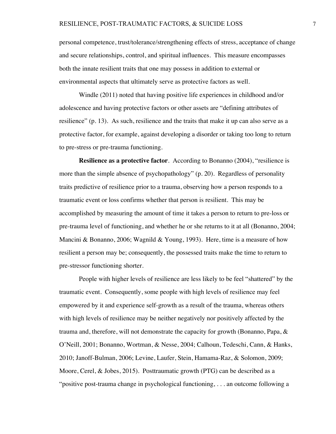personal competence, trust/tolerance/strengthening effects of stress, acceptance of change and secure relationships, control, and spiritual influences. This measure encompasses both the innate resilient traits that one may possess in addition to external or environmental aspects that ultimately serve as protective factors as well.

Windle (2011) noted that having positive life experiences in childhood and/or adolescence and having protective factors or other assets are "defining attributes of resilience" (p. 13). As such, resilience and the traits that make it up can also serve as a protective factor, for example, against developing a disorder or taking too long to return to pre-stress or pre-trauma functioning.

**Resilience as a protective factor**. According to Bonanno (2004), "resilience is more than the simple absence of psychopathology" (p. 20). Regardless of personality traits predictive of resilience prior to a trauma, observing how a person responds to a traumatic event or loss confirms whether that person is resilient. This may be accomplished by measuring the amount of time it takes a person to return to pre-loss or pre-trauma level of functioning, and whether he or she returns to it at all (Bonanno, 2004; Mancini & Bonanno, 2006; Wagnild & Young, 1993). Here, time is a measure of how resilient a person may be; consequently, the possessed traits make the time to return to pre-stressor functioning shorter.

People with higher levels of resilience are less likely to be feel "shattered" by the traumatic event. Consequently, some people with high levels of resilience may feel empowered by it and experience self-growth as a result of the trauma, whereas others with high levels of resilience may be neither negatively nor positively affected by the trauma and, therefore, will not demonstrate the capacity for growth (Bonanno, Papa, & O'Neill, 2001; Bonanno, Wortman, & Nesse, 2004; Calhoun, Tedeschi, Cann, & Hanks, 2010; Janoff-Bulman, 2006; Levine, Laufer, Stein, Hamama-Raz, & Solomon, 2009; Moore, Cerel, & Jobes, 2015). Posttraumatic growth (PTG) can be described as a "positive post-trauma change in psychological functioning, . . . an outcome following a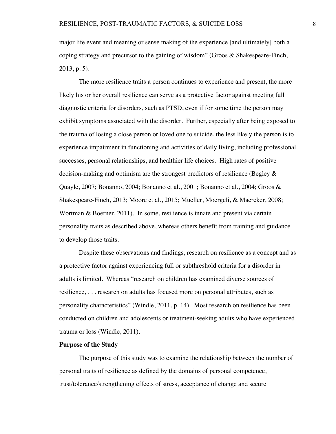major life event and meaning or sense making of the experience [and ultimately] both a coping strategy and precursor to the gaining of wisdom" (Groos & Shakespeare-Finch, 2013, p. 5).

The more resilience traits a person continues to experience and present, the more likely his or her overall resilience can serve as a protective factor against meeting full diagnostic criteria for disorders, such as PTSD, even if for some time the person may exhibit symptoms associated with the disorder. Further, especially after being exposed to the trauma of losing a close person or loved one to suicide, the less likely the person is to experience impairment in functioning and activities of daily living, including professional successes, personal relationships, and healthier life choices. High rates of positive decision-making and optimism are the strongest predictors of resilience (Begley & Quayle, 2007; Bonanno, 2004; Bonanno et al., 2001; Bonanno et al., 2004; Groos & Shakespeare-Finch, 2013; Moore et al., 2015; Mueller, Moergeli, & Maercker, 2008; Wortman & Boerner, 2011). In some, resilience is innate and present via certain personality traits as described above, whereas others benefit from training and guidance to develop those traits.

Despite these observations and findings, research on resilience as a concept and as a protective factor against experiencing full or subthreshold criteria for a disorder in adults is limited. Whereas "research on children has examined diverse sources of resilience, . . . research on adults has focused more on personal attributes, such as personality characteristics" (Windle, 2011, p. 14). Most research on resilience has been conducted on children and adolescents or treatment-seeking adults who have experienced trauma or loss (Windle, 2011).

#### **Purpose of the Study**

The purpose of this study was to examine the relationship between the number of personal traits of resilience as defined by the domains of personal competence, trust/tolerance/strengthening effects of stress, acceptance of change and secure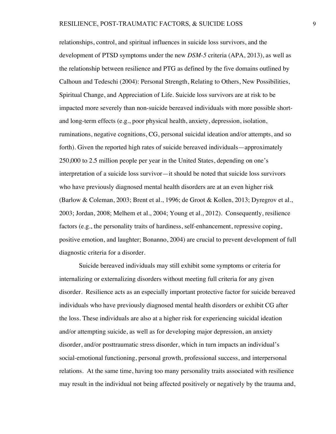relationships, control, and spiritual influences in suicide loss survivors, and the development of PTSD symptoms under the new *DSM-5* criteria (APA, 2013), as well as the relationship between resilience and PTG as defined by the five domains outlined by Calhoun and Tedeschi (2004): Personal Strength, Relating to Others, New Possibilities, Spiritual Change, and Appreciation of Life. Suicide loss survivors are at risk to be impacted more severely than non-suicide bereaved individuals with more possible shortand long-term effects (e.g., poor physical health, anxiety, depression, isolation, ruminations, negative cognitions, CG, personal suicidal ideation and/or attempts, and so forth). Given the reported high rates of suicide bereaved individuals—approximately 250,000 to 2.5 million people per year in the United States, depending on one's interpretation of a suicide loss survivor—it should be noted that suicide loss survivors who have previously diagnosed mental health disorders are at an even higher risk (Barlow & Coleman, 2003; Brent et al., 1996; de Groot & Kollen, 2013; Dyregrov et al., 2003; Jordan, 2008; Melhem et al., 2004; Young et al., 2012). Consequently, resilience factors (e.g., the personality traits of hardiness, self-enhancement, repressive coping, positive emotion, and laughter; Bonanno, 2004) are crucial to prevent development of full diagnostic criteria for a disorder.

Suicide bereaved individuals may still exhibit some symptoms or criteria for internalizing or externalizing disorders without meeting full criteria for any given disorder. Resilience acts as an especially important protective factor for suicide bereaved individuals who have previously diagnosed mental health disorders or exhibit CG after the loss. These individuals are also at a higher risk for experiencing suicidal ideation and/or attempting suicide, as well as for developing major depression, an anxiety disorder, and/or posttraumatic stress disorder, which in turn impacts an individual's social-emotional functioning, personal growth, professional success, and interpersonal relations. At the same time, having too many personality traits associated with resilience may result in the individual not being affected positively or negatively by the trauma and,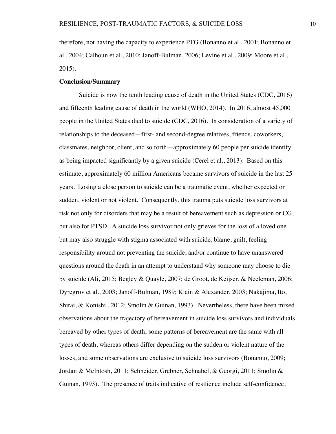therefore, not having the capacity to experience PTG (Bonanno et al., 2001; Bonanno et al., 2004; Calhoun et al., 2010; Janoff-Bulman, 2006; Levine et al., 2009; Moore et al., 2015).

## **Conclusion/Summary**

Suicide is now the tenth leading cause of death in the United States (CDC, 2016) and fifteenth leading cause of death in the world (WHO, 2014). In 2016, almost 45,000 people in the United States died to suicide (CDC, 2016). In consideration of a variety of relationships to the deceased—first- and second-degree relatives, friends, coworkers, classmates, neighbor, client, and so forth—approximately 60 people per suicide identify as being impacted significantly by a given suicide (Cerel et al., 2013). Based on this estimate, approximately 60 million Americans became survivors of suicide in the last 25 years. Losing a close person to suicide can be a traumatic event, whether expected or sudden, violent or not violent. Consequently, this trauma puts suicide loss survivors at risk not only for disorders that may be a result of bereavement such as depression or CG, but also for PTSD. A suicide loss survivor not only grieves for the loss of a loved one but may also struggle with stigma associated with suicide, blame, guilt, feeling responsibility around not preventing the suicide, and/or continue to have unanswered questions around the death in an attempt to understand why someone may choose to die by suicide (Ali, 2015; Begley & Quayle, 2007; de Groot, de Keijser, & Neeleman, 2006; Dyregrov et al., 2003; Janoff-Bulman, 1989; Klein & Alexander, 2003; Nakajima, Ito, Shirai, & Konishi , 2012; Smolin & Guinan, 1993). Nevertheless, there have been mixed observations about the trajectory of bereavement in suicide loss survivors and individuals bereaved by other types of death; some patterns of bereavement are the same with all types of death, whereas others differ depending on the sudden or violent nature of the losses, and some observations are exclusive to suicide loss survivors (Bonanno, 2009; Jordan & McIntosh, 2011; Schneider, Grebner, Schnabel, & Georgi, 2011; Smolin & Guinan, 1993). The presence of traits indicative of resilience include self-confidence,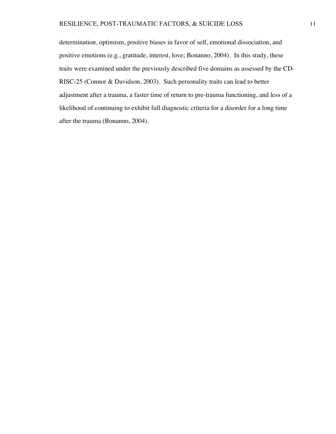determination, optimism, positive biases in favor of self, emotional dissociation, and positive emotions (e.g., gratitude, interest, love; Bonanno, 2004). In this study, these traits were examined under the previously described five domains as assessed by the CD-RISC-25 (Connor & Davidson, 2003). Such personality traits can lead to better adjustment after a trauma, a faster time of return to pre-trauma functioning, and less of a likelihood of continuing to exhibit full diagnostic criteria for a disorder for a long time after the trauma (Bonanno, 2004).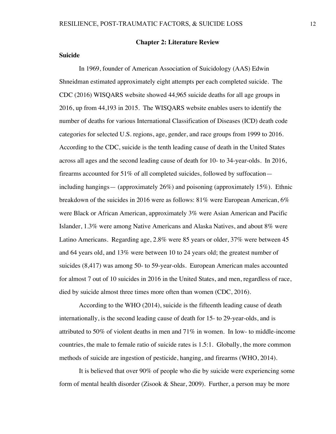## **Chapter 2: Literature Review**

## **Suicide**

In 1969, founder of American Association of Suicidology (AAS) Edwin Shneidman estimated approximately eight attempts per each completed suicide. The CDC (2016) WISQARS website showed 44,965 suicide deaths for all age groups in 2016, up from 44,193 in 2015. The WISQARS website enables users to identify the number of deaths for various International Classification of Diseases (ICD) death code categories for selected U.S. regions, age, gender, and race groups from 1999 to 2016. According to the CDC, suicide is the tenth leading cause of death in the United States across all ages and the second leading cause of death for 10- to 34-year-olds. In 2016, firearms accounted for 51% of all completed suicides, followed by suffocation including hangings— (approximately 26%) and poisoning (approximately 15%). Ethnic breakdown of the suicides in 2016 were as follows: 81% were European American, 6% were Black or African American, approximately 3% were Asian American and Pacific Islander, 1.3% were among Native Americans and Alaska Natives, and about 8% were Latino Americans. Regarding age, 2.8% were 85 years or older, 37% were between 45 and 64 years old, and 13% were between 10 to 24 years old; the greatest number of suicides (8,417) was among 50- to 59-year-olds. European American males accounted for almost 7 out of 10 suicides in 2016 in the United States, and men, regardless of race, died by suicide almost three times more often than women (CDC, 2016).

According to the WHO (2014), suicide is the fifteenth leading cause of death internationally, is the second leading cause of death for 15- to 29-year-olds, and is attributed to 50% of violent deaths in men and 71% in women. In low- to middle-income countries, the male to female ratio of suicide rates is 1.5:1. Globally, the more common methods of suicide are ingestion of pesticide, hanging, and firearms (WHO, 2014).

It is believed that over 90% of people who die by suicide were experiencing some form of mental health disorder (Zisook & Shear, 2009). Further, a person may be more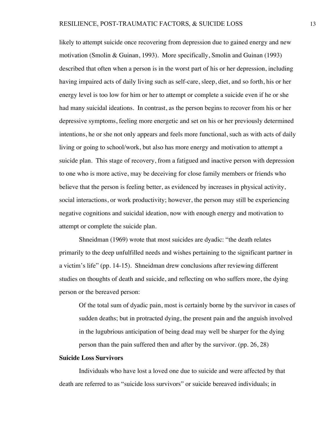likely to attempt suicide once recovering from depression due to gained energy and new motivation (Smolin & Guinan, 1993). More specifically, Smolin and Guinan (1993) described that often when a person is in the worst part of his or her depression, including having impaired acts of daily living such as self-care, sleep, diet, and so forth, his or her energy level is too low for him or her to attempt or complete a suicide even if he or she had many suicidal ideations. In contrast, as the person begins to recover from his or her depressive symptoms, feeling more energetic and set on his or her previously determined intentions, he or she not only appears and feels more functional, such as with acts of daily living or going to school/work, but also has more energy and motivation to attempt a suicide plan. This stage of recovery, from a fatigued and inactive person with depression to one who is more active, may be deceiving for close family members or friends who believe that the person is feeling better, as evidenced by increases in physical activity, social interactions, or work productivity; however, the person may still be experiencing negative cognitions and suicidal ideation, now with enough energy and motivation to attempt or complete the suicide plan.

Shneidman (1969) wrote that most suicides are dyadic: "the death relates primarily to the deep unfulfilled needs and wishes pertaining to the significant partner in a victim's life" (pp. 14-15). Shneidman drew conclusions after reviewing different studies on thoughts of death and suicide, and reflecting on who suffers more, the dying person or the bereaved person:

Of the total sum of dyadic pain, most is certainly borne by the survivor in cases of sudden deaths; but in protracted dying, the present pain and the anguish involved in the lugubrious anticipation of being dead may well be sharper for the dying person than the pain suffered then and after by the survivor. (pp. 26, 28)

#### **Suicide Loss Survivors**

Individuals who have lost a loved one due to suicide and were affected by that death are referred to as "suicide loss survivors" or suicide bereaved individuals; in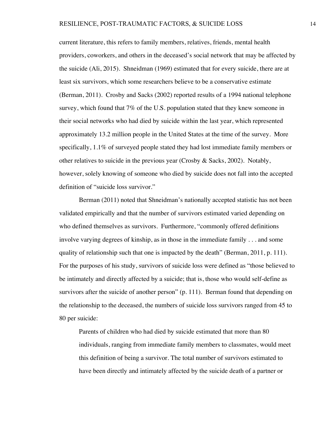current literature, this refers to family members, relatives, friends, mental health providers, coworkers, and others in the deceased's social network that may be affected by the suicide (Ali, 2015). Shneidman (1969) estimated that for every suicide, there are at least six survivors, which some researchers believe to be a conservative estimate (Berman, 2011). Crosby and Sacks (2002) reported results of a 1994 national telephone survey, which found that 7% of the U.S. population stated that they knew someone in their social networks who had died by suicide within the last year, which represented approximately 13.2 million people in the United States at the time of the survey. More specifically, 1.1% of surveyed people stated they had lost immediate family members or other relatives to suicide in the previous year (Crosby & Sacks, 2002). Notably, however, solely knowing of someone who died by suicide does not fall into the accepted definition of "suicide loss survivor."

Berman (2011) noted that Shneidman's nationally accepted statistic has not been validated empirically and that the number of survivors estimated varied depending on who defined themselves as survivors. Furthermore, "commonly offered definitions involve varying degrees of kinship, as in those in the immediate family . . . and some quality of relationship such that one is impacted by the death" (Berman, 2011, p. 111). For the purposes of his study, survivors of suicide loss were defined as "those believed to be intimately and directly affected by a suicide; that is, those who would self-define as survivors after the suicide of another person" (p. 111). Berman found that depending on the relationship to the deceased, the numbers of suicide loss survivors ranged from 45 to 80 per suicide:

Parents of children who had died by suicide estimated that more than 80 individuals, ranging from immediate family members to classmates, would meet this definition of being a survivor. The total number of survivors estimated to have been directly and intimately affected by the suicide death of a partner or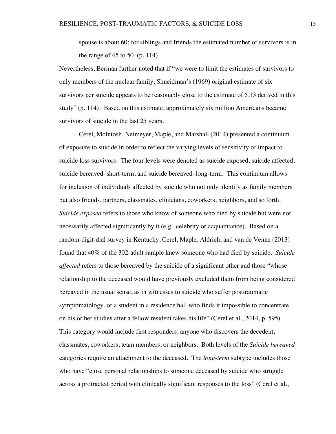spouse is about 60; for siblings and friends the estimated number of survivors is in the range of 45 to 50. (p. 114)

Nevertheless, Berman further noted that if "we were to limit the estimates of survivors to only members of the nuclear family, Shneidman's (1969) original estimate of six survivors per suicide appears to be reasonably close to the estimate of 5.13 derived in this study" (p. 114). Based on this estimate, approximately six million Americans became survivors of suicide in the last 25 years.

Cerel, McIntosh, Neimeyer, Maple, and Marshall (2014) presented a continuum of exposure to suicide in order to reflect the varying levels of sensitivity of impact to suicide loss survivors. The four levels were denoted as suicide exposed, suicide affected, suicide bereaved–short-term, and suicide bereaved–long-term. This continuum allows for inclusion of individuals affected by suicide who not only identify as family members but also friends, partners, classmates, clinicians, coworkers, neighbors, and so forth. *Suicide exposed* refers to those who know of someone who died by suicide but were not necessarily affected significantly by it (e.g., celebrity or acquaintance). Based on a random-digit-dial survey in Kentucky, Cerel, Maple, Aldrich, and van de Venne (2013) found that 40% of the 302-adult sample knew someone who had died by suicide. *Suicide affected* refers to those bereaved by the suicide of a significant other and those "whose relationship to the deceased would have previously excluded them from being considered bereaved in the usual sense, as in witnesses to suicide who suffer posttraumatic symptomatology, or a student in a residence hall who finds it impossible to concentrate on his or her studies after a fellow resident takes his life" (Cerel et al., 2014, p. 595). This category would include first responders, anyone who discovers the decedent, classmates, coworkers, team members, or neighbors. Both levels of the *Suicide bereaved*  categories require an attachment to the deceased. The *long-term* subtype includes those who have "close personal relationships to someone deceased by suicide who struggle across a protracted period with clinically significant responses to the loss" (Cerel et al.,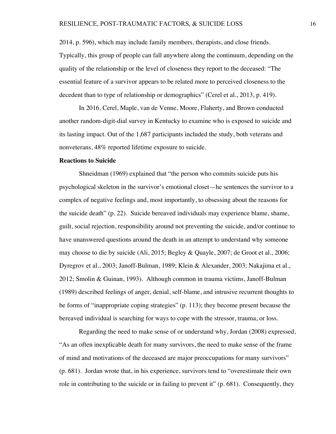2014, p. 596), which may include family members, therapists, and close friends. Typically, this group of people can fall anywhere along the continuum, depending on the quality of the relationship or the level of closeness they report to the deceased: "The essential feature of a survivor appears to be related more to perceived closeness to the decedent than to type of relationship or demographics" (Cerel et al., 2013, p. 419).

In 2016, Cerel, Maple, van de Venne, Moore, Flaherty, and Brown conducted another random-digit-dial survey in Kentucky to examine who is exposed to suicide and its lasting impact. Out of the 1,687 participants included the study, both veterans and nonveterans, 48% reported lifetime exposure to suicide.

## **Reactions to Suicide**

Shneidman (1969) explained that "the person who commits suicide puts his psychological skeleton in the survivor's emotional closet—he sentences the survivor to a complex of negative feelings and, most importantly, to obsessing about the reasons for the suicide death" (p. 22). Suicide bereaved individuals may experience blame, shame, guilt, social rejection, responsibility around not preventing the suicide, and/or continue to have unanswered questions around the death in an attempt to understand why someone may choose to die by suicide (Ali, 2015; Begley & Quayle, 2007; de Groot et al., 2006; Dyregrov et al., 2003; Janoff-Bulman, 1989; Klein & Alexander, 2003; Nakajima et al., 2012; Smolin & Guinan, 1993). Although common in trauma victims, Janoff-Bulman (1989) described feelings of anger, denial, self-blame, and intrusive recurrent thoughts to be forms of "inappropriate coping strategies" (p. 113); they become present because the bereaved individual is searching for ways to cope with the stressor, trauma, or loss.

Regarding the need to make sense of or understand why, Jordan (2008) expressed, "As an often inexplicable death for many survivors, the need to make sense of the frame of mind and motivations of the deceased are major preoccupations for many survivors" (p. 681). Jordan wrote that, in his experience, survivors tend to "overestimate their own role in contributing to the suicide or in failing to prevent it" (p. 681). Consequently, they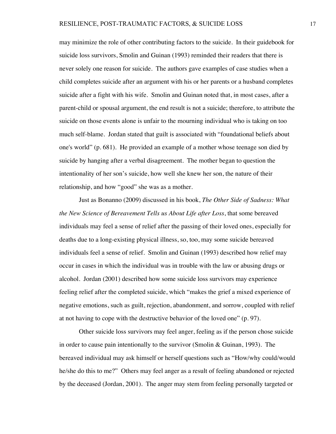may minimize the role of other contributing factors to the suicide. In their guidebook for suicide loss survivors, Smolin and Guinan (1993) reminded their readers that there is never solely one reason for suicide. The authors gave examples of case studies when a child completes suicide after an argument with his or her parents or a husband completes suicide after a fight with his wife. Smolin and Guinan noted that, in most cases, after a parent-child or spousal argument, the end result is not a suicide; therefore, to attribute the suicide on those events alone is unfair to the mourning individual who is taking on too much self-blame. Jordan stated that guilt is associated with "foundational beliefs about one's world" (p. 681). He provided an example of a mother whose teenage son died by suicide by hanging after a verbal disagreement. The mother began to question the intentionality of her son's suicide, how well she knew her son, the nature of their relationship, and how "good" she was as a mother.

Just as Bonanno (2009) discussed in his book, *The Other Side of Sadness: What the New Science of Bereavement Tells us About Life after Loss*, that some bereaved individuals may feel a sense of relief after the passing of their loved ones, especially for deaths due to a long-existing physical illness, so, too, may some suicide bereaved individuals feel a sense of relief. Smolin and Guinan (1993) described how relief may occur in cases in which the individual was in trouble with the law or abusing drugs or alcohol. Jordan (2001) described how some suicide loss survivors may experience feeling relief after the completed suicide, which "makes the grief a mixed experience of negative emotions, such as guilt, rejection, abandonment, and sorrow, coupled with relief at not having to cope with the destructive behavior of the loved one" (p. 97).

Other suicide loss survivors may feel anger, feeling as if the person chose suicide in order to cause pain intentionally to the survivor (Smolin & Guinan, 1993). The bereaved individual may ask himself or herself questions such as "How/why could/would he/she do this to me?" Others may feel anger as a result of feeling abandoned or rejected by the deceased (Jordan, 2001). The anger may stem from feeling personally targeted or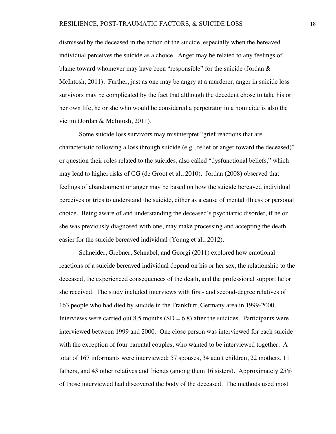dismissed by the deceased in the action of the suicide, especially when the bereaved individual perceives the suicide as a choice. Anger may be related to any feelings of blame toward whomever may have been "responsible" for the suicide (Jordan & McIntosh, 2011). Further, just as one may be angry at a murderer, anger in suicide loss survivors may be complicated by the fact that although the decedent chose to take his or her own life, he or she who would be considered a perpetrator in a homicide is also the victim (Jordan & McIntosh, 2011).

Some suicide loss survivors may misinterpret "grief reactions that are characteristic following a loss through suicide (e.g., relief or anger toward the deceased)" or question their roles related to the suicides, also called "dysfunctional beliefs," which may lead to higher risks of CG (de Groot et al., 2010). Jordan (2008) observed that feelings of abandonment or anger may be based on how the suicide bereaved individual perceives or tries to understand the suicide, either as a cause of mental illness or personal choice. Being aware of and understanding the deceased's psychiatric disorder, if he or she was previously diagnosed with one, may make processing and accepting the death easier for the suicide bereaved individual (Young et al., 2012).

Schneider, Grebner, Schnabel, and Georgi (2011) explored how emotional reactions of a suicide bereaved individual depend on his or her sex, the relationship to the deceased, the experienced consequences of the death, and the professional support he or she received. The study included interviews with first- and second-degree relatives of 163 people who had died by suicide in the Frankfurt, Germany area in 1999-2000. Interviews were carried out 8.5 months  $(SD = 6.8)$  after the suicides. Participants were interviewed between 1999 and 2000. One close person was interviewed for each suicide with the exception of four parental couples, who wanted to be interviewed together. A total of 167 informants were interviewed: 57 spouses, 34 adult children, 22 mothers, 11 fathers, and 43 other relatives and friends (among them 16 sisters). Approximately 25% of those interviewed had discovered the body of the deceased. The methods used most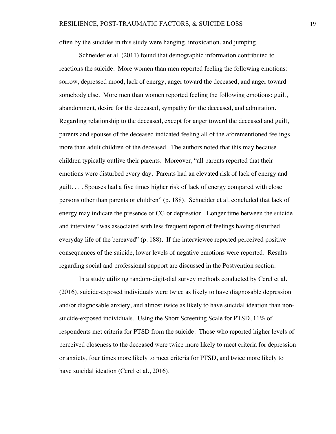often by the suicides in this study were hanging, intoxication, and jumping.

Schneider et al. (2011) found that demographic information contributed to reactions the suicide. More women than men reported feeling the following emotions: sorrow, depressed mood, lack of energy, anger toward the deceased, and anger toward somebody else. More men than women reported feeling the following emotions: guilt, abandonment, desire for the deceased, sympathy for the deceased, and admiration. Regarding relationship to the deceased, except for anger toward the deceased and guilt, parents and spouses of the deceased indicated feeling all of the aforementioned feelings more than adult children of the deceased. The authors noted that this may because children typically outlive their parents. Moreover, "all parents reported that their emotions were disturbed every day. Parents had an elevated risk of lack of energy and guilt. . . . Spouses had a five times higher risk of lack of energy compared with close persons other than parents or children" (p. 188). Schneider et al. concluded that lack of energy may indicate the presence of CG or depression. Longer time between the suicide and interview "was associated with less frequent report of feelings having disturbed everyday life of the bereaved" (p. 188). If the interviewee reported perceived positive consequences of the suicide, lower levels of negative emotions were reported. Results regarding social and professional support are discussed in the Postvention section.

In a study utilizing random-digit-dial survey methods conducted by Cerel et al. (2016), suicide-exposed individuals were twice as likely to have diagnosable depression and/or diagnosable anxiety, and almost twice as likely to have suicidal ideation than nonsuicide-exposed individuals. Using the Short Screening Scale for PTSD, 11% of respondents met criteria for PTSD from the suicide. Those who reported higher levels of perceived closeness to the deceased were twice more likely to meet criteria for depression or anxiety, four times more likely to meet criteria for PTSD, and twice more likely to have suicidal ideation (Cerel et al., 2016).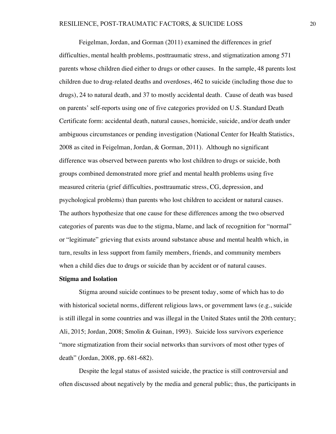Feigelman, Jordan, and Gorman (2011) examined the differences in grief difficulties, mental health problems, posttraumatic stress, and stigmatization among 571 parents whose children died either to drugs or other causes. In the sample, 48 parents lost children due to drug-related deaths and overdoses, 462 to suicide (including those due to drugs), 24 to natural death, and 37 to mostly accidental death. Cause of death was based on parents' self-reports using one of five categories provided on U.S. Standard Death Certificate form: accidental death, natural causes, homicide, suicide, and/or death under ambiguous circumstances or pending investigation (National Center for Health Statistics, 2008 as cited in Feigelman, Jordan, & Gorman, 2011). Although no significant difference was observed between parents who lost children to drugs or suicide, both groups combined demonstrated more grief and mental health problems using five measured criteria (grief difficulties, posttraumatic stress, CG, depression, and psychological problems) than parents who lost children to accident or natural causes. The authors hypothesize that one cause for these differences among the two observed categories of parents was due to the stigma, blame, and lack of recognition for "normal" or "legitimate" grieving that exists around substance abuse and mental health which, in turn, results in less support from family members, friends, and community members when a child dies due to drugs or suicide than by accident or of natural causes.

#### **Stigma and Isolation**

Stigma around suicide continues to be present today, some of which has to do with historical societal norms, different religious laws, or government laws (e.g., suicide is still illegal in some countries and was illegal in the United States until the 20th century; Ali, 2015; Jordan, 2008; Smolin & Guinan, 1993). Suicide loss survivors experience "more stigmatization from their social networks than survivors of most other types of death" (Jordan, 2008, pp. 681-682).

Despite the legal status of assisted suicide, the practice is still controversial and often discussed about negatively by the media and general public; thus, the participants in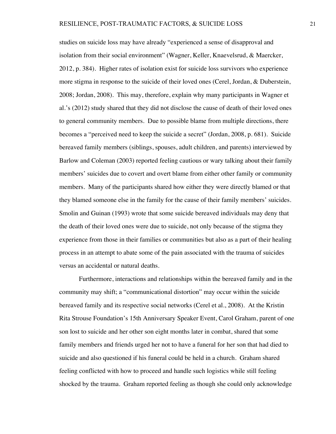studies on suicide loss may have already "experienced a sense of disapproval and isolation from their social environment" (Wagner, Keller, Knaevelsrud, & Maercker, 2012, p. 384). Higher rates of isolation exist for suicide loss survivors who experience more stigma in response to the suicide of their loved ones (Cerel, Jordan, & Duberstein, 2008; Jordan, 2008). This may, therefore, explain why many participants in Wagner et al.'s (2012) study shared that they did not disclose the cause of death of their loved ones to general community members. Due to possible blame from multiple directions, there becomes a "perceived need to keep the suicide a secret" (Jordan, 2008, p. 681). Suicide bereaved family members (siblings, spouses, adult children, and parents) interviewed by Barlow and Coleman (2003) reported feeling cautious or wary talking about their family members' suicides due to covert and overt blame from either other family or community members. Many of the participants shared how either they were directly blamed or that they blamed someone else in the family for the cause of their family members' suicides. Smolin and Guinan (1993) wrote that some suicide bereaved individuals may deny that the death of their loved ones were due to suicide, not only because of the stigma they experience from those in their families or communities but also as a part of their healing process in an attempt to abate some of the pain associated with the trauma of suicides versus an accidental or natural deaths.

Furthermore, interactions and relationships within the bereaved family and in the community may shift; a "communicational distortion" may occur within the suicide bereaved family and its respective social networks (Cerel et al., 2008). At the Kristin Rita Strouse Foundation's 15th Anniversary Speaker Event, Carol Graham, parent of one son lost to suicide and her other son eight months later in combat, shared that some family members and friends urged her not to have a funeral for her son that had died to suicide and also questioned if his funeral could be held in a church. Graham shared feeling conflicted with how to proceed and handle such logistics while still feeling shocked by the trauma. Graham reported feeling as though she could only acknowledge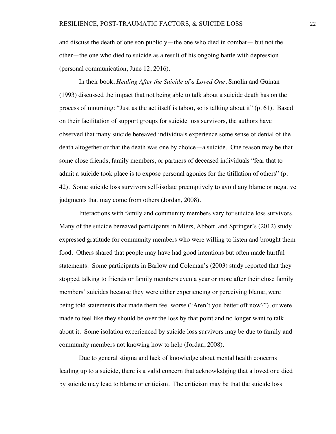and discuss the death of one son publicly—the one who died in combat— but not the other—the one who died to suicide as a result of his ongoing battle with depression (personal communication, June 12, 2016).

In their book, *Healing After the Suicide of a Loved One*, Smolin and Guinan (1993) discussed the impact that not being able to talk about a suicide death has on the process of mourning: "Just as the act itself is taboo, so is talking about it" (p. 61). Based on their facilitation of support groups for suicide loss survivors, the authors have observed that many suicide bereaved individuals experience some sense of denial of the death altogether or that the death was one by choice—a suicide. One reason may be that some close friends, family members, or partners of deceased individuals "fear that to admit a suicide took place is to expose personal agonies for the titillation of others" (p. 42). Some suicide loss survivors self-isolate preemptively to avoid any blame or negative judgments that may come from others (Jordan, 2008).

Interactions with family and community members vary for suicide loss survivors. Many of the suicide bereaved participants in Miers, Abbott, and Springer's (2012) study expressed gratitude for community members who were willing to listen and brought them food. Others shared that people may have had good intentions but often made hurtful statements. Some participants in Barlow and Coleman's (2003) study reported that they stopped talking to friends or family members even a year or more after their close family members' suicides because they were either experiencing or perceiving blame, were being told statements that made them feel worse ("Aren't you better off now?"), or were made to feel like they should be over the loss by that point and no longer want to talk about it. Some isolation experienced by suicide loss survivors may be due to family and community members not knowing how to help (Jordan, 2008).

Due to general stigma and lack of knowledge about mental health concerns leading up to a suicide, there is a valid concern that acknowledging that a loved one died by suicide may lead to blame or criticism. The criticism may be that the suicide loss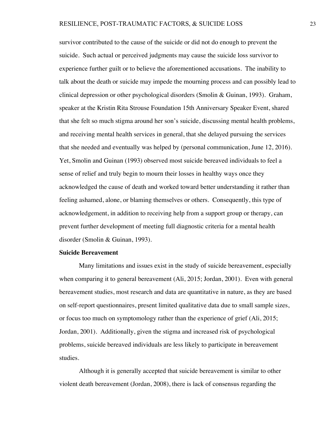survivor contributed to the cause of the suicide or did not do enough to prevent the suicide. Such actual or perceived judgments may cause the suicide loss survivor to experience further guilt or to believe the aforementioned accusations. The inability to talk about the death or suicide may impede the mourning process and can possibly lead to clinical depression or other psychological disorders (Smolin & Guinan, 1993). Graham, speaker at the Kristin Rita Strouse Foundation 15th Anniversary Speaker Event, shared that she felt so much stigma around her son's suicide, discussing mental health problems, and receiving mental health services in general, that she delayed pursuing the services that she needed and eventually was helped by (personal communication, June 12, 2016). Yet, Smolin and Guinan (1993) observed most suicide bereaved individuals to feel a sense of relief and truly begin to mourn their losses in healthy ways once they acknowledged the cause of death and worked toward better understanding it rather than feeling ashamed, alone, or blaming themselves or others. Consequently, this type of acknowledgement, in addition to receiving help from a support group or therapy, can prevent further development of meeting full diagnostic criteria for a mental health disorder (Smolin & Guinan, 1993).

# **Suicide Bereavement**

Many limitations and issues exist in the study of suicide bereavement, especially when comparing it to general bereavement (Ali, 2015; Jordan, 2001). Even with general bereavement studies, most research and data are quantitative in nature, as they are based on self-report questionnaires, present limited qualitative data due to small sample sizes, or focus too much on symptomology rather than the experience of grief (Ali, 2015; Jordan, 2001). Additionally, given the stigma and increased risk of psychological problems, suicide bereaved individuals are less likely to participate in bereavement studies.

Although it is generally accepted that suicide bereavement is similar to other violent death bereavement (Jordan, 2008), there is lack of consensus regarding the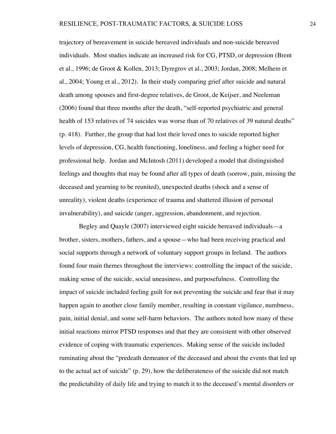trajectory of bereavement in suicide bereaved individuals and non-suicide bereaved individuals. Most studies indicate an increased risk for CG, PTSD, or depression (Brent et al., 1996; de Groot & Kollen, 2013; Dyregrov et al., 2003; Jordan, 2008; Melhem et al., 2004; Young et al., 2012). In their study comparing grief after suicide and natural death among spouses and first-degree relatives, de Groot, de Keijser, and Neeleman (2006) found that three months after the death, "self-reported psychiatric and general health of 153 relatives of 74 suicides was worse than of 70 relatives of 39 natural deaths" (p. 418). Further, the group that had lost their loved ones to suicide reported higher levels of depression, CG, health functioning, loneliness, and feeling a higher need for professional help. Jordan and McIntosh (2011) developed a model that distinguished feelings and thoughts that may be found after all types of death (sorrow, pain, missing the deceased and yearning to be reunited), unexpected deaths (shock and a sense of unreality), violent deaths (experience of trauma and shattered illusion of personal invulnerability), and suicide (anger, aggression, abandonment, and rejection.

Begley and Quayle (2007) interviewed eight suicide bereaved individuals—a brother, sisters, mothers, fathers, and a spouse—who had been receiving practical and social supports through a network of voluntary support groups in Ireland. The authors found four main themes throughout the interviews: controlling the impact of the suicide, making sense of the suicide, social uneasiness, and purposefulness. Controlling the impact of suicide included feeling guilt for not preventing the suicide and fear that it may happen again to another close family member, resulting in constant vigilance, numbness, pain, initial denial, and some self-harm behaviors. The authors noted how many of these initial reactions mirror PTSD responses and that they are consistent with other observed evidence of coping with traumatic experiences. Making sense of the suicide included ruminating about the "predeath demeanor of the deceased and about the events that led up to the actual act of suicide" (p. 29), how the deliberateness of the suicide did not match the predictability of daily life and trying to match it to the deceased's mental disorders or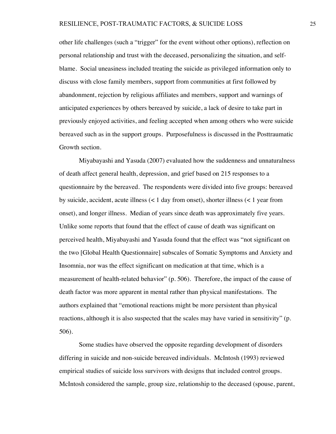other life challenges (such a "trigger" for the event without other options), reflection on personal relationship and trust with the deceased, personalizing the situation, and selfblame. Social uneasiness included treating the suicide as privileged information only to discuss with close family members, support from communities at first followed by abandonment, rejection by religious affiliates and members, support and warnings of anticipated experiences by others bereaved by suicide, a lack of desire to take part in previously enjoyed activities, and feeling accepted when among others who were suicide bereaved such as in the support groups. Purposefulness is discussed in the Posttraumatic Growth section.

Miyabayashi and Yasuda (2007) evaluated how the suddenness and unnaturalness of death affect general health, depression, and grief based on 215 responses to a questionnaire by the bereaved. The respondents were divided into five groups: bereaved by suicide, accident, acute illness (< 1 day from onset), shorter illness (< 1 year from onset), and longer illness. Median of years since death was approximately five years. Unlike some reports that found that the effect of cause of death was significant on perceived health, Miyabayashi and Yasuda found that the effect was "not significant on the two [Global Health Questionnaire] subscales of Somatic Symptoms and Anxiety and Insomnia, nor was the effect significant on medication at that time, which is a measurement of health-related behavior" (p. 506). Therefore, the impact of the cause of death factor was more apparent in mental rather than physical manifestations. The authors explained that "emotional reactions might be more persistent than physical reactions, although it is also suspected that the scales may have varied in sensitivity" (p. 506).

Some studies have observed the opposite regarding development of disorders differing in suicide and non-suicide bereaved individuals. McIntosh (1993) reviewed empirical studies of suicide loss survivors with designs that included control groups. McIntosh considered the sample, group size, relationship to the deceased (spouse, parent,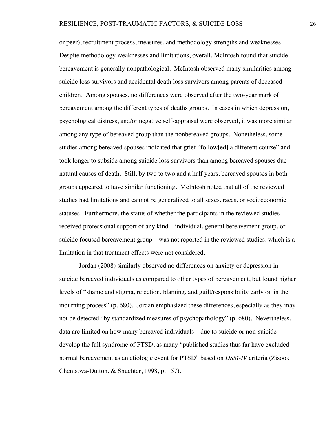or peer), recruitment process, measures, and methodology strengths and weaknesses. Despite methodology weaknesses and limitations, overall, McIntosh found that suicide bereavement is generally nonpathological. McIntosh observed many similarities among suicide loss survivors and accidental death loss survivors among parents of deceased children. Among spouses, no differences were observed after the two-year mark of bereavement among the different types of deaths groups. In cases in which depression, psychological distress, and/or negative self-appraisal were observed, it was more similar among any type of bereaved group than the nonbereaved groups. Nonetheless, some studies among bereaved spouses indicated that grief "follow[ed] a different course" and took longer to subside among suicide loss survivors than among bereaved spouses due natural causes of death. Still, by two to two and a half years, bereaved spouses in both groups appeared to have similar functioning. McIntosh noted that all of the reviewed studies had limitations and cannot be generalized to all sexes, races, or socioeconomic statuses. Furthermore, the status of whether the participants in the reviewed studies received professional support of any kind—individual, general bereavement group, or suicide focused bereavement group—was not reported in the reviewed studies, which is a limitation in that treatment effects were not considered.

Jordan (2008) similarly observed no differences on anxiety or depression in suicide bereaved individuals as compared to other types of bereavement, but found higher levels of "shame and stigma, rejection, blaming, and guilt/responsibility early on in the mourning process" (p. 680). Jordan emphasized these differences, especially as they may not be detected "by standardized measures of psychopathology" (p. 680). Nevertheless, data are limited on how many bereaved individuals—due to suicide or non-suicide develop the full syndrome of PTSD, as many "published studies thus far have excluded normal bereavement as an etiologic event for PTSD" based on *DSM-IV* criteria (Zisook Chentsova-Dutton, & Shuchter, 1998, p. 157).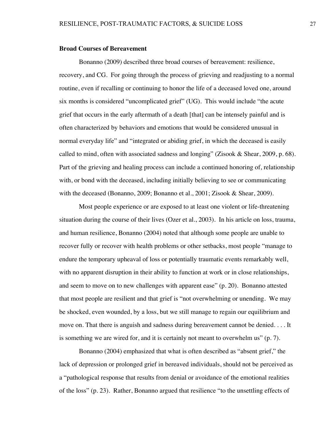### **Broad Courses of Bereavement**

Bonanno (2009) described three broad courses of bereavement: resilience, recovery, and CG. For going through the process of grieving and readjusting to a normal routine, even if recalling or continuing to honor the life of a deceased loved one, around six months is considered "uncomplicated grief" (UG). This would include "the acute grief that occurs in the early aftermath of a death [that] can be intensely painful and is often characterized by behaviors and emotions that would be considered unusual in normal everyday life" and "integrated or abiding grief, in which the deceased is easily called to mind, often with associated sadness and longing" (Zisook & Shear, 2009, p. 68). Part of the grieving and healing process can include a continued honoring of, relationship with, or bond with the deceased, including initially believing to see or communicating with the deceased (Bonanno, 2009; Bonanno et al., 2001; Zisook & Shear, 2009).

Most people experience or are exposed to at least one violent or life-threatening situation during the course of their lives (Ozer et al., 2003). In his article on loss, trauma, and human resilience, Bonanno (2004) noted that although some people are unable to recover fully or recover with health problems or other setbacks, most people "manage to endure the temporary upheaval of loss or potentially traumatic events remarkably well, with no apparent disruption in their ability to function at work or in close relationships, and seem to move on to new challenges with apparent ease" (p. 20). Bonanno attested that most people are resilient and that grief is "not overwhelming or unending. We may be shocked, even wounded, by a loss, but we still manage to regain our equilibrium and move on. That there is anguish and sadness during bereavement cannot be denied. . . . It is something we are wired for, and it is certainly not meant to overwhelm us" (p. 7).

Bonanno (2004) emphasized that what is often described as "absent grief," the lack of depression or prolonged grief in bereaved individuals, should not be perceived as a "pathological response that results from denial or avoidance of the emotional realities of the loss" (p. 23). Rather, Bonanno argued that resilience "to the unsettling effects of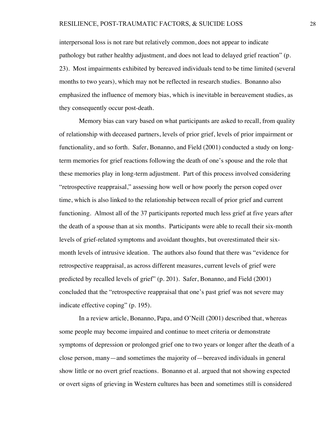interpersonal loss is not rare but relatively common, does not appear to indicate pathology but rather healthy adjustment, and does not lead to delayed grief reaction" (p. 23). Most impairments exhibited by bereaved individuals tend to be time limited (several months to two years), which may not be reflected in research studies. Bonanno also emphasized the influence of memory bias, which is inevitable in bereavement studies, as they consequently occur post-death.

Memory bias can vary based on what participants are asked to recall, from quality of relationship with deceased partners, levels of prior grief, levels of prior impairment or functionality, and so forth. Safer, Bonanno, and Field (2001) conducted a study on longterm memories for grief reactions following the death of one's spouse and the role that these memories play in long-term adjustment. Part of this process involved considering "retrospective reappraisal," assessing how well or how poorly the person coped over time, which is also linked to the relationship between recall of prior grief and current functioning. Almost all of the 37 participants reported much less grief at five years after the death of a spouse than at six months. Participants were able to recall their six-month levels of grief-related symptoms and avoidant thoughts, but overestimated their sixmonth levels of intrusive ideation. The authors also found that there was "evidence for retrospective reappraisal, as across different measures, current levels of grief were predicted by recalled levels of grief" (p. 201). Safer, Bonanno, and Field (2001) concluded that the "retrospective reappraisal that one's past grief was not severe may indicate effective coping" (p. 195).

In a review article, Bonanno, Papa, and O'Neill (2001) described that, whereas some people may become impaired and continue to meet criteria or demonstrate symptoms of depression or prolonged grief one to two years or longer after the death of a close person, many—and sometimes the majority of—bereaved individuals in general show little or no overt grief reactions. Bonanno et al. argued that not showing expected or overt signs of grieving in Western cultures has been and sometimes still is considered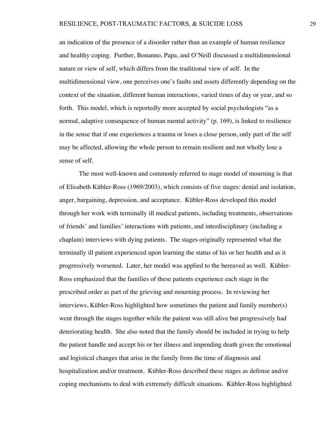an indication of the presence of a disorder rather than an example of human resilience and healthy coping. Further, Bonanno, Papa, and O'Neill discussed a multidimensional nature or view of self, which differs from the traditional view of self. In the multidimensional view, one perceives one's faults and assets differently depending on the context of the situation, different human interactions, varied times of day or year, and so forth. This model, which is reportedly more accepted by social psychologists "as a normal, adaptive consequence of human mental activity" (p. 169), is linked to resilience in the sense that if one experiences a trauma or loses a close person, only part of the self may be affected, allowing the whole person to remain resilient and not wholly lose a sense of self.

The most well-known and commonly referred to stage model of mourning is that of Elisabeth Kübler-Ross (1969/2003), which consists of five stages: denial and isolation, anger, bargaining, depression, and acceptance. Kübler-Ross developed this model through her work with terminally ill medical patients, including treatments, observations of friends' and families' interactions with patients, and interdisciplinary (including a chaplain) interviews with dying patients. The stages originally represented what the terminally ill patient experienced upon learning the status of his or her health and as it progressively worsened. Later, her model was applied to the bereaved as well. Kübler-Ross emphasized that the families of these patients experience each stage in the prescribed order as part of the grieving and mourning process. In reviewing her interviews, Kübler-Ross highlighted how sometimes the patient and family member(s) went through the stages together while the patient was still alive but progressively had deteriorating health. She also noted that the family should be included in trying to help the patient handle and accept his or her illness and impending death given the emotional and logistical changes that arise in the family from the time of diagnosis and hospitalization and/or treatment. Kübler-Ross described these stages as defense and/or coping mechanisms to deal with extremely difficult situations. Kübler-Ross highlighted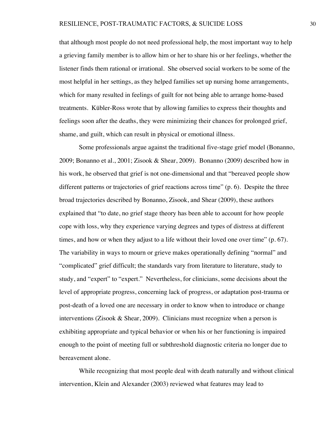that although most people do not need professional help, the most important way to help a grieving family member is to allow him or her to share his or her feelings, whether the listener finds them rational or irrational. She observed social workers to be some of the most helpful in her settings, as they helped families set up nursing home arrangements, which for many resulted in feelings of guilt for not being able to arrange home-based treatments. Kübler-Ross wrote that by allowing families to express their thoughts and feelings soon after the deaths, they were minimizing their chances for prolonged grief, shame, and guilt, which can result in physical or emotional illness.

Some professionals argue against the traditional five-stage grief model (Bonanno, 2009; Bonanno et al., 2001; Zisook & Shear, 2009). Bonanno (2009) described how in his work, he observed that grief is not one-dimensional and that "bereaved people show different patterns or trajectories of grief reactions across time" (p. 6). Despite the three broad trajectories described by Bonanno, Zisook, and Shear (2009), these authors explained that "to date, no grief stage theory has been able to account for how people cope with loss, why they experience varying degrees and types of distress at different times, and how or when they adjust to a life without their loved one over time" (p. 67). The variability in ways to mourn or grieve makes operationally defining "normal" and "complicated" grief difficult; the standards vary from literature to literature, study to study, and "expert" to "expert." Nevertheless, for clinicians, some decisions about the level of appropriate progress, concerning lack of progress, or adaptation post-trauma or post-death of a loved one are necessary in order to know when to introduce or change interventions (Zisook  $\&$  Shear, 2009). Clinicians must recognize when a person is exhibiting appropriate and typical behavior or when his or her functioning is impaired enough to the point of meeting full or subthreshold diagnostic criteria no longer due to bereavement alone.

While recognizing that most people deal with death naturally and without clinical intervention, Klein and Alexander (2003) reviewed what features may lead to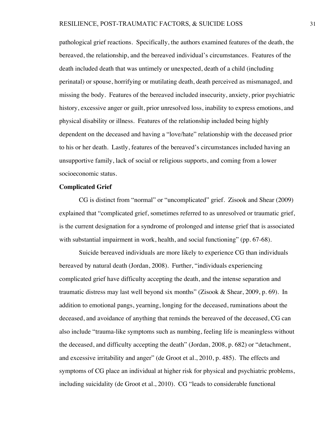pathological grief reactions. Specifically, the authors examined features of the death, the bereaved, the relationship, and the bereaved individual's circumstances. Features of the death included death that was untimely or unexpected, death of a child (including perinatal) or spouse, horrifying or mutilating death, death perceived as mismanaged, and missing the body. Features of the bereaved included insecurity, anxiety, prior psychiatric history, excessive anger or guilt, prior unresolved loss, inability to express emotions, and physical disability or illness. Features of the relationship included being highly dependent on the deceased and having a "love/hate" relationship with the deceased prior to his or her death. Lastly, features of the bereaved's circumstances included having an unsupportive family, lack of social or religious supports, and coming from a lower socioeconomic status.

## **Complicated Grief**

CG is distinct from "normal" or "uncomplicated" grief. Zisook and Shear (2009) explained that "complicated grief, sometimes referred to as unresolved or traumatic grief, is the current designation for a syndrome of prolonged and intense grief that is associated with substantial impairment in work, health, and social functioning" (pp. 67-68).

Suicide bereaved individuals are more likely to experience CG than individuals bereaved by natural death (Jordan, 2008). Further, "individuals experiencing complicated grief have difficulty accepting the death, and the intense separation and traumatic distress may last well beyond six months" (Zisook & Shear, 2009, p. 69). In addition to emotional pangs, yearning, longing for the deceased, ruminations about the deceased, and avoidance of anything that reminds the bereaved of the deceased, CG can also include "trauma-like symptoms such as numbing, feeling life is meaningless without the deceased, and difficulty accepting the death" (Jordan, 2008, p. 682) or "detachment, and excessive irritability and anger" (de Groot et al., 2010, p. 485). The effects and symptoms of CG place an individual at higher risk for physical and psychiatric problems, including suicidality (de Groot et al., 2010). CG "leads to considerable functional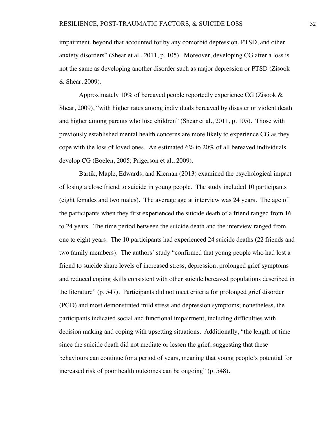impairment, beyond that accounted for by any comorbid depression, PTSD, and other anxiety disorders" (Shear et al., 2011, p. 105). Moreover, developing CG after a loss is not the same as developing another disorder such as major depression or PTSD (Zisook & Shear, 2009).

Approximately 10% of bereaved people reportedly experience CG (Zisook & Shear, 2009), "with higher rates among individuals bereaved by disaster or violent death and higher among parents who lose children" (Shear et al., 2011, p. 105). Those with previously established mental health concerns are more likely to experience CG as they cope with the loss of loved ones. An estimated 6% to 20% of all bereaved individuals develop CG (Boelen, 2005; Prigerson et al., 2009).

Bartik, Maple, Edwards, and Kiernan (2013) examined the psychological impact of losing a close friend to suicide in young people. The study included 10 participants (eight females and two males). The average age at interview was 24 years. The age of the participants when they first experienced the suicide death of a friend ranged from 16 to 24 years. The time period between the suicide death and the interview ranged from one to eight years. The 10 participants had experienced 24 suicide deaths (22 friends and two family members). The authors' study "confirmed that young people who had lost a friend to suicide share levels of increased stress, depression, prolonged grief symptoms and reduced coping skills consistent with other suicide bereaved populations described in the literature" (p. 547). Participants did not meet criteria for prolonged grief disorder (PGD) and most demonstrated mild stress and depression symptoms; nonetheless, the participants indicated social and functional impairment, including difficulties with decision making and coping with upsetting situations. Additionally, "the length of time since the suicide death did not mediate or lessen the grief, suggesting that these behaviours can continue for a period of years, meaning that young people's potential for increased risk of poor health outcomes can be ongoing" (p. 548).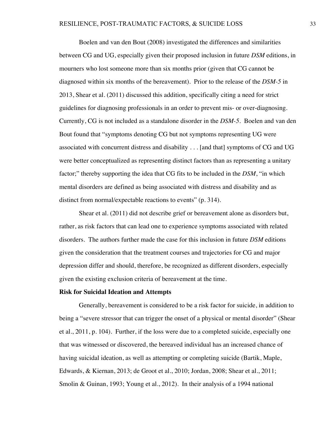Boelen and van den Bout (2008) investigated the differences and similarities between CG and UG, especially given their proposed inclusion in future *DSM* editions, in mourners who lost someone more than six months prior (given that CG cannot be diagnosed within six months of the bereavement). Prior to the release of the *DSM-5* in 2013, Shear et al. (2011) discussed this addition, specifically citing a need for strict guidelines for diagnosing professionals in an order to prevent mis- or over-diagnosing. Currently, CG is not included as a standalone disorder in the *DSM-5*. Boelen and van den Bout found that "symptoms denoting CG but not symptoms representing UG were associated with concurrent distress and disability . . . [and that] symptoms of CG and UG were better conceptualized as representing distinct factors than as representing a unitary factor;" thereby supporting the idea that CG fits to be included in the *DSM*, "in which mental disorders are defined as being associated with distress and disability and as distinct from normal/expectable reactions to events" (p. 314).

Shear et al. (2011) did not describe grief or bereavement alone as disorders but, rather, as risk factors that can lead one to experience symptoms associated with related disorders. The authors further made the case for this inclusion in future *DSM* editions given the consideration that the treatment courses and trajectories for CG and major depression differ and should, therefore, be recognized as different disorders, especially given the existing exclusion criteria of bereavement at the time.

# **Risk for Suicidal Ideation and Attempts**

Generally, bereavement is considered to be a risk factor for suicide, in addition to being a "severe stressor that can trigger the onset of a physical or mental disorder" (Shear et al., 2011, p. 104). Further, if the loss were due to a completed suicide, especially one that was witnessed or discovered, the bereaved individual has an increased chance of having suicidal ideation, as well as attempting or completing suicide (Bartik, Maple, Edwards, & Kiernan, 2013; de Groot et al., 2010; Jordan, 2008; Shear et al., 2011; Smolin & Guinan, 1993; Young et al., 2012). In their analysis of a 1994 national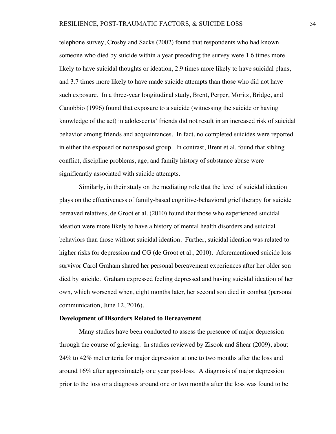telephone survey, Crosby and Sacks (2002) found that respondents who had known someone who died by suicide within a year preceding the survey were 1.6 times more likely to have suicidal thoughts or ideation, 2.9 times more likely to have suicidal plans, and 3.7 times more likely to have made suicide attempts than those who did not have such exposure. In a three-year longitudinal study, Brent, Perper, Moritz, Bridge, and Canobbio (1996) found that exposure to a suicide (witnessing the suicide or having knowledge of the act) in adolescents' friends did not result in an increased risk of suicidal behavior among friends and acquaintances. In fact, no completed suicides were reported in either the exposed or nonexposed group. In contrast, Brent et al. found that sibling conflict, discipline problems, age, and family history of substance abuse were significantly associated with suicide attempts.

Similarly, in their study on the mediating role that the level of suicidal ideation plays on the effectiveness of family-based cognitive-behavioral grief therapy for suicide bereaved relatives, de Groot et al. (2010) found that those who experienced suicidal ideation were more likely to have a history of mental health disorders and suicidal behaviors than those without suicidal ideation. Further, suicidal ideation was related to higher risks for depression and CG (de Groot et al., 2010). Aforementioned suicide loss survivor Carol Graham shared her personal bereavement experiences after her older son died by suicide. Graham expressed feeling depressed and having suicidal ideation of her own, which worsened when, eight months later, her second son died in combat (personal communication, June 12, 2016).

#### **Development of Disorders Related to Bereavement**

Many studies have been conducted to assess the presence of major depression through the course of grieving. In studies reviewed by Zisook and Shear (2009), about 24% to 42% met criteria for major depression at one to two months after the loss and around 16% after approximately one year post-loss. A diagnosis of major depression prior to the loss or a diagnosis around one or two months after the loss was found to be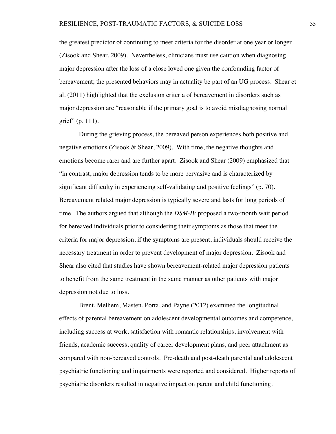the greatest predictor of continuing to meet criteria for the disorder at one year or longer (Zisook and Shear, 2009). Nevertheless, clinicians must use caution when diagnosing major depression after the loss of a close loved one given the confounding factor of bereavement; the presented behaviors may in actuality be part of an UG process. Shear et al. (2011) highlighted that the exclusion criteria of bereavement in disorders such as major depression are "reasonable if the primary goal is to avoid misdiagnosing normal grief" (p. 111).

During the grieving process, the bereaved person experiences both positive and negative emotions (Zisook & Shear, 2009). With time, the negative thoughts and emotions become rarer and are further apart. Zisook and Shear (2009) emphasized that "in contrast, major depression tends to be more pervasive and is characterized by significant difficulty in experiencing self-validating and positive feelings" (p. 70). Bereavement related major depression is typically severe and lasts for long periods of time. The authors argued that although the *DSM-IV* proposed a two-month wait period for bereaved individuals prior to considering their symptoms as those that meet the criteria for major depression, if the symptoms are present, individuals should receive the necessary treatment in order to prevent development of major depression. Zisook and Shear also cited that studies have shown bereavement-related major depression patients to benefit from the same treatment in the same manner as other patients with major depression not due to loss.

Brent, Melhem, Masten, Porta, and Payne (2012) examined the longitudinal effects of parental bereavement on adolescent developmental outcomes and competence, including success at work, satisfaction with romantic relationships, involvement with friends, academic success, quality of career development plans, and peer attachment as compared with non-bereaved controls. Pre-death and post-death parental and adolescent psychiatric functioning and impairments were reported and considered. Higher reports of psychiatric disorders resulted in negative impact on parent and child functioning.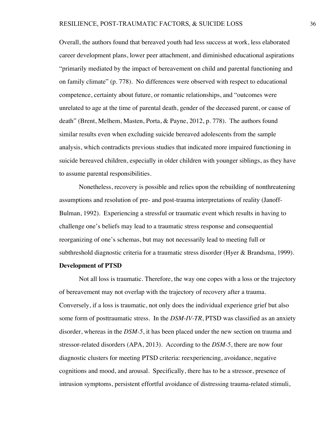Overall, the authors found that bereaved youth had less success at work, less elaborated career development plans, lower peer attachment, and diminished educational aspirations "primarily mediated by the impact of bereavement on child and parental functioning and on family climate" (p. 778). No differences were observed with respect to educational competence, certainty about future, or romantic relationships, and "outcomes were unrelated to age at the time of parental death, gender of the deceased parent, or cause of death" (Brent, Melhem, Masten, Porta, & Payne, 2012, p. 778). The authors found similar results even when excluding suicide bereaved adolescents from the sample analysis, which contradicts previous studies that indicated more impaired functioning in suicide bereaved children, especially in older children with younger siblings, as they have to assume parental responsibilities.

Nonetheless, recovery is possible and relies upon the rebuilding of nonthreatening assumptions and resolution of pre- and post-trauma interpretations of reality (Janoff-Bulman, 1992). Experiencing a stressful or traumatic event which results in having to challenge one's beliefs may lead to a traumatic stress response and consequential reorganizing of one's schemas, but may not necessarily lead to meeting full or subthreshold diagnostic criteria for a traumatic stress disorder (Hyer & Brandsma, 1999).

#### **Development of PTSD**

Not all loss is traumatic. Therefore, the way one copes with a loss or the trajectory of bereavement may not overlap with the trajectory of recovery after a trauma. Conversely, if a loss is traumatic, not only does the individual experience grief but also some form of posttraumatic stress. In the *DSM-IV-TR*, PTSD was classified as an anxiety disorder, whereas in the *DSM-5*, it has been placed under the new section on trauma and stressor-related disorders (APA, 2013). According to the *DSM-5*, there are now four diagnostic clusters for meeting PTSD criteria: reexperiencing, avoidance, negative cognitions and mood, and arousal. Specifically, there has to be a stressor, presence of intrusion symptoms, persistent effortful avoidance of distressing trauma-related stimuli,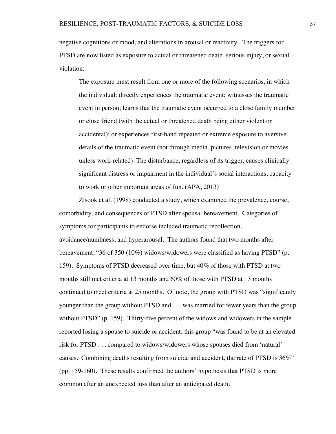negative cognitions or mood, and alterations in arousal or reactivity. The triggers for PTSD are now listed as exposure to actual or threatened death, serious injury, or sexual violation:

The exposure must result from one or more of the following scenarios, in which the individual: directly experiences the traumatic event; witnesses the traumatic event in person; learns that the traumatic event occurred to a close family member or close friend (with the actual or threatened death being either violent or accidental); or experiences first-hand repeated or extreme exposure to aversive details of the traumatic event (not through media, pictures, television or movies unless work-related). The disturbance, regardless of its trigger, causes clinically significant distress or impairment in the individual's social interactions, capacity to work or other important areas of fun. (APA, 2013)

Zisook et al. (1998) conducted a study, which examined the prevalence, course, comorbidity, and consequences of PTSD after spousal bereavement. Categories of symptoms for participants to endorse included traumatic recollection, avoidance/numbness, and hyperarousal. The authors found that two months after bereavement, "36 of 350 (10%) widows/widowers were classified as having PTSD" (p. 159). Symptoms of PTSD decreased over time, but 40% of those with PTSD at two months still met criteria at 13 months and 60% of those with PTSD at 13 months continued to meet criteria at 25 months. Of note, the group with PTSD was "significantly younger than the group without PTSD and . . . was married for fewer years than the group without PTSD" (p. 159). Thirty-five percent of the widows and widowers in the sample reported losing a spouse to suicide or accident; this group "was found to be at an elevated risk for PTSD . . . compared to widows/widowers whose spouses died from 'natural' causes. Combining deaths resulting from suicide and accident, the rate of PTSD is 36%" (pp. 159-160). These results confirmed the authors' hypothesis that PTSD is more common after an unexpected loss than after an anticipated death.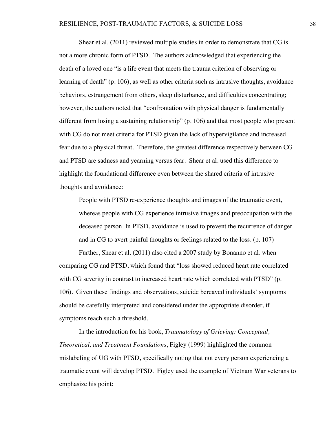Shear et al. (2011) reviewed multiple studies in order to demonstrate that CG is not a more chronic form of PTSD. The authors acknowledged that experiencing the death of a loved one "is a life event that meets the trauma criterion of observing or learning of death" (p. 106), as well as other criteria such as intrusive thoughts, avoidance behaviors, estrangement from others, sleep disturbance, and difficulties concentrating; however, the authors noted that "confrontation with physical danger is fundamentally different from losing a sustaining relationship" (p. 106) and that most people who present with CG do not meet criteria for PTSD given the lack of hypervigilance and increased fear due to a physical threat. Therefore, the greatest difference respectively between CG and PTSD are sadness and yearning versus fear. Shear et al. used this difference to highlight the foundational difference even between the shared criteria of intrusive thoughts and avoidance:

People with PTSD re-experience thoughts and images of the traumatic event, whereas people with CG experience intrusive images and preoccupation with the deceased person. In PTSD, avoidance is used to prevent the recurrence of danger and in CG to avert painful thoughts or feelings related to the loss. (p. 107)

Further, Shear et al. (2011) also cited a 2007 study by Bonanno et al. when comparing CG and PTSD, which found that "loss showed reduced heart rate correlated with CG severity in contrast to increased heart rate which correlated with PTSD" (p. 106). Given these findings and observations, suicide bereaved individuals' symptoms should be carefully interpreted and considered under the appropriate disorder, if symptoms reach such a threshold.

In the introduction for his book, *Traumatology of Grieving: Conceptual, Theoretical, and Treatment Foundations*, Figley (1999) highlighted the common mislabeling of UG with PTSD, specifically noting that not every person experiencing a traumatic event will develop PTSD. Figley used the example of Vietnam War veterans to emphasize his point: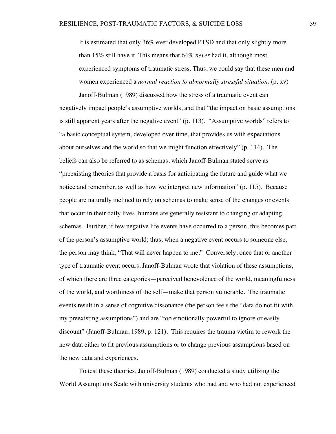It is estimated that only 36% ever developed PTSD and that only slightly more than 15% still have it. This means that 64% *never* had it, although most experienced symptoms of traumatic stress. Thus, we could say that these men and women experienced a *normal reaction to abnormally stressful situation.* (p. xv)

Janoff-Bulman (1989) discussed how the stress of a traumatic event can negatively impact people's assumptive worlds, and that "the impact on basic assumptions is still apparent years after the negative event" (p. 113). "Assumptive worlds" refers to "a basic conceptual system, developed over time, that provides us with expectations about ourselves and the world so that we might function effectively" (p. 114). The beliefs can also be referred to as schemas, which Janoff-Bulman stated serve as "preexisting theories that provide a basis for anticipating the future and guide what we notice and remember, as well as how we interpret new information" (p. 115). Because people are naturally inclined to rely on schemas to make sense of the changes or events that occur in their daily lives, humans are generally resistant to changing or adapting schemas. Further, if few negative life events have occurred to a person, this becomes part of the person's assumptive world; thus, when a negative event occurs to someone else, the person may think, "That will never happen to me." Conversely, once that or another type of traumatic event occurs, Janoff-Bulman wrote that violation of these assumptions, of which there are three categories—perceived benevolence of the world, meaningfulness of the world, and worthiness of the self—make that person vulnerable. The traumatic events result in a sense of cognitive dissonance (the person feels the "data do not fit with my preexisting assumptions") and are "too emotionally powerful to ignore or easily discount" (Janoff-Bulman, 1989, p. 121). This requires the trauma victim to rework the new data either to fit previous assumptions or to change previous assumptions based on the new data and experiences.

To test these theories, Janoff-Bulman (1989) conducted a study utilizing the World Assumptions Scale with university students who had and who had not experienced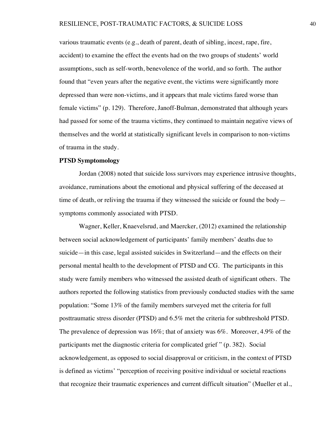various traumatic events (e.g., death of parent, death of sibling, incest, rape, fire, accident) to examine the effect the events had on the two groups of students' world assumptions, such as self-worth, benevolence of the world, and so forth. The author found that "even years after the negative event, the victims were significantly more depressed than were non-victims, and it appears that male victims fared worse than female victims" (p. 129). Therefore, Janoff-Bulman, demonstrated that although years had passed for some of the trauma victims, they continued to maintain negative views of themselves and the world at statistically significant levels in comparison to non-victims of trauma in the study.

### **PTSD Symptomology**

Jordan (2008) noted that suicide loss survivors may experience intrusive thoughts, avoidance, ruminations about the emotional and physical suffering of the deceased at time of death, or reliving the trauma if they witnessed the suicide or found the body symptoms commonly associated with PTSD.

Wagner, Keller, Knaevelsrud, and Maercker, (2012) examined the relationship between social acknowledgement of participants' family members' deaths due to suicide—in this case, legal assisted suicides in Switzerland—and the effects on their personal mental health to the development of PTSD and CG. The participants in this study were family members who witnessed the assisted death of significant others. The authors reported the following statistics from previously conducted studies with the same population: "Some 13% of the family members surveyed met the criteria for full posttraumatic stress disorder (PTSD) and 6.5% met the criteria for subthreshold PTSD. The prevalence of depression was 16%; that of anxiety was 6%. Moreover, 4.9% of the participants met the diagnostic criteria for complicated grief " (p. 382). Social acknowledgement, as opposed to social disapproval or criticism, in the context of PTSD is defined as victims' "perception of receiving positive individual or societal reactions that recognize their traumatic experiences and current difficult situation" (Mueller et al.,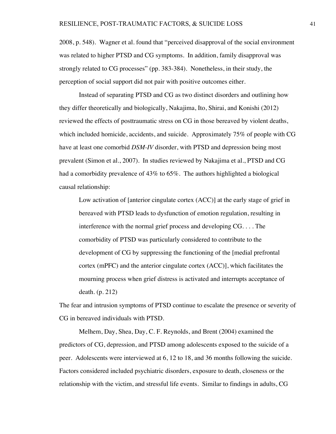2008, p. 548). Wagner et al. found that "perceived disapproval of the social environment was related to higher PTSD and CG symptoms. In addition, family disapproval was strongly related to CG processes" (pp. 383-384). Nonetheless, in their study, the perception of social support did not pair with positive outcomes either.

Instead of separating PTSD and CG as two distinct disorders and outlining how they differ theoretically and biologically, Nakajima, Ito, Shirai, and Konishi (2012) reviewed the effects of posttraumatic stress on CG in those bereaved by violent deaths, which included homicide, accidents, and suicide. Approximately 75% of people with CG have at least one comorbid *DSM-IV* disorder, with PTSD and depression being most prevalent (Simon et al., 2007). In studies reviewed by Nakajima et al., PTSD and CG had a comorbidity prevalence of 43% to 65%. The authors highlighted a biological causal relationship:

Low activation of [anterior cingulate cortex (ACC)] at the early stage of grief in bereaved with PTSD leads to dysfunction of emotion regulation, resulting in interference with the normal grief process and developing CG. . . . The comorbidity of PTSD was particularly considered to contribute to the development of CG by suppressing the functioning of the [medial prefrontal cortex (mPFC) and the anterior cingulate cortex (ACC)], which facilitates the mourning process when grief distress is activated and interrupts acceptance of death. (p. 212)

The fear and intrusion symptoms of PTSD continue to escalate the presence or severity of CG in bereaved individuals with PTSD.

Melhem, Day, Shea, Day, C. F. Reynolds, and Brent (2004) examined the predictors of CG, depression, and PTSD among adolescents exposed to the suicide of a peer. Adolescents were interviewed at 6, 12 to 18, and 36 months following the suicide. Factors considered included psychiatric disorders, exposure to death, closeness or the relationship with the victim, and stressful life events. Similar to findings in adults, CG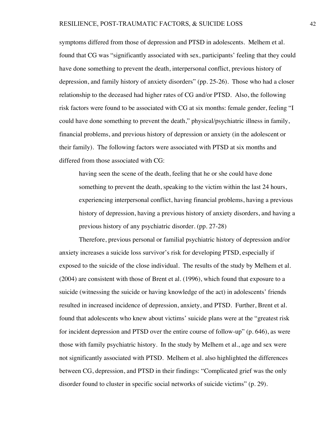symptoms differed from those of depression and PTSD in adolescents. Melhem et al. found that CG was "significantly associated with sex, participants' feeling that they could have done something to prevent the death, interpersonal conflict, previous history of depression, and family history of anxiety disorders" (pp. 25-26). Those who had a closer relationship to the deceased had higher rates of CG and/or PTSD. Also, the following risk factors were found to be associated with CG at six months: female gender, feeling "I could have done something to prevent the death," physical/psychiatric illness in family, financial problems, and previous history of depression or anxiety (in the adolescent or their family). The following factors were associated with PTSD at six months and differed from those associated with CG:

having seen the scene of the death, feeling that he or she could have done something to prevent the death, speaking to the victim within the last 24 hours, experiencing interpersonal conflict, having financial problems, having a previous history of depression, having a previous history of anxiety disorders, and having a previous history of any psychiatric disorder. (pp. 27-28)

Therefore, previous personal or familial psychiatric history of depression and/or anxiety increases a suicide loss survivor's risk for developing PTSD, especially if exposed to the suicide of the close individual. The results of the study by Melhem et al. (2004) are consistent with those of Brent et al. (1996), which found that exposure to a suicide (witnessing the suicide or having knowledge of the act) in adolescents' friends resulted in increased incidence of depression, anxiety, and PTSD. Further, Brent et al. found that adolescents who knew about victims' suicide plans were at the "greatest risk for incident depression and PTSD over the entire course of follow-up" (p. 646), as were those with family psychiatric history. In the study by Melhem et al., age and sex were not significantly associated with PTSD. Melhem et al. also highlighted the differences between CG, depression, and PTSD in their findings: "Complicated grief was the only disorder found to cluster in specific social networks of suicide victims" (p. 29).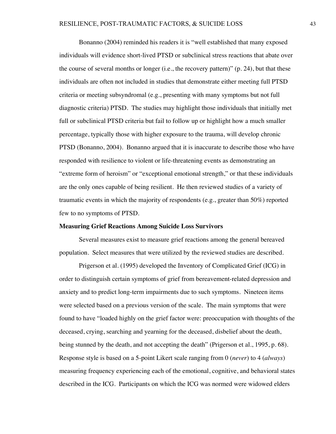Bonanno (2004) reminded his readers it is "well established that many exposed individuals will evidence short-lived PTSD or subclinical stress reactions that abate over the course of several months or longer (i.e., the recovery pattern)" (p. 24), but that these individuals are often not included in studies that demonstrate either meeting full PTSD criteria or meeting subsyndromal (e.g., presenting with many symptoms but not full diagnostic criteria) PTSD. The studies may highlight those individuals that initially met full or subclinical PTSD criteria but fail to follow up or highlight how a much smaller percentage, typically those with higher exposure to the trauma, will develop chronic PTSD (Bonanno, 2004). Bonanno argued that it is inaccurate to describe those who have responded with resilience to violent or life-threatening events as demonstrating an "extreme form of heroism" or "exceptional emotional strength," or that these individuals are the only ones capable of being resilient. He then reviewed studies of a variety of traumatic events in which the majority of respondents (e.g., greater than 50%) reported few to no symptoms of PTSD.

## **Measuring Grief Reactions Among Suicide Loss Survivors**

Several measures exist to measure grief reactions among the general bereaved population. Select measures that were utilized by the reviewed studies are described.

Prigerson et al. (1995) developed the Inventory of Complicated Grief (ICG) in order to distinguish certain symptoms of grief from bereavement-related depression and anxiety and to predict long-term impairments due to such symptoms. Nineteen items were selected based on a previous version of the scale. The main symptoms that were found to have "loaded highly on the grief factor were: preoccupation with thoughts of the deceased, crying, searching and yearning for the deceased, disbelief about the death, being stunned by the death, and not accepting the death" (Prigerson et al., 1995, p. 68). Response style is based on a 5-point Likert scale ranging from 0 (*never*) to 4 (*always*) measuring frequency experiencing each of the emotional, cognitive, and behavioral states described in the ICG. Participants on which the ICG was normed were widowed elders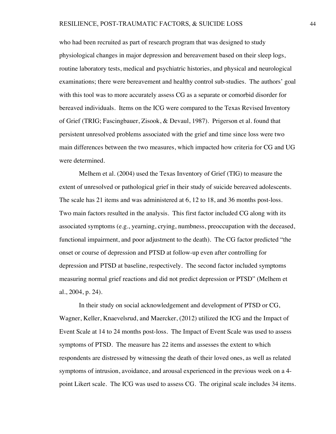who had been recruited as part of research program that was designed to study physiological changes in major depression and bereavement based on their sleep logs, routine laboratory tests, medical and psychiatric histories, and physical and neurological examinations; there were bereavement and healthy control sub-studies. The authors' goal with this tool was to more accurately assess CG as a separate or comorbid disorder for bereaved individuals. Items on the ICG were compared to the Texas Revised Inventory of Grief (TRIG; Fascingbauer, Zisook, & Devaul, 1987). Prigerson et al. found that persistent unresolved problems associated with the grief and time since loss were two main differences between the two measures, which impacted how criteria for CG and UG were determined.

Melhem et al. (2004) used the Texas Inventory of Grief (TIG) to measure the extent of unresolved or pathological grief in their study of suicide bereaved adolescents. The scale has 21 items and was administered at 6, 12 to 18, and 36 months post-loss. Two main factors resulted in the analysis. This first factor included CG along with its associated symptoms (e.g., yearning, crying, numbness, preoccupation with the deceased, functional impairment, and poor adjustment to the death). The CG factor predicted "the onset or course of depression and PTSD at follow-up even after controlling for depression and PTSD at baseline, respectively. The second factor included symptoms measuring normal grief reactions and did not predict depression or PTSD" (Melhem et al., 2004, p. 24).

In their study on social acknowledgement and development of PTSD or CG, Wagner, Keller, Knaevelsrud, and Maercker, (2012) utilized the ICG and the Impact of Event Scale at 14 to 24 months post-loss. The Impact of Event Scale was used to assess symptoms of PTSD. The measure has 22 items and assesses the extent to which respondents are distressed by witnessing the death of their loved ones, as well as related symptoms of intrusion, avoidance, and arousal experienced in the previous week on a 4 point Likert scale. The ICG was used to assess CG. The original scale includes 34 items.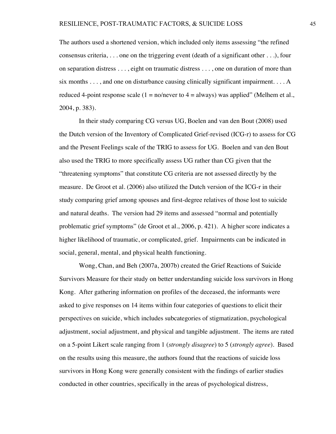The authors used a shortened version, which included only items assessing "the refined consensus criteria,  $\dots$  one on the triggering event (death of a significant other  $\dots$ ), four on separation distress . . . , eight on traumatic distress . . . , one on duration of more than six months . . . , and one on disturbance causing clinically significant impairment. . . . A reduced 4-point response scale  $(1 = n\text{o/never to } 4 = \text{always})$  was applied" (Melhem et al., 2004, p. 383).

In their study comparing CG versus UG, Boelen and van den Bout (2008) used the Dutch version of the Inventory of Complicated Grief-revised (ICG-r) to assess for CG and the Present Feelings scale of the TRIG to assess for UG. Boelen and van den Bout also used the TRIG to more specifically assess UG rather than CG given that the "threatening symptoms" that constitute CG criteria are not assessed directly by the measure. De Groot et al. (2006) also utilized the Dutch version of the ICG-r in their study comparing grief among spouses and first-degree relatives of those lost to suicide and natural deaths. The version had 29 items and assessed "normal and potentially problematic grief symptoms" (de Groot et al., 2006, p. 421). A higher score indicates a higher likelihood of traumatic, or complicated, grief. Impairments can be indicated in social, general, mental, and physical health functioning.

Wong, Chan, and Beh (2007a, 2007b) created the Grief Reactions of Suicide Survivors Measure for their study on better understanding suicide loss survivors in Hong Kong. After gathering information on profiles of the deceased, the informants were asked to give responses on 14 items within four categories of questions to elicit their perspectives on suicide, which includes subcategories of stigmatization, psychological adjustment, social adjustment, and physical and tangible adjustment. The items are rated on a 5-point Likert scale ranging from 1 (*strongly disagree*) to 5 (*strongly agree*). Based on the results using this measure, the authors found that the reactions of suicide loss survivors in Hong Kong were generally consistent with the findings of earlier studies conducted in other countries, specifically in the areas of psychological distress,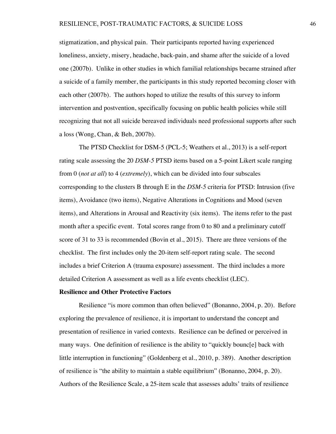stigmatization, and physical pain. Their participants reported having experienced loneliness, anxiety, misery, headache, back-pain, and shame after the suicide of a loved one (2007b). Unlike in other studies in which familial relationships became strained after a suicide of a family member, the participants in this study reported becoming closer with each other (2007b). The authors hoped to utilize the results of this survey to inform intervention and postvention, specifically focusing on public health policies while still recognizing that not all suicide bereaved individuals need professional supports after such a loss (Wong, Chan, & Beh, 2007b).

The PTSD Checklist for DSM-5 (PCL-5; Weathers et al., 2013) is a self-report rating scale assessing the 20 *DSM-5* PTSD items based on a 5-point Likert scale ranging from 0 (*not at all*) to 4 (*extremely*), which can be divided into four subscales corresponding to the clusters B through E in the *DSM-5* criteria for PTSD: Intrusion (five items), Avoidance (two items), Negative Alterations in Cognitions and Mood (seven items), and Alterations in Arousal and Reactivity (six items). The items refer to the past month after a specific event. Total scores range from 0 to 80 and a preliminary cutoff score of 31 to 33 is recommended (Bovin et al., 2015). There are three versions of the checklist. The first includes only the 20-item self-report rating scale. The second includes a brief Criterion A (trauma exposure) assessment. The third includes a more detailed Criterion A assessment as well as a life events checklist (LEC).

### **Resilience and Other Protective Factors**

Resilience "is more common than often believed" (Bonanno, 2004, p. 20). Before exploring the prevalence of resilience, it is important to understand the concept and presentation of resilience in varied contexts. Resilience can be defined or perceived in many ways. One definition of resilience is the ability to "quickly bounc[e] back with little interruption in functioning" (Goldenberg et al., 2010, p. 389). Another description of resilience is "the ability to maintain a stable equilibrium" (Bonanno, 2004, p. 20). Authors of the Resilience Scale, a 25-item scale that assesses adults' traits of resilience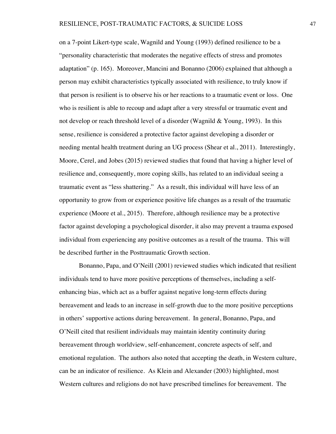on a 7-point Likert-type scale, Wagnild and Young (1993) defined resilience to be a "personality characteristic that moderates the negative effects of stress and promotes adaptation" (p. 165). Moreover, Mancini and Bonanno (2006) explained that although a person may exhibit characteristics typically associated with resilience, to truly know if that person is resilient is to observe his or her reactions to a traumatic event or loss. One who is resilient is able to recoup and adapt after a very stressful or traumatic event and not develop or reach threshold level of a disorder (Wagnild & Young, 1993). In this sense, resilience is considered a protective factor against developing a disorder or needing mental health treatment during an UG process (Shear et al., 2011). Interestingly, Moore, Cerel, and Jobes (2015) reviewed studies that found that having a higher level of resilience and, consequently, more coping skills, has related to an individual seeing a traumatic event as "less shattering." As a result, this individual will have less of an opportunity to grow from or experience positive life changes as a result of the traumatic experience (Moore et al., 2015). Therefore, although resilience may be a protective factor against developing a psychological disorder, it also may prevent a trauma exposed individual from experiencing any positive outcomes as a result of the trauma. This will be described further in the Posttraumatic Growth section.

Bonanno, Papa, and O'Neill (2001) reviewed studies which indicated that resilient individuals tend to have more positive perceptions of themselves, including a selfenhancing bias, which act as a buffer against negative long-term effects during bereavement and leads to an increase in self-growth due to the more positive perceptions in others' supportive actions during bereavement. In general, Bonanno, Papa, and O'Neill cited that resilient individuals may maintain identity continuity during bereavement through worldview, self-enhancement, concrete aspects of self, and emotional regulation. The authors also noted that accepting the death, in Western culture, can be an indicator of resilience. As Klein and Alexander (2003) highlighted, most Western cultures and religions do not have prescribed timelines for bereavement. The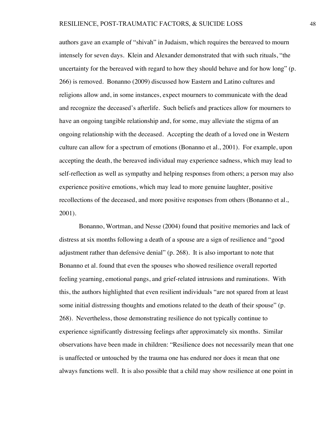authors gave an example of "shivah" in Judaism, which requires the bereaved to mourn intensely for seven days. Klein and Alexander demonstrated that with such rituals, "the uncertainty for the bereaved with regard to how they should behave and for how long" (p. 266) is removed. Bonanno (2009) discussed how Eastern and Latino cultures and religions allow and, in some instances, expect mourners to communicate with the dead and recognize the deceased's afterlife. Such beliefs and practices allow for mourners to have an ongoing tangible relationship and, for some, may alleviate the stigma of an ongoing relationship with the deceased. Accepting the death of a loved one in Western culture can allow for a spectrum of emotions (Bonanno et al., 2001). For example, upon accepting the death, the bereaved individual may experience sadness, which may lead to self-reflection as well as sympathy and helping responses from others; a person may also experience positive emotions, which may lead to more genuine laughter, positive recollections of the deceased, and more positive responses from others (Bonanno et al., 2001).

Bonanno, Wortman, and Nesse (2004) found that positive memories and lack of distress at six months following a death of a spouse are a sign of resilience and "good adjustment rather than defensive denial" (p. 268). It is also important to note that Bonanno et al. found that even the spouses who showed resilience overall reported feeling yearning, emotional pangs, and grief-related intrusions and ruminations. With this, the authors highlighted that even resilient individuals "are not spared from at least some initial distressing thoughts and emotions related to the death of their spouse" (p. 268). Nevertheless, those demonstrating resilience do not typically continue to experience significantly distressing feelings after approximately six months. Similar observations have been made in children: "Resilience does not necessarily mean that one is unaffected or untouched by the trauma one has endured nor does it mean that one always functions well. It is also possible that a child may show resilience at one point in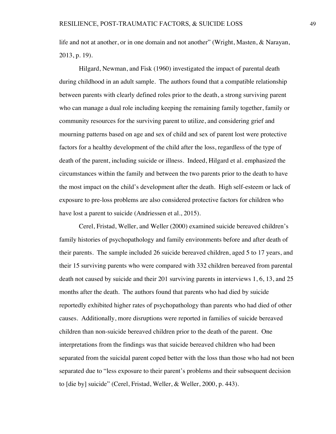life and not at another, or in one domain and not another" (Wright, Masten, & Narayan, 2013, p. 19).

Hilgard, Newman, and Fisk (1960) investigated the impact of parental death during childhood in an adult sample. The authors found that a compatible relationship between parents with clearly defined roles prior to the death, a strong surviving parent who can manage a dual role including keeping the remaining family together, family or community resources for the surviving parent to utilize, and considering grief and mourning patterns based on age and sex of child and sex of parent lost were protective factors for a healthy development of the child after the loss, regardless of the type of death of the parent, including suicide or illness. Indeed, Hilgard et al. emphasized the circumstances within the family and between the two parents prior to the death to have the most impact on the child's development after the death. High self-esteem or lack of exposure to pre-loss problems are also considered protective factors for children who have lost a parent to suicide (Andriessen et al., 2015).

Cerel, Fristad, Weller, and Weller (2000) examined suicide bereaved children's family histories of psychopathology and family environments before and after death of their parents. The sample included 26 suicide bereaved children, aged 5 to 17 years, and their 15 surviving parents who were compared with 332 children bereaved from parental death not caused by suicide and their 201 surviving parents in interviews 1, 6, 13, and 25 months after the death. The authors found that parents who had died by suicide reportedly exhibited higher rates of psychopathology than parents who had died of other causes. Additionally, more disruptions were reported in families of suicide bereaved children than non-suicide bereaved children prior to the death of the parent. One interpretations from the findings was that suicide bereaved children who had been separated from the suicidal parent coped better with the loss than those who had not been separated due to "less exposure to their parent's problems and their subsequent decision to [die by] suicide" (Cerel, Fristad, Weller, & Weller, 2000, p. 443).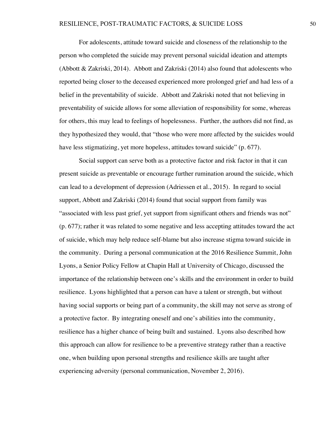For adolescents, attitude toward suicide and closeness of the relationship to the person who completed the suicide may prevent personal suicidal ideation and attempts (Abbott & Zakriski, 2014). Abbott and Zakriski (2014) also found that adolescents who reported being closer to the deceased experienced more prolonged grief and had less of a belief in the preventability of suicide. Abbott and Zakriski noted that not believing in preventability of suicide allows for some alleviation of responsibility for some, whereas for others, this may lead to feelings of hopelessness. Further, the authors did not find, as they hypothesized they would, that "those who were more affected by the suicides would have less stigmatizing, yet more hopeless, attitudes toward suicide" (p. 677).

Social support can serve both as a protective factor and risk factor in that it can present suicide as preventable or encourage further rumination around the suicide, which can lead to a development of depression (Adriessen et al., 2015). In regard to social support, Abbott and Zakriski (2014) found that social support from family was "associated with less past grief, yet support from significant others and friends was not" (p. 677); rather it was related to some negative and less accepting attitudes toward the act of suicide, which may help reduce self-blame but also increase stigma toward suicide in the community. During a personal communication at the 2016 Resilience Summit, John Lyons, a Senior Policy Fellow at Chapin Hall at University of Chicago, discussed the importance of the relationship between one's skills and the environment in order to build resilience. Lyons highlighted that a person can have a talent or strength, but without having social supports or being part of a community, the skill may not serve as strong of a protective factor. By integrating oneself and one's abilities into the community, resilience has a higher chance of being built and sustained. Lyons also described how this approach can allow for resilience to be a preventive strategy rather than a reactive one, when building upon personal strengths and resilience skills are taught after experiencing adversity (personal communication, November 2, 2016).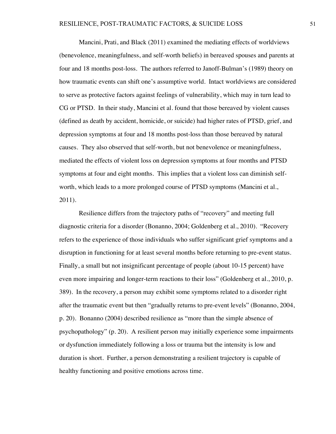Mancini, Prati, and Black (2011) examined the mediating effects of worldviews (benevolence, meaningfulness, and self-worth beliefs) in bereaved spouses and parents at four and 18 months post-loss. The authors referred to Janoff-Bulman's (1989) theory on how traumatic events can shift one's assumptive world. Intact worldviews are considered to serve as protective factors against feelings of vulnerability, which may in turn lead to CG or PTSD. In their study, Mancini et al. found that those bereaved by violent causes (defined as death by accident, homicide, or suicide) had higher rates of PTSD, grief, and depression symptoms at four and 18 months post-loss than those bereaved by natural causes. They also observed that self-worth, but not benevolence or meaningfulness, mediated the effects of violent loss on depression symptoms at four months and PTSD symptoms at four and eight months. This implies that a violent loss can diminish selfworth, which leads to a more prolonged course of PTSD symptoms (Mancini et al., 2011).

Resilience differs from the trajectory paths of "recovery" and meeting full diagnostic criteria for a disorder (Bonanno, 2004; Goldenberg et al., 2010). "Recovery refers to the experience of those individuals who suffer significant grief symptoms and a disruption in functioning for at least several months before returning to pre-event status. Finally, a small but not insignificant percentage of people (about 10-15 percent) have even more impairing and longer-term reactions to their loss" (Goldenberg et al., 2010, p. 389). In the recovery, a person may exhibit some symptoms related to a disorder right after the traumatic event but then "gradually returns to pre-event levels" (Bonanno, 2004, p. 20). Bonanno (2004) described resilience as "more than the simple absence of psychopathology" (p. 20). A resilient person may initially experience some impairments or dysfunction immediately following a loss or trauma but the intensity is low and duration is short. Further, a person demonstrating a resilient trajectory is capable of healthy functioning and positive emotions across time.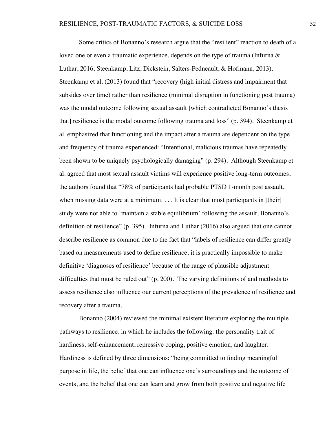Some critics of Bonanno's research argue that the "resilient" reaction to death of a loved one or even a traumatic experience, depends on the type of trauma (Infurna & Luthar, 2016; Steenkamp, Litz, Dickstein, Salters-Pedneault, & Hofmann, 2013). Steenkamp et al. (2013) found that "recovery (high initial distress and impairment that subsides over time) rather than resilience (minimal disruption in functioning post trauma) was the modal outcome following sexual assault [which contradicted Bonanno's thesis that] resilience is the modal outcome following trauma and loss" (p. 394). Steenkamp et al. emphasized that functioning and the impact after a trauma are dependent on the type and frequency of trauma experienced: "Intentional, malicious traumas have repeatedly been shown to be uniquely psychologically damaging" (p. 294). Although Steenkamp et al. agreed that most sexual assault victims will experience positive long-term outcomes, the authors found that "78% of participants had probable PTSD 1-month post assault, when missing data were at a minimum. . . . It is clear that most participants in [their] study were not able to 'maintain a stable equilibrium' following the assault, Bonanno's definition of resilience" (p. 395). Infurna and Luthar (2016) also argued that one cannot describe resilience as common due to the fact that "labels of resilience can differ greatly based on measurements used to define resilience; it is practically impossible to make definitive 'diagnoses of resilience' because of the range of plausible adjustment difficulties that must be ruled out" (p. 200). The varying definitions of and methods to assess resilience also influence our current perceptions of the prevalence of resilience and recovery after a trauma.

Bonanno (2004) reviewed the minimal existent literature exploring the multiple pathways to resilience, in which he includes the following: the personality trait of hardiness, self-enhancement, repressive coping, positive emotion, and laughter. Hardiness is defined by three dimensions: "being committed to finding meaningful purpose in life, the belief that one can influence one's surroundings and the outcome of events, and the belief that one can learn and grow from both positive and negative life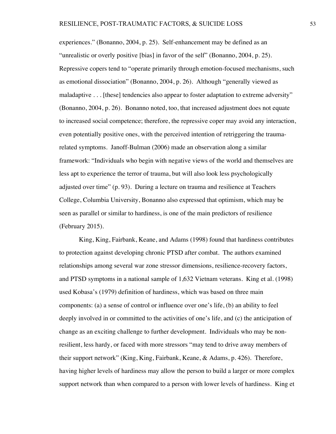experiences." (Bonanno, 2004, p. 25). Self-enhancement may be defined as an "unrealistic or overly positive [bias] in favor of the self" (Bonanno, 2004, p. 25). Repressive copers tend to "operate primarily through emotion-focused mechanisms, such as emotional dissociation" (Bonanno, 2004, p. 26). Although "generally viewed as maladaptive . . . [these] tendencies also appear to foster adaptation to extreme adversity" (Bonanno, 2004, p. 26). Bonanno noted, too, that increased adjustment does not equate to increased social competence; therefore, the repressive coper may avoid any interaction, even potentially positive ones, with the perceived intention of retriggering the traumarelated symptoms. Janoff-Bulman (2006) made an observation along a similar framework: "Individuals who begin with negative views of the world and themselves are less apt to experience the terror of trauma, but will also look less psychologically adjusted over time" (p. 93). During a lecture on trauma and resilience at Teachers College, Columbia University, Bonanno also expressed that optimism, which may be seen as parallel or similar to hardiness, is one of the main predictors of resilience (February 2015).

King, King, Fairbank, Keane, and Adams (1998) found that hardiness contributes to protection against developing chronic PTSD after combat. The authors examined relationships among several war zone stressor dimensions, resilience-recovery factors, and PTSD symptoms in a national sample of 1,632 Vietnam veterans. King et al. (1998) used Kobasa's (1979) definition of hardiness, which was based on three main components: (a) a sense of control or influence over one's life, (b) an ability to feel deeply involved in or committed to the activities of one's life, and (c) the anticipation of change as an exciting challenge to further development. Individuals who may be nonresilient, less hardy, or faced with more stressors "may tend to drive away members of their support network" (King, King, Fairbank, Keane, & Adams, p. 426). Therefore, having higher levels of hardiness may allow the person to build a larger or more complex support network than when compared to a person with lower levels of hardiness. King et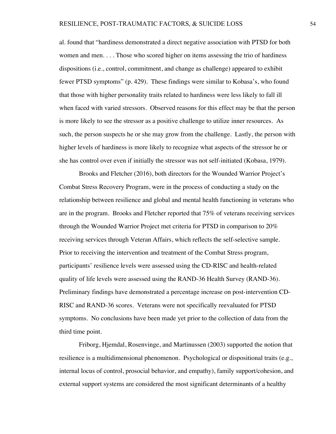al. found that "hardiness demonstrated a direct negative association with PTSD for both women and men. . . . Those who scored higher on items assessing the trio of hardiness dispositions (i.e., control, commitment, and change as challenge) appeared to exhibit fewer PTSD symptoms" (p. 429). These findings were similar to Kobasa's, who found that those with higher personality traits related to hardiness were less likely to fall ill when faced with varied stressors. Observed reasons for this effect may be that the person is more likely to see the stressor as a positive challenge to utilize inner resources. As such, the person suspects he or she may grow from the challenge. Lastly, the person with higher levels of hardiness is more likely to recognize what aspects of the stressor he or she has control over even if initially the stressor was not self-initiated (Kobasa, 1979).

Brooks and Fletcher (2016), both directors for the Wounded Warrior Project's Combat Stress Recovery Program, were in the process of conducting a study on the relationship between resilience and global and mental health functioning in veterans who are in the program. Brooks and Fletcher reported that 75% of veterans receiving services through the Wounded Warrior Project met criteria for PTSD in comparison to 20% receiving services through Veteran Affairs, which reflects the self-selective sample. Prior to receiving the intervention and treatment of the Combat Stress program, participants' resilience levels were assessed using the CD-RISC and health-related quality of life levels were assessed using the RAND-36 Health Survey (RAND-36). Preliminary findings have demonstrated a percentage increase on post-intervention CD-RISC and RAND-36 scores. Veterans were not specifically reevaluated for PTSD symptoms. No conclusions have been made yet prior to the collection of data from the third time point.

Friborg, Hjemdal, Rosenvinge, and Martinussen (2003) supported the notion that resilience is a multidimensional phenomenon. Psychological or dispositional traits (e.g., internal locus of control, prosocial behavior, and empathy), family support/cohesion, and external support systems are considered the most significant determinants of a healthy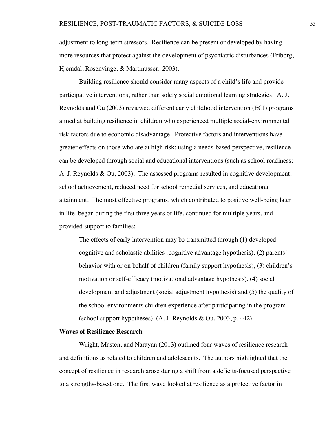adjustment to long-term stressors. Resilience can be present or developed by having more resources that protect against the development of psychiatric disturbances (Friborg, Hjemdal, Rosenvinge, & Martinussen, 2003).

Building resilience should consider many aspects of a child's life and provide participative interventions, rather than solely social emotional learning strategies. A. J. Reynolds and Ou (2003) reviewed different early childhood intervention (ECI) programs aimed at building resilience in children who experienced multiple social-environmental risk factors due to economic disadvantage. Protective factors and interventions have greater effects on those who are at high risk; using a needs-based perspective, resilience can be developed through social and educational interventions (such as school readiness; A. J. Reynolds & Ou, 2003). The assessed programs resulted in cognitive development, school achievement, reduced need for school remedial services, and educational attainment. The most effective programs, which contributed to positive well-being later in life, began during the first three years of life, continued for multiple years, and provided support to families:

The effects of early intervention may be transmitted through (1) developed cognitive and scholastic abilities (cognitive advantage hypothesis), (2) parents' behavior with or on behalf of children (family support hypothesis), (3) children's motivation or self-efficacy (motivational advantage hypothesis), (4) social development and adjustment (social adjustment hypothesis) and (5) the quality of the school environments children experience after participating in the program (school support hypotheses). (A. J. Reynolds & Ou, 2003, p. 442)

### **Waves of Resilience Research**

Wright, Masten, and Narayan (2013) outlined four waves of resilience research and definitions as related to children and adolescents. The authors highlighted that the concept of resilience in research arose during a shift from a deficits-focused perspective to a strengths-based one. The first wave looked at resilience as a protective factor in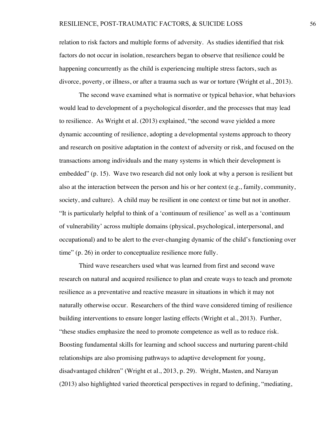relation to risk factors and multiple forms of adversity. As studies identified that risk factors do not occur in isolation, researchers began to observe that resilience could be happening concurrently as the child is experiencing multiple stress factors, such as divorce, poverty, or illness, or after a trauma such as war or torture (Wright et al., 2013).

The second wave examined what is normative or typical behavior, what behaviors would lead to development of a psychological disorder, and the processes that may lead to resilience. As Wright et al. (2013) explained, "the second wave yielded a more dynamic accounting of resilience, adopting a developmental systems approach to theory and research on positive adaptation in the context of adversity or risk, and focused on the transactions among individuals and the many systems in which their development is embedded" (p. 15). Wave two research did not only look at why a person is resilient but also at the interaction between the person and his or her context (e.g., family, community, society, and culture). A child may be resilient in one context or time but not in another. "It is particularly helpful to think of a 'continuum of resilience' as well as a 'continuum of vulnerability' across multiple domains (physical, psychological, interpersonal, and occupational) and to be alert to the ever-changing dynamic of the child's functioning over time" (p. 26) in order to conceptualize resilience more fully.

Third wave researchers used what was learned from first and second wave research on natural and acquired resilience to plan and create ways to teach and promote resilience as a preventative and reactive measure in situations in which it may not naturally otherwise occur. Researchers of the third wave considered timing of resilience building interventions to ensure longer lasting effects (Wright et al., 2013). Further, "these studies emphasize the need to promote competence as well as to reduce risk. Boosting fundamental skills for learning and school success and nurturing parent-child relationships are also promising pathways to adaptive development for young, disadvantaged children" (Wright et al., 2013, p. 29). Wright, Masten, and Narayan (2013) also highlighted varied theoretical perspectives in regard to defining, "mediating,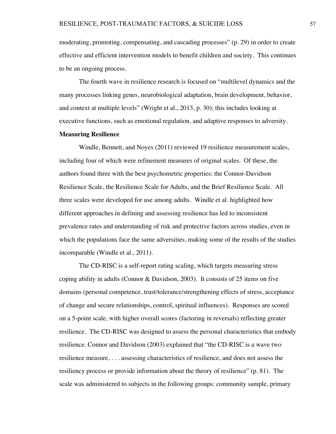moderating, promoting, compensating, and cascading processes" (p. 29) in order to create effective and efficient intervention models to benefit children and society. This continues to be an ongoing process.

The fourth wave in resilience research is focused on "multilevel dynamics and the many processes linking genes, neurobiological adaptation, brain development, behavior, and context at multiple levels" (Wright et al., 2013, p. 30); this includes looking at executive functions, such as emotional regulation, and adaptive responses to adversity.

### **Measuring Resilience**

Windle, Bennett, and Noyes (2011) reviewed 19 resilience measurement scales, including four of which were refinement measures of original scales. Of these, the authors found three with the best psychometric properties: the Connor-Davidson Resilience Scale, the Resilience Scale for Adults, and the Brief Resilience Scale. All three scales were developed for use among adults. Windle et al. highlighted how different approaches in defining and assessing resilience has led to inconsistent prevalence rates and understanding of risk and protective factors across studies, even in which the populations face the same adversities, making some of the results of the studies incomparable (Windle et al., 2011).

The CD-RISC is a self-report rating scaling, which targets measuring stress coping ability in adults (Connor & Davidson, 2003). It consists of 25 items on five domains (personal competence, trust/tolerance/strengthening effects of stress, acceptance of change and secure relationships, control, spiritual influences). Responses are scored on a 5-point scale, with higher overall scores (factoring in reversals) reflecting greater resilience. The CD-RISC was designed to assess the personal characteristics that embody resilience. Connor and Davidson (2003) explained that "the CD-RISC is a wave two resilience measure, . . . assessing characteristics of resilience, and does not assess the resiliency process or provide information about the theory of resilience" (p. 81). The scale was administered to subjects in the following groups: community sample, primary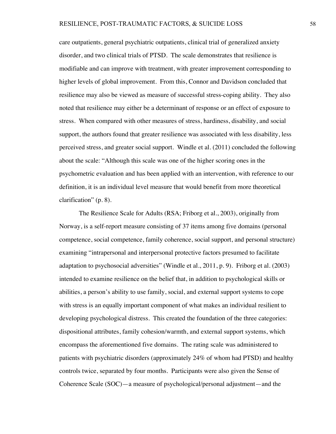care outpatients, general psychiatric outpatients, clinical trial of generalized anxiety disorder, and two clinical trials of PTSD. The scale demonstrates that resilience is modifiable and can improve with treatment, with greater improvement corresponding to higher levels of global improvement. From this, Connor and Davidson concluded that resilience may also be viewed as measure of successful stress-coping ability. They also noted that resilience may either be a determinant of response or an effect of exposure to stress. When compared with other measures of stress, hardiness, disability, and social support, the authors found that greater resilience was associated with less disability, less perceived stress, and greater social support. Windle et al. (2011) concluded the following about the scale: "Although this scale was one of the higher scoring ones in the psychometric evaluation and has been applied with an intervention, with reference to our definition, it is an individual level measure that would benefit from more theoretical clarification" (p. 8).

The Resilience Scale for Adults (RSA; Friborg et al., 2003), originally from Norway, is a self-report measure consisting of 37 items among five domains (personal competence, social competence, family coherence, social support, and personal structure) examining "intrapersonal and interpersonal protective factors presumed to facilitate adaptation to psychosocial adversities" (Windle et al., 2011, p. 9). Friborg et al. (2003) intended to examine resilience on the belief that, in addition to psychological skills or abilities, a person's ability to use family, social, and external support systems to cope with stress is an equally important component of what makes an individual resilient to developing psychological distress. This created the foundation of the three categories: dispositional attributes, family cohesion/warmth, and external support systems, which encompass the aforementioned five domains. The rating scale was administered to patients with psychiatric disorders (approximately 24% of whom had PTSD) and healthy controls twice, separated by four months. Participants were also given the Sense of Coherence Scale (SOC)—a measure of psychological/personal adjustment—and the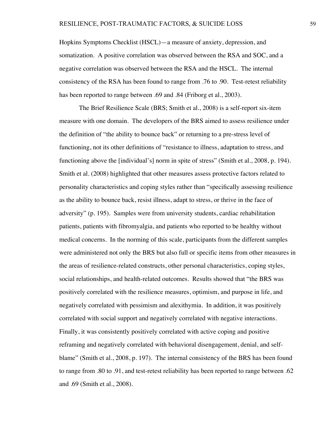Hopkins Symptoms Checklist (HSCL)—a measure of anxiety, depression, and somatization. A positive correlation was observed between the RSA and SOC, and a negative correlation was observed between the RSA and the HSCL. The internal consistency of the RSA has been found to range from .76 to .90. Test-retest reliability has been reported to range between .69 and .84 (Friborg et al., 2003).

The Brief Resilience Scale (BRS; Smith et al., 2008) is a self-report six-item measure with one domain. The developers of the BRS aimed to assess resilience under the definition of "the ability to bounce back" or returning to a pre-stress level of functioning, not its other definitions of "resistance to illness, adaptation to stress, and functioning above the [individual's] norm in spite of stress" (Smith et al., 2008, p. 194). Smith et al. (2008) highlighted that other measures assess protective factors related to personality characteristics and coping styles rather than "specifically assessing resilience as the ability to bounce back, resist illness, adapt to stress, or thrive in the face of adversity" (p. 195). Samples were from university students, cardiac rehabilitation patients, patients with fibromyalgia, and patients who reported to be healthy without medical concerns. In the norming of this scale, participants from the different samples were administered not only the BRS but also full or specific items from other measures in the areas of resilience-related constructs, other personal characteristics, coping styles, social relationships, and health-related outcomes. Results showed that "the BRS was positively correlated with the resilience measures, optimism, and purpose in life, and negatively correlated with pessimism and alexithymia. In addition, it was positively correlated with social support and negatively correlated with negative interactions. Finally, it was consistently positively correlated with active coping and positive reframing and negatively correlated with behavioral disengagement, denial, and selfblame" (Smith et al., 2008, p. 197). The internal consistency of the BRS has been found to range from .80 to .91, and test-retest reliability has been reported to range between .62 and .69 (Smith et al., 2008).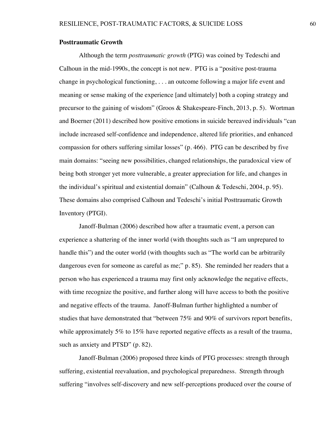## **Posttraumatic Growth**

Although the term *posttraumatic growth* (PTG) was coined by Tedeschi and Calhoun in the mid-1990s, the concept is not new. PTG is a "positive post-trauma change in psychological functioning, . . . an outcome following a major life event and meaning or sense making of the experience [and ultimately] both a coping strategy and precursor to the gaining of wisdom" (Groos & Shakespeare-Finch, 2013, p. 5). Wortman and Boerner (2011) described how positive emotions in suicide bereaved individuals "can include increased self-confidence and independence, altered life priorities, and enhanced compassion for others suffering similar losses" (p. 466). PTG can be described by five main domains: "seeing new possibilities, changed relationships, the paradoxical view of being both stronger yet more vulnerable, a greater appreciation for life, and changes in the individual's spiritual and existential domain" (Calhoun & Tedeschi, 2004, p. 95). These domains also comprised Calhoun and Tedeschi's initial Posttraumatic Growth Inventory (PTGI).

Janoff-Bulman (2006) described how after a traumatic event, a person can experience a shattering of the inner world (with thoughts such as "I am unprepared to handle this") and the outer world (with thoughts such as "The world can be arbitrarily dangerous even for someone as careful as me;" p. 85). She reminded her readers that a person who has experienced a trauma may first only acknowledge the negative effects, with time recognize the positive, and further along will have access to both the positive and negative effects of the trauma. Janoff-Bulman further highlighted a number of studies that have demonstrated that "between 75% and 90% of survivors report benefits, while approximately 5% to 15% have reported negative effects as a result of the trauma, such as anxiety and PTSD" (p. 82).

Janoff-Bulman (2006) proposed three kinds of PTG processes: strength through suffering, existential reevaluation, and psychological preparedness. Strength through suffering "involves self-discovery and new self-perceptions produced over the course of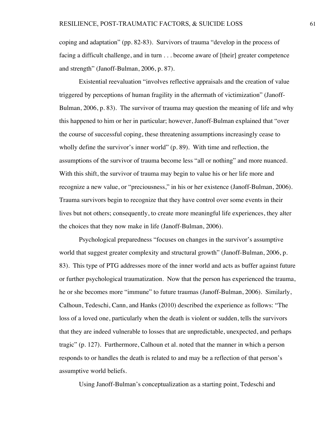coping and adaptation" (pp. 82-83). Survivors of trauma "develop in the process of facing a difficult challenge, and in turn . . . become aware of [their] greater competence and strength" (Janoff-Bulman, 2006, p. 87).

Existential reevaluation "involves reflective appraisals and the creation of value triggered by perceptions of human fragility in the aftermath of victimization" (Janoff-Bulman, 2006, p. 83). The survivor of trauma may question the meaning of life and why this happened to him or her in particular; however, Janoff-Bulman explained that "over the course of successful coping, these threatening assumptions increasingly cease to wholly define the survivor's inner world" (p. 89). With time and reflection, the assumptions of the survivor of trauma become less "all or nothing" and more nuanced. With this shift, the survivor of trauma may begin to value his or her life more and recognize a new value, or "preciousness," in his or her existence (Janoff-Bulman, 2006). Trauma survivors begin to recognize that they have control over some events in their lives but not others; consequently, to create more meaningful life experiences, they alter the choices that they now make in life (Janoff-Bulman, 2006).

Psychological preparedness "focuses on changes in the survivor's assumptive world that suggest greater complexity and structural growth" (Janoff-Bulman, 2006, p. 83). This type of PTG addresses more of the inner world and acts as buffer against future or further psychological traumatization. Now that the person has experienced the trauma, he or she becomes more "immune" to future traumas (Janoff-Bulman, 2006). Similarly, Calhoun, Tedeschi, Cann, and Hanks (2010) described the experience as follows: "The loss of a loved one, particularly when the death is violent or sudden, tells the survivors that they are indeed vulnerable to losses that are unpredictable, unexpected, and perhaps tragic" (p. 127). Furthermore, Calhoun et al. noted that the manner in which a person responds to or handles the death is related to and may be a reflection of that person's assumptive world beliefs.

Using Janoff-Bulman's conceptualization as a starting point, Tedeschi and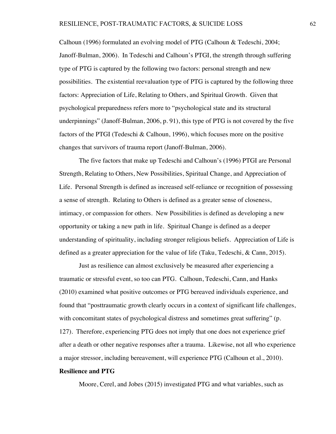Calhoun (1996) formulated an evolving model of PTG (Calhoun & Tedeschi, 2004; Janoff-Bulman, 2006). In Tedeschi and Calhoun's PTGI, the strength through suffering type of PTG is captured by the following two factors: personal strength and new possibilities. The existential reevaluation type of PTG is captured by the following three factors: Appreciation of Life, Relating to Others, and Spiritual Growth. Given that psychological preparedness refers more to "psychological state and its structural underpinnings" (Janoff-Bulman, 2006, p. 91), this type of PTG is not covered by the five factors of the PTGI (Tedeschi & Calhoun, 1996), which focuses more on the positive changes that survivors of trauma report (Janoff-Bulman, 2006).

The five factors that make up Tedeschi and Calhoun's (1996) PTGI are Personal Strength, Relating to Others, New Possibilities, Spiritual Change, and Appreciation of Life. Personal Strength is defined as increased self-reliance or recognition of possessing a sense of strength. Relating to Others is defined as a greater sense of closeness, intimacy, or compassion for others. New Possibilities is defined as developing a new opportunity or taking a new path in life. Spiritual Change is defined as a deeper understanding of spirituality, including stronger religious beliefs. Appreciation of Life is defined as a greater appreciation for the value of life (Taku, Tedeschi, & Cann, 2015).

Just as resilience can almost exclusively be measured after experiencing a traumatic or stressful event, so too can PTG. Calhoun, Tedeschi, Cann, and Hanks (2010) examined what positive outcomes or PTG bereaved individuals experience, and found that "posttraumatic growth clearly occurs in a context of significant life challenges, with concomitant states of psychological distress and sometimes great suffering" (p. 127). Therefore, experiencing PTG does not imply that one does not experience grief after a death or other negative responses after a trauma. Likewise, not all who experience a major stressor, including bereavement, will experience PTG (Calhoun et al., 2010). **Resilience and PTG**

Moore, Cerel, and Jobes (2015) investigated PTG and what variables, such as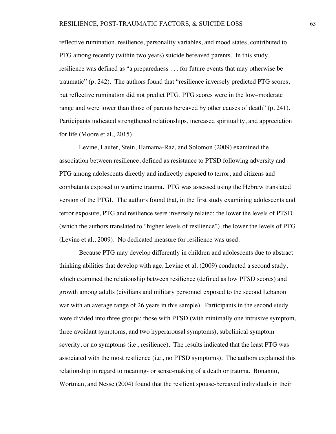reflective rumination, resilience, personality variables, and mood states, contributed to PTG among recently (within two years) suicide bereaved parents. In this study, resilience was defined as "a preparedness . . . for future events that may otherwise be traumatic" (p. 242). The authors found that "resilience inversely predicted PTG scores, but reflective rumination did not predict PTG. PTG scores were in the low–moderate range and were lower than those of parents bereaved by other causes of death" (p. 241). Participants indicated strengthened relationships, increased spirituality, and appreciation for life (Moore et al., 2015).

Levine, Laufer, Stein, Hamama-Raz, and Solomon (2009) examined the association between resilience, defined as resistance to PTSD following adversity and PTG among adolescents directly and indirectly exposed to terror, and citizens and combatants exposed to wartime trauma. PTG was assessed using the Hebrew translated version of the PTGI. The authors found that, in the first study examining adolescents and terror exposure, PTG and resilience were inversely related: the lower the levels of PTSD (which the authors translated to "higher levels of resilience"), the lower the levels of PTG (Levine et al., 2009). No dedicated measure for resilience was used.

Because PTG may develop differently in children and adolescents due to abstract thinking abilities that develop with age, Levine et al. (2009) conducted a second study, which examined the relationship between resilience (defined as low PTSD scores) and growth among adults (civilians and military personnel exposed to the second Lebanon war with an average range of 26 years in this sample). Participants in the second study were divided into three groups: those with PTSD (with minimally one intrusive symptom, three avoidant symptoms, and two hyperarousal symptoms), subclinical symptom severity, or no symptoms (i.e., resilience). The results indicated that the least PTG was associated with the most resilience (i.e., no PTSD symptoms). The authors explained this relationship in regard to meaning- or sense-making of a death or trauma. Bonanno, Wortman, and Nesse (2004) found that the resilient spouse-bereaved individuals in their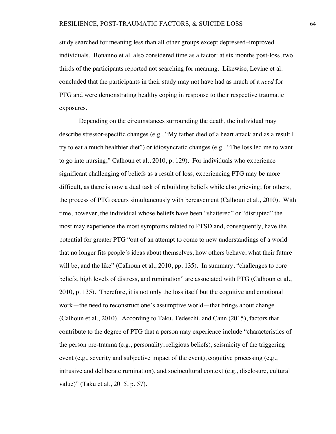study searched for meaning less than all other groups except depressed–improved individuals. Bonanno et al. also considered time as a factor: at six months post-loss, two thirds of the participants reported not searching for meaning. Likewise, Levine et al. concluded that the participants in their study may not have had as much of a *need* for PTG and were demonstrating healthy coping in response to their respective traumatic exposures.

Depending on the circumstances surrounding the death, the individual may describe stressor-specific changes (e.g., "My father died of a heart attack and as a result I try to eat a much healthier diet") or idiosyncratic changes (e.g., "The loss led me to want to go into nursing;" Calhoun et al., 2010, p. 129). For individuals who experience significant challenging of beliefs as a result of loss, experiencing PTG may be more difficult, as there is now a dual task of rebuilding beliefs while also grieving; for others, the process of PTG occurs simultaneously with bereavement (Calhoun et al., 2010). With time, however, the individual whose beliefs have been "shattered" or "disrupted" the most may experience the most symptoms related to PTSD and, consequently, have the potential for greater PTG "out of an attempt to come to new understandings of a world that no longer fits people's ideas about themselves, how others behave, what their future will be, and the like" (Calhoun et al., 2010, pp. 135). In summary, "challenges to core beliefs, high levels of distress, and rumination" are associated with PTG (Calhoun et al., 2010, p. 135). Therefore, it is not only the loss itself but the cognitive and emotional work—the need to reconstruct one's assumptive world—that brings about change (Calhoun et al., 2010). According to Taku, Tedeschi, and Cann (2015), factors that contribute to the degree of PTG that a person may experience include "characteristics of the person pre-trauma (e.g., personality, religious beliefs), seismicity of the triggering event (e.g., severity and subjective impact of the event), cognitive processing (e.g., intrusive and deliberate rumination), and sociocultural context (e.g., disclosure, cultural value)" (Taku et al., 2015, p. 57).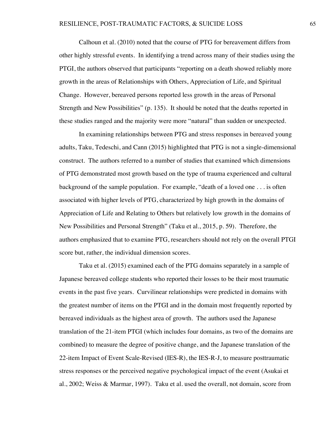Calhoun et al. (2010) noted that the course of PTG for bereavement differs from other highly stressful events. In identifying a trend across many of their studies using the PTGI, the authors observed that participants "reporting on a death showed reliably more growth in the areas of Relationships with Others, Appreciation of Life, and Spiritual Change. However, bereaved persons reported less growth in the areas of Personal Strength and New Possibilities" (p. 135). It should be noted that the deaths reported in these studies ranged and the majority were more "natural" than sudden or unexpected.

In examining relationships between PTG and stress responses in bereaved young adults, Taku, Tedeschi, and Cann (2015) highlighted that PTG is not a single-dimensional construct. The authors referred to a number of studies that examined which dimensions of PTG demonstrated most growth based on the type of trauma experienced and cultural background of the sample population. For example, "death of a loved one . . . is often associated with higher levels of PTG, characterized by high growth in the domains of Appreciation of Life and Relating to Others but relatively low growth in the domains of New Possibilities and Personal Strength" (Taku et al., 2015, p. 59). Therefore, the authors emphasized that to examine PTG, researchers should not rely on the overall PTGI score but, rather, the individual dimension scores.

Taku et al. (2015) examined each of the PTG domains separately in a sample of Japanese bereaved college students who reported their losses to be their most traumatic events in the past five years. Curvilinear relationships were predicted in domains with the greatest number of items on the PTGI and in the domain most frequently reported by bereaved individuals as the highest area of growth. The authors used the Japanese translation of the 21-item PTGI (which includes four domains, as two of the domains are combined) to measure the degree of positive change, and the Japanese translation of the 22-item Impact of Event Scale-Revised (IES-R), the IES-R-J, to measure posttraumatic stress responses or the perceived negative psychological impact of the event (Asukai et al., 2002; Weiss & Marmar, 1997). Taku et al. used the overall, not domain, score from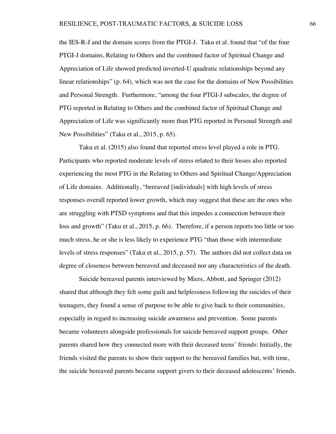the IES-R-J and the domain scores from the PTGI-J. Taku et al. found that "of the four PTGI-J domains, Relating to Others and the combined factor of Spiritual Change and Appreciation of Life showed predicted inverted-U quadratic relationships beyond any linear relationships" (p. 64), which was not the case for the domains of New Possibilities and Personal Strength. Furthermore, "among the four PTGI-J subscales, the degree of PTG reported in Relating to Others and the combined factor of Spiritual Change and Appreciation of Life was significantly more than PTG reported in Personal Strength and New Possibilities" (Taku et al., 2015, p. 65).

Taku et al. (2015) also found that reported stress level played a role in PTG. Participants who reported moderate levels of stress related to their losses also reported experiencing the most PTG in the Relating to Others and Spiritual Change/Appreciation of Life domains. Additionally, "bereaved [individuals] with high levels of stress responses overall reported lower growth, which may suggest that these are the ones who are struggling with PTSD symptoms and that this impedes a connection between their loss and growth" (Taku et al., 2015, p. 66). Therefore, if a person reports too little or too much stress, he or she is less likely to experience PTG "than those with intermediate levels of stress responses" (Taku et al., 2015, p. 57). The authors did not collect data on degree of closeness between bereaved and deceased nor any characteristics of the death.

Suicide bereaved parents interviewed by Miers, Abbott, and Springer (2012) shared that although they felt some guilt and helplessness following the suicides of their teenagers, they found a sense of purpose to be able to give back to their communities, especially in regard to increasing suicide awareness and prevention. Some parents became volunteers alongside professionals for suicide bereaved support groups. Other parents shared how they connected more with their deceased teens' friends: Initially, the friends visited the parents to show their support to the bereaved families but, with time, the suicide bereaved parents became support givers to their deceased adolescents' friends.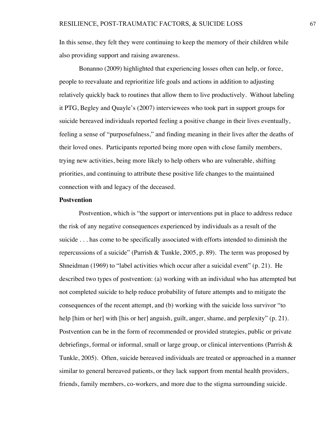In this sense, they felt they were continuing to keep the memory of their children while also providing support and raising awareness.

Bonanno (2009) highlighted that experiencing losses often can help, or force, people to reevaluate and reprioritize life goals and actions in addition to adjusting relatively quickly back to routines that allow them to live productively. Without labeling it PTG, Begley and Quayle's (2007) interviewees who took part in support groups for suicide bereaved individuals reported feeling a positive change in their lives eventually, feeling a sense of "purposefulness," and finding meaning in their lives after the deaths of their loved ones. Participants reported being more open with close family members, trying new activities, being more likely to help others who are vulnerable, shifting priorities, and continuing to attribute these positive life changes to the maintained connection with and legacy of the deceased.

## **Postvention**

Postvention, which is "the support or interventions put in place to address reduce the risk of any negative consequences experienced by individuals as a result of the suicide . . . has come to be specifically associated with efforts intended to diminish the repercussions of a suicide" (Parrish & Tunkle, 2005, p. 89). The term was proposed by Shneidman (1969) to "label activities which occur after a suicidal event" (p. 21). He described two types of postvention: (a) working with an individual who has attempted but not completed suicide to help reduce probability of future attempts and to mitigate the consequences of the recent attempt, and (b) working with the suicide loss survivor "to help [him or her] with [his or her] anguish, guilt, anger, shame, and perplexity" (p. 21). Postvention can be in the form of recommended or provided strategies, public or private debriefings, formal or informal, small or large group, or clinical interventions (Parrish & Tunkle, 2005). Often, suicide bereaved individuals are treated or approached in a manner similar to general bereaved patients, or they lack support from mental health providers, friends, family members, co-workers, and more due to the stigma surrounding suicide.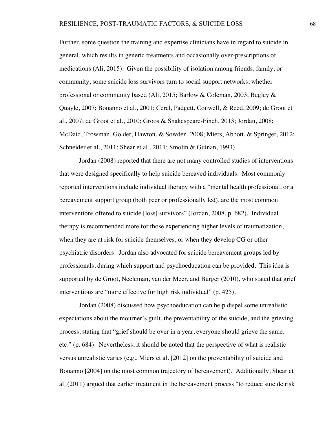Further, some question the training and expertise clinicians have in regard to suicide in general, which results in generic treatments and occasionally over-prescriptions of medications (Ali, 2015). Given the possibility of isolation among friends, family, or community, some suicide loss survivors turn to social support networks, whether professional or community based (Ali, 2015; Barlow & Coleman, 2003; Begley & Quayle, 2007; Bonanno et al., 2001; Cerel, Padgett, Conwell, & Reed, 2009; de Groot et al., 2007; de Groot et al., 2010; Groos & Shakespeare-Finch, 2013; Jordan, 2008; McDaid, Trowman, Golder, Hawton, & Sowden, 2008; Miers, Abbott, & Springer, 2012; Schneider et al., 2011; Shear et al., 2011; Smolin & Guinan, 1993).

Jordan (2008) reported that there are not many controlled studies of interventions that were designed specifically to help suicide bereaved individuals. Most commonly reported interventions include individual therapy with a "mental health professional, or a bereavement support group (both peer or professionally led), are the most common interventions offered to suicide [loss] survivors" (Jordan, 2008, p. 682). Individual therapy is recommended more for those experiencing higher levels of traumatization, when they are at risk for suicide themselves, or when they develop CG or other psychiatric disorders. Jordan also advocated for suicide bereavement groups led by professionals, during which support and psychoeducation can be provided. This idea is supported by de Groot, Neeleman, van der Meer, and Burger (2010), who stated that grief interventions are "more effective for high risk individual" (p. 425).

Jordan (2008) discussed how psychoeducation can help dispel some unrealistic expectations about the mourner's guilt, the preventability of the suicide, and the grieving process, stating that "grief should be over in a year, everyone should grieve the same, etc." (p. 684). Nevertheless, it should be noted that the perspective of what is realistic versus unrealistic varies (e.g., Miers et al. [2012] on the preventability of suicide and Bonanno [2004] on the most common trajectory of bereavement). Additionally, Shear et al. (2011) argued that earlier treatment in the bereavement process "to reduce suicide risk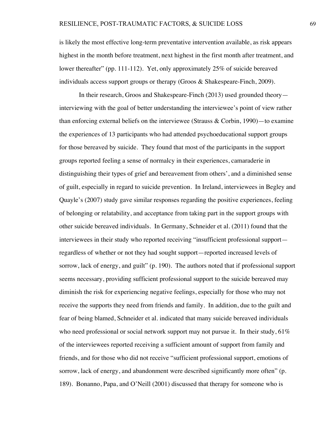is likely the most effective long-term preventative intervention available, as risk appears highest in the month before treatment, next highest in the first month after treatment, and lower thereafter" (pp. 111-112). Yet, only approximately 25% of suicide bereaved individuals access support groups or therapy (Groos & Shakespeare-Finch, 2009).

In their research, Groos and Shakespeare-Finch (2013) used grounded theory interviewing with the goal of better understanding the interviewee's point of view rather than enforcing external beliefs on the interviewee (Strauss & Corbin, 1990)—to examine the experiences of 13 participants who had attended psychoeducational support groups for those bereaved by suicide. They found that most of the participants in the support groups reported feeling a sense of normalcy in their experiences, camaraderie in distinguishing their types of grief and bereavement from others', and a diminished sense of guilt, especially in regard to suicide prevention. In Ireland, interviewees in Begley and Quayle's (2007) study gave similar responses regarding the positive experiences, feeling of belonging or relatability, and acceptance from taking part in the support groups with other suicide bereaved individuals. In Germany, Schneider et al. (2011) found that the interviewees in their study who reported receiving "insufficient professional support regardless of whether or not they had sought support—reported increased levels of sorrow, lack of energy, and guilt" (p. 190). The authors noted that if professional support seems necessary, providing sufficient professional support to the suicide bereaved may diminish the risk for experiencing negative feelings, especially for those who may not receive the supports they need from friends and family. In addition, due to the guilt and fear of being blamed, Schneider et al. indicated that many suicide bereaved individuals who need professional or social network support may not pursue it. In their study, 61% of the interviewees reported receiving a sufficient amount of support from family and friends, and for those who did not receive "sufficient professional support, emotions of sorrow, lack of energy, and abandonment were described significantly more often" (p. 189). Bonanno, Papa, and O'Neill (2001) discussed that therapy for someone who is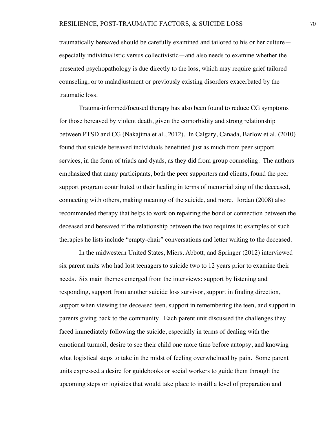traumatically bereaved should be carefully examined and tailored to his or her culture especially individualistic versus collectivistic—and also needs to examine whether the presented psychopathology is due directly to the loss, which may require grief tailored counseling, or to maladjustment or previously existing disorders exacerbated by the traumatic loss.

Trauma-informed/focused therapy has also been found to reduce CG symptoms for those bereaved by violent death, given the comorbidity and strong relationship between PTSD and CG (Nakajima et al., 2012). In Calgary, Canada, Barlow et al. (2010) found that suicide bereaved individuals benefitted just as much from peer support services, in the form of triads and dyads, as they did from group counseling. The authors emphasized that many participants, both the peer supporters and clients, found the peer support program contributed to their healing in terms of memorializing of the deceased, connecting with others, making meaning of the suicide, and more. Jordan (2008) also recommended therapy that helps to work on repairing the bond or connection between the deceased and bereaved if the relationship between the two requires it; examples of such therapies he lists include "empty-chair" conversations and letter writing to the deceased.

In the midwestern United States, Miers, Abbott, and Springer (2012) interviewed six parent units who had lost teenagers to suicide two to 12 years prior to examine their needs. Six main themes emerged from the interviews: support by listening and responding, support from another suicide loss survivor, support in finding direction, support when viewing the deceased teen, support in remembering the teen, and support in parents giving back to the community. Each parent unit discussed the challenges they faced immediately following the suicide, especially in terms of dealing with the emotional turmoil, desire to see their child one more time before autopsy, and knowing what logistical steps to take in the midst of feeling overwhelmed by pain. Some parent units expressed a desire for guidebooks or social workers to guide them through the upcoming steps or logistics that would take place to instill a level of preparation and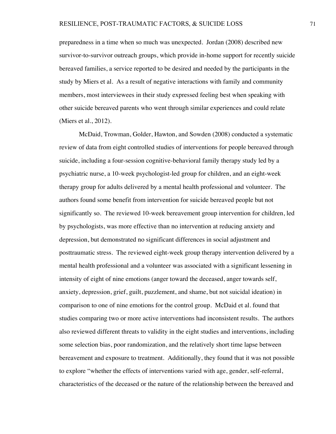preparedness in a time when so much was unexpected. Jordan (2008) described new survivor-to-survivor outreach groups, which provide in-home support for recently suicide bereaved families, a service reported to be desired and needed by the participants in the study by Miers et al. As a result of negative interactions with family and community members, most interviewees in their study expressed feeling best when speaking with other suicide bereaved parents who went through similar experiences and could relate (Miers et al., 2012).

McDaid, Trowman, Golder, Hawton, and Sowden (2008) conducted a systematic review of data from eight controlled studies of interventions for people bereaved through suicide, including a four-session cognitive-behavioral family therapy study led by a psychiatric nurse, a 10-week psychologist-led group for children, and an eight-week therapy group for adults delivered by a mental health professional and volunteer. The authors found some benefit from intervention for suicide bereaved people but not significantly so. The reviewed 10-week bereavement group intervention for children, led by psychologists, was more effective than no intervention at reducing anxiety and depression, but demonstrated no significant differences in social adjustment and posttraumatic stress. The reviewed eight-week group therapy intervention delivered by a mental health professional and a volunteer was associated with a significant lessening in intensity of eight of nine emotions (anger toward the deceased, anger towards self, anxiety, depression, grief, guilt, puzzlement, and shame, but not suicidal ideation) in comparison to one of nine emotions for the control group. McDaid et al. found that studies comparing two or more active interventions had inconsistent results. The authors also reviewed different threats to validity in the eight studies and interventions, including some selection bias, poor randomization, and the relatively short time lapse between bereavement and exposure to treatment. Additionally, they found that it was not possible to explore "whether the effects of interventions varied with age, gender, self-referral, characteristics of the deceased or the nature of the relationship between the bereaved and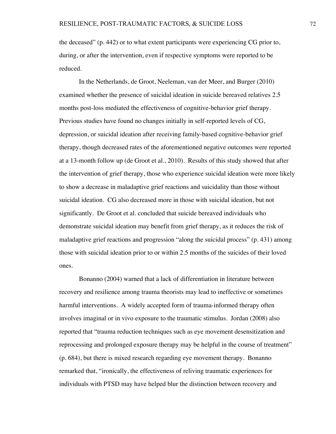the deceased" (p. 442) or to what extent participants were experiencing CG prior to, during, or after the intervention, even if respective symptoms were reported to be reduced.

In the Netherlands, de Groot, Neeleman, van der Meer, and Burger (2010) examined whether the presence of suicidal ideation in suicide bereaved relatives 2.5 months post-loss mediated the effectiveness of cognitive-behavior grief therapy. Previous studies have found no changes initially in self-reported levels of CG, depression, or suicidal ideation after receiving family-based cognitive-behavior grief therapy, though decreased rates of the aforementioned negative outcomes were reported at a 13-month follow up (de Groot et al., 2010). Results of this study showed that after the intervention of grief therapy, those who experience suicidal ideation were more likely to show a decrease in maladaptive grief reactions and suicidality than those without suicidal ideation. CG also decreased more in those with suicidal ideation, but not significantly. De Groot et al. concluded that suicide bereaved individuals who demonstrate suicidal ideation may benefit from grief therapy, as it reduces the risk of maladaptive grief reactions and progression "along the suicidal process" (p. 431) among those with suicidal ideation prior to or within 2.5 months of the suicides of their loved ones.

Bonanno (2004) warned that a lack of differentiation in literature between recovery and resilience among trauma theorists may lead to ineffective or sometimes harmful interventions. A widely accepted form of trauma-informed therapy often involves imaginal or in vivo exposure to the traumatic stimulus. Jordan (2008) also reported that "trauma reduction techniques such as eye movement desensitization and reprocessing and prolonged exposure therapy may be helpful in the course of treatment" (p. 684), but there is mixed research regarding eye movement therapy. Bonanno remarked that, "ironically, the effectiveness of reliving traumatic experiences for individuals with PTSD may have helped blur the distinction between recovery and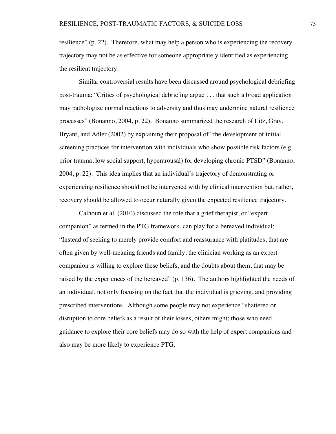resilience" (p. 22). Therefore, what may help a person who is experiencing the recovery trajectory may not be as effective for someone appropriately identified as experiencing the resilient trajectory.

Similar controversial results have been discussed around psychological debriefing post-trauma: "Critics of psychological debriefing argue . . . that such a broad application may pathologize normal reactions to adversity and thus may undermine natural resilience processes" (Bonanno, 2004, p. 22). Bonanno summarized the research of Litz, Gray, Bryant, and Adler (2002) by explaining their proposal of "the development of initial screening practices for intervention with individuals who show possible risk factors (e.g., prior trauma, low social support, hyperarousal) for developing chronic PTSD" (Bonanno, 2004, p. 22). This idea implies that an individual's trajectory of demonstrating or experiencing resilience should not be intervened with by clinical intervention but, rather, recovery should be allowed to occur naturally given the expected resilience trajectory.

Calhoun et al. (2010) discussed the role that a grief therapist, or "expert companion" as termed in the PTG framework, can play for a bereaved individual: "Instead of seeking to merely provide comfort and reassurance with platitudes, that are often given by well-meaning friends and family, the clinician working as an expert companion is willing to explore these beliefs, and the doubts about them, that may be raised by the experiences of the bereaved" (p. 136). The authors highlighted the needs of an individual, not only focusing on the fact that the individual is grieving, and providing prescribed interventions. Although some people may not experience "shattered or disruption to core beliefs as a result of their losses, others might; those who need guidance to explore their core beliefs may do so with the help of expert companions and also may be more likely to experience PTG.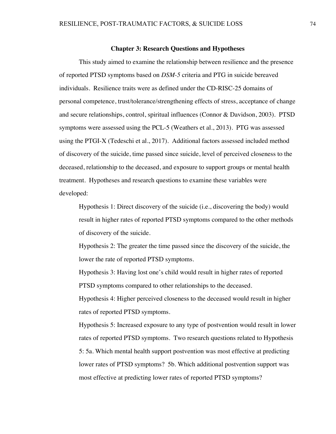### **Chapter 3: Research Questions and Hypotheses**

This study aimed to examine the relationship between resilience and the presence of reported PTSD symptoms based on *DSM-5* criteria and PTG in suicide bereaved individuals. Resilience traits were as defined under the CD-RISC-25 domains of personal competence, trust/tolerance/strengthening effects of stress, acceptance of change and secure relationships, control, spiritual influences (Connor & Davidson, 2003). PTSD symptoms were assessed using the PCL-5 (Weathers et al., 2013). PTG was assessed using the PTGI-X (Tedeschi et al., 2017). Additional factors assessed included method of discovery of the suicide, time passed since suicide, level of perceived closeness to the deceased, relationship to the deceased, and exposure to support groups or mental health treatment. Hypotheses and research questions to examine these variables were developed:

Hypothesis 1: Direct discovery of the suicide (i.e., discovering the body) would result in higher rates of reported PTSD symptoms compared to the other methods of discovery of the suicide.

Hypothesis 2: The greater the time passed since the discovery of the suicide, the lower the rate of reported PTSD symptoms.

Hypothesis 3: Having lost one's child would result in higher rates of reported PTSD symptoms compared to other relationships to the deceased.

Hypothesis 4: Higher perceived closeness to the deceased would result in higher rates of reported PTSD symptoms.

Hypothesis 5: Increased exposure to any type of postvention would result in lower rates of reported PTSD symptoms. Two research questions related to Hypothesis 5: 5a. Which mental health support postvention was most effective at predicting lower rates of PTSD symptoms? 5b. Which additional postvention support was most effective at predicting lower rates of reported PTSD symptoms?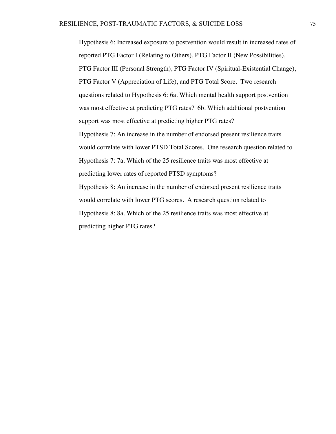Hypothesis 6: Increased exposure to postvention would result in increased rates of reported PTG Factor I (Relating to Others), PTG Factor II (New Possibilities), PTG Factor III (Personal Strength), PTG Factor IV (Spiritual-Existential Change), PTG Factor V (Appreciation of Life), and PTG Total Score. Two research questions related to Hypothesis 6: 6a. Which mental health support postvention was most effective at predicting PTG rates? 6b. Which additional postvention support was most effective at predicting higher PTG rates? Hypothesis 7: An increase in the number of endorsed present resilience traits would correlate with lower PTSD Total Scores. One research question related to Hypothesis 7: 7a. Which of the 25 resilience traits was most effective at predicting lower rates of reported PTSD symptoms? Hypothesis 8: An increase in the number of endorsed present resilience traits would correlate with lower PTG scores. A research question related to Hypothesis 8: 8a. Which of the 25 resilience traits was most effective at predicting higher PTG rates?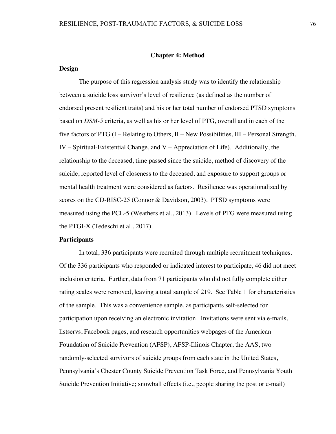## **Chapter 4: Method**

### **Design**

The purpose of this regression analysis study was to identify the relationship between a suicide loss survivor's level of resilience (as defined as the number of endorsed present resilient traits) and his or her total number of endorsed PTSD symptoms based on *DSM-5* criteria, as well as his or her level of PTG, overall and in each of the five factors of PTG (I – Relating to Others, II – New Possibilities, III – Personal Strength, IV – Spiritual-Existential Change, and V – Appreciation of Life). Additionally, the relationship to the deceased, time passed since the suicide, method of discovery of the suicide, reported level of closeness to the deceased, and exposure to support groups or mental health treatment were considered as factors. Resilience was operationalized by scores on the CD-RISC-25 (Connor & Davidson, 2003). PTSD symptoms were measured using the PCL-5 (Weathers et al., 2013). Levels of PTG were measured using the PTGI-X (Tedeschi et al., 2017).

### **Participants**

In total, 336 participants were recruited through multiple recruitment techniques. Of the 336 participants who responded or indicated interest to participate, 46 did not meet inclusion criteria. Further, data from 71 participants who did not fully complete either rating scales were removed, leaving a total sample of 219. See Table 1 for characteristics of the sample. This was a convenience sample, as participants self-selected for participation upon receiving an electronic invitation. Invitations were sent via e-mails, listservs, Facebook pages, and research opportunities webpages of the American Foundation of Suicide Prevention (AFSP), AFSP-Illinois Chapter, the AAS, two randomly-selected survivors of suicide groups from each state in the United States, Pennsylvania's Chester County Suicide Prevention Task Force, and Pennsylvania Youth Suicide Prevention Initiative; snowball effects (i.e., people sharing the post or e-mail)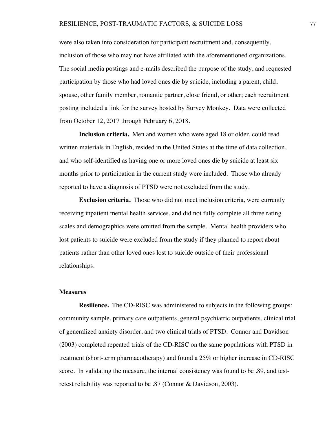were also taken into consideration for participant recruitment and, consequently, inclusion of those who may not have affiliated with the aforementioned organizations. The social media postings and e-mails described the purpose of the study, and requested participation by those who had loved ones die by suicide, including a parent, child, spouse, other family member, romantic partner, close friend, or other; each recruitment posting included a link for the survey hosted by Survey Monkey. Data were collected from October 12, 2017 through February 6, 2018.

**Inclusion criteria.** Men and women who were aged 18 or older, could read written materials in English, resided in the United States at the time of data collection, and who self-identified as having one or more loved ones die by suicide at least six months prior to participation in the current study were included. Those who already reported to have a diagnosis of PTSD were not excluded from the study.

**Exclusion criteria.** Those who did not meet inclusion criteria, were currently receiving inpatient mental health services, and did not fully complete all three rating scales and demographics were omitted from the sample. Mental health providers who lost patients to suicide were excluded from the study if they planned to report about patients rather than other loved ones lost to suicide outside of their professional relationships.

## **Measures**

**Resilience.** The CD-RISC was administered to subjects in the following groups: community sample, primary care outpatients, general psychiatric outpatients, clinical trial of generalized anxiety disorder, and two clinical trials of PTSD. Connor and Davidson (2003) completed repeated trials of the CD-RISC on the same populations with PTSD in treatment (short-term pharmacotherapy) and found a 25% or higher increase in CD-RISC score. In validating the measure, the internal consistency was found to be .89, and testretest reliability was reported to be .87 (Connor & Davidson, 2003).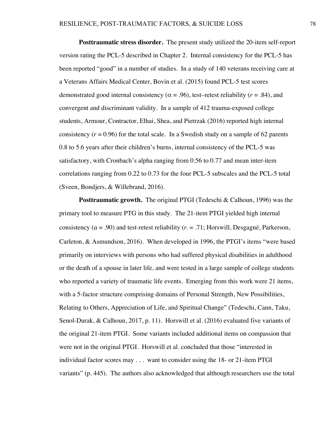**Posttraumatic stress disorder.** The present study utilized the 20-item self-report version rating the PCL-5 described in Chapter 2. Internal consistency for the PCL-5 has been reported "good" in a number of studies. In a study of 140 veterans receiving care at a Veterans Affairs Medical Center, Bovin et al. (2015) found PCL-5 test scores demonstrated good internal consistency ( $\alpha = .96$ ), test–retest reliability ( $r = .84$ ), and convergent and discriminant validity. In a sample of 412 trauma-exposed college students, Armour, Contractor, Elhai, Shea, and Pietrzak (2016) reported high internal consistency  $(r = 0.96)$  for the total scale. In a Swedish study on a sample of 62 parents 0.8 to 5.6 years after their children's burns, internal consistency of the PCL-5 was satisfactory, with Cronbach's alpha ranging from 0.56 to 0.77 and mean inter-item correlations ranging from 0.22 to 0.73 for the four PCL-5 subscales and the PCL-5 total (Sveen, Bondjers, & Willebrand, 2016).

**Posttraumatic growth.** The original PTGI (Tedeschi & Calhoun, 1996) was the primary tool to measure PTG in this study. The 21-item PTGI yielded high internal consistency  $(a = .90)$  and test-retest reliability  $(r<sub>i</sub> = .71; Horswill, Degagné, Parkerson,$ Carleton, & Asmundson, 2016). When developed in 1996, the PTGI's items "were based primarily on interviews with persons who had suffered physical disabilities in adulthood or the death of a spouse in later life, and were tested in a large sample of college students who reported a variety of traumatic life events. Emerging from this work were 21 items, with a 5-factor structure comprising domains of Personal Strength, New Possibilities, Relating to Others, Appreciation of Life, and Spiritual Change" (Tedeschi, Cann, Taku, Senol-Durak, & Calhoun, 2017, p. 11). Horswill et al. (2016) evaluated five variants of the original 21-item PTGI. Some variants included additional items on compassion that were not in the original PTGI. Horswill et al. concluded that those "interested in individual factor scores may . . . want to consider using the 18- or 21-item PTGI variants" (p. 445). The authors also acknowledged that although researchers use the total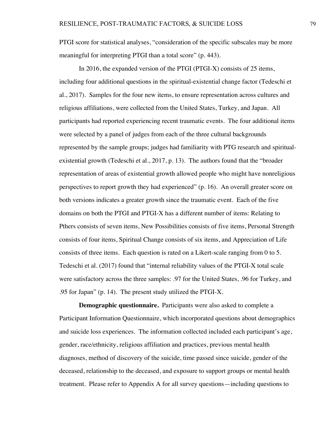PTGI score for statistical analyses, "consideration of the specific subscales may be more meaningful for interpreting PTGI than a total score" (p. 443).

In 2016, the expanded version of the PTGI (PTGI-X) consists of 25 items, including four additional questions in the spiritual-existential change factor (Tedeschi et al., 2017). Samples for the four new items, to ensure representation across cultures and religious affiliations, were collected from the United States, Turkey, and Japan. All participants had reported experiencing recent traumatic events. The four additional items were selected by a panel of judges from each of the three cultural backgrounds represented by the sample groups; judges had familiarity with PTG research and spiritualexistential growth (Tedeschi et al., 2017, p. 13). The authors found that the "broader representation of areas of existential growth allowed people who might have nonreligious perspectives to report growth they had experienced" (p. 16). An overall greater score on both versions indicates a greater growth since the traumatic event. Each of the five domains on both the PTGI and PTGI-X has a different number of items: Relating to Pthers consists of seven items, New Possibilities consists of five items, Personal Strength consists of four items, Spiritual Change consists of six items, and Appreciation of Life consists of three items. Each question is rated on a Likert-scale ranging from 0 to 5. Tedeschi et al. (2017) found that "internal reliability values of the PTGI-X total scale were satisfactory across the three samples: .97 for the United States, .96 for Turkey, and .95 for Japan" (p. 14). The present study utilized the PTGI-X.

**Demographic questionnaire.** Participants were also asked to complete a Participant Information Questionnaire, which incorporated questions about demographics and suicide loss experiences. The information collected included each participant's age, gender, race/ethnicity, religious affiliation and practices, previous mental health diagnoses, method of discovery of the suicide, time passed since suicide, gender of the deceased, relationship to the deceased, and exposure to support groups or mental health treatment. Please refer to Appendix A for all survey questions—including questions to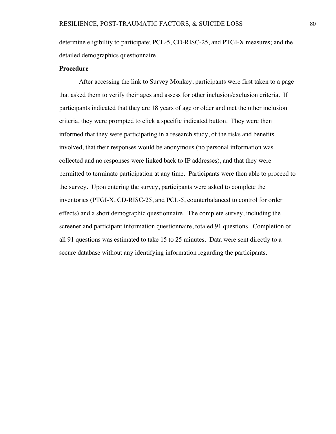determine eligibility to participate; PCL-5, CD-RISC-25, and PTGI-X measures; and the detailed demographics questionnaire.

## **Procedure**

After accessing the link to Survey Monkey, participants were first taken to a page that asked them to verify their ages and assess for other inclusion/exclusion criteria. If participants indicated that they are 18 years of age or older and met the other inclusion criteria, they were prompted to click a specific indicated button. They were then informed that they were participating in a research study, of the risks and benefits involved, that their responses would be anonymous (no personal information was collected and no responses were linked back to IP addresses), and that they were permitted to terminate participation at any time. Participants were then able to proceed to the survey. Upon entering the survey, participants were asked to complete the inventories (PTGI-X, CD-RISC-25, and PCL-5, counterbalanced to control for order effects) and a short demographic questionnaire. The complete survey, including the screener and participant information questionnaire, totaled 91 questions. Completion of all 91 questions was estimated to take 15 to 25 minutes. Data were sent directly to a secure database without any identifying information regarding the participants.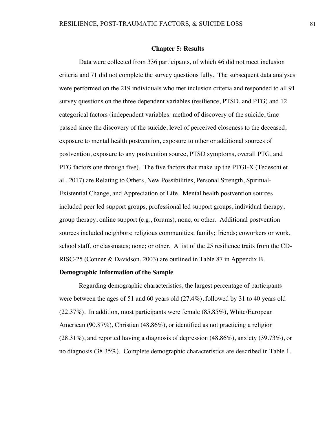### **Chapter 5: Results**

Data were collected from 336 participants, of which 46 did not meet inclusion criteria and 71 did not complete the survey questions fully. The subsequent data analyses were performed on the 219 individuals who met inclusion criteria and responded to all 91 survey questions on the three dependent variables (resilience, PTSD, and PTG) and 12 categorical factors (independent variables: method of discovery of the suicide, time passed since the discovery of the suicide, level of perceived closeness to the deceased, exposure to mental health postvention, exposure to other or additional sources of postvention, exposure to any postvention source, PTSD symptoms, overall PTG, and PTG factors one through five). The five factors that make up the PTGI-X (Tedeschi et al., 2017) are Relating to Others, New Possibilities, Personal Strength, Spiritual-Existential Change, and Appreciation of Life. Mental health postvention sources included peer led support groups, professional led support groups, individual therapy, group therapy, online support (e.g., forums), none, or other. Additional postvention sources included neighbors; religious communities; family; friends; coworkers or work, school staff, or classmates; none; or other. A list of the 25 resilience traits from the CD-RISC-25 (Conner & Davidson, 2003) are outlined in Table 87 in Appendix B.

## **Demographic Information of the Sample**

Regarding demographic characteristics, the largest percentage of participants were between the ages of 51 and 60 years old (27.4%), followed by 31 to 40 years old (22.37%). In addition, most participants were female (85.85%), White/European American (90.87%), Christian (48.86%), or identified as not practicing a religion (28.31%), and reported having a diagnosis of depression (48.86%), anxiety (39.73%), or no diagnosis (38.35%). Complete demographic characteristics are described in Table 1.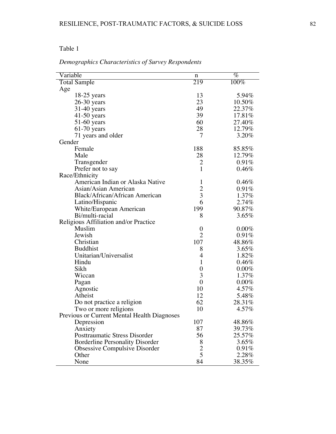## Table 1

# *Demographics Characteristics of Survey Respondents*

| Variable                                    | n                | $\%$     |
|---------------------------------------------|------------------|----------|
| <b>Total Sample</b>                         | 219              | $100\%$  |
| Age                                         |                  |          |
| 18-25 years                                 | 13               | 5.94%    |
| 26-30 years                                 | 23               | 10.50%   |
| $31-40$ years                               | 49               | 22.37%   |
| $41-50$ years                               | 39               | 17.81%   |
| $51-60$ years                               | 60               | 27.40%   |
| $61-70$ years                               | 28               | 12.79%   |
| 71 years and older                          | 7                | 3.20%    |
| Gender                                      |                  |          |
| Female                                      | 188              | 85.85%   |
| Male                                        | 28               | 12.79%   |
| Transgender                                 | 2                | 0.91%    |
| Prefer not to say                           | $\mathbf{1}$     | 0.46%    |
| Race/Ethnicity                              |                  |          |
| American Indian or Alaska Native            | 1                | 0.46%    |
| Asian/Asian American                        | $\overline{2}$   | 0.91%    |
| Black/African/African American              | 3                | 1.37%    |
| Latino/Hispanic                             | 6                | 2.74%    |
| White/European American                     | 199              | 90.87%   |
| Bi/multi-racial                             | 8                | 3.65%    |
| Religious Affiliation and/or Practice       |                  |          |
| Muslim                                      | $\boldsymbol{0}$ | $0.00\%$ |
| Jewish                                      | $\overline{2}$   | 0.91%    |
| Christian                                   | 107              | 48.86%   |
| <b>Buddhist</b>                             | 8                | $3.65\%$ |
| Unitarian/Universalist                      | 4                | 1.82%    |
| Hindu                                       | $\mathbf{1}$     | 0.46%    |
| Sikh                                        | $\boldsymbol{0}$ | $0.00\%$ |
| Wiccan                                      | 3                | 1.37%    |
| Pagan                                       | $\boldsymbol{0}$ | $0.00\%$ |
| Agnostic                                    | 10               | 4.57%    |
| Atheist                                     | 12               | 5.48%    |
| Do not practice a religion                  | 62               | 28.31%   |
| Two or more religions                       | 10               | 4.57%    |
| Previous or Current Mental Health Diagnoses |                  |          |
| Depression                                  | 107              | 48.86%   |
| Anxiety                                     | 87               | 39.73%   |
| <b>Posttraumatic Stress Disorder</b>        | 56               | 25.57%   |
| <b>Borderline Personality Disorder</b>      | 8                | 3.65%    |
| Obsessive Compulsive Disorder               |                  | 0.91%    |
| Other                                       | $rac{2}{5}$      | 2.28%    |
| None                                        | 84               | 38.35%   |
|                                             |                  |          |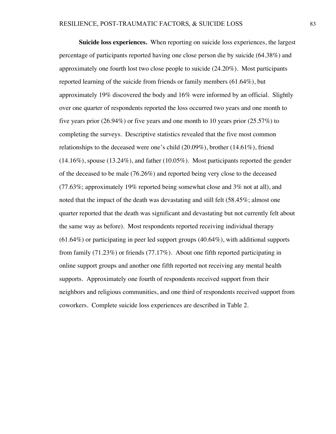**Suicide loss experiences.** When reporting on suicide loss experiences, the largest percentage of participants reported having one close person die by suicide (64.38%) and approximately one fourth lost two close people to suicide (24.20%). Most participants reported learning of the suicide from friends or family members (61.64%), but approximately 19% discovered the body and 16% were informed by an official. Slightly over one quarter of respondents reported the loss occurred two years and one month to five years prior (26.94%) or five years and one month to 10 years prior (25.57%) to completing the surveys. Descriptive statistics revealed that the five most common relationships to the deceased were one's child (20.09%), brother (14.61%), friend  $(14.16\%)$ , spouse  $(13.24\%)$ , and father  $(10.05\%)$ . Most participants reported the gender of the deceased to be male (76.26%) and reported being very close to the deceased (77.63%; approximately 19% reported being somewhat close and 3% not at all), and noted that the impact of the death was devastating and still felt (58.45%; almost one quarter reported that the death was significant and devastating but not currently felt about the same way as before). Most respondents reported receiving individual therapy (61.64%) or participating in peer led support groups (40.64%), with additional supports from family (71.23%) or friends (77.17%). About one fifth reported participating in online support groups and another one fifth reported not receiving any mental health supports. Approximately one fourth of respondents received support from their neighbors and religious communities, and one third of respondents received support from coworkers. Complete suicide loss experiences are described in Table 2.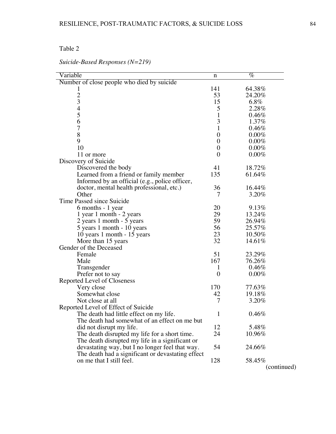| abie |  |
|------|--|
|------|--|

| Variable                                          | n                | $\%$                     |
|---------------------------------------------------|------------------|--------------------------|
| Number of close people who died by suicide        |                  |                          |
| 1                                                 | 141              | 64.38%                   |
| $rac{2}{3}$                                       | 53               | 24.20%                   |
|                                                   | 15               | 6.8%                     |
| $rac{4}{5}$                                       | 5                | 2.28%                    |
|                                                   | $\mathbf{1}$     | 0.46%                    |
| 6                                                 | 3                | 1.37%                    |
| $\overline{7}$                                    | $\mathbf{1}$     | 0.46%                    |
| 8                                                 | $\boldsymbol{0}$ | $0.00\%$                 |
| 9                                                 | $\boldsymbol{0}$ | $0.00\%$                 |
| 10                                                | $\boldsymbol{0}$ | $0.00\%$                 |
| 11 or more                                        | $\overline{0}$   | $0.00\%$                 |
| Discovery of Suicide                              |                  |                          |
| Discovered the body                               | 41               | 18.72%                   |
| Learned from a friend or family member            | 135              | 61.64%                   |
| Informed by an official (e.g., police officer,    |                  |                          |
| doctor, mental health professional, etc.)         | 36               | 16.44%                   |
| Other                                             | 7                | 3.20%                    |
| Time Passed since Suicide                         |                  |                          |
| 6 months - 1 year                                 | 20               | 9.13%                    |
| 1 year 1 month - 2 years                          | 29               | 13.24%                   |
| 2 years 1 month - 5 years                         | 59               | 26.94%                   |
| 5 years 1 month - 10 years                        | 56               | 25.57%                   |
| 10 years 1 month - 15 years                       | 23               | 10.50%                   |
| More than 15 years                                | 32               | 14.61%                   |
| Gender of the Deceased                            |                  |                          |
| Female                                            | 51               | 23.29%                   |
| Male                                              | 167              | 76.26%                   |
| Transgender                                       | 1                | 0.46%                    |
| Prefer not to say                                 | $\overline{0}$   | $0.00\%$                 |
| Reported Level of Closeness                       |                  |                          |
| Very close                                        | 170              | 77.63%                   |
| Somewhat close                                    | 42               | 19.18%                   |
| Not close at all                                  | 7                | 3.20%                    |
|                                                   |                  |                          |
| Reported Level of Effect of Suicide               |                  |                          |
| The death had little effect on my life.           | 1                | 0.46%                    |
| The death had somewhat of an effect on me but     |                  |                          |
| did not disrupt my life.                          | 12               | 5.48%                    |
| The death disrupted my life for a short time.     | 24               | 10.96%                   |
| The death disrupted my life in a significant or   |                  |                          |
| devastating way, but I no longer feel that way.   | 54               | 24.66%                   |
| The death had a significant or devastating effect |                  |                          |
| on me that I still feel.                          | 128              | 58.45%<br>$\int$ continu |
|                                                   |                  |                          |

*Suicide-Based Responses (N=219)*

(continued)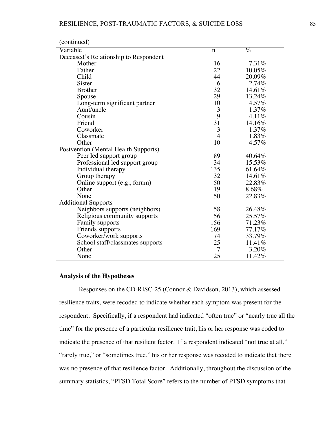| (continued)                           |                |        |
|---------------------------------------|----------------|--------|
| Variable                              | $\mathbf n$    | $\%$   |
| Deceased's Relationship to Respondent |                |        |
| Mother                                | 16             | 7.31%  |
| Father                                | 22             | 10.05% |
| Child                                 | 44             | 20.09% |
| Sister                                | 6              | 2.74%  |
| <b>Brother</b>                        | 32             | 14.61% |
| Spouse                                | 29             | 13.24% |
| Long-term significant partner         | 10             | 4.57%  |
| Aunt/uncle                            | 3              | 1.37%  |
| Cousin                                | 9              | 4.11%  |
| Friend                                | 31             | 14.16% |
| Coworker                              | 3              | 1.37%  |
| Classmate                             | $\overline{4}$ | 1.83%  |
| Other                                 | 10             | 4.57%  |
| Postvention (Mental Health Supports)  |                |        |
| Peer led support group                | 89             | 40.64% |
| Professional led support group        | 34             | 15.53% |
| Individual therapy                    | 135            | 61.64% |
| Group therapy                         | 32             | 14.61% |
| Online support (e.g., forum)          | 50             | 22.83% |
| Other                                 | 19             | 8.68%  |
| None                                  | 50             | 22.83% |
| <b>Additional Supports</b>            |                |        |
| Neighbors supports (neighbors)        | 58             | 26.48% |
| Religious community supports          | 56             | 25.57% |
| Family supports                       | 156            | 71.23% |
| Friends supports                      | 169            | 77.17% |
| Coworker/work supports                | 74             | 33.79% |
| School staff/classmates supports      | 25             | 11.41% |
| Other                                 | 7              | 3.20%  |
| None                                  | 25             | 11.42% |

## **Analysis of the Hypotheses**

Responses on the CD-RISC-25 (Connor & Davidson, 2013), which assessed resilience traits, were recoded to indicate whether each symptom was present for the respondent. Specifically, if a respondent had indicated "often true" or "nearly true all the time" for the presence of a particular resilience trait, his or her response was coded to indicate the presence of that resilient factor. If a respondent indicated "not true at all," "rarely true," or "sometimes true," his or her response was recoded to indicate that there was no presence of that resilience factor. Additionally, throughout the discussion of the summary statistics, "PTSD Total Score" refers to the number of PTSD symptoms that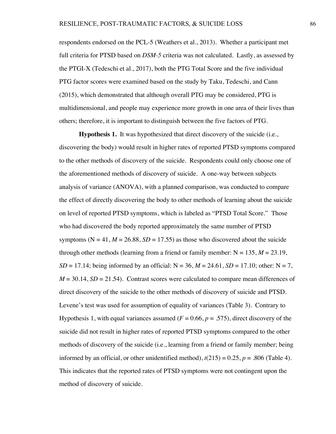respondents endorsed on the PCL-5 (Weathers et al., 2013). Whether a participant met full criteria for PTSD based on *DSM-5* criteria was not calculated. Lastly, as assessed by the PTGI-X (Tedeschi et al., 2017), both the PTG Total Score and the five individual PTG factor scores were examined based on the study by Taku, Tedeschi, and Cann (2015), which demonstrated that although overall PTG may be considered, PTG is multidimensional, and people may experience more growth in one area of their lives than others; therefore, it is important to distinguish between the five factors of PTG.

**Hypothesis 1.** It was hypothesized that direct discovery of the suicide (i.e., discovering the body) would result in higher rates of reported PTSD symptoms compared to the other methods of discovery of the suicide. Respondents could only choose one of the aforementioned methods of discovery of suicide. A one-way between subjects analysis of variance (ANOVA), with a planned comparison, was conducted to compare the effect of directly discovering the body to other methods of learning about the suicide on level of reported PTSD symptoms, which is labeled as "PTSD Total Score." Those who had discovered the body reported approximately the same number of PTSD symptoms ( $N = 41$ ,  $M = 26.88$ ,  $SD = 17.55$ ) as those who discovered about the suicide through other methods (learning from a friend or family member:  $N = 135, M = 23.19$ , *SD* = 17.14; being informed by an official:  $N = 36$ ,  $M = 24.61$ ,  $SD = 17.10$ ; other:  $N = 7$ ,  $M = 30.14$ ,  $SD = 21.54$ ). Contrast scores were calculated to compare mean differences of direct discovery of the suicide to the other methods of discovery of suicide and PTSD. Levene's test was used for assumption of equality of variances (Table 3). Contrary to Hypothesis 1, with equal variances assumed  $(F = 0.66, p = .575)$ , direct discovery of the suicide did not result in higher rates of reported PTSD symptoms compared to the other methods of discovery of the suicide (i.e., learning from a friend or family member; being informed by an official, or other unidentified method),  $t(215) = 0.25$ ,  $p = .806$  (Table 4). This indicates that the reported rates of PTSD symptoms were not contingent upon the method of discovery of suicide.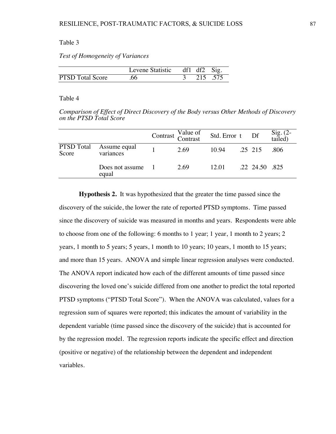## Table 3

*Test of Homogeneity of Variances*

|                         | Levene Statistic df1 df2 Sig. |         |  |
|-------------------------|-------------------------------|---------|--|
| <b>PTSD Total Score</b> | .66                           | 215 575 |  |

#### Table 4

*Comparison of Effect of Direct Discovery of the Body versus Other Methods of Discovery on the PTSD Total Score*

|                     |                           | Contrast Value of<br>Contrast | Std. Error t Df |                | $Sig. (2 -$<br>tailed) |
|---------------------|---------------------------|-------------------------------|-----------------|----------------|------------------------|
| PTSD Total<br>Score | Assume equal<br>variances | 2.69                          | 10.94           | .25 215        | .806                   |
|                     | Does not assume<br>equal  | 2.69                          | 12.01           | .22 24.50 .825 |                        |

**Hypothesis 2.** It was hypothesized that the greater the time passed since the discovery of the suicide, the lower the rate of reported PTSD symptoms. Time passed since the discovery of suicide was measured in months and years. Respondents were able to choose from one of the following: 6 months to 1 year; 1 year, 1 month to 2 years; 2 years, 1 month to 5 years; 5 years, 1 month to 10 years; 10 years, 1 month to 15 years; and more than 15 years. ANOVA and simple linear regression analyses were conducted. The ANOVA report indicated how each of the different amounts of time passed since discovering the loved one's suicide differed from one another to predict the total reported PTSD symptoms ("PTSD Total Score"). When the ANOVA was calculated, values for a regression sum of squares were reported; this indicates the amount of variability in the dependent variable (time passed since the discovery of the suicide) that is accounted for by the regression model. The regression reports indicate the specific effect and direction (positive or negative) of the relationship between the dependent and independent variables.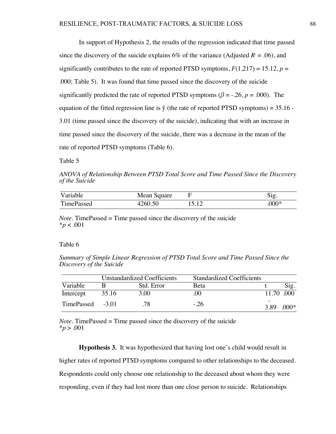In support of Hypothesis 2, the results of the regression indicated that time passed since the discovery of the suicide explains 6% of the variance (Adjusted  $R<sup>2</sup> = .06$ ), and significantly contributes to the rate of reported PTSD symptoms,  $F(1,217) = 15.12$ ,  $p =$ .000; Table 5). It was found that time passed since the discovery of the suicide significantly predicted the rate of reported PTSD symptoms ( $\beta$  = -.26, *p* = .000). The equation of the fitted regression line is  $\hat{y}$  (the rate of reported PTSD symptoms) = 35.16 -3.01 (time passed since the discovery of the suicide), indicating that with an increase in time passed since the discovery of the suicide, there was a decrease in the mean of the rate of reported PTSD symptoms (Table 6).

Table 5

*ANOVA of Relationship Between PTSD Total Score and Time Passed Since the Discovery of the Suicide*

| Variable          | Mean Square |         |
|-------------------|-------------|---------|
| <b>TimePassed</b> | 260 50      | $.000*$ |

*Note*. TimePassed = Time passed since the discovery of the suicide  $*_{p}$  < .001

Table 6

*Summary of Simple Linear Regression of PTSD Total Score and Time Passed Since the Discovery of the Suicide*

|                  |       | Unstandardized Coefficients | <b>Standardized Coefficients</b> |               |
|------------------|-------|-----------------------------|----------------------------------|---------------|
| Variable         |       | Std. Error                  | Beta                             | Sig.          |
| Intercept        | 35.16 | 3.00                        | OO.                              | 11.70 000     |
| TimePassed -3.01 |       | .78                         | $-.26$                           | 3.89 .000 $*$ |

*Note*. TimePassed = Time passed since the discovery of the suicide  $*_{p} > .001$ 

**Hypothesis 3***.* It was hypothesized that having lost one's child would result in higher rates of reported PTSD symptoms compared to other relationships to the deceased. Respondents could only choose one relationship to the deceased about whom they were responding, even if they had lost more than one close person to suicide. Relationships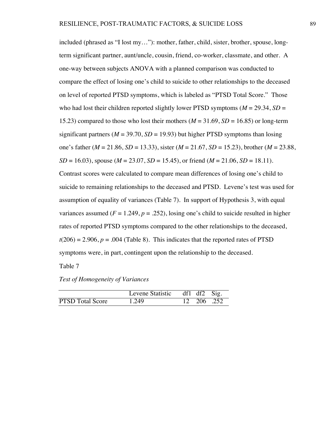included (phrased as "I lost my…"): mother, father, child, sister, brother, spouse, longterm significant partner, aunt/uncle, cousin, friend, co-worker, classmate, and other. A one-way between subjects ANOVA with a planned comparison was conducted to compare the effect of losing one's child to suicide to other relationships to the deceased on level of reported PTSD symptoms, which is labeled as "PTSD Total Score." Those who had lost their children reported slightly lower PTSD symptoms  $(M = 29.34, SD =$ 15.23) compared to those who lost their mothers ( $M = 31.69$ ,  $SD = 16.85$ ) or long-term significant partners ( $M = 39.70$ ,  $SD = 19.93$ ) but higher PTSD symptoms than losing one's father (*M* = 21.86, *SD* = 13.33), sister (*M* = 21.67, *SD* = 15.23), brother (*M* = 23.88,  $SD = 16.03$ , spouse  $(M = 23.07, SD = 15.45)$ , or friend  $(M = 21.06, SD = 18.11)$ . Contrast scores were calculated to compare mean differences of losing one's child to suicide to remaining relationships to the deceased and PTSD. Levene's test was used for assumption of equality of variances (Table 7). In support of Hypothesis 3, with equal variances assumed  $(F = 1.249, p = .252)$ , losing one's child to suicide resulted in higher rates of reported PTSD symptoms compared to the other relationships to the deceased,  $t(206) = 2.906$ ,  $p = .004$  (Table 8). This indicates that the reported rates of PTSD symptoms were, in part, contingent upon the relationship to the deceased.

Table 7

*Test of Homogeneity of Variances*

|                         | Levene Statistic | df1 df2 Sig. |            |
|-------------------------|------------------|--------------|------------|
| <b>PTSD Total Score</b> | 1.249            |              | 12 206 252 |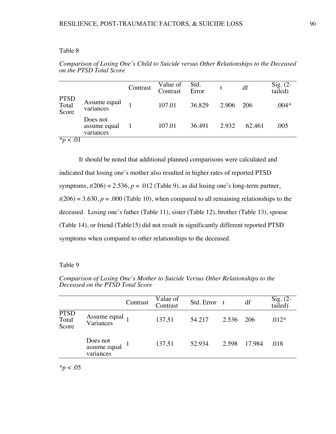## Table 8

|                        |                                       | Contrast | Value of<br>Contrast | Std.<br>Error |       | df     | Sig. (2-<br>tailed) |
|------------------------|---------------------------------------|----------|----------------------|---------------|-------|--------|---------------------|
| PTSD<br>Total<br>Score | Assume equal<br>variances             |          | 107.01               | 36.829        | 2.906 | 206    | $.004*$             |
|                        | Does not<br>assume equal<br>variances |          | 107.01               | 36.491        | 2.932 | 62.461 | .005                |
| $\frac{1}{2}p < 0.01$  |                                       |          |                      |               |       |        |                     |

*Comparison of Losing One's Child to Suicide versus Other Relationships to the Deceased on the PTSD Total Score*

It should be noted that additional planned comparisons were calculated and indicated that losing one's mother also resulted in higher rates of reported PTSD symptoms,  $t(206) = 2.536$ ,  $p = .012$  (Table 9), as did losing one's long-term partner,  $t(206) = 3.630, p = .000$  (Table 10), when compared to all remaining relationships to the deceased. Losing one's father (Table 11), sister (Table 12), brother (Table 13), spouse (Table 14), or friend (Table15) did not result in significantly different reported PTSD symptoms when compared to other relationships to the deceased.

### Table 9

|                               |                                       | Contrast | Value of<br>Contrast | Std. Error t |       | df     | Sig. (2-<br>tailed) |
|-------------------------------|---------------------------------------|----------|----------------------|--------------|-------|--------|---------------------|
| <b>PTSD</b><br>Total<br>Score | Assume equal<br>Variances             |          | 137.51               | 54.217       | 2.536 | 206    | $.012*$             |
|                               | Does not<br>assume equal<br>variances |          | 137.51               | 52.934       | 2.598 | 17.984 | .018                |

*Comparison of Losing One's Mother to Suicide Versus Other Relationships to the Deceased on the PTSD Total Score*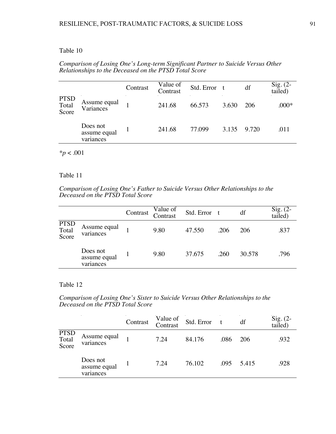## Table 10

## *Comparison of Losing One's Long-term Significant Partner to Suicide Versus Other Relationships to the Deceased on the PTSD Total Score*

|                        |                                       | Contrast | Value of<br>Contrast | Std. Error t |       | df    | $Sig. (2-$<br>tailed) |
|------------------------|---------------------------------------|----------|----------------------|--------------|-------|-------|-----------------------|
| PTSD<br>Total<br>Score | Assume equal<br>Variances             |          | 241.68               | 66.573       | 3.630 | 206   | $.000*$               |
|                        | Does not<br>assume equal<br>variances |          | 241.68               | 77.099       | 3.135 | 9.720 | .011                  |

*\*p* < .001

## Table 11

*Comparison of Losing One's Father to Suicide Versus Other Relationships to the Deceased on the PTSD Total Score*

|                        |                                       | Contrast | Value of<br>Contrast | Std. Error |      | df     | $Sig. (2-$<br>tailed) |
|------------------------|---------------------------------------|----------|----------------------|------------|------|--------|-----------------------|
| PTSD<br>Total<br>Score | Assume equal<br>variances             |          | 9.80                 | 47.550     | .206 | 206    | .837                  |
|                        | Does not<br>assume equal<br>variances |          | 9.80                 | 37.675     | .260 | 30.578 | .796                  |

## Table 12

*Comparison of Losing One's Sister to Suicide Versus Other Relationships to the Deceased on the PTSD Total Score*

|                        |                                       | Contrast | Value of<br>Contrast | Std. Error |      | df    | $Sig. (2-$<br>tailed) |
|------------------------|---------------------------------------|----------|----------------------|------------|------|-------|-----------------------|
| PTSD<br>Total<br>Score | Assume equal<br>variances             |          | 7.24                 | 84.176     | .086 | 206   | .932                  |
|                        | Does not<br>assume equal<br>variances |          | 7.24                 | 76.102     | .095 | 5.415 | .928                  |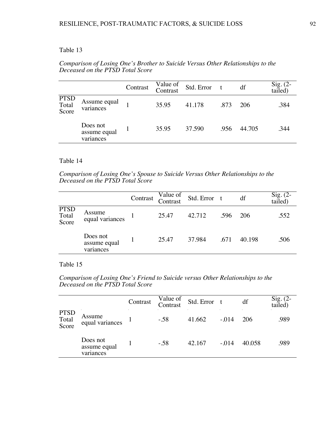|                        |                                       | Contrast | Value of<br>Contrast | Std. Error |      | df     | $Sig. (2-$<br>tailed) |
|------------------------|---------------------------------------|----------|----------------------|------------|------|--------|-----------------------|
| PTSD<br>Total<br>Score | Assume equal<br>variances             |          | 35.95                | 41.178     | .873 | 206    | .384                  |
|                        | Does not<br>assume equal<br>variances |          | 35.95                | 37.590     | .956 | 44.705 | .344                  |

## *Comparison of Losing One's Brother to Suicide Versus Other Relationships to the Deceased on the PTSD Total Score*

# Table 14

*Comparison of Losing One's Spouse to Suicide Versus Other Relationships to the Deceased on the PTSD Total Score*

|                               |                                       | Contrast | Value of<br>Contrast | Std. Error t |      | df     | Sig. (2-<br>tailed) |
|-------------------------------|---------------------------------------|----------|----------------------|--------------|------|--------|---------------------|
| <b>PTSD</b><br>Total<br>Score | Assume<br>equal variances             |          | 25.47                | 42.712       | .596 | -206   | .552                |
|                               | Does not<br>assume equal<br>variances |          | 25.47                | 37.984       | .671 | 40.198 | .506                |

# Table 15

*Comparison of Losing One's Friend to Suicide versus Other Relationships to the Deceased on the PTSD Total Score*

|                        |                                       | Contrast | Value of<br>Contrast | Std. Error t |          | df     | Sig. (2-<br>tailed) |
|------------------------|---------------------------------------|----------|----------------------|--------------|----------|--------|---------------------|
| PTSD<br>Total<br>Score | Assume<br>equal variances             |          | $-.58$               | 41.662       | $-0.014$ | 206    | .989                |
|                        | Does not<br>assume equal<br>variances |          | $-.58$               | 42.167       | $-.014$  | 40.058 | .989                |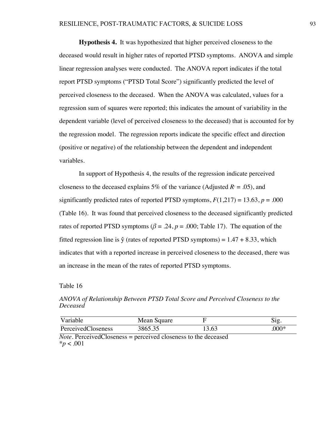**Hypothesis 4.** It was hypothesized that higher perceived closeness to the deceased would result in higher rates of reported PTSD symptoms. ANOVA and simple linear regression analyses were conducted. The ANOVA report indicates if the total report PTSD symptoms ("PTSD Total Score") significantly predicted the level of perceived closeness to the deceased. When the ANOVA was calculated, values for a regression sum of squares were reported; this indicates the amount of variability in the dependent variable (level of perceived closeness to the deceased) that is accounted for by the regression model. The regression reports indicate the specific effect and direction (positive or negative) of the relationship between the dependent and independent variables.

In support of Hypothesis 4, the results of the regression indicate perceived closeness to the deceased explains 5% of the variance (Adjusted  $R<sup>2</sup> = .05$ ), and significantly predicted rates of reported PTSD symptoms,  $F(1,217) = 13.63$ ,  $p = .000$ (Table 16). It was found that perceived closeness to the deceased significantly predicted rates of reported PTSD symptoms ( $\beta = .24$ ,  $p = .000$ ; Table 17). The equation of the fitted regression line is  $\hat{y}$  (rates of reported PTSD symptoms) = 1.47 + 8.33, which indicates that with a reported increase in perceived closeness to the deceased, there was an increase in the mean of the rates of reported PTSD symptoms.

#### Table 16

*ANOVA of Relationship Between PTSD Total Score and Perceived Closeness to the Deceased*

| Variable           | Mean Square |       |      |
|--------------------|-------------|-------|------|
| PerceivedCloseness | 3865.35     | 13.63 | 000* |

*Note.* PerceivedCloseness = perceived closeness to the deceased  $*<sub>p</sub> < .001$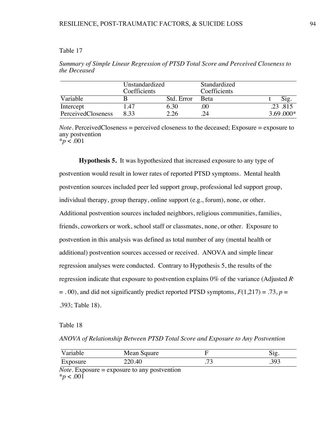| Summary of Simple Linear Regression of PTSD Total Score and Perceived Closeness to |  |  |
|------------------------------------------------------------------------------------|--|--|
| the Deceased                                                                       |  |  |

|                    | Unstandardized<br>Coefficients |            | Standardized<br>Coefficients |             |
|--------------------|--------------------------------|------------|------------------------------|-------------|
| Variable           |                                | Std. Error | <b>Beta</b>                  |             |
| Intercept          | l .47                          | 6.30       | 00                           | .23 .815    |
| PerceivedCloseness | 8.33                           | 2.26       | 24                           | $3.69.000*$ |

*Note*. PerceivedCloseness = perceived closeness to the deceased; Exposure = exposure to any postvention \**p* < .001

**Hypothesis 5.** It was hypothesized that increased exposure to any type of postvention would result in lower rates of reported PTSD symptoms. Mental health postvention sources included peer led support group, professional led support group, individual therapy, group therapy, online support (e.g., forum), none, or other. Additional postvention sources included neighbors, religious communities, families, friends, coworkers or work, school staff or classmates, none, or other. Exposure to postvention in this analysis was defined as total number of any (mental health or additional) postvention sources accessed or received. ANOVA and simple linear regression analyses were conducted. Contrary to Hypothesis 5, the results of the regression indicate that exposure to postvention explains 0% of the variance (Adjusted *R2*  $=$  . 00), and did not significantly predict reported PTSD symptoms,  $F(1,217) = .73$ ,  $p =$ .393; Table 18).

Table 18

| ANOVA of Relationship Between PTSD Total Score and Exposure to Any Postvention |  |
|--------------------------------------------------------------------------------|--|
|--------------------------------------------------------------------------------|--|

| Variable | Mean Square |                                            | 512  |
|----------|-------------|--------------------------------------------|------|
| Exposure | 1.40<br>∩רי | $\overline{\phantom{a}}$<br>$\cdot$ $\sim$ | .393 |

*Note.* Exposure = exposure to any postvention  $*_{p}$  < .001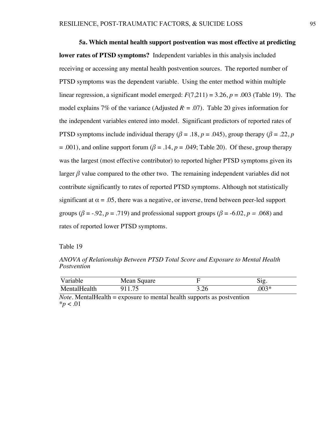**5a. Which mental health support postvention was most effective at predicting lower rates of PTSD symptoms?** Independent variables in this analysis included receiving or accessing any mental health postvention sources. The reported number of PTSD symptoms was the dependent variable. Using the enter method within multiple linear regression, a significant model emerged: *F*(7,211) = 3.26, *p* = .003 (Table 19). The model explains 7% of the variance (Adjusted  $R<sup>2</sup> = .07$ ). Table 20 gives information for the independent variables entered into model. Significant predictors of reported rates of PTSD symptoms include individual therapy ( $\beta$  = .18, *p* = .045), group therapy ( $\beta$  = .22, *p*  $= .001$ ), and online support forum ( $\beta = .14$ ,  $p = .049$ ; Table 20). Of these, group therapy was the largest (most effective contributor) to reported higher PTSD symptoms given its larger  $\beta$  value compared to the other two. The remaining independent variables did not contribute significantly to rates of reported PTSD symptoms. Although not statistically significant at  $\alpha = 0.05$ , there was a negative, or inverse, trend between peer-led support groups ( $\beta$  = -.92,  $p = .719$ ) and professional support groups ( $\beta$  = -6.02,  $p = .068$ ) and rates of reported lower PTSD symptoms.

Table 19

*ANOVA of Relationship Between PTSD Total Score and Exposure to Mental Health Postvention*

| Variable     | Mean Square |     | $\mathrm{Sig.}$ |
|--------------|-------------|-----|-----------------|
| MentalHealth |             | .26 | $.003*$         |

 $\overline{Note}$ . MentalHealth = exposure to mental health supports as postvention  $*_{p}$  < .01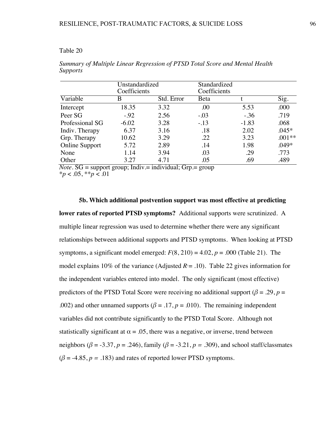|                                        | Unstandardized<br>Coefficients |                                           | Standardized<br>Coefficients |         |          |
|----------------------------------------|--------------------------------|-------------------------------------------|------------------------------|---------|----------|
| Variable                               | В                              | Std. Error                                | Beta                         |         | Sig.     |
| Intercept                              | 18.35                          | 3.32                                      | .00                          | 5.53    | .000     |
| Peer SG                                | $-.92$                         | 2.56                                      | $-.03$                       | $-.36$  | .719     |
| Professional SG                        | $-6.02$                        | 3.28                                      | $-.13$                       | $-1.83$ | .068     |
| Indiv. Therapy                         | 6.37                           | 3.16                                      | .18                          | 2.02    | $.045*$  |
| Grp. Therapy                           | 10.62                          | 3.29                                      | .22                          | 3.23    | $.001**$ |
| <b>Online Support</b>                  | 5.72                           | 2.89                                      | .14                          | 1.98    | .049*    |
| None                                   | 1.14                           | 3.94                                      | .03                          | .29     | .773     |
| Other<br>$\overline{M}$ $\overline{M}$ | 3.27<br>$\mathbf{1}$           | 4.71<br>$1! \cdot 1 \cdot 1 \cdot \alpha$ | .05                          | .69     | .489     |

*Summary of Multiple Linear Regression of PTSD Total Score and Mental Health Supports*

*Note*.  $SG = support group$ ; Indiv.= individual;  $Grp = group$ 

\**p* < .05, \*\**p* < .01

**5b. Which additional postvention support was most effective at predicting lower rates of reported PTSD symptoms?** Additional supports were scrutinized. A multiple linear regression was used to determine whether there were any significant relationships between additional supports and PTSD symptoms. When looking at PTSD symptoms, a significant model emerged:  $F(8, 210) = 4.02$ ,  $p = .000$  (Table 21). The model explains 10% of the variance (Adjusted  $R = 0.10$ ). Table 22 gives information for the independent variables entered into model. The only significant (most effective) predictors of the PTSD Total Score were receiving no additional support ( $\beta = .29$ ,  $p =$ .002) and other unnamed supports ( $\beta = .17$ ,  $p = .010$ ). The remaining independent variables did not contribute significantly to the PTSD Total Score. Although not statistically significant at  $\alpha = .05$ , there was a negative, or inverse, trend between neighbors ( $\beta$  = -3.37, *p* = .246), family ( $\beta$  = -3.21, *p* = .309), and school staff/classmates  $(\beta = -4.85, p = .183)$  and rates of reported lower PTSD symptoms.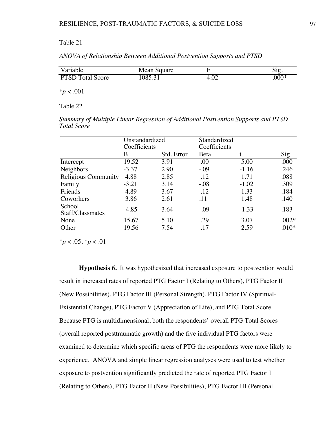| Variable    | Mean Square |            | S12.    |
|-------------|-------------|------------|---------|
| PTSD To     | .085.37     | <u>д</u> 1 | $.000*$ |
| Total Score | ' .J 1      | г.∪∠       |         |

\**p* < .001

Table 22

*Summary of Multiple Linear Regression of Additional Postvention Supports and PTSD Total Score*

|                            | Unstandardized<br>Coefficients |            | Standardized<br>Coefficients |         |         |
|----------------------------|--------------------------------|------------|------------------------------|---------|---------|
|                            | B                              | Std. Error | Beta                         |         | Sig.    |
| Intercept                  | 19.52                          | 3.91       | .00                          | 5.00    | .000    |
| Neighbors                  | $-3.37$                        | 2.90       | $-.09$                       | $-1.16$ | .246    |
| <b>Religious Community</b> | 4.88                           | 2.85       | .12                          | 1.71    | .088    |
| Family                     | $-3.21$                        | 3.14       | $-0.08$                      | $-1.02$ | .309    |
| Friends                    | 4.89                           | 3.67       | .12                          | 1.33    | .184    |
| Coworkers                  | 3.86                           | 2.61       | .11                          | 1.48    | .140    |
| School<br>Staff/Classmates | $-4.85$                        | 3.64       | $-.09$                       | $-1.33$ | .183    |
| None                       | 15.67                          | 5.10       | .29                          | 3.07    | $.002*$ |
| Other                      | 19.56                          | 7.54       | .17                          | 2.59    | $.010*$ |

*\*p* < .05, \**p* < .01

**Hypothesis 6.** It was hypothesized that increased exposure to postvention would result in increased rates of reported PTG Factor I (Relating to Others), PTG Factor II (New Possibilities), PTG Factor III (Personal Strength), PTG Factor IV (Spiritual-Existential Change), PTG Factor V (Appreciation of Life), and PTG Total Score. Because PTG is multidimensional, both the respondents' overall PTG Total Scores (overall reported posttraumatic growth) and the five individual PTG factors were examined to determine which specific areas of PTG the respondents were more likely to experience. ANOVA and simple linear regression analyses were used to test whether exposure to postvention significantly predicted the rate of reported PTG Factor I (Relating to Others), PTG Factor II (New Possibilities), PTG Factor III (Personal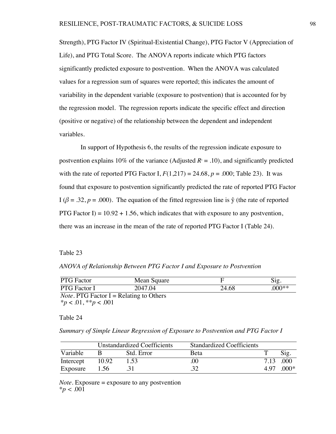Strength), PTG Factor IV (Spiritual-Existential Change), PTG Factor V (Appreciation of Life), and PTG Total Score. The ANOVA reports indicate which PTG factors significantly predicted exposure to postvention. When the ANOVA was calculated values for a regression sum of squares were reported; this indicates the amount of variability in the dependent variable (exposure to postvention) that is accounted for by the regression model. The regression reports indicate the specific effect and direction (positive or negative) of the relationship between the dependent and independent variables.

In support of Hypothesis 6, the results of the regression indicate exposure to postvention explains 10% of the variance (Adjusted  $R<sup>2</sup> = .10$ ), and significantly predicted with the rate of reported PTG Factor I,  $F(1,217) = 24.68$ ,  $p = .000$ ; Table 23). It was found that exposure to postvention significantly predicted the rate of reported PTG Factor I ( $\beta = 0.32$ ,  $p = 0.000$ ). The equation of the fitted regression line is  $\hat{y}$  (the rate of reported PTG Factor I) =  $10.92 + 1.56$ , which indicates that with exposure to any postvention, there was an increase in the mean of the rate of reported PTG Factor I (Table 24).

#### Table 23

*ANOVA of Relationship Between PTG Factor I and Exposure to Postvention*

| <b>PTG</b> Factor                                                                   | Mean Square |       | Sig.    |
|-------------------------------------------------------------------------------------|-------------|-------|---------|
| <b>PTG</b> Factor I                                                                 | 2047.04     | 24.68 | $000**$ |
| <i>Note</i> . PTG Factor $I = Relating to Others$<br>$*_{p} < 0.01, **_{p} < 0.001$ |             |       |         |

Table 24

*Summary of Simple Linear Regression of Exposure to Postvention and PTG Factor I* 

|                 |      | <b>Unstandardized Coefficients</b> | <b>Standardized Coefficients</b> |                   |
|-----------------|------|------------------------------------|----------------------------------|-------------------|
| Variable        |      | Std. Error                         | <b>Beta</b>                      |                   |
| Intercept 10.92 |      | 1.53                               | (1)                              | 7.13 .000         |
| Exposure        | 1.56 |                                    |                                  | $4.97 \quad 000*$ |

*Note.* Exposure = exposure to any postvention  $*_{p}$  < .001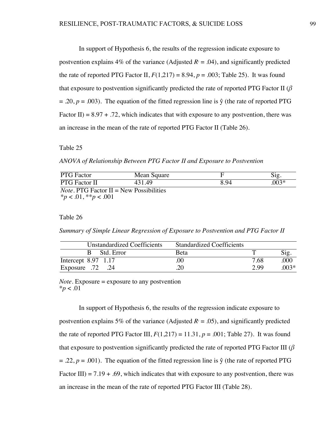In support of Hypothesis 6, the results of the regression indicate exposure to postvention explains 4% of the variance (Adjusted  $R<sup>2</sup> = .04$ ), and significantly predicted the rate of reported PTG Factor II,  $F(1,217) = 8.94$ ,  $p = .003$ ; Table 25). It was found that exposure to postvention significantly predicted the rate of reported PTG Factor II (*β*  $= .20, p = .003$ ). The equation of the fitted regression line is  $\hat{y}$  (the rate of reported PTG Factor II) =  $8.97 + .72$ , which indicates that with exposure to any postvention, there was an increase in the mean of the rate of reported PTG Factor II (Table 26).

Table 25

*ANOVA of Relationship Between PTG Factor II and Exposure to Postvention*

| <b>PTG</b> Factor                                 | Mean Square |      | Sig.    |
|---------------------------------------------------|-------------|------|---------|
| <b>PTG</b> Factor II                              | 431.49      | 8.94 | $.003*$ |
| <i>Note</i> . PTG Factor $II = New Possibilities$ |             |      |         |
| $*_p$ < .01, $*_p$ < .001                         |             |      |         |

## Table 26

*Summary of Simple Linear Regression of Exposure to Postvention and PTG Factor II*

| <b>Unstandardized Coefficients</b> | <b>Standardized Coefficients</b> |      |        |
|------------------------------------|----------------------------------|------|--------|
| Std. Error                         | Beta                             |      |        |
| Intercept $8.97$ 1.17              |                                  | 7.68 | .000   |
| 24. Exposure .72                   |                                  | 2.99 | $003*$ |

*Note.* Exposure = exposure to any postvention \**p* < .01

In support of Hypothesis 6, the results of the regression indicate exposure to postvention explains 5% of the variance (Adjusted  $R<sup>2</sup> = .05$ ), and significantly predicted the rate of reported PTG Factor III,  $F(1,217) = 11.31$ ,  $p = .001$ ; Table 27). It was found that exposure to postvention significantly predicted the rate of reported PTG Factor III (*β*  $= .22, p = .001$ ). The equation of the fitted regression line is  $\hat{y}$  (the rate of reported PTG Factor III) =  $7.19 + .69$ , which indicates that with exposure to any postvention, there was an increase in the mean of the rate of reported PTG Factor III (Table 28).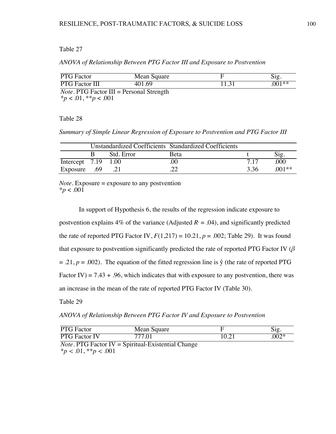## *ANOVA of Relationship Between PTG Factor III and Exposure to Postvention*

| <b>PTG</b> Factor         | Mean Square                                        |       | Sig.    |
|---------------------------|----------------------------------------------------|-------|---------|
| <b>PTG</b> Factor III     | 401.69                                             | 11.31 | $001**$ |
|                           | <i>Note</i> . PTG Factor $III$ = Personal Strength |       |         |
| $*_p$ < .01, $*_p$ < .001 |                                                    |       |         |

#### Table 28

*Summary of Simple Linear Regression of Exposure to Postvention and PTG Factor III* 

|                       |            | Unstandardized Coefficients Standardized Coefficients |      |         |
|-----------------------|------------|-------------------------------------------------------|------|---------|
|                       | Std. Error | Beta                                                  |      | Sig.    |
| Intercept $7.19$ 1.00 |            | 0C                                                    |      | .000    |
| Exposure .69          |            |                                                       | 3.36 | $001**$ |

*Note.* Exposure = exposure to any postvention  $*_{p}$  < .001

In support of Hypothesis 6, the results of the regression indicate exposure to postvention explains 4% of the variance (Adjusted  $R<sup>2</sup> = .04$ ), and significantly predicted the rate of reported PTG Factor IV,  $F(1,217) = 10.21$ ,  $p = .002$ ; Table 29). It was found that exposure to postvention significantly predicted the rate of reported PTG Factor IV (*β*  $= .21, p = .002$ ). The equation of the fitted regression line is  $\hat{y}$  (the rate of reported PTG Factor IV) =  $7.43 + .96$ , which indicates that with exposure to any postvention, there was an increase in the mean of the rate of reported PTG Factor IV (Table 30).

Table 29

*ANOVA of Relationship Between PTG Factor IV and Exposure to Postvention*

| <b>PTG</b> Factor | Mean Square |       | S12.    |
|-------------------|-------------|-------|---------|
| PTG Factor IV     | 777 O1      | 10.21 | $.002*$ |

 $Note. PTG Factor IV =$  Spiritual-Existential Change \**p < .*01, \*\**p < .*001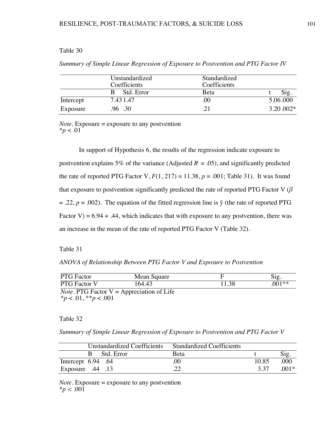*Summary of Simple Linear Regression of Exposure to Postvention and PTG Factor IV* 

|           | Unstandardized<br>Coefficients | Standardized<br>Coefficients |             |
|-----------|--------------------------------|------------------------------|-------------|
|           | Std. Error                     | Beta                         | Sig.        |
| Intercept | 7.431.47                       | .00                          | 5.06.000    |
| Exposure  | .96 .30                        | 21                           | $3.20.002*$ |

*Note.* Exposure = exposure to any postvention \**p* < .01

In support of Hypothesis 6, the results of the regression indicate exposure to postvention explains 5% of the variance (Adjusted  $R<sup>2</sup> = .05$ ), and significantly predicted the rate of reported PTG Factor V,  $F(1, 217) = 11.38$ ,  $p = .001$ ; Table 31). It was found that exposure to postvention significantly predicted the rate of reported PTG Factor V (*β*  $= .22, p = .002$ ). The equation of the fitted regression line is  $\hat{y}$  (the rate of reported PTG Factor V) =  $6.94 + .44$ , which indicates that with exposure to any postvention, there was an increase in the mean of the rate of reported PTG Factor V (Table 32).

## Table 31

*ANOVA of Relationship Between PTG Factor V and Exposure to Postvention*

| <b>PTG</b> Factor            | Mean Square                                         |       | Sig.    |
|------------------------------|-----------------------------------------------------|-------|---------|
| <b>PTG</b> Factor V          | 164.43                                              | 11.38 | $001**$ |
|                              | <i>Note</i> . PTG Factor $V =$ Appreciation of Life |       |         |
| $*_{p} < .01, **_{p} < .001$ |                                                     |       |         |

Table 32

*Summary of Simple Linear Regression of Exposure to Postvention and PTG Factor V*

|                      |            | Unstandardized Coefficients Standardized Coefficients |       |        |
|----------------------|------------|-------------------------------------------------------|-------|--------|
|                      | Std. Error | <b>B</b> eta                                          |       |        |
| Intercept $6.94$ .64 |            |                                                       | 10.85 | .000   |
| 13. Exposure .44     |            |                                                       | 3.37  | $001*$ |

*Note.* Exposure = exposure to any postvention  $*_{p}$  < .001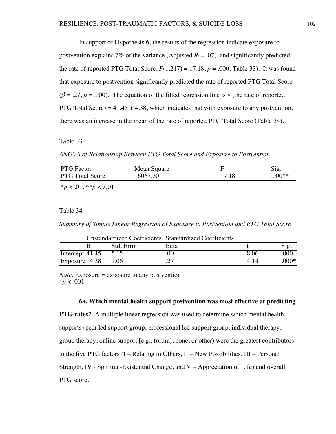In support of Hypothesis 6, the results of the regression indicate exposure to postvention explains 7% of the variance (Adjusted  $R<sup>2</sup> = .07$ ), and significantly predicted the rate of reported PTG Total Score,  $F(1,217) = 17.18$ ,  $p = .000$ ; Table 33). It was found that exposure to postvention significantly predicted the rate of reported PTG Total Score  $(\beta = .27, p = .000)$ . The equation of the fitted regression line is  $\hat{y}$  (the rate of reported PTG Total Score) =  $41.45 + 4.38$ , which indicates that with exposure to any postvention, there was an increase in the mean of the rate of reported PTG Total Score (Table 34).

Table 33

*ANOVA of Relationship Between PTG Total Score and Exposure to Postvention*

| <b>PTG</b> Factor         | Mean Square |       | Sig.    |
|---------------------------|-------------|-------|---------|
| <b>PTG Total Score</b>    | 16067.30    | 17.18 | $000**$ |
| $*_p$ < .01, $*_p$ < .001 |             |       |         |

Table 34

*Summary of Simple Linear Regression of Exposure to Postvention and PTG Total Score*

|                        |            | Unstandardized Coefficients Standardized Coefficients |      |        |
|------------------------|------------|-------------------------------------------------------|------|--------|
|                        | Std. Error | <b>Beta</b>                                           |      |        |
| Intercept $41.45$ 5.15 |            | 00                                                    | 8 06 | .000   |
| Exposure $4.38$ 1.06   |            |                                                       | 414  | $000*$ |

*Note.* Exposure = exposure to any postvention  $*_{p}$  < .001

## **6a. Which mental health support postvention was most effective at predicting**

**PTG rates?** A multiple linear regression was used to determine which mental health supports (peer led support group, professional led support group, individual therapy, group therapy, online support [e.g., forum], none, or other) were the greatest contributors to the five PTG factors (I – Relating to Others, II – New Possibilities, III – Personal Strength, IV - Spiritual-Existential Change, and V – Appreciation of Life) and overall PTG score.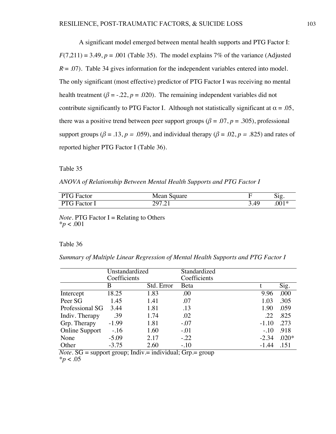A significant model emerged between mental health supports and PTG Factor I:  $F(7,211) = 3.49, p = .001$  (Table 35). The model explains 7% of the variance (Adjusted  $R = 0.07$ ). Table 34 gives information for the independent variables entered into model. The only significant (most effective) predictor of PTG Factor I was receiving no mental health treatment ( $\beta = -0.22$ ,  $p = 0.020$ ). The remaining independent variables did not contribute significantly to PTG Factor I. Although not statistically significant at  $\alpha = .05$ , there was a positive trend between peer support groups ( $\beta$  = .07, *p* = .305), professional support groups ( $\beta = .13$ ,  $p = .059$ ), and individual therapy ( $\beta = .02$ ,  $p = .825$ ) and rates of reported higher PTG Factor I (Table 36).

Table 35

*ANOVA of Relationship Between Mental Health Supports and PTG Factor I*

| D T Q<br>Factor<br>. T        | Mean Square             |    | $\sim$<br>512 |
|-------------------------------|-------------------------|----|---------------|
| <b>Factor</b><br>$\mathbf{r}$ | 107 71<br>$\rightarrow$ | 40 | $.001*$       |

*Note*. PTG Factor  $I = Relating to Others$ \**p* < .001

## Table 36

*Summary of Multiple Linear Regression of Mental Health Supports and PTG Factor I*

|                                                         | Unstandardized<br>Coefficients |            | Standardized<br>Coefficients |         |         |
|---------------------------------------------------------|--------------------------------|------------|------------------------------|---------|---------|
|                                                         | B                              | Std. Error | Beta                         |         | Sig.    |
| Intercept                                               | 18.25                          | 1.83       | .00                          | 9.96    | .000    |
| Peer SG                                                 | 1.45                           | 1.41       | .07                          | 1.03    | .305    |
| Professional SG                                         | 3.44                           | 1.81       | .13                          | 1.90    | .059    |
| Indiv. Therapy                                          | .39                            | 1.74       | .02                          | .22     | .825    |
| Grp. Therapy                                            | $-1.99$                        | 1.81       | $-.07$                       | $-1.10$ | .273    |
| <b>Online Support</b>                                   | $-.16$                         | 1.60       | $-.01$                       | $-.10$  | .918    |
| None                                                    | $-5.09$                        | 2.17       | $-.22$                       | $-2.34$ | $.020*$ |
| Other<br>$\overline{\phantom{a} \cdot$<br>$\sim$ $\sim$ | $-3.75$<br>$- - -$             | 2.60<br>.  | $-.10$<br>$\sim$             | $-1.44$ | .151    |

 $\overline{Note.}$   $SG =$  support group; Indiv.= individual;  $Grp =$  group  $**p* < .05$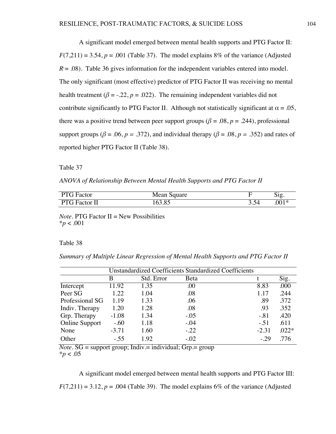A significant model emerged between mental health supports and PTG Factor II:  $F(7,211) = 3.54$ ,  $p = .001$  (Table 37). The model explains 8% of the variance (Adjusted  $R = .08$ ). Table 36 gives information for the independent variables entered into model. The only significant (most effective) predictor of PTG Factor II was receiving no mental health treatment ( $\beta = -0.22$ ,  $p = 0.022$ ). The remaining independent variables did not contribute significantly to PTG Factor II. Although not statistically significant at  $\alpha = .05$ , there was a positive trend between peer support groups ( $\beta = .08$ ,  $p = .244$ ), professional support groups ( $\beta$  = .06,  $p = .372$ ), and individual therapy ( $\beta$  = .08,  $p = .352$ ) and rates of reported higher PTG Factor II (Table 38).

Table 37

*ANOVA of Relationship Between Mental Health Supports and PTG Factor II*

| PTG F<br>G Factor               | Mean Square |          | 512     |
|---------------------------------|-------------|----------|---------|
| <b>PTG</b> Fact<br>$\mathbf{r}$ | 6205        | ৲∠<br>ັ້ | $.001*$ |

*Note.* PTG Factor II = New Possibilities \**p* < .001

#### Table 38

*Summary of Multiple Linear Regression of Mental Health Supports and PTG Factor II*

| <b>Unstandardized Coefficients Standardized Coefficients</b> |         |            |         |         |         |  |
|--------------------------------------------------------------|---------|------------|---------|---------|---------|--|
|                                                              | B       | Std. Error | Beta    |         | Sig.    |  |
| Intercept                                                    | 11.92   | 1.35       | .00     | 8.83    | .000    |  |
| Peer SG                                                      | 1.22    | 1.04       | .08     | 1.17    | .244    |  |
| Professional SG                                              | 1.19    | 1.33       | .06     | .89     | .372    |  |
| Indiv. Therapy                                               | 1.20    | 1.28       | .08     | .93     | .352    |  |
| Grp. Therapy                                                 | $-1.08$ | 1.34       | $-.05$  | $-.81$  | .420    |  |
| <b>Online Support</b>                                        | $-.60$  | 1.18       | $-0.04$ | $-.51$  | .611    |  |
| None                                                         | $-3.71$ | 1.60       | $-.22$  | $-2.31$ | $.022*$ |  |
| Other                                                        | $-.55$  | 1.92       | $-.02$  | $-29$   | .776    |  |

 $\overline{Note.}$   $SG = support group; Indiv = individual; Grp = group$  $**p* < .05$ 

A significant model emerged between mental health supports and PTG Factor III:  $F(7,211) = 3.12$ ,  $p = .004$  (Table 39). The model explains 6% of the variance (Adjusted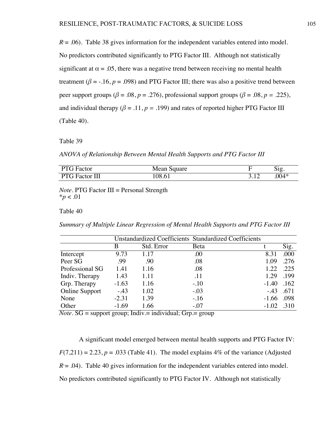$R = .06$ ). Table 38 gives information for the independent variables entered into model. No predictors contributed significantly to PTG Factor III. Although not statistically significant at  $\alpha = 0.05$ , there was a negative trend between receiving no mental health treatment ( $\beta$  = -.16,  $p = .098$ ) and PTG Factor III; there was also a positive trend between peer support groups ( $\beta = .08$ ,  $p = .276$ ), professional support groups ( $\beta = .08$ ,  $p = .225$ ), and individual therapy ( $\beta = .11$ ,  $p = .199$ ) and rates of reported higher PTG Factor III (Table 40).

Table 39

*ANOVA of Relationship Between Mental Health Supports and PTG Factor III*

| PTG E<br>G Factor     | Mean Square |                    | $\sim \cdot$<br>$\mathrm{Mg}$ . |
|-----------------------|-------------|--------------------|---------------------------------|
| <b>PTG</b> Factor III | .08.61      | $\sqrt{1}$<br>---- | .004*                           |

*Note*. PTG Factor III = Personal Strength  $*_{p}$  < .01

Table 40

*Summary of Multiple Linear Regression of Mental Health Supports and PTG Factor III*

|                                                                       |                                     |                                              | <b>Unstandardized Coefficients Standardized Coefficients</b> |         |      |
|-----------------------------------------------------------------------|-------------------------------------|----------------------------------------------|--------------------------------------------------------------|---------|------|
|                                                                       | B                                   | Std. Error                                   | Beta                                                         |         | Sig. |
| Intercept                                                             | 9.73                                | 1.17                                         | .00                                                          | 8.31    | .000 |
| Peer SG                                                               | .99                                 | .90                                          | .08                                                          | 1.09    | .276 |
| Professional SG                                                       | 1.41                                | 1.16                                         | .08                                                          | 1.22    | .225 |
| Indiv. Therapy                                                        | 1.43                                | 1.11                                         | .11                                                          | 1.29    | .199 |
| Grp. Therapy                                                          | $-1.63$                             | 1.16                                         | $-.10$                                                       | $-1.40$ | .162 |
| <b>Online Support</b>                                                 | $-.43$                              | 1.02                                         | $-.03$                                                       | $-43$   | .671 |
| None                                                                  | $-2.31$                             | 1.39                                         | $-.16$                                                       | $-1.66$ | .098 |
| Other<br>$\overline{\phantom{a} \cdot \phantom{a}}$<br>$\overline{a}$ | $-1.69$<br>$\overline{\phantom{0}}$ | 1.66<br>$\cdot$ $\cdot$ $\cdot$ $\cdot$<br>÷ | $-.07$<br>$\overline{\phantom{a}}$                           | $-1.02$ | .310 |

 $$ 

A significant model emerged between mental health supports and PTG Factor IV:  $F(7,211) = 2.23, p = .033$  (Table 41). The model explains 4% of the variance (Adjusted  $R = .04$ ). Table 40 gives information for the independent variables entered into model. No predictors contributed significantly to PTG Factor IV. Although not statistically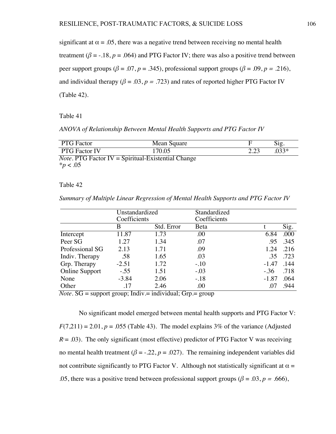significant at  $\alpha = 0.05$ , there was a negative trend between receiving no mental health treatment ( $\beta$  = -.18,  $p = .064$ ) and PTG Factor IV; there was also a positive trend between peer support groups ( $\beta$  = .07,  $p$  = .345), professional support groups ( $\beta$  = .09,  $p$  = .216), and individual therapy ( $\beta = .03$ ,  $p = .723$ ) and rates of reported higher PTG Factor IV (Table 42).

Table 41

*ANOVA of Relationship Between Mental Health Supports and PTG Factor IV*

| <b>PTG</b> Factor                                            | Mean Square |      | Sig.   |  |  |  |
|--------------------------------------------------------------|-------------|------|--------|--|--|--|
| <b>PTG Factor IV</b>                                         | 170.05      | 2.23 | $033*$ |  |  |  |
| <i>Note</i> . PTG Factor $IV =$ Spiritual-Existential Change |             |      |        |  |  |  |
| $*_{p}$ < .05                                                |             |      |        |  |  |  |

## Table 42

*Summary of Multiple Linear Regression of Mental Health Supports and PTG Factor IV*

|                       | Unstandardized |            | Standardized |         |      |
|-----------------------|----------------|------------|--------------|---------|------|
|                       | Coefficients   |            | Coefficients |         |      |
|                       | B              | Std. Error | Beta         |         | Sig. |
| Intercept             | 11.87          | 1.73       | .00          | 6.84    | .000 |
| Peer SG               | 1.27           | 1.34       | .07          | .95     | .345 |
| Professional SG       | 2.13           | 1.71       | .09          | 1.24    | .216 |
| Indiv. Therapy        | .58            | 1.65       | .03          | .35     | .723 |
| Grp. Therapy          | $-2.51$        | 1.72       | $-.10$       | $-1.47$ | .144 |
| <b>Online Support</b> | $-.55$         | 1.51       | $-.03$       | $-.36$  | .718 |
| None                  | $-3.84$        | 2.06       | $-.18$       | $-1.87$ | .064 |
| Other<br>- -          | .17<br>ŀ       | 2.46       | .00          |         | .944 |

*Note.* SG = support group; Indiv. = individual; Grp. = group

No significant model emerged between mental health supports and PTG Factor V:  $F(7,211) = 2.01, p = .055$  (Table 43). The model explains 3% of the variance (Adjusted  $R = .03$ ). The only significant (most effective) predictor of PTG Factor V was receiving no mental health treatment ( $\beta = -0.22$ ,  $p = 0.027$ ). The remaining independent variables did not contribute significantly to PTG Factor V. Although not statistically significant at  $\alpha =$ .05, there was a positive trend between professional support groups ( $\beta$  = .03, *p* = .666),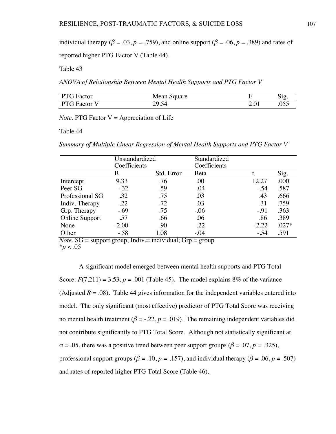individual therapy ( $\beta = .03$ ,  $p = .759$ ), and online support ( $\beta = .06$ ,  $p = .389$ ) and rates of

reported higher PTG Factor V (Table 44).

Table 43

*ANOVA of Relationship Between Mental Health Supports and PTG Factor V*

| <b>PTG</b> Factor | Mean Square     |                      | r.<br>512 |
|-------------------|-----------------|----------------------|-----------|
| <b>PTG</b> Factor | 20 Z<br>$-2.54$ | $\sim$ $\sim$ $\sim$ | .055      |

*Note*. PTG Factor  $V =$  Appreciation of Life

Table 44

*Summary of Multiple Linear Regression of Mental Health Supports and PTG Factor V*

|                       | Unstandardized |            | Standardized |         |         |
|-----------------------|----------------|------------|--------------|---------|---------|
|                       | Coefficients   |            | Coefficients |         |         |
|                       | B              | Std. Error | Beta         |         | Sig.    |
| Intercept             | 9.33           | .76        | .00          | 12.27   | .000    |
| Peer SG               | $-.32$         | .59        | $-.04$       | $-.54$  | .587    |
| Professional SG       | .32            | .75        | .03          | .43     | .666    |
| Indiv. Therapy        | .22            | .72        | .03          | .31     | .759    |
| Grp. Therapy          | $-.69$         | .75        | $-.06$       | $-.91$  | .363    |
| <b>Online Support</b> | .57            | .66        | .06          | .86     | .389    |
| None                  | $-2.00$        | .90        | $-.22$       | $-2.22$ | $.027*$ |
| Other                 | $-.58$         | 1.08       | $-.04$       | $-.54$  | .591    |

*Note.*  $SG =$  support group; Indiv.  $=$  individual;  $Grp =$  group  $*_{p}$  < .05

A significant model emerged between mental health supports and PTG Total Score:  $F(7,211) = 3.53$ ,  $p = .001$  (Table 45). The model explains 8% of the variance (Adjusted  $R = .08$ ). Table 44 gives information for the independent variables entered into model. The only significant (most effective) predictor of PTG Total Score was receiving no mental health treatment ( $\beta = -0.22$ ,  $p = 0.019$ ). The remaining independent variables did not contribute significantly to PTG Total Score. Although not statistically significant at  $\alpha = .05$ , there was a positive trend between peer support groups ( $\beta = .07$ ,  $p = .325$ ), professional support groups ( $\beta$  = .10,  $p$  = .157), and individual therapy ( $\beta$  = .06,  $p$  = .507) and rates of reported higher PTG Total Score (Table 46).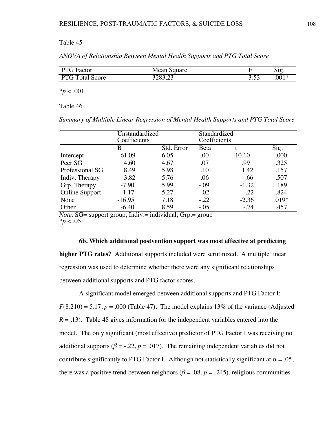| ANOVA of Relationship Between Mental Health Supports and PTG Total Score |  |  |  |  |
|--------------------------------------------------------------------------|--|--|--|--|
|                                                                          |  |  |  |  |

| <b>PTG</b> Factor      | Mean Square  |     | 51g     |
|------------------------|--------------|-----|---------|
| <b>PTG Total Score</b> | 3283.23<br>. | ັ∙~ | $.001*$ |

\**p* < .001

Table 46

*Summary of Multiple Linear Regression of Mental Health Supports and PTG Total Score*

|                                            | Unstandardized                                      |                           | Standardized |         |         |
|--------------------------------------------|-----------------------------------------------------|---------------------------|--------------|---------|---------|
|                                            | Coefficients                                        |                           | Coefficients |         |         |
|                                            | В                                                   | Std. Error                | Beta         |         | Sig.    |
| Intercept                                  | 61.09                                               | 6.05                      | .00          | 10.10   | .000    |
| Peer SG                                    | 4.60                                                | 4.67                      | .07          | .99     | .325    |
| Professional SG                            | 8.49                                                | 5.98                      | .10          | 1.42    | .157    |
| Indiv. Therapy                             | 3.82                                                | 5.76                      | .06          | .66     | .507    |
| Grp. Therapy                               | $-7.90$                                             | 5.99                      | $-.09$       | $-1.32$ | . 189   |
| <b>Online Support</b>                      | $-1.17$                                             | 5.27                      | $-.02$       | $-.22$  | .824    |
| None                                       | $-16.95$                                            | 7.18                      | $-.22$       | $-2.36$ | $.019*$ |
| Other<br>$\overline{\mathbf{v}}$<br>$\sim$ | $-6.40$<br>$\overline{\phantom{a}}$<br>$\mathbf{r}$ | 8.59<br>$\cdots$ $\cdots$ | $-.05$       | $-.74$  | .457    |

*Note.* SG= support group; Indiv.= individual; Grp.= group  $**p* < .05$ 

**6b. Which additional postvention support was most effective at predicting**

**higher PTG rates?** Additional supports included were scrutinized. A multiple linear regression was used to determine whether there were any significant relationships between additional supports and PTG factor scores.

A significant model emerged between additional supports and PTG Factor I:  $F(8,210) = 5.17$ ,  $p = .000$  (Table 47). The model explains 13% of the variance (Adjusted  $R = .13$ ). Table 48 gives information for the independent variables entered into the model. The only significant (most effective) predictor of PTG Factor I was receiving no additional supports ( $\beta$  = -.22,  $p$  = .017). The remaining independent variables did not contribute significantly to PTG Factor I. Although not statistically significant at  $\alpha = .05$ , there was a positive trend between neighbors ( $\beta = .08$ ,  $p = .245$ ), religious communities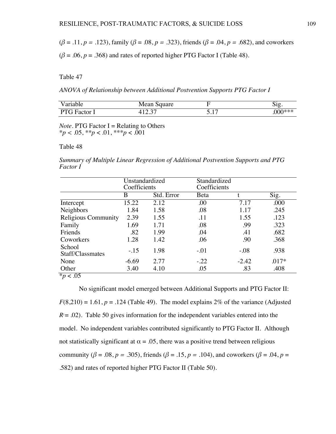$$
(\beta = .11, p = .123)
$$
, family ( $\beta = .08, p = .323$ ), friends ( $\beta = .04, p = .682$ ), and coworkers

 $(\beta = .06, p = .368)$  and rates of reported higher PTG Factor I (Table 48).

Table 47

*ANOVA of Relationship between Additional Postvention Supports PTG Factor I*

| ariable | Mean Square               |         | ി വ<br>ນ ເຂ. |
|---------|---------------------------|---------|--------------|
| Factor  | $\sim$                    | $\sim$  | $0.00***$    |
| LT.     | $\rightarrow \rightarrow$ | ◡ + + + |              |

*Note.* PTG Factor  $I = Relating to Others$ \**p <* .05, *\*\*p* < .01, \*\*\**p* < .001

Table 48

*Summary of Multiple Linear Regression of Additional Postvention Supports and PTG Factor I*

|                                   | Coefficients | Unstandardized | Standardized<br>Coefficients |         |         |
|-----------------------------------|--------------|----------------|------------------------------|---------|---------|
|                                   | B            | Std. Error     | Beta                         | t       | Sig.    |
| Intercept                         | 15.22        | 2.12           | .00                          | 7.17    | .000    |
| Neighbors                         | 1.84         | 1.58           | .08                          | 1.17    | .245    |
| <b>Religious Community</b>        | 2.39         | 1.55           | .11                          | 1.55    | .123    |
| Family                            | 1.69         | 1.71           | .08                          | .99     | .323    |
| Friends                           | .82          | 1.99           | .04                          | .41     | .682    |
| Coworkers                         | 1.28         | 1.42           | .06                          | .90     | .368    |
| School<br>Staff/Classmates        | $-.15$       | 1.98           | $-.01$                       | $-.08$  | .938    |
| None                              | $-6.69$      | 2.77           | $-.22$                       | $-2.42$ | $.017*$ |
| Other<br>$\overline{\phantom{0}}$ | 3.40         | 4.10           | .05                          | .83     | .408    |

 $*_{p}$  < .05

No significant model emerged between Additional Supports and PTG Factor II:  $F(8,210) = 1.61$ ,  $p = .124$  (Table 49). The model explains 2% of the variance (Adjusted  $R = .02$ ). Table 50 gives information for the independent variables entered into the model. No independent variables contributed significantly to PTG Factor II. Although not statistically significant at  $\alpha = .05$ , there was a positive trend between religious community (*β* = .08, *p* = .305), friends (*β* = .15, *p* = .104), and coworkers (*β* = .04, *p* = .582) and rates of reported higher PTG Factor II (Table 50).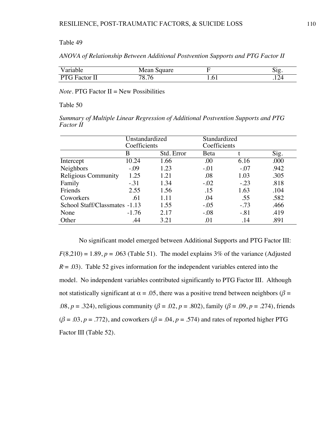*ANOVA of Relationship Between Additional Postvention Supports and PTG Factor II*

| Variable             | Mean Square |      |  |
|----------------------|-------------|------|--|
| <b>PTG Factor II</b> | 76          | 1.01 |  |

*Note.* PTG Factor II = New Possibilities

Table 50

*Summary of Multiple Linear Regression of Additional Postvention Supports and PTG Factor II*

|                               | Unstandardized<br>Coefficients |            | Standardized<br>Coefficients |        |      |
|-------------------------------|--------------------------------|------------|------------------------------|--------|------|
|                               | B                              | Std. Error | Beta                         |        | Sig. |
| Intercept                     | 10.24                          | 1.66       | .00                          | 6.16   | .000 |
| <b>Neighbors</b>              | $-.09$                         | 1.23       | $-.01$                       | $-.07$ | .942 |
| <b>Religious Community</b>    | 1.25                           | 1.21       | .08                          | 1.03   | .305 |
| Family                        | $-.31$                         | 1.34       | $-.02$                       | $-.23$ | .818 |
| Friends                       | 2.55                           | 1.56       | .15                          | 1.63   | .104 |
| Coworkers                     | .61                            | 1.11       | .04                          | .55    | .582 |
| School Staff/Classmates -1.13 |                                | 1.55       | $-.05$                       | $-.73$ | .466 |
| None                          | $-1.76$                        | 2.17       | $-.08$                       | $-.81$ | .419 |
| Other                         | .44                            | 3.21       | .01                          | .14    | .891 |

No significant model emerged between Additional Supports and PTG Factor III:  $F(8,210) = 1.89, p = .063$  (Table 51). The model explains 3% of the variance (Adjusted  $R = .03$ ). Table 52 gives information for the independent variables entered into the model. No independent variables contributed significantly to PTG Factor III. Although not statistically significant at  $\alpha = .05$ , there was a positive trend between neighbors ( $\beta =$ .08, *p* = .324), religious community ( $\beta$  = .02, *p* = .802), family ( $\beta$  = .09, *p* = .274), friends  $(\beta = .03, p = .772)$ , and coworkers ( $\beta = .04, p = .574$ ) and rates of reported higher PTG Factor III (Table 52).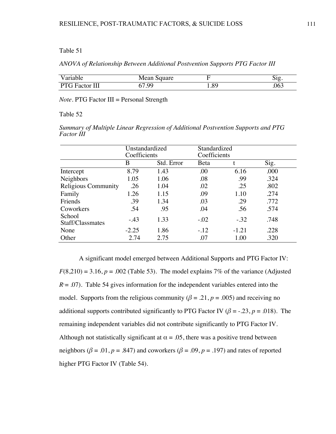*ANOVA of Relationship Between Additional Postvention Supports PTG Factor III*

| Variable              | Mean Square |      | $512-$ |
|-----------------------|-------------|------|--------|
| <b>PTG</b> Factor III | $\alpha$    | . 89 | .063   |

*Note.* PTG Factor III = Personal Strength

Table 52

*Summary of Multiple Linear Regression of Additional Postvention Supports and PTG Factor III*

|                            | Unstandardized<br>Coefficients |            | Standardized<br>Coefficients |         |      |  |
|----------------------------|--------------------------------|------------|------------------------------|---------|------|--|
|                            | B                              | Std. Error | Beta                         |         | Sig. |  |
| Intercept                  | 8.79                           | 1.43       | .00                          | 6.16    | .000 |  |
| Neighbors                  | 1.05                           | 1.06       | .08                          | .99     | .324 |  |
| <b>Religious Community</b> | .26                            | 1.04       | .02                          | .25     | .802 |  |
| Family                     | 1.26                           | 1.15       | .09                          | 1.10    | .274 |  |
| Friends                    | .39                            | 1.34       | .03                          | .29     | .772 |  |
| Coworkers                  | .54                            | .95        | .04                          | .56     | .574 |  |
| School<br>Staff/Classmates | $-.43$                         | 1.33       | $-.02$                       | $-.32$  | .748 |  |
| None                       | $-2.25$                        | 1.86       | $-.12$                       | $-1.21$ | .228 |  |
| Other                      | 2.74                           | 2.75       | .07                          | 1.00    | .320 |  |

A significant model emerged between Additional Supports and PTG Factor IV:  $F(8,210) = 3.16$ ,  $p = .002$  (Table 53). The model explains 7% of the variance (Adjusted  $R = 0.07$ ). Table 54 gives information for the independent variables entered into the model. Supports from the religious community ( $\beta$  = .21,  $p$  = .005) and receiving no additional supports contributed significantly to PTG Factor IV ( $\beta$  = -.23, *p* = .018). The remaining independent variables did not contribute significantly to PTG Factor IV. Although not statistically significant at  $\alpha = .05$ , there was a positive trend between neighbors ( $\beta$  = .01,  $p$  = .847) and coworkers ( $\beta$  = .09,  $p$  = .197) and rates of reported higher PTG Factor IV (Table 54).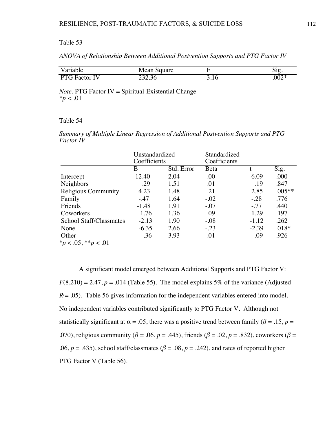*ANOVA of Relationship Between Additional Postvention Supports and PTG Factor IV*

| Variable             | Mean Square |      | $\mathcal{L}$ |
|----------------------|-------------|------|---------------|
| <b>PTG Factor IV</b> | 232.36      | J.IV | $.002*$       |

*Note.* PTG Factor IV = Spiritual-Existential Change *\*p < .*01

## Table 54

*Summary of Multiple Linear Regression of Additional Postvention Supports and PTG Factor IV*

|                                     | Unstandardized<br>Coefficients |            | Standardized<br>Coefficients |         |          |
|-------------------------------------|--------------------------------|------------|------------------------------|---------|----------|
|                                     | B                              | Std. Error | Beta                         |         | Sig.     |
| Intercept                           | 12.40                          | 2.04       | .00                          | 6.09    | .000     |
| <b>Neighbors</b>                    | .29                            | 1.51       | .01                          | .19     | .847     |
| Religious Community                 | 4.23                           | 1.48       | .21                          | 2.85    | $.005**$ |
| Family                              | $-.47$                         | 1.64       | $-.02$                       | $-.28$  | .776     |
| Friends                             | $-1.48$                        | 1.91       | $-.07$                       | $-.77$  | .440     |
| Coworkers                           | 1.76                           | 1.36       | .09                          | 1.29    | .197     |
| School Staff/Classmates             | $-2.13$                        | 1.90       | $-.08$                       | $-1.12$ | .262     |
| None                                | $-6.35$                        | 2.66       | $-.23$                       | $-2.39$ | $.018*$  |
| Other<br>$*_{n}$ > 05 $**_{n}$ > 01 | .36                            | 3.93       | .01                          | .09     | .926     |

\**p* < .05, \*\**p* < .01

A significant model emerged between Additional Supports and PTG Factor V:  $F(8,210) = 2.47, p = .014$  (Table 55). The model explains 5% of the variance (Adjusted  $R = 0.05$ ). Table 56 gives information for the independent variables entered into model. No independent variables contributed significantly to PTG Factor V. Although not statistically significant at  $\alpha = .05$ , there was a positive trend between family ( $\beta = .15$ ,  $p =$ .070), religious community ( $\beta$  = .06,  $p$  = .445), friends ( $\beta$  = .02,  $p$  = .832), coworkers ( $\beta$  = .06,  $p = .435$ ), school staff/classmates ( $\beta = .08$ ,  $p = .242$ ), and rates of reported higher PTG Factor V (Table 56).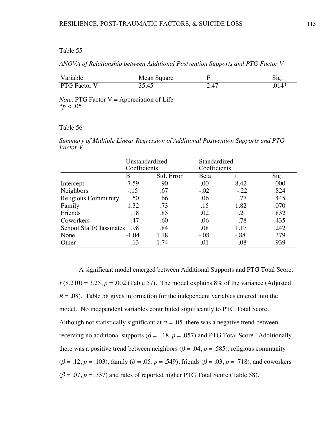## *ANOVA of Relationship between Additional Postvention Supports and PTG Factor V*

| $\cdot$ 'omobla $\cdot$<br>и           | Mean Square      |                 | $512-$ |
|----------------------------------------|------------------|-----------------|--------|
| $\mathbf{D}^{\mathsf{T}}$<br>'ω<br>Fac | $\Lambda^{\tau}$ | $\Delta$<br>–⊶⊤ | ⁄l *   |

*Note*. PTG Factor  $V =$  Appreciation of Life  $*_{p}$  < .05

#### Table 56

*Summary of Multiple Linear Regression of Additional Postvention Supports and PTG Factor V*

|                            | Unstandardized<br>Coefficients |            |        | Standardized<br>Coefficients |      |
|----------------------------|--------------------------------|------------|--------|------------------------------|------|
|                            | B                              | Std. Error | Beta   |                              | Sig. |
| Intercept                  | 7.59                           | .90        | .00    | 8.42                         | .000 |
| Neighbors                  | $-.15$                         | .67        | $-.02$ | $-.22$                       | .824 |
| <b>Religious Community</b> | .50                            | .66        | .06    | .77                          | .445 |
| Family                     | 1.32                           | .73        | .15    | 1.82                         | .070 |
| Friends                    | .18                            | .85        | .02    | .21                          | .832 |
| Coworkers                  | .47                            | .60        | .06    | .78                          | .435 |
| School Staff/Classmates    | .98                            | .84        | .08    | 1.17                         | .242 |
| None                       | $-1.04$                        | 1.18       | $-.08$ | $-.88$                       | .379 |
| Other                      | .13                            | 1.74       | .01    | .08                          | .939 |

A significant model emerged between Additional Supports and PTG Total Score:  $F(8,210) = 3.25, p = .002$  (Table 57). The model explains 8% of the variance (Adjusted  $R = .08$ ). Table 58 gives information for the independent variables entered into the model. No independent variables contributed significantly to PTG Total Score. Although not statistically significant at  $\alpha = .05$ , there was a negative trend between receiving no additional supports ( $\beta$  = -.18,  $p$  = .057) and PTG Total Score. Additionally, there was a positive trend between neighbors ( $\beta$  = .04,  $p$  = .585), religious community  $(\beta = .12, p = .103)$ , family  $(\beta = .05, p = .549)$ , friends  $(\beta = .03, p = .718)$ , and coworkers  $(\beta = .07, p = .337)$  and rates of reported higher PTG Total Score (Table 58).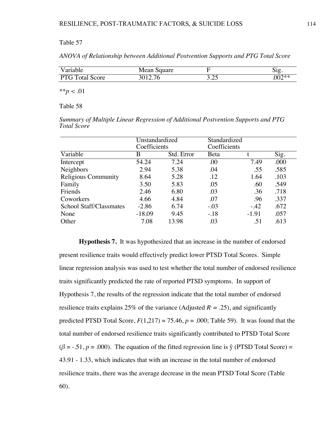*ANOVA of Relationship between Additional Postvention Supports and PTG Total Score*

| V arıable                   | Mean<br>Square |             | 512      |
|-----------------------------|----------------|-------------|----------|
| <b>PTG</b> Total S<br>Score | 3012.76        | つよ<br>ر _ د | $.002**$ |

*\*\*p < .*01

Table 58

*Summary of Multiple Linear Regression of Additional Postvention Supports and PTG Total Score*

|                                | Unstandardized<br>Coefficients |            | Standardized<br>Coefficients |         |      |  |
|--------------------------------|--------------------------------|------------|------------------------------|---------|------|--|
| Variable                       | B                              | Std. Error | Beta                         |         | Sig. |  |
| Intercept                      | 54.24                          | 7.24       | .00                          | 7.49    | .000 |  |
| Neighbors                      | 2.94                           | 5.38       | .04                          | .55     | .585 |  |
| <b>Religious Community</b>     | 8.64                           | 5.28       | .12                          | 1.64    | .103 |  |
| Family                         | 3.50                           | 5.83       | .05                          | .60     | .549 |  |
| Friends                        | 2.46                           | 6.80       | .03                          | .36     | .718 |  |
| Coworkers                      | 4.66                           | 4.84       | .07                          | .96     | .337 |  |
| <b>School Staff/Classmates</b> | $-2.86$                        | 6.74       | $-.03$                       | $-.42$  | .672 |  |
| None                           | $-18.09$                       | 9.45       | $-.18$                       | $-1.91$ | .057 |  |
| Other                          | 7.08                           | 13.98      | .03                          | .51     | .613 |  |

**Hypothesis 7.**It was hypothesized that an increase in the number of endorsed present resilience traits would effectively predict lower PTSD Total Scores. Simple linear regression analysis was used to test whether the total number of endorsed resilience traits significantly predicted the rate of reported PTSD symptoms. In support of Hypothesis 7, the results of the regression indicate that the total number of endorsed resilience traits explains 25% of the variance (Adjusted  $R<sup>2</sup> = .25$ ), and significantly predicted PTSD Total Score,  $F(1,217) = 75.46$ ,  $p = .000$ ; Table 59). It was found that the total number of endorsed resilience traits significantly contributed to PTSD Total Score  $(\beta = -0.51, p = .000)$ . The equation of the fitted regression line is  $\hat{v}$  (PTSD Total Score) = 43.91 - 1.33, which indicates that with an increase in the total number of endorsed resilience traits, there was the average decrease in the mean PTSD Total Score (Table 60).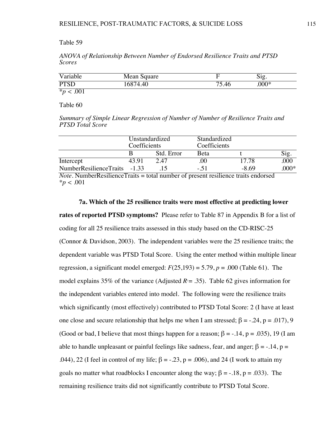*ANOVA of Relationship Between Number of Endorsed Resilience Traits and PTSD Scores* 

| Variable                  | Mean Square |          | Sıg.    |
|---------------------------|-------------|----------|---------|
| <b>DTCD</b>               | 6874.40     | ヮ<br>.46 | $.000*$ |
| $\overline{\ast p}$<br>ົົ |             |          |         |

Table 60

*Summary of Simple Linear Regression of Number of Number of Resilience Traits and PTSD Total Score*

|                                                                                           | Coefficients | Unstandardized | Standardized<br>Coefficients |       |         |
|-------------------------------------------------------------------------------------------|--------------|----------------|------------------------------|-------|---------|
|                                                                                           |              | Std. Error     | Beta                         |       | Sig.    |
| Intercept                                                                                 | 43.91        | 2.47           | .00                          | 17.78 | .000    |
| NumberResilienceTraits -1.33                                                              |              |                | $-51$                        | -8.69 | $.000*$ |
| <i>Note</i> . NumberResilienceTraits = total number of present resilience traits endorsed |              |                |                              |       |         |

 $*_{p}$  < .001

#### **7a. Which of the 25 resilience traits were most effective at predicting lower**

**rates of reported PTSD symptoms?** Please refer to Table 87 in Appendix B for a list of coding for all 25 resilience traits assessed in this study based on the CD-RISC-25 (Connor & Davidson, 2003). The independent variables were the 25 resilience traits; the dependent variable was PTSD Total Score. Using the enter method within multiple linear regression, a significant model emerged:  $F(25,193) = 5.79$ ,  $p = .000$  (Table 61). The model explains 35% of the variance (Adjusted  $R = 0.35$ ). Table 62 gives information for the independent variables entered into model. The following were the resilience traits which significantly (most effectively) contributed to PTSD Total Score: 2 (I have at least one close and secure relationship that helps me when I am stressed;  $\beta = -0.24$ ,  $p = 0.017$ ), 9 (Good or bad, I believe that most things happen for a reason;  $\beta = -.14$ ,  $p = .035$ ), 19 (I am able to handle unpleasant or painful feelings like sadness, fear, and anger;  $\beta = -.14$ ,  $p =$ .044), 22 (I feel in control of my life;  $\beta = -0.23$ ,  $p = 0.006$ ), and 24 (I work to attain my goals no matter what roadblocks I encounter along the way;  $\beta = -18$ ,  $p = .033$ ). The remaining resilience traits did not significantly contribute to PTSD Total Score.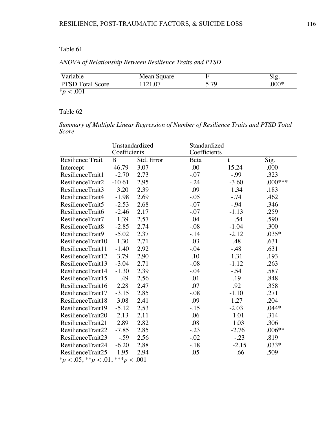# *ANOVA of Relationship Between Resilience Traits and PTSD*

| Variable                      | Mean Square |      | $\mathbf{S}1\mathbf{g}$ |
|-------------------------------|-------------|------|-------------------------|
| <b>PTSD Total Score</b>       | .121.07     | 70 ה | $.000*$                 |
| $\overline{\ast_{p}}$<br>.001 |             |      |                         |

Table 62

*Summary of Multiple Linear Regression of Number of Resilience Traits and PTSD Total Score*

|                                                                               | Unstandardized |                          |              | Standardized |           |  |
|-------------------------------------------------------------------------------|----------------|--------------------------|--------------|--------------|-----------|--|
|                                                                               | Coefficients   |                          | Coefficients |              |           |  |
| Resilience Trait                                                              | B              | Std. Error               | Beta         | t            | Sig.      |  |
| Intercept                                                                     | 46.79          | 3.07                     | .00          | 15.24        | .000      |  |
| ResilienceTrait1                                                              | $-2.70$        | 2.73                     | $-.07$       | $-0.99$      | .323      |  |
| ResilienceTrait2                                                              | $-10.61$       | 2.95                     | $-.24$       | $-3.60$      | $.000***$ |  |
| ResilienceTrait3                                                              | 3.20           | 2.39                     | .09          | 1.34         | .183      |  |
| ResilienceTrait4                                                              | $-1.98$        | 2.69                     | $-.05$       | $-.74$       | .462      |  |
| ResilienceTrait5                                                              | $-2.53$        | 2.68                     | $-.07$       | $-.94$       | .346      |  |
| ResilienceTrait6                                                              | $-2.46$        | 2.17                     | $-.07$       | $-1.13$      | .259      |  |
| ResilienceTrait7                                                              | 1.39           | 2.57                     | .04          | .54          | .590      |  |
| ResilienceTrait8                                                              | $-2.85$        | 2.74                     | $-0.08$      | $-1.04$      | .300      |  |
| ResilienceTrait9                                                              | $-5.02$        | 2.37                     | $-.14$       | $-2.12$      | $.035*$   |  |
| ResilienceTrait10                                                             | 1.30           | 2.71                     | .03          | .48          | .631      |  |
| ResilienceTrait11                                                             | $-1.40$        | 2.92                     | $-0.04$      | $-.48$       | .631      |  |
| ResilienceTrait12                                                             | 3.79           | 2.90                     | .10          | 1.31         | .193      |  |
| ResilienceTrait13                                                             | $-3.04$        | 2.71                     | $-.08$       | $-1.12$      | .263      |  |
| ResilienceTrait14                                                             | $-1.30$        | 2.39                     | $-.04$       | $-.54$       | .587      |  |
| ResilienceTrait15                                                             | .49            | 2.56                     | .01          | .19          | .848      |  |
| ResilienceTrait16                                                             | 2.28           | 2.47                     | .07          | .92          | .358      |  |
| ResilienceTrait17                                                             | $-3.15$        | 2.85                     | $-.08$       | $-1.10$      | .271      |  |
| ResilienceTrait18                                                             | 3.08           | 2.41                     | .09          | 1.27         | .204      |  |
| ResilienceTrait19                                                             | $-5.12$        | 2.53                     | $-.15$       | $-2.03$      | $.044*$   |  |
| ResilienceTrait20                                                             | 2.13           | 2.11                     | .06          | 1.01         | .314      |  |
| ResilienceTrait21                                                             | 2.89           | 2.82                     | .08          | 1.03         | .306      |  |
| ResilienceTrait22                                                             | $-7.85$        | 2.85                     | $-0.23$      | $-2.76$      | $.006**$  |  |
| ResilienceTrait23                                                             | $-0.59$        | 2.56                     | $-.02$       | $-0.23$      | .819      |  |
| ResilienceTrait24                                                             | $-6.20$        | 2.88                     | $-.18$       | $-2.15$      | $.033*$   |  |
| ResilienceTrait25<br>$\overline{\mathbf{x}}$ .<br>$\sqrt{1}$<br>$\sim 0.5$ ** | 1.95<br>$***$  | 2.94<br>$\overline{001}$ | .05          | .66          | .509      |  |

\**p < .*05, \*\**p < .*01, \*\*\**p < .*001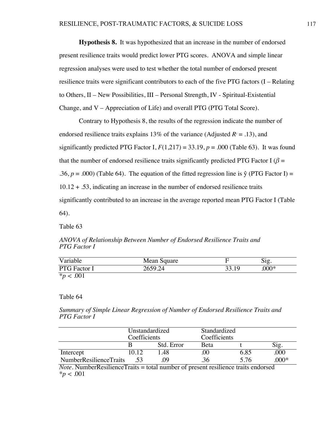**Hypothesis 8.** It was hypothesized that an increase in the number of endorsed present resilience traits would predict lower PTG scores. ANOVA and simple linear regression analyses were used to test whether the total number of endorsed present resilience traits were significant contributors to each of the five PTG factors (I – Relating to Others, II – New Possibilities, III – Personal Strength, IV - Spiritual-Existential Change, and V – Appreciation of Life) and overall PTG (PTG Total Score).

Contrary to Hypothesis 8, the results of the regression indicate the number of endorsed resilience traits explains  $13\%$  of the variance (Adjusted  $R^2 = .13$ ), and significantly predicted PTG Factor I,  $F(1,217) = 33.19$ ,  $p = .000$  (Table 63). It was found that the number of endorsed resilience traits significantly predicted PTG Factor I ( $\beta$  = .36,  $p = .000$ ) (Table 64). The equation of the fitted regression line is  $\hat{y}$  (PTG Factor I) = 10.12 + .53, indicating an increase in the number of endorsed resilience traits significantly contributed to an increase in the average reported mean PTG Factor I (Table 64).

Table 63

*ANOVA of Relationship Between Number of Endorsed Resilience Traits and PTG Factor I*

| Variable      | Mean Square | $\mathrm{Mg}.$ |  |
|---------------|-------------|----------------|--|
| PTG Factor I  | 2659.24     | $.000*$        |  |
| $*_p$<br>.001 |             |                |  |

#### Table 64

*Summary of Simple Linear Regression of Number of Endorsed Resilience Traits and PTG Factor I*

|                        |       | Unstandardized<br>Coefficients |             | Standardized<br>Coefficients |        |
|------------------------|-------|--------------------------------|-------------|------------------------------|--------|
|                        |       | Std. Error                     | <b>Beta</b> |                              | Sig.   |
| Intercept              | 10.12 | l 48                           | OO.         | 6.85                         | .000   |
| NumberResilienceTraits |       | 09                             | .36         | 5 76                         | $000*$ |

*Note*. NumberResilienceTraits = total number of present resilience traits endorsed \**p < .*001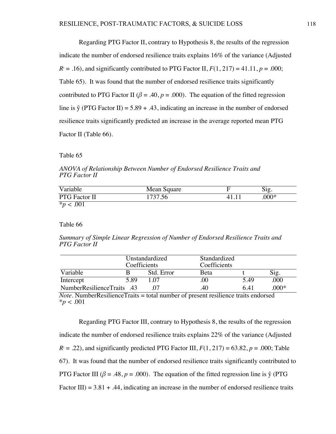Regarding PTG Factor II, contrary to Hypothesis 8, the results of the regression indicate the number of endorsed resilience traits explains 16% of the variance (Adjusted  $R<sup>2</sup> = .16$ , and significantly contributed to PTG Factor II,  $F(1, 217) = 41.11$ ,  $p = .000$ ; Table 65). It was found that the number of endorsed resilience traits significantly contributed to PTG Factor II ( $\beta$  = .40,  $p$  = .000). The equation of the fitted regression line is  $\hat{y}$  (PTG Factor II) = 5.89 + .43, indicating an increase in the number of endorsed resilience traits significantly predicted an increase in the average reported mean PTG Factor II (Table 66).

Table 65

*ANOVA of Relationship Between Number of Endorsed Resilience Traits and PTG Factor II*

| Variable        | Mean Square    | $\mathcal{S}1\mathcal{Q}$ . |
|-----------------|----------------|-----------------------------|
| PTG Factor II   | 1 ワ つ ワ<br>.00 | $.000*$                     |
| .001<br>$*_{n}$ |                |                             |

Table 66

*Summary of Simple Linear Regression of Number of Endorsed Resilience Traits and PTG Factor II*

|                            | Coefficients | Unstandardized | Standardized<br>Coefficients |      |                          |
|----------------------------|--------------|----------------|------------------------------|------|--------------------------|
| Variable                   |              | Std. Error     | Beta                         |      | $\overline{\text{sig.}}$ |
| Intercept                  | 5 89         |                | 00                           | 5.49 | .000                     |
| NumberResilienceTraits .43 |              |                | .40                          | 6.41 | 000*                     |

*Note*. NumberResilienceTraits = total number of present resilience traits endorsed \**p < .*001

Regarding PTG Factor III, contrary to Hypothesis 8, the results of the regression indicate the number of endorsed resilience traits explains 22% of the variance (Adjusted  $R^2 = .22$ ), and significantly predicted PTG Factor III,  $F(1, 217) = 63.82$ ,  $p = .000$ ; Table 67). It was found that the number of endorsed resilience traits significantly contributed to PTG Factor III ( $\beta = .48$ ,  $p = .000$ ). The equation of the fitted regression line is  $\hat{y}$  (PTG Factor III) =  $3.81 + .44$ , indicating an increase in the number of endorsed resilience traits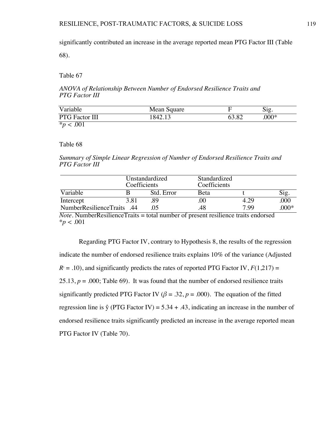significantly contributed an increase in the average reported mean PTG Factor III (Table

68).

Table 67

*ANOVA of Relationship Between Number of Endorsed Resilience Traits and PTG Factor III*

| Variable        | Mean Square |       | Sıg.    |
|-----------------|-------------|-------|---------|
| PTG Factor III  | 842.13      | 63.82 | $.000*$ |
| $*_{p}$<br>.001 |             |       |         |

Table 68

*Summary of Simple Linear Regression of Number of Endorsed Resilience Traits and PTG Factor III*

|                            | Coefficients | Unstandardized | Standardized<br>Coefficients |      |        |
|----------------------------|--------------|----------------|------------------------------|------|--------|
| Variable                   |              | Std. Error     | Beta                         |      | Sig.   |
| Intercept                  | 3.81         |                |                              | 4.29 | .000   |
| NumberResilienceTraits .44 |              |                | 48                           | 799  | $000*$ |

*Note.* NumberResilienceTraits = total number of present resilience traits endorsed \**p < .*001

Regarding PTG Factor IV, contrary to Hypothesis 8, the results of the regression indicate the number of endorsed resilience traits explains 10% of the variance (Adjusted  $R<sup>2</sup> = .10$ ), and significantly predicts the rates of reported PTG Factor IV,  $F(1,217) =$ 25.13,  $p = .000$ ; Table 69). It was found that the number of endorsed resilience traits significantly predicted PTG Factor IV ( $\beta = .32$ ,  $p = .000$ ). The equation of the fitted regression line is  $\hat{y}$  (PTG Factor IV) = 5.34 + .43, indicating an increase in the number of endorsed resilience traits significantly predicted an increase in the average reported mean PTG Factor IV (Table 70).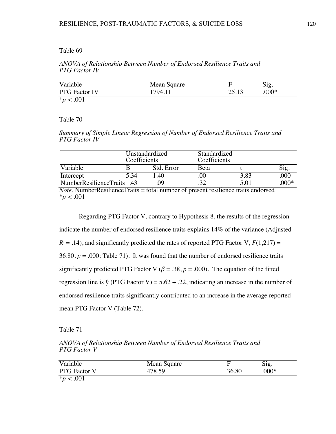## *ANOVA of Relationship Between Number of Endorsed Resilience Traits and PTG Factor IV*

| Variable             | Mean Square | 10٠<br>$\cup$ is $\subseteq$ |  |
|----------------------|-------------|------------------------------|--|
| <b>PTG Factor IV</b> | 794         | $.000*$                      |  |
| .001<br>$*_{n}$      |             |                              |  |

Table 70

*Summary of Simple Linear Regression of Number of Endorsed Resilience Traits and PTG Factor IV*

|                            | Coefficients | Unstandardized | Standardized<br>Coefficients |      |         |
|----------------------------|--------------|----------------|------------------------------|------|---------|
| Variable                   |              | Std. Error     | <b>Beta</b>                  |      |         |
| Intercept                  | 5.34         | 1.40           | OO.                          | 3.83 | .000    |
| NumberResilienceTraits .43 |              | 09             |                              | 5.01 | $.000*$ |

*Note.* NumberResilienceTraits = total number of present resilience traits endorsed \**p < .*001

Regarding PTG Factor V, contrary to Hypothesis 8, the results of the regression indicate the number of endorsed resilience traits explains 14% of the variance (Adjusted  $R<sup>2</sup> = .14$ ), and significantly predicted the rates of reported PTG Factor V,  $F(1,217) =$ 36.80,  $p = .000$ ; Table 71). It was found that the number of endorsed resilience traits significantly predicted PTG Factor V ( $\beta$  = .38,  $p$  = .000). The equation of the fitted regression line is  $\hat{y}$  (PTG Factor V) = 5.62 + .22, indicating an increase in the number of endorsed resilience traits significantly contributed to an increase in the average reported mean PTG Factor V (Table 72).

Table 71

*ANOVA of Relationship Between Number of Endorsed Resilience Traits and PTG Factor V*

| Variable                    | Mean Square |       | $\mathrm{S12}$ . |
|-----------------------------|-------------|-------|------------------|
| $\overline{PTG}$ Factor $V$ | 478.59      | 36.80 | $.000*$          |
| $*_{n}$<br>.001             |             |       |                  |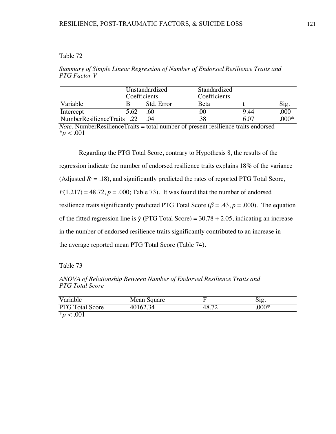*Summary of Simple Linear Regression of Number of Endorsed Resilience Traits and PTG Factor V*

|                            | Coefficients | Unstandardized | Standardized<br>Coefficients |      |        |
|----------------------------|--------------|----------------|------------------------------|------|--------|
| Variable                   |              | Std. Error     | <b>B</b> eta                 |      |        |
| Intercept                  | 5.62         | .60            | .OO                          | 9.44 | .000   |
| NumberResilienceTraits .22 |              | $\Omega$       | .38                          | 6 07 | $000*$ |

*Note*. NumberResilienceTraits = total number of present resilience traits endorsed  $*_{p}$  < .001

Regarding the PTG Total Score, contrary to Hypothesis 8, the results of the regression indicate the number of endorsed resilience traits explains 18% of the variance (Adjusted  $R<sup>2</sup> = .18$ ), and significantly predicted the rates of reported PTG Total Score,  $F(1,217) = 48.72, p = .000$ ; Table 73). It was found that the number of endorsed resilience traits significantly predicted PTG Total Score ( $\beta = .43$ ,  $p = .000$ ). The equation of the fitted regression line is  $\hat{y}$  (PTG Total Score) = 30.78 + 2.05, indicating an increase in the number of endorsed resilience traits significantly contributed to an increase in the average reported mean PTG Total Score (Table 74).

Table 73

*ANOVA of Relationship Between Number of Endorsed Resilience Traits and PTG Total Score*

| Variable               | Mean Square |                          | S12.   |
|------------------------|-------------|--------------------------|--------|
| <b>PTG Total Score</b> | 40162.34    | $\overline{\phantom{a}}$ | $000*$ |
| $*_{n}$                |             |                          |        |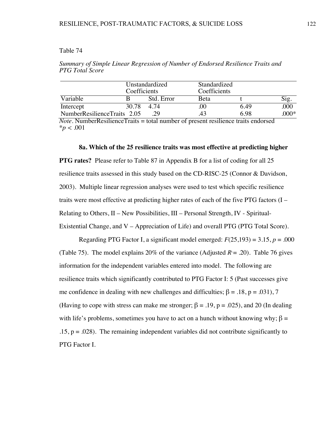*Summary of Simple Linear Regression of Number of Endorsed Resilience Traits and PTG Total Score*

|                             | Coefficients | Unstandardized | Standardized<br>Coefficients |      |        |
|-----------------------------|--------------|----------------|------------------------------|------|--------|
| Variable                    |              | Std. Error     | Beta                         |      |        |
| Intercept                   | 30.78        | 4.74           | .00                          | 6.49 | ,000   |
| NumberResilienceTraits 2.05 |              |                |                              | 6.98 | $000*$ |

*Note.* NumberResilienceTraits = total number of present resilience traits endorsed \**p < .*001

## **8a. Which of the 25 resilience traits was most effective at predicting higher**

**PTG rates?** Please refer to Table 87 in Appendix B for a list of coding for all 25 resilience traits assessed in this study based on the CD-RISC-25 (Connor & Davidson, 2003). Multiple linear regression analyses were used to test which specific resilience traits were most effective at predicting higher rates of each of the five PTG factors (I – Relating to Others, II – New Possibilities, III – Personal Strength, IV - Spiritual-Existential Change, and V – Appreciation of Life) and overall PTG (PTG Total Score).

Regarding PTG Factor I, a significant model emerged:  $F(25,193) = 3.15$ ,  $p = .000$ (Table 75). The model explains 20% of the variance (Adjusted  $R = 0.20$ ). Table 76 gives information for the independent variables entered into model. The following are resilience traits which significantly contributed to PTG Factor I: 5 (Past successes give me confidence in dealing with new challenges and difficulties;  $\beta = .18$ ,  $p = .031$ ), 7 (Having to cope with stress can make me stronger;  $\beta = .19$ ,  $p = .025$ ), and 20 (In dealing with life's problems, sometimes you have to act on a hunch without knowing why;  $\beta$  =  $.15, p = .028$ ). The remaining independent variables did not contribute significantly to PTG Factor I.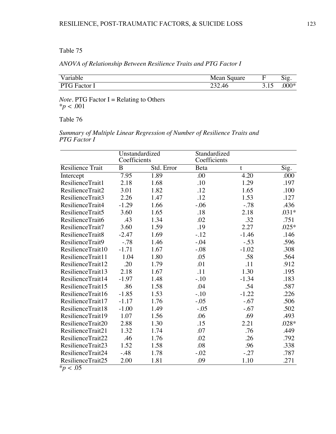# *ANOVA of Relationship Between Resilience Traits and PTG Factor I*

| Variable             | Mean Square |        | 512     |
|----------------------|-------------|--------|---------|
| PTC<br>Ē<br>G Factor | ר ר<br>46   | - ۱۰۱۰ | $.000*$ |

*Note*. PTG Factor  $I = Relating to Others$ \**p < .*001

Table 76

*Summary of Multiple Linear Regression of Number of Resilience Traits and PTG Factor I*

|                   | Unstandardized |            | Standardized |         |         |
|-------------------|----------------|------------|--------------|---------|---------|
|                   | Coefficients   |            | Coefficients |         |         |
| Resilience Trait  | B              | Std. Error | Beta         | t       | Sig.    |
| Intercept         | 7.95           | 1.89       | .00          | 4.20    | .000    |
| ResilienceTrait1  | 2.18           | 1.68       | .10          | 1.29    | .197    |
| ResilienceTrait2  | 3.01           | 1.82       | .12          | 1.65    | .100    |
| ResilienceTrait3  | 2.26           | 1.47       | .12          | 1.53    | .127    |
| ResilienceTrait4  | $-1.29$        | 1.66       | $-.06$       | $-.78$  | .436    |
| ResilienceTrait5  | 3.60           | 1.65       | .18          | 2.18    | $.031*$ |
| ResilienceTrait6  | .43            | 1.34       | .02          | .32     | .751    |
| ResilienceTrait7  | 3.60           | 1.59       | .19          | 2.27    | $.025*$ |
| ResilienceTrait8  | $-2.47$        | 1.69       | $-.12$       | $-1.46$ | .146    |
| ResilienceTrait9  | $-.78$         | 1.46       | $-.04$       | $-.53$  | .596    |
| ResilienceTrait10 | $-1.71$        | 1.67       | $-.08$       | $-1.02$ | .308    |
| ResilienceTrait11 | 1.04           | 1.80       | .05          | .58     | .564    |
| ResilienceTrait12 | .20            | 1.79       | .01          | .11     | .912    |
| ResilienceTrait13 | 2.18           | 1.67       | .11          | 1.30    | .195    |
| ResilienceTrait14 | $-1.97$        | 1.48       | $-.10$       | $-1.34$ | .183    |
| ResilienceTrait15 | .86            | 1.58       | .04          | .54     | .587    |
| ResilienceTrait16 | $-1.85$        | 1.53       | $-.10$       | $-1.22$ | .226    |
| ResilienceTrait17 | $-1.17$        | 1.76       | $-.05$       | $-.67$  | .506    |
| ResilienceTrait18 | $-1.00$        | 1.49       | $-.05$       | $-.67$  | .502    |
| ResilienceTrait19 | 1.07           | 1.56       | .06          | .69     | .493    |
| ResilienceTrait20 | 2.88           | 1.30       | .15          | 2.21    | .028*   |
| ResilienceTrait21 | 1.32           | 1.74       | .07          | .76     | .449    |
| ResilienceTrait22 | .46            | 1.76       | .02          | .26     | .792    |
| ResilienceTrait23 | 1.52           | 1.58       | .08          | .96     | .338    |
| ResilienceTrait24 | $-48$          | 1.78       | $-.02$       | $-.27$  | .787    |
| ResilienceTrait25 | 2.00           | 1.81       | .09          | 1.10    | .271    |

 $*_{p}$  < .05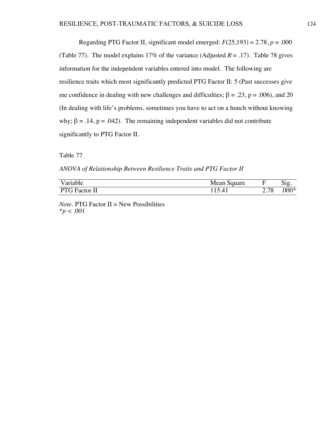Regarding PTG Factor II, significant model emerged:  $F(25,193) = 2.78$ ,  $p = .000$ (Table 77). The model explains 17% of the variance (Adjusted  $R = 0.17$ ). Table 78 gives information for the independent variables entered into model. The following are resilience traits which most significantly predicted PTG Factor II: 5 (Past successes give me confidence in dealing with new challenges and difficulties;  $\beta = .23$ ,  $p = .006$ ), and 20 (In dealing with life's problems, sometimes you have to act on a hunch without knowing why;  $\beta = .14$ ,  $p = .042$ ). The remaining independent variables did not contribute significantly to PTG Factor II.

Table 77

*ANOVA of Relationship Between Resilience Traits and PTG Factor II*

| Variable             | Mean Square |    | $512^{\circ}$ |
|----------------------|-------------|----|---------------|
| <b>PTG</b> Factor II |             | 70 | $.000*$       |

*Note.* PTG Factor II = New Possibilities  $*_{p}$  < .001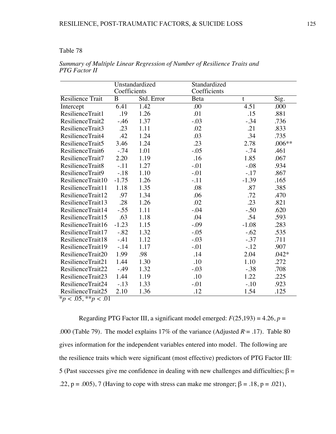|                                                 |                | Unstandardized | Standardized     |                   |         |
|-------------------------------------------------|----------------|----------------|------------------|-------------------|---------|
|                                                 | Coefficients   |                | Coefficients     |                   |         |
| Resilience Trait                                | $\overline{B}$ | Std. Error     | Beta             | t                 | Sig.    |
| Intercept                                       | 6.41           | 1.42           | $\overline{.00}$ | $\overline{4.51}$ | .000    |
| ResilienceTrait1                                | .19            | 1.26           | .01              | .15               | .881    |
| ResilienceTrait2                                | $-46$          | 1.37           | $-.03$           | $-.34$            | .736    |
| ResilienceTrait3                                | .23            | 1.11           | .02              | .21               | .833    |
| ResilienceTrait4                                | .42            | 1.24           | .03              | .34               | .735    |
| ResilienceTrait5                                | 3.46           | 1.24           | .23              | 2.78              | .006**  |
| ResilienceTrait6                                | $-.74$         | 1.01           | $-.05$           | $-.74$            | .461    |
| ResilienceTrait7                                | 2.20           | 1.19           | .16              | 1.85              | .067    |
| ResilienceTrait8                                | $-.11$         | 1.27           | $-.01$           | $-.08$            | .934    |
| ResilienceTrait9                                | $-.18$         | 1.10           | $-.01$           | $-.17$            | .867    |
| ResilienceTrait10                               | $-1.75$        | 1.26           | $-.11$           | $-1.39$           | .165    |
| ResilienceTrait11                               | 1.18           | 1.35           | .08              | .87               | .385    |
| ResilienceTrait12                               | .97            | 1.34           | .06              | .72               | .470    |
| ResilienceTrait13                               | .28            | 1.26           | .02              | .23               | .821    |
| ResilienceTrait14                               | $-.55$         | 1.11           | $-.04$           | $-.50$            | .620    |
| ResilienceTrait15                               | .63            | 1.18           | .04              | .54               | .593    |
| ResilienceTrait16                               | $-1.23$        | 1.15           | $-.09$           | $-1.08$           | .283    |
| ResilienceTrait17                               | $-.82$         | 1.32           | $-.05$           | $-.62$            | .535    |
| ResilienceTrait18                               | $-.41$         | 1.12           | $-.03$           | $-0.37$           | .711    |
| ResilienceTrait19                               | $-.14$         | 1.17           | $-.01$           | $-.12$            | .907    |
| ResilienceTrait20                               | 1.99           | .98            | .14              | 2.04              | $.042*$ |
| ResilienceTrait21                               | 1.44           | 1.30           | .10              | 1.10              | .272    |
| ResilienceTrait22                               | $-.49$         | 1.32           | $-.03$           | $-.38$            | .708    |
| ResilienceTrait23                               | 1.44           | 1.19           | .10              | 1.22              | .225    |
| ResilienceTrait24                               | $-.13$         | 1.33           | $-.01$           | $-.10$            | .923    |
| ResilienceTrait25<br>$*_{n}$ / 05 $**_{n}$ / 01 | 2.10           | 1.36           | .12              | 1.54              | .125    |

*Summary of Multiple Linear Regression of Number of Resilience Traits and PTG Factor II*

\**p < .*05, \*\**p < .*01

Regarding PTG Factor III, a significant model emerged:  $F(25,193) = 4.26$ ,  $p =$ .000 (Table 79). The model explains 17% of the variance (Adjusted  $R = 0.17$ ). Table 80 gives information for the independent variables entered into model. The following are the resilience traits which were significant (most effective) predictors of PTG Factor III: 5 (Past successes give me confidence in dealing with new challenges and difficulties;  $β =$ .22, p = .005), 7 (Having to cope with stress can make me stronger;  $\beta$  = .18, p = .021),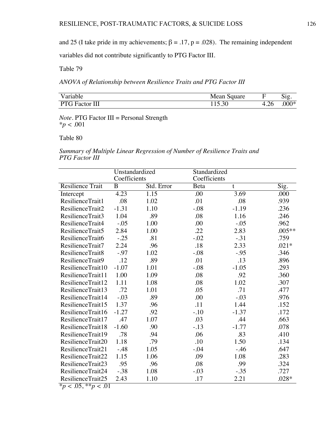and 25 (I take pride in my achievements;  $\beta = .17$ ,  $p = .028$ ). The remaining independent

variables did not contribute significantly to PTG Factor III.

Table 79

*ANOVA of Relationship between Resilience Traits and PTG Factor III*

| V ariable  | Mean Square |           | $512^-$ |
|------------|-------------|-----------|---------|
| PTG Factor |             | 4.26<br>4 | $.000*$ |

*Note*. PTG Factor III = Personal Strength  $*$ *p* < .001

Table 80

*Summary of Multiple Linear Regression of Number of Resilience Traits and PTG Factor III*

|                         | Unstandardized |            | Standardized |         |         |
|-------------------------|----------------|------------|--------------|---------|---------|
|                         | Coefficients   |            | Coefficients |         |         |
| <b>Resilience Trait</b> | B              | Std. Error | Beta         | t       | Sig.    |
| Intercept               | 4.23           | 1.15       | .00          | 3.69    | .000    |
| ResilienceTrait1        | .08            | 1.02       | .01          | .08     | .939    |
| ResilienceTrait2        | $-1.31$        | 1.10       | $-.08$       | $-1.19$ | .236    |
| ResilienceTrait3        | 1.04           | .89        | .08          | 1.16    | .246    |
| ResilienceTrait4        | $-.05$         | 1.00       | .00          | $-.05$  | .962    |
| ResilienceTrait5        | 2.84           | 1.00       | .22          | 2.83    | .005**  |
| ResilienceTrait6        | $-.25$         | .81        | $-.02$       | $-.31$  | .759    |
| ResilienceTrait7        | 2.24           | .96        | .18          | 2.33    | $.021*$ |
| ResilienceTrait8        | $-97$          | 1.02       | $-.08$       | $-.95$  | .346    |
| ResilienceTrait9        | .12            | .89        | .01          | .13     | .896    |
| ResilienceTrait10       | $-1.07$        | 1.01       | $-.08$       | $-1.05$ | .293    |
| ResilienceTrait11       | 1.00           | 1.09       | .08          | .92     | .360    |
| ResilienceTrait12       | 1.11           | 1.08       | .08          | 1.02    | .307    |
| ResilienceTrait13       | .72            | 1.01       | .05          | .71     | .477    |
| ResilienceTrait14       | $-.03$         | .89        | .00          | $-.03$  | .976    |
| ResilienceTrait15       | 1.37           | .96        | .11          | 1.44    | .152    |
| ResilienceTrait16       | $-1.27$        | .92        | $-.10$       | $-1.37$ | .172    |
| ResilienceTrait17       | .47            | 1.07       | .03          | .44     | .663    |
| ResilienceTrait18       | $-1.60$        | .90        | $-.13$       | $-1.77$ | .078    |
| ResilienceTrait19       | .78            | .94        | .06          | .83     | .410    |
| ResilienceTrait20       | 1.18           | .79        | .10          | 1.50    | .134    |
| ResilienceTrait21       | $-48$          | 1.05       | $-.04$       | $-.46$  | .647    |
| ResilienceTrait22       | 1.15           | 1.06       | .09          | 1.08    | .283    |
| ResilienceTrait23       | .95            | .96        | .08          | .99     | .324    |
| ResilienceTrait24       | $-.38$         | 1.08       | $-.03$       | $-.35$  | .727    |
| ResilienceTrait25       | 2.43           | 1.10       | .17          | 2.21    | $.028*$ |

 $*_{p} < .05, **_{p} < .01$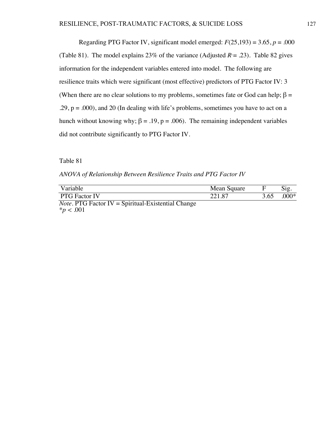Regarding PTG Factor IV, significant model emerged:  $F(25,193) = 3.65$ ,  $p = .000$ (Table 81). The model explains 23% of the variance (Adjusted  $R = 0.23$ ). Table 82 gives information for the independent variables entered into model. The following are resilience traits which were significant (most effective) predictors of PTG Factor IV: 3 (When there are no clear solutions to my problems, sometimes fate or God can help;  $\beta =$  $.29, p = .000$ , and 20 (In dealing with life's problems, sometimes you have to act on a hunch without knowing why;  $\beta = .19$ ,  $p = .006$ ). The remaining independent variables did not contribute significantly to PTG Factor IV.

Table 81

*ANOVA of Relationship Between Resilience Traits and PTG Factor IV*

| Variable                                                     | Mean Square |      | Sig.    |
|--------------------------------------------------------------|-------------|------|---------|
| <b>PTG Factor IV</b>                                         | 221.87      | 3.65 | $.000*$ |
| <i>Note</i> . PTG Factor $IV =$ Spiritual-Existential Change |             |      |         |
| $*_{p}$ < .001                                               |             |      |         |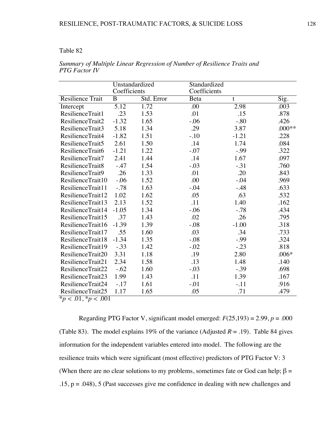# Table 82

|                                             | Unstandardized<br>Coefficients |            | Standardized<br>Coefficients |         |          |
|---------------------------------------------|--------------------------------|------------|------------------------------|---------|----------|
| <b>Resilience Trait</b>                     | $\overline{B}$                 | Std. Error | Beta                         | t       | Sig.     |
|                                             | 5.12                           | 1.72       | .00                          | 2.98    | .003     |
| Intercept<br>ResilienceTrait1               | .23                            | 1.53       | .01                          | .15     | .878     |
| ResilienceTrait2                            | $-1.32$                        | 1.65       | $-0.06$                      | $-.80$  | .426     |
| ResilienceTrait3                            | 5.18                           | 1.34       | .29                          | 3.87    | $.000**$ |
| ResilienceTrait4                            | $-1.82$                        | 1.51       | $-.10$                       | $-1.21$ | .228     |
| ResilienceTrait5                            | 2.61                           | 1.50       | .14                          | 1.74    | .084     |
| ResilienceTrait6                            | $-1.21$                        | 1.22       | $-.07$                       | $-0.99$ | .322     |
| ResilienceTrait7                            | 2.41                           | 1.44       | .14                          | 1.67    | .097     |
| ResilienceTrait8                            | $-.47$                         | 1.54       | $-.03$                       | $-.31$  | .760     |
| ResilienceTrait9                            | .26                            | 1.33       | .01                          | .20     | .843     |
|                                             |                                |            |                              |         |          |
| ResilienceTrait10                           | $-0.06$                        | 1.52       | .00                          | $-.04$  | .969     |
| ResilienceTrait11                           | $-.78$                         | 1.63       | $-0.04$                      | $-.48$  | .633     |
| ResilienceTrait12                           | 1.02                           | 1.62       | .05                          | .63     | .532     |
| ResilienceTrait13                           | 2.13                           | 1.52       | .11                          | 1.40    | .162     |
| ResilienceTrait14                           | $-1.05$                        | 1.34       | $-0.06$                      | $-.78$  | .434     |
| ResilienceTrait15                           | .37                            | 1.43       | .02                          | .26     | .795     |
| ResilienceTrait16                           | $-1.39$                        | 1.39       | $-0.08$                      | $-1.00$ | .318     |
| ResilienceTrait17                           | .55                            | 1.60       | .03                          | .34     | .733     |
| ResilienceTrait18                           | $-1.34$                        | 1.35       | $-.08$                       | $-0.99$ | .324     |
| ResilienceTrait19                           | $-33$                          | 1.42       | $-.02$                       | $-.23$  | .818     |
| ResilienceTrait20                           | 3.31                           | 1.18       | .19                          | 2.80    | $.006*$  |
| ResilienceTrait21                           | 2.34                           | 1.58       | .13                          | 1.48    | .140     |
| ResilienceTrait22                           | $-.62$                         | 1.60       | $-.03$                       | $-.39$  | .698     |
| ResilienceTrait23                           | 1.99                           | 1.43       | .11                          | 1.39    | .167     |
| ResilienceTrait24                           | $-.17$                         | 1.61       | $-.01$                       | $-.11$  | .916     |
| ResilienceTrait25                           | 1.17                           | 1.65       | .05                          | .71     | .479     |
| $\frac{*p}{s} < 0.01, \frac{*p}{s} < 0.001$ |                                |            |                              |         |          |

*Summary of Multiple Linear Regression of Number of Resilience Traits and PTG Factor IV*

Regarding PTG Factor V, significant model emerged:  $F(25,193) = 2.99$ ,  $p = .000$ (Table 83). The model explains 19% of the variance (Adjusted  $R = -19$ ). Table 84 gives information for the independent variables entered into model. The following are the resilience traits which were significant (most effective) predictors of PTG Factor V: 3 (When there are no clear solutions to my problems, sometimes fate or God can help;  $\beta =$  $.15, p = .048$ , 5 (Past successes give me confidence in dealing with new challenges and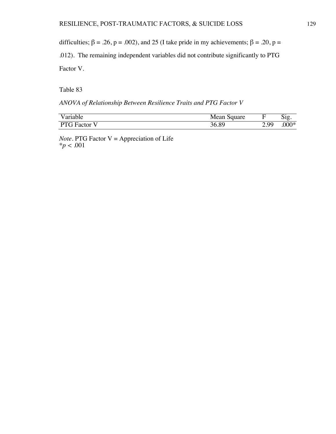difficulties;  $\beta = .26$ ,  $p = .002$ ), and 25 (I take pride in my achievements;  $\beta = .20$ ,  $p =$ 

.012). The remaining independent variables did not contribute significantly to PTG

Factor V.

Table 83

*ANOVA of Relationship Between Resilience Traits and PTG Factor V*

| Variable          | Mean Square |                  | 512     |
|-------------------|-------------|------------------|---------|
| <b>PTG</b> Factor | 36.89       | QQ<br><u>_.,</u> | $.000*$ |

*Note*. PTG Factor  $V =$  Appreciation of Life \**p < .*001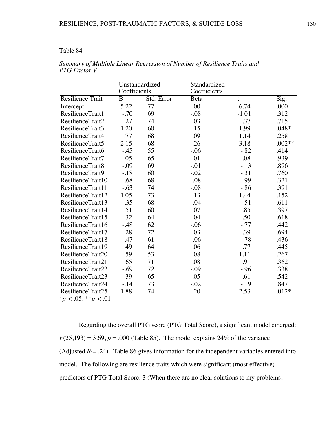## Table 84

| Coefficients<br>Coefficients<br>Resilience Trait<br>$\overline{B}$<br>Std. Error<br>Sig.<br><b>B</b> eta<br>t<br>5.22<br>.00<br>6.74<br>Intercept<br>.77<br>.000<br>.69<br>$-.08$<br>ResilienceTrait1<br>$-.70$<br>$-1.01$<br>.312<br>ResilienceTrait2<br>.03<br>.715<br>.27<br>.74<br>.37<br>1.99<br>ResilienceTrait3<br>1.20<br>.60<br>.15<br>.048*<br>.09<br>ResilienceTrait4<br>.77<br>.68<br>1.14<br>.258<br>.002**<br>2.15<br>.68<br>.26<br>3.18<br>ResilienceTrait5<br>ResilienceTrait6<br>$-45$<br>.55<br>$-.06$<br>$-.82$<br>.414<br>.08<br>.05<br>.65<br>.01<br>.939<br>ResilienceTrait7<br>.896<br>ResilienceTrait8<br>$-.09$<br>.69<br>$-.01$<br>$-.13$<br>ResilienceTrait9<br>$-.18$<br>$-.02$<br>$-.31$<br>.760<br>.60<br>ResilienceTrait10<br>.68<br>$-.08$<br>$-0.99$<br>.321<br>$-.68$ |  |  |
|---------------------------------------------------------------------------------------------------------------------------------------------------------------------------------------------------------------------------------------------------------------------------------------------------------------------------------------------------------------------------------------------------------------------------------------------------------------------------------------------------------------------------------------------------------------------------------------------------------------------------------------------------------------------------------------------------------------------------------------------------------------------------------------------------------|--|--|
|                                                                                                                                                                                                                                                                                                                                                                                                                                                                                                                                                                                                                                                                                                                                                                                                         |  |  |
|                                                                                                                                                                                                                                                                                                                                                                                                                                                                                                                                                                                                                                                                                                                                                                                                         |  |  |
|                                                                                                                                                                                                                                                                                                                                                                                                                                                                                                                                                                                                                                                                                                                                                                                                         |  |  |
|                                                                                                                                                                                                                                                                                                                                                                                                                                                                                                                                                                                                                                                                                                                                                                                                         |  |  |
|                                                                                                                                                                                                                                                                                                                                                                                                                                                                                                                                                                                                                                                                                                                                                                                                         |  |  |
|                                                                                                                                                                                                                                                                                                                                                                                                                                                                                                                                                                                                                                                                                                                                                                                                         |  |  |
|                                                                                                                                                                                                                                                                                                                                                                                                                                                                                                                                                                                                                                                                                                                                                                                                         |  |  |
|                                                                                                                                                                                                                                                                                                                                                                                                                                                                                                                                                                                                                                                                                                                                                                                                         |  |  |
|                                                                                                                                                                                                                                                                                                                                                                                                                                                                                                                                                                                                                                                                                                                                                                                                         |  |  |
|                                                                                                                                                                                                                                                                                                                                                                                                                                                                                                                                                                                                                                                                                                                                                                                                         |  |  |
|                                                                                                                                                                                                                                                                                                                                                                                                                                                                                                                                                                                                                                                                                                                                                                                                         |  |  |
|                                                                                                                                                                                                                                                                                                                                                                                                                                                                                                                                                                                                                                                                                                                                                                                                         |  |  |
|                                                                                                                                                                                                                                                                                                                                                                                                                                                                                                                                                                                                                                                                                                                                                                                                         |  |  |
| ResilienceTrait11<br>$-.63$<br>.74<br>$-.08$<br>$-0.86$<br>.391                                                                                                                                                                                                                                                                                                                                                                                                                                                                                                                                                                                                                                                                                                                                         |  |  |
| ResilienceTrait12<br>1.05<br>.73<br>.13<br>1.44<br>.152                                                                                                                                                                                                                                                                                                                                                                                                                                                                                                                                                                                                                                                                                                                                                 |  |  |
| ResilienceTrait13<br>.68<br>$-.04$<br>$-.51$<br>.611<br>$-.35$                                                                                                                                                                                                                                                                                                                                                                                                                                                                                                                                                                                                                                                                                                                                          |  |  |
| ResilienceTrait14<br>.51<br>.07<br>.85<br>.397<br>.60                                                                                                                                                                                                                                                                                                                                                                                                                                                                                                                                                                                                                                                                                                                                                   |  |  |
| .32<br>.618<br>ResilienceTrait15<br>.64<br>.04<br>.50                                                                                                                                                                                                                                                                                                                                                                                                                                                                                                                                                                                                                                                                                                                                                   |  |  |
| ResilienceTrait16<br>$-48$<br>.62<br>$-.06$<br>$-.77$<br>.442                                                                                                                                                                                                                                                                                                                                                                                                                                                                                                                                                                                                                                                                                                                                           |  |  |
| .694<br>ResilienceTrait17<br>.28<br>.72<br>.03<br>.39                                                                                                                                                                                                                                                                                                                                                                                                                                                                                                                                                                                                                                                                                                                                                   |  |  |
| .436<br>ResilienceTrait18<br>.61<br>$-.06$<br>$-47$<br>$-.78$                                                                                                                                                                                                                                                                                                                                                                                                                                                                                                                                                                                                                                                                                                                                           |  |  |
| .49<br>ResilienceTrait19<br>.64<br>.06<br>.77<br>.445                                                                                                                                                                                                                                                                                                                                                                                                                                                                                                                                                                                                                                                                                                                                                   |  |  |
| ResilienceTrait20<br>.59<br>.08<br>.53<br>1.11<br>.267                                                                                                                                                                                                                                                                                                                                                                                                                                                                                                                                                                                                                                                                                                                                                  |  |  |
| ResilienceTrait21<br>.65<br>.71<br>.08<br>.91<br>.362                                                                                                                                                                                                                                                                                                                                                                                                                                                                                                                                                                                                                                                                                                                                                   |  |  |
| .72<br>ResilienceTrait22<br>$-.09$<br>$-.96$<br>.338<br>$-0.69$                                                                                                                                                                                                                                                                                                                                                                                                                                                                                                                                                                                                                                                                                                                                         |  |  |
| ResilienceTrait23<br>.65<br>.05<br>.61<br>.542<br>.39                                                                                                                                                                                                                                                                                                                                                                                                                                                                                                                                                                                                                                                                                                                                                   |  |  |
| ResilienceTrait24<br>.73<br>$-.02$<br>$-.14$<br>$-.19$<br>.847                                                                                                                                                                                                                                                                                                                                                                                                                                                                                                                                                                                                                                                                                                                                          |  |  |
| ResilienceTrait25<br>1.88<br>.20<br>2.53<br>$.012*$<br>.74<br>$*_{n}$ / 05 $**_{n}$ / 01                                                                                                                                                                                                                                                                                                                                                                                                                                                                                                                                                                                                                                                                                                                |  |  |

*Summary of Multiple Linear Regression of Number of Resilience Traits and PTG Factor V*

\**p < .*05, \*\**p < .*01

Regarding the overall PTG score (PTG Total Score), a significant model emerged:  $F(25,193) = 3.69, p = .000$  (Table 85). The model explains 24% of the variance (Adjusted  $R<sup>2</sup> = .24$ ). Table 86 gives information for the independent variables entered into model. The following are resilience traits which were significant (most effective) predictors of PTG Total Score: 3 (When there are no clear solutions to my problems,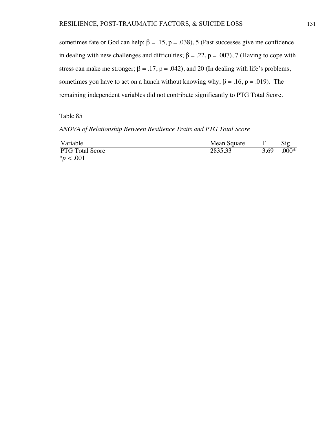sometimes fate or God can help;  $\beta = .15$ ,  $p = .038$ ), 5 (Past successes give me confidence in dealing with new challenges and difficulties;  $\beta = .22$ ,  $p = .007$ ), 7 (Having to cope with stress can make me stronger;  $\beta = .17$ ,  $p = .042$ ), and 20 (In dealing with life's problems, sometimes you have to act on a hunch without knowing why;  $\beta = .16$ ,  $p = .019$ ). The remaining independent variables did not contribute significantly to PTG Total Score.

Table 85

*ANOVA of Relationship Between Resilience Traits and PTG Total Score*

| Variable               | Mean Square |      | $\mathrm{Mg}$ |
|------------------------|-------------|------|---------------|
| <b>PTG Total Score</b> | 2835.33     | 3.69 | $.000*$       |
| $*_{n}$<br>.001        |             |      |               |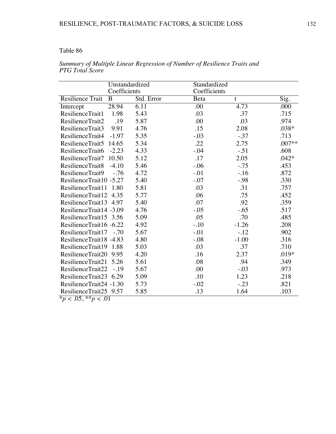# Table 86

| Unstandardized<br>Coefficients |            | Standardized<br>Coefficients |             |         |  |
|--------------------------------|------------|------------------------------|-------------|---------|--|
| Resilience Trait<br>B          | Std. Error | Beta                         | $\mathbf t$ | Sig.    |  |
| 28.94<br>Intercept             | 6.11       | .00                          | 4.73        | .000    |  |
| 1.98<br>ResilienceTrait1       | 5.43       | .03                          | .37         | .715    |  |
| ResilienceTrait2<br>.19        | 5.87       | .00                          | .03         | .974    |  |
| 9.91<br>ResilienceTrait3       | 4.76       | .15                          | 2.08        | .038*   |  |
| ResilienceTrait4<br>$-1.97$    | 5.35       | $-.03$                       | $-37$       | .713    |  |
| ResilienceTrait5<br>14.65      | 5.34       | .22                          | 2.75        | .007**  |  |
| ResilienceTrait6<br>$-2.23$    | 4.33       | $-.04$                       | $-.51$      | .608    |  |
| ResilienceTrait7<br>10.50      | 5.12       | .17                          | 2.05        | $.042*$ |  |
| ResilienceTrait8<br>$-4.10$    | 5.46       | $-.06$                       | $-.75$      | .453    |  |
| ResilienceTrait9<br>$-.76$     | 4.72       | $-.01$                       | $-.16$      | .872    |  |
| ResilienceTrait10 -5.27        | 5.40       | $-.07$                       | $-.98$      | .330    |  |
| ResilienceTrait11<br>1.80      | 5.81       | .03                          | .31         | .757    |  |
| ResilienceTrait12 4.35         | 5.77       | .06                          | .75         | .452    |  |
| ResilienceTrait13 4.97         | 5.40       | .07                          | .92         | .359    |  |
| ResilienceTrait14 -3.09        | 4.76       | $-.05$                       | $-.65$      | .517    |  |
| ResilienceTrait15 3.56         | 5.09       | .05                          | .70         | .485    |  |
| ResilienceTrait16 -6.22        | 4.92       | $-.10$                       | $-1.26$     | .208    |  |
| ResilienceTrait17 -.70         | 5.67       | $-.01$                       | $-.12$      | .902    |  |
| ResilienceTrait18 -4.83        | 4.80       | $-.08$                       | $-1.00$     | .316    |  |
| ResilienceTrait19 1.88         | 5.03       | .03                          | .37         | .710    |  |
| ResilienceTrait20<br>9.95      | 4.20       | .16                          | 2.37        | .019*   |  |
| ResilienceTrait21<br>5.26      | 5.61       | .08                          | .94         | .349    |  |
| ResilienceTrait22<br>$-.19$    | 5.67       | .00                          | $-.03$      | .973    |  |
| ResilienceTrait23 6.29         | 5.09       | .10                          | 1.23        | .218    |  |
| ResilienceTrait24 -1.30        | 5.73       | $-.02$                       | $-.23$      | .821    |  |
| ResilienceTrait25 9.57         | 5.85       | .13                          | 1.64        | .103    |  |

*Summary of Multiple Linear Regression of Number of Resilience Traits and PTG Total Score*

 $**p* < .05, ***p* < .01$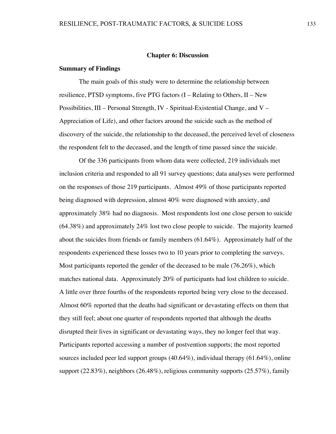## **Chapter 6: Discussion**

#### **Summary of Findings**

The main goals of this study were to determine the relationship between resilience, PTSD symptoms, five PTG factors (I – Relating to Others, II – New Possibilities, III – Personal Strength, IV - Spiritual-Existential Change, and V – Appreciation of Life), and other factors around the suicide such as the method of discovery of the suicide, the relationship to the deceased, the perceived level of closeness the respondent felt to the deceased, and the length of time passed since the suicide.

Of the 336 participants from whom data were collected, 219 individuals met inclusion criteria and responded to all 91 survey questions; data analyses were performed on the responses of those 219 participants. Almost 49% of those participants reported being diagnosed with depression, almost 40% were diagnosed with anxiety, and approximately 38% had no diagnosis. Most respondents lost one close person to suicide (64.38%) and approximately 24% lost two close people to suicide. The majority learned about the suicides from friends or family members (61.64%). Approximately half of the respondents experienced these losses two to 10 years prior to completing the surveys. Most participants reported the gender of the deceased to be male (76.26%), which matches national data. Approximately 20% of participants had lost children to suicide. A little over three fourths of the respondents reported being very close to the deceased. Almost 60% reported that the deaths had significant or devastating effects on them that they still feel; about one quarter of respondents reported that although the deaths disrupted their lives in significant or devastating ways, they no longer feel that way. Participants reported accessing a number of postvention supports; the most reported sources included peer led support groups (40.64%), individual therapy (61.64%), online support (22.83%), neighbors (26.48%), religious community supports (25.57%), family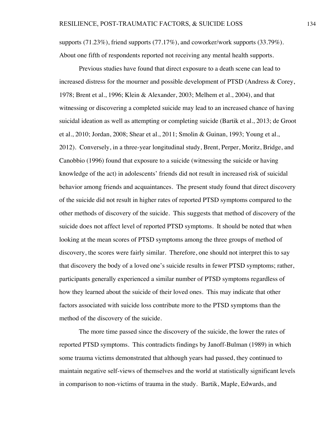supports (71.23%), friend supports (77.17%), and coworker/work supports (33.79%). About one fifth of respondents reported not receiving any mental health supports.

Previous studies have found that direct exposure to a death scene can lead to increased distress for the mourner and possible development of PTSD (Andress & Corey, 1978; Brent et al., 1996; Klein & Alexander, 2003; Melhem et al., 2004), and that witnessing or discovering a completed suicide may lead to an increased chance of having suicidal ideation as well as attempting or completing suicide (Bartik et al., 2013; de Groot et al., 2010; Jordan, 2008; Shear et al., 2011; Smolin & Guinan, 1993; Young et al., 2012). Conversely, in a three-year longitudinal study, Brent, Perper, Moritz, Bridge, and Canobbio (1996) found that exposure to a suicide (witnessing the suicide or having knowledge of the act) in adolescents' friends did not result in increased risk of suicidal behavior among friends and acquaintances. The present study found that direct discovery of the suicide did not result in higher rates of reported PTSD symptoms compared to the other methods of discovery of the suicide. This suggests that method of discovery of the suicide does not affect level of reported PTSD symptoms. It should be noted that when looking at the mean scores of PTSD symptoms among the three groups of method of discovery, the scores were fairly similar. Therefore, one should not interpret this to say that discovery the body of a loved one's suicide results in fewer PTSD symptoms; rather, participants generally experienced a similar number of PTSD symptoms regardless of how they learned about the suicide of their loved ones. This may indicate that other factors associated with suicide loss contribute more to the PTSD symptoms than the method of the discovery of the suicide.

The more time passed since the discovery of the suicide, the lower the rates of reported PTSD symptoms. This contradicts findings by Janoff-Bulman (1989) in which some trauma victims demonstrated that although years had passed, they continued to maintain negative self-views of themselves and the world at statistically significant levels in comparison to non-victims of trauma in the study. Bartik, Maple, Edwards, and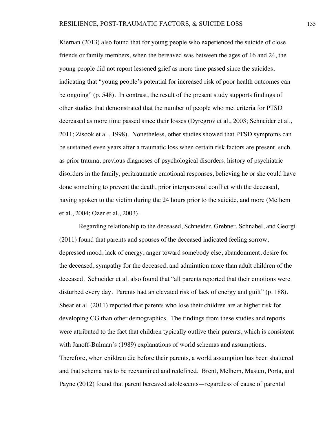Kiernan (2013) also found that for young people who experienced the suicide of close friends or family members, when the bereaved was between the ages of 16 and 24, the young people did not report lessened grief as more time passed since the suicides, indicating that "young people's potential for increased risk of poor health outcomes can be ongoing" (p. 548). In contrast, the result of the present study supports findings of other studies that demonstrated that the number of people who met criteria for PTSD decreased as more time passed since their losses (Dyregrov et al., 2003; Schneider et al., 2011; Zisook et al., 1998). Nonetheless, other studies showed that PTSD symptoms can be sustained even years after a traumatic loss when certain risk factors are present, such as prior trauma, previous diagnoses of psychological disorders, history of psychiatric disorders in the family, peritraumatic emotional responses, believing he or she could have done something to prevent the death, prior interpersonal conflict with the deceased, having spoken to the victim during the 24 hours prior to the suicide, and more (Melhem et al., 2004; Ozer et al., 2003).

Regarding relationship to the deceased, Schneider, Grebner, Schnabel, and Georgi (2011) found that parents and spouses of the deceased indicated feeling sorrow, depressed mood, lack of energy, anger toward somebody else, abandonment, desire for the deceased, sympathy for the deceased, and admiration more than adult children of the deceased. Schneider et al. also found that "all parents reported that their emotions were disturbed every day. Parents had an elevated risk of lack of energy and guilt" (p. 188). Shear et al. (2011) reported that parents who lose their children are at higher risk for developing CG than other demographics. The findings from these studies and reports were attributed to the fact that children typically outlive their parents, which is consistent with Janoff-Bulman's (1989) explanations of world schemas and assumptions. Therefore, when children die before their parents, a world assumption has been shattered and that schema has to be reexamined and redefined. Brent, Melhem, Masten, Porta, and Payne (2012) found that parent bereaved adolescents—regardless of cause of parental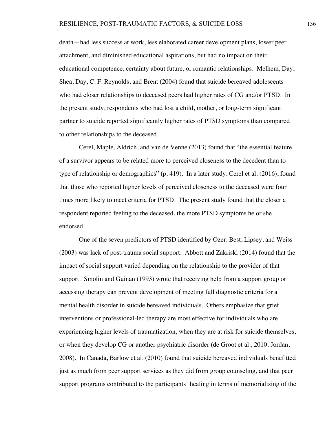death—had less success at work, less elaborated career development plans, lower peer attachment, and diminished educational aspirations, but had no impact on their educational competence, certainty about future, or romantic relationships. Melhem, Day, Shea, Day, C. F. Reynolds, and Brent (2004) found that suicide bereaved adolescents who had closer relationships to deceased peers had higher rates of CG and/or PTSD. In the present study, respondents who had lost a child, mother, or long-term significant partner to suicide reported significantly higher rates of PTSD symptoms than compared to other relationships to the deceased.

Cerel, Maple, Aldrich, and van de Venne (2013) found that "the essential feature of a survivor appears to be related more to perceived closeness to the decedent than to type of relationship or demographics" (p. 419). In a later study, Cerel et al. (2016), found that those who reported higher levels of perceived closeness to the deceased were four times more likely to meet criteria for PTSD. The present study found that the closer a respondent reported feeling to the deceased, the more PTSD symptoms he or she endorsed.

One of the seven predictors of PTSD identified by Ozer, Best, Lipsey, and Weiss (2003) was lack of post-trauma social support. Abbott and Zakriski (2014) found that the impact of social support varied depending on the relationship to the provider of that support. Smolin and Guinan (1993) wrote that receiving help from a support group or accessing therapy can prevent development of meeting full diagnostic criteria for a mental health disorder in suicide bereaved individuals. Others emphasize that grief interventions or professional-led therapy are most effective for individuals who are experiencing higher levels of traumatization, when they are at risk for suicide themselves, or when they develop CG or another psychiatric disorder (de Groot et al., 2010; Jordan, 2008). In Canada, Barlow et al. (2010) found that suicide bereaved individuals benefitted just as much from peer support services as they did from group counseling, and that peer support programs contributed to the participants' healing in terms of memorializing of the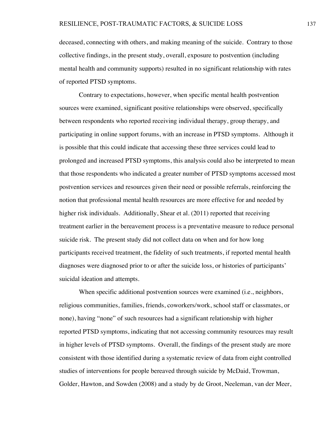deceased, connecting with others, and making meaning of the suicide. Contrary to those collective findings, in the present study, overall, exposure to postvention (including mental health and community supports) resulted in no significant relationship with rates of reported PTSD symptoms.

Contrary to expectations, however, when specific mental health postvention sources were examined, significant positive relationships were observed, specifically between respondents who reported receiving individual therapy, group therapy, and participating in online support forums, with an increase in PTSD symptoms. Although it is possible that this could indicate that accessing these three services could lead to prolonged and increased PTSD symptoms, this analysis could also be interpreted to mean that those respondents who indicated a greater number of PTSD symptoms accessed most postvention services and resources given their need or possible referrals, reinforcing the notion that professional mental health resources are more effective for and needed by higher risk individuals. Additionally, Shear et al. (2011) reported that receiving treatment earlier in the bereavement process is a preventative measure to reduce personal suicide risk. The present study did not collect data on when and for how long participants received treatment, the fidelity of such treatments, if reported mental health diagnoses were diagnosed prior to or after the suicide loss, or histories of participants' suicidal ideation and attempts.

When specific additional postvention sources were examined (i.e., neighbors, religious communities, families, friends, coworkers/work, school staff or classmates, or none), having "none" of such resources had a significant relationship with higher reported PTSD symptoms, indicating that not accessing community resources may result in higher levels of PTSD symptoms. Overall, the findings of the present study are more consistent with those identified during a systematic review of data from eight controlled studies of interventions for people bereaved through suicide by McDaid, Trowman, Golder, Hawton, and Sowden (2008) and a study by de Groot, Neeleman, van der Meer,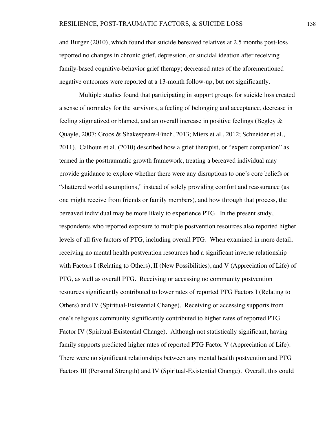and Burger (2010), which found that suicide bereaved relatives at 2.5 months post-loss reported no changes in chronic grief, depression, or suicidal ideation after receiving family-based cognitive-behavior grief therapy; decreased rates of the aforementioned negative outcomes were reported at a 13-month follow-up, but not significantly.

Multiple studies found that participating in support groups for suicide loss created a sense of normalcy for the survivors, a feeling of belonging and acceptance, decrease in feeling stigmatized or blamed, and an overall increase in positive feelings (Begley & Quayle, 2007; Groos & Shakespeare-Finch, 2013; Miers et al., 2012; Schneider et al., 2011). Calhoun et al. (2010) described how a grief therapist, or "expert companion" as termed in the posttraumatic growth framework, treating a bereaved individual may provide guidance to explore whether there were any disruptions to one's core beliefs or "shattered world assumptions," instead of solely providing comfort and reassurance (as one might receive from friends or family members), and how through that process, the bereaved individual may be more likely to experience PTG. In the present study, respondents who reported exposure to multiple postvention resources also reported higher levels of all five factors of PTG, including overall PTG. When examined in more detail, receiving no mental health postvention resources had a significant inverse relationship with Factors I (Relating to Others), II (New Possibilities), and V (Appreciation of Life) of PTG, as well as overall PTG. Receiving or accessing no community postvention resources significantly contributed to lower rates of reported PTG Factors I (Relating to Others) and IV (Spiritual-Existential Change). Receiving or accessing supports from one's religious community significantly contributed to higher rates of reported PTG Factor IV (Spiritual-Existential Change). Although not statistically significant, having family supports predicted higher rates of reported PTG Factor V (Appreciation of Life). There were no significant relationships between any mental health postvention and PTG Factors III (Personal Strength) and IV (Spiritual-Existential Change). Overall, this could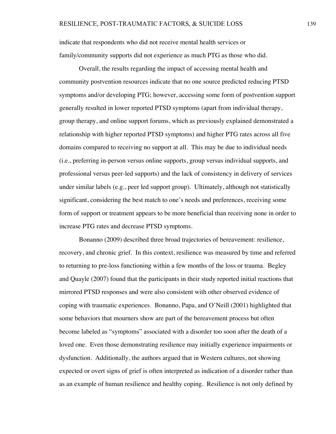indicate that respondents who did not receive mental health services or family/community supports did not experience as much PTG as those who did.

Overall, the results regarding the impact of accessing mental health and community postvention resources indicate that no one source predicted reducing PTSD symptoms and/or developing PTG; however, accessing some form of postvention support generally resulted in lower reported PTSD symptoms (apart from individual therapy, group therapy, and online support forums, which as previously explained demonstrated a relationship with higher reported PTSD symptoms) and higher PTG rates across all five domains compared to receiving no support at all. This may be due to individual needs (i.e., preferring in-person versus online supports, group versus individual supports, and professional versus peer-led supports) and the lack of consistency in delivery of services under similar labels (e.g., peer led support group). Ultimately, although not statistically significant, considering the best match to one's needs and preferences, receiving some form of support or treatment appears to be more beneficial than receiving none in order to increase PTG rates and decrease PTSD symptoms.

Bonanno (2009) described three broad trajectories of bereavement: resilience, recovery, and chronic grief. In this context, resilience was measured by time and referred to returning to pre-loss functioning within a few months of the loss or trauma. Begley and Quayle (2007) found that the participants in their study reported initial reactions that mirrored PTSD responses and were also consistent with other observed evidence of coping with traumatic experiences. Bonanno, Papa, and O'Neill (2001) highlighted that some behaviors that mourners show are part of the bereavement process but often become labeled as "symptoms" associated with a disorder too soon after the death of a loved one. Even those demonstrating resilience may initially experience impairments or dysfunction. Additionally, the authors argued that in Western cultures, not showing expected or overt signs of grief is often interpreted as indication of a disorder rather than as an example of human resilience and healthy coping. Resilience is not only defined by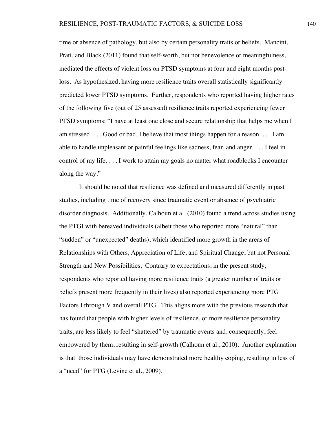time or absence of pathology, but also by certain personality traits or beliefs. Mancini, Prati, and Black (2011) found that self-worth, but not benevolence or meaningfulness, mediated the effects of violent loss on PTSD symptoms at four and eight months postloss. As hypothesized, having more resilience traits overall statistically significantly predicted lower PTSD symptoms. Further, respondents who reported having higher rates of the following five (out of 25 assessed) resilience traits reported experiencing fewer PTSD symptoms: "I have at least one close and secure relationship that helps me when I am stressed. . . . Good or bad, I believe that most things happen for a reason. . . . I am able to handle unpleasant or painful feelings like sadness, fear, and anger. . . . I feel in control of my life. . . . I work to attain my goals no matter what roadblocks I encounter along the way."

It should be noted that resilience was defined and measured differently in past studies, including time of recovery since traumatic event or absence of psychiatric disorder diagnosis. Additionally, Calhoun et al. (2010) found a trend across studies using the PTGI with bereaved individuals (albeit those who reported more "natural" than "sudden" or "unexpected" deaths), which identified more growth in the areas of Relationships with Others, Appreciation of Life, and Spiritual Change, but not Personal Strength and New Possibilities. Contrary to expectations, in the present study, respondents who reported having more resilience traits (a greater number of traits or beliefs present more frequently in their lives) also reported experiencing more PTG Factors I through V and overall PTG. This aligns more with the previous research that has found that people with higher levels of resilience, or more resilience personality traits, are less likely to feel "shattered" by traumatic events and, consequently, feel empowered by them, resulting in self-growth (Calhoun et al., 2010). Another explanation is that those individuals may have demonstrated more healthy coping, resulting in less of a "need" for PTG (Levine et al., 2009).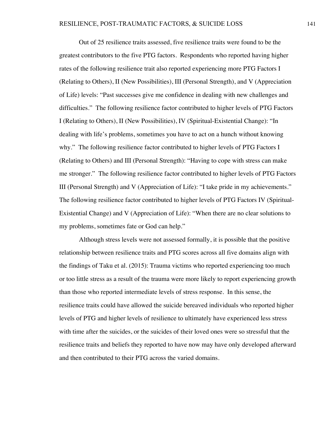Out of 25 resilience traits assessed, five resilience traits were found to be the greatest contributors to the five PTG factors. Respondents who reported having higher rates of the following resilience trait also reported experiencing more PTG Factors I (Relating to Others), II (New Possibilities), III (Personal Strength), and V (Appreciation of Life) levels: "Past successes give me confidence in dealing with new challenges and difficulties." The following resilience factor contributed to higher levels of PTG Factors I (Relating to Others), II (New Possibilities), IV (Spiritual-Existential Change): "In dealing with life's problems, sometimes you have to act on a hunch without knowing why." The following resilience factor contributed to higher levels of PTG Factors I (Relating to Others) and III (Personal Strength): "Having to cope with stress can make me stronger." The following resilience factor contributed to higher levels of PTG Factors III (Personal Strength) and V (Appreciation of Life): "I take pride in my achievements." The following resilience factor contributed to higher levels of PTG Factors IV (Spiritual-Existential Change) and V (Appreciation of Life): "When there are no clear solutions to my problems, sometimes fate or God can help."

Although stress levels were not assessed formally, it is possible that the positive relationship between resilience traits and PTG scores across all five domains align with the findings of Taku et al. (2015): Trauma victims who reported experiencing too much or too little stress as a result of the trauma were more likely to report experiencing growth than those who reported intermediate levels of stress response. In this sense, the resilience traits could have allowed the suicide bereaved individuals who reported higher levels of PTG and higher levels of resilience to ultimately have experienced less stress with time after the suicides, or the suicides of their loved ones were so stressful that the resilience traits and beliefs they reported to have now may have only developed afterward and then contributed to their PTG across the varied domains.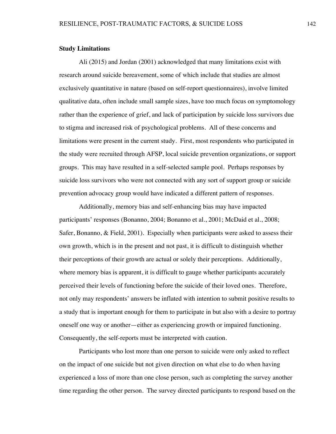#### **Study Limitations**

Ali (2015) and Jordan (2001) acknowledged that many limitations exist with research around suicide bereavement, some of which include that studies are almost exclusively quantitative in nature (based on self-report questionnaires), involve limited qualitative data, often include small sample sizes, have too much focus on symptomology rather than the experience of grief, and lack of participation by suicide loss survivors due to stigma and increased risk of psychological problems. All of these concerns and limitations were present in the current study. First, most respondents who participated in the study were recruited through AFSP, local suicide prevention organizations, or support groups. This may have resulted in a self-selected sample pool. Perhaps responses by suicide loss survivors who were not connected with any sort of support group or suicide prevention advocacy group would have indicated a different pattern of responses.

Additionally, memory bias and self-enhancing bias may have impacted participants' responses (Bonanno, 2004; Bonanno et al., 2001; McDaid et al., 2008; Safer, Bonanno, & Field, 2001). Especially when participants were asked to assess their own growth, which is in the present and not past, it is difficult to distinguish whether their perceptions of their growth are actual or solely their perceptions. Additionally, where memory bias is apparent, it is difficult to gauge whether participants accurately perceived their levels of functioning before the suicide of their loved ones. Therefore, not only may respondents' answers be inflated with intention to submit positive results to a study that is important enough for them to participate in but also with a desire to portray oneself one way or another—either as experiencing growth or impaired functioning. Consequently, the self-reports must be interpreted with caution.

Participants who lost more than one person to suicide were only asked to reflect on the impact of one suicide but not given direction on what else to do when having experienced a loss of more than one close person, such as completing the survey another time regarding the other person. The survey directed participants to respond based on the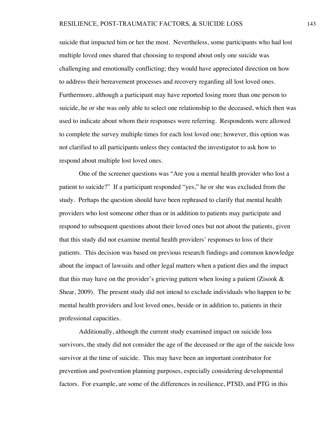suicide that impacted him or her the most. Nevertheless, some participants who had lost multiple loved ones shared that choosing to respond about only one suicide was challenging and emotionally conflicting; they would have appreciated direction on how to address their bereavement processes and recovery regarding all lost loved ones. Furthermore, although a participant may have reported losing more than one person to suicide, he or she was only able to select one relationship to the deceased, which then was used to indicate about whom their responses were referring. Respondents were allowed to complete the survey multiple times for each lost loved one; however, this option was not clarified to all participants unless they contacted the investigator to ask how to respond about multiple lost loved ones.

One of the screener questions was "Are you a mental health provider who lost a patient to suicide?" If a participant responded "yes," he or she was excluded from the study. Perhaps the question should have been rephrased to clarify that mental health providers who lost someone other than or in addition to patients may participate and respond to subsequent questions about their loved ones but not about the patients, given that this study did not examine mental health providers' responses to loss of their patients. This decision was based on previous research findings and common knowledge about the impact of lawsuits and other legal matters when a patient dies and the impact that this may have on the provider's grieving pattern when losing a patient (Zisook  $\&$ Shear, 2009). The present study did not intend to exclude individuals who happen to be mental health providers and lost loved ones, beside or in addition to, patients in their professional capacities.

Additionally, although the current study examined impact on suicide loss survivors, the study did not consider the age of the deceased or the age of the suicide loss survivor at the time of suicide. This may have been an important contributor for prevention and postvention planning purposes, especially considering developmental factors. For example, are some of the differences in resilience, PTSD, and PTG in this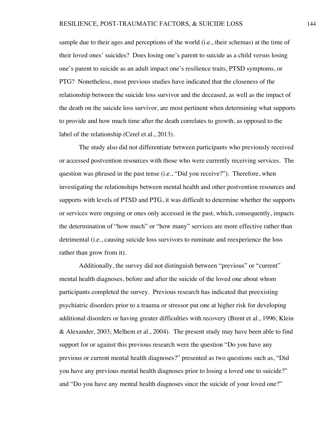sample due to their ages and perceptions of the world (i.e., their schemas) at the time of their loved ones' suicides? Does losing one's parent to suicide as a child versus losing one's parent to suicide as an adult impact one's resilience traits, PTSD symptoms, or PTG? Nonetheless, most previous studies have indicated that the closeness of the relationship between the suicide loss survivor and the deceased, as well as the impact of the death on the suicide loss survivor, are most pertinent when determining what supports to provide and how much time after the death correlates to growth, as opposed to the label of the relationship (Cerel et al., 2013).

The study also did not differentiate between participants who previously received or accessed postvention resources with those who were currently receiving services. The question was phrased in the past tense (i.e., "Did you receive?"). Therefore, when investigating the relationships between mental health and other postvention resources and supports with levels of PTSD and PTG, it was difficult to determine whether the supports or services were ongoing or ones only accessed in the past, which, consequently, impacts the determination of "how much" or "how many" services are more effective rather than detrimental (i.e., causing suicide loss survivors to ruminate and reexperience the loss rather than grow from it).

Additionally, the survey did not distinguish between "previous" or "current" mental health diagnoses, before and after the suicide of the loved one about whom participants completed the survey. Previous research has indicated that preexisting psychiatric disorders prior to a trauma or stressor put one at higher risk for developing additional disorders or having greater difficulties with recovery (Brent et al., 1996; Klein & Alexander, 2003; Melhem et al., 2004). The present study may have been able to find support for or against this previous research were the question "Do you have any previous or current mental health diagnoses?" presented as two questions such as, "Did you have any previous mental health diagnoses prior to losing a loved one to suicide?" and "Do you have any mental health diagnoses since the suicide of your loved one?"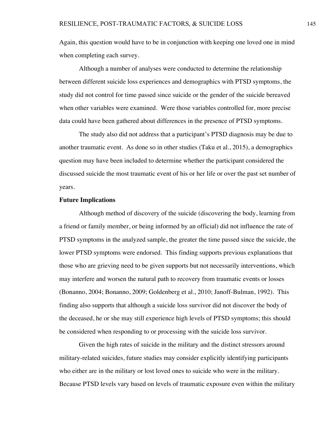Again, this question would have to be in conjunction with keeping one loved one in mind when completing each survey.

Although a number of analyses were conducted to determine the relationship between different suicide loss experiences and demographics with PTSD symptoms, the study did not control for time passed since suicide or the gender of the suicide bereaved when other variables were examined. Were those variables controlled for, more precise data could have been gathered about differences in the presence of PTSD symptoms.

The study also did not address that a participant's PTSD diagnosis may be due to another traumatic event. As done so in other studies (Taku et al., 2015), a demographics question may have been included to determine whether the participant considered the discussed suicide the most traumatic event of his or her life or over the past set number of years.

# **Future Implications**

Although method of discovery of the suicide (discovering the body, learning from a friend or family member, or being informed by an official) did not influence the rate of PTSD symptoms in the analyzed sample, the greater the time passed since the suicide, the lower PTSD symptoms were endorsed. This finding supports previous explanations that those who are grieving need to be given supports but not necessarily interventions, which may interfere and worsen the natural path to recovery from traumatic events or losses (Bonanno, 2004; Bonanno, 2009; Goldenberg et al., 2010; Janoff-Bulman, 1992). This finding also supports that although a suicide loss survivor did not discover the body of the deceased, he or she may still experience high levels of PTSD symptoms; this should be considered when responding to or processing with the suicide loss survivor.

Given the high rates of suicide in the military and the distinct stressors around military-related suicides, future studies may consider explicitly identifying participants who either are in the military or lost loved ones to suicide who were in the military. Because PTSD levels vary based on levels of traumatic exposure even within the military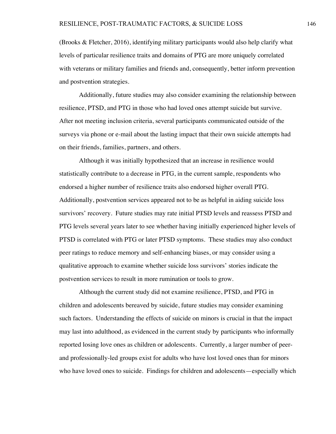(Brooks & Fletcher, 2016), identifying military participants would also help clarify what levels of particular resilience traits and domains of PTG are more uniquely correlated with veterans or military families and friends and, consequently, better inform prevention and postvention strategies.

Additionally, future studies may also consider examining the relationship between resilience, PTSD, and PTG in those who had loved ones attempt suicide but survive. After not meeting inclusion criteria, several participants communicated outside of the surveys via phone or e-mail about the lasting impact that their own suicide attempts had on their friends, families, partners, and others.

Although it was initially hypothesized that an increase in resilience would statistically contribute to a decrease in PTG, in the current sample, respondents who endorsed a higher number of resilience traits also endorsed higher overall PTG. Additionally, postvention services appeared not to be as helpful in aiding suicide loss survivors' recovery. Future studies may rate initial PTSD levels and reassess PTSD and PTG levels several years later to see whether having initially experienced higher levels of PTSD is correlated with PTG or later PTSD symptoms. These studies may also conduct peer ratings to reduce memory and self-enhancing biases, or may consider using a qualitative approach to examine whether suicide loss survivors' stories indicate the postvention services to result in more rumination or tools to grow.

Although the current study did not examine resilience, PTSD, and PTG in children and adolescents bereaved by suicide, future studies may consider examining such factors. Understanding the effects of suicide on minors is crucial in that the impact may last into adulthood, as evidenced in the current study by participants who informally reported losing love ones as children or adolescents. Currently, a larger number of peerand professionally-led groups exist for adults who have lost loved ones than for minors who have loved ones to suicide. Findings for children and adolescents—especially which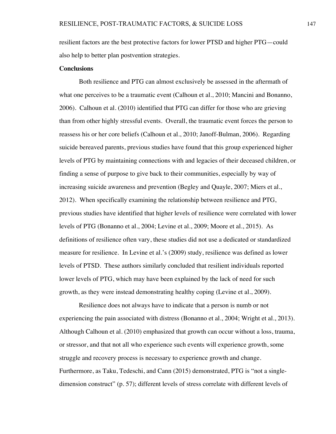resilient factors are the best protective factors for lower PTSD and higher PTG—could also help to better plan postvention strategies.

# **Conclusions**

Both resilience and PTG can almost exclusively be assessed in the aftermath of what one perceives to be a traumatic event (Calhoun et al., 2010; Mancini and Bonanno, 2006). Calhoun et al. (2010) identified that PTG can differ for those who are grieving than from other highly stressful events. Overall, the traumatic event forces the person to reassess his or her core beliefs (Calhoun et al., 2010; Janoff-Bulman, 2006). Regarding suicide bereaved parents, previous studies have found that this group experienced higher levels of PTG by maintaining connections with and legacies of their deceased children, or finding a sense of purpose to give back to their communities, especially by way of increasing suicide awareness and prevention (Begley and Quayle, 2007; Miers et al., 2012). When specifically examining the relationship between resilience and PTG, previous studies have identified that higher levels of resilience were correlated with lower levels of PTG (Bonanno et al., 2004; Levine et al., 2009; Moore et al., 2015). As definitions of resilience often vary, these studies did not use a dedicated or standardized measure for resilience. In Levine et al.'s (2009) study, resilience was defined as lower levels of PTSD. These authors similarly concluded that resilient individuals reported lower levels of PTG, which may have been explained by the lack of need for such growth, as they were instead demonstrating healthy coping (Levine et al., 2009).

Resilience does not always have to indicate that a person is numb or not experiencing the pain associated with distress (Bonanno et al., 2004; Wright et al., 2013). Although Calhoun et al. (2010) emphasized that growth can occur without a loss, trauma, or stressor, and that not all who experience such events will experience growth, some struggle and recovery process is necessary to experience growth and change. Furthermore, as Taku, Tedeschi, and Cann (2015) demonstrated, PTG is "not a singledimension construct" (p. 57); different levels of stress correlate with different levels of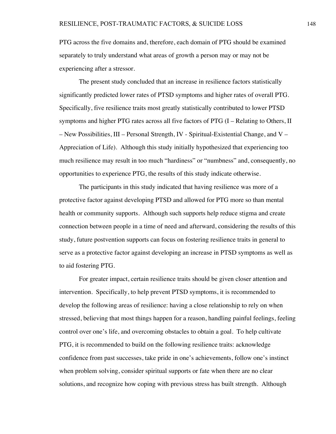PTG across the five domains and, therefore, each domain of PTG should be examined separately to truly understand what areas of growth a person may or may not be experiencing after a stressor.

The present study concluded that an increase in resilience factors statistically significantly predicted lower rates of PTSD symptoms and higher rates of overall PTG. Specifically, five resilience traits most greatly statistically contributed to lower PTSD symptoms and higher PTG rates across all five factors of PTG (I – Relating to Others, II – New Possibilities, III – Personal Strength, IV - Spiritual-Existential Change, and V – Appreciation of Life). Although this study initially hypothesized that experiencing too much resilience may result in too much "hardiness" or "numbness" and, consequently, no opportunities to experience PTG, the results of this study indicate otherwise.

The participants in this study indicated that having resilience was more of a protective factor against developing PTSD and allowed for PTG more so than mental health or community supports. Although such supports help reduce stigma and create connection between people in a time of need and afterward, considering the results of this study, future postvention supports can focus on fostering resilience traits in general to serve as a protective factor against developing an increase in PTSD symptoms as well as to aid fostering PTG.

For greater impact, certain resilience traits should be given closer attention and intervention. Specifically, to help prevent PTSD symptoms, it is recommended to develop the following areas of resilience: having a close relationship to rely on when stressed, believing that most things happen for a reason, handling painful feelings, feeling control over one's life, and overcoming obstacles to obtain a goal. To help cultivate PTG, it is recommended to build on the following resilience traits: acknowledge confidence from past successes, take pride in one's achievements, follow one's instinct when problem solving, consider spiritual supports or fate when there are no clear solutions, and recognize how coping with previous stress has built strength. Although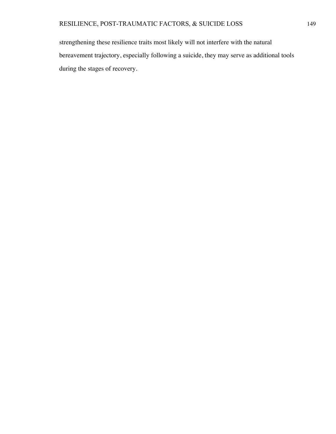strengthening these resilience traits most likely will not interfere with the natural bereavement trajectory, especially following a suicide, they may serve as additional tools during the stages of recovery.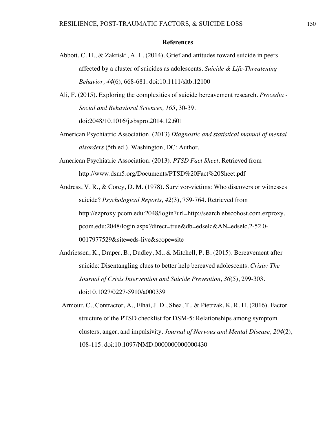## **References**

- Abbott, C. H., & Zakriski, A. L. (2014). Grief and attitudes toward suicide in peers affected by a cluster of suicides as adolescents. *Suicide & Life-Threatening Behavior, 44*(6), 668-681. doi:10.1111/sltb.12100
- Ali, F. (2015). Exploring the complexities of suicide bereavement research. *Procedia - Social and Behavioral Sciences, 165*, 30-39. doi:2048/10.1016/j.sbspro.2014.12.601
- American Psychiatric Association. (2013) *Diagnostic and statistical manual of mental disorders* (5th ed.). Washington, DC: Author.
- American Psychiatric Association. (2013). *PTSD Fact Sheet*. Retrieved from http://www.dsm5.org/Documents/PTSD%20Fact%20Sheet.pdf

Andress, V. R., & Corey, D. M. (1978). Survivor-victims: Who discovers or witnesses suicide? *Psychological Reports, 42*(3), 759-764. Retrieved from http://ezproxy.pcom.edu:2048/login?url=http://search.ebscohost.com.ezproxy. pcom.edu:2048/login.aspx?direct=true&db=edselc&AN=edselc.2-52.0- 0017977529&site=eds-live&scope=site

Andriessen, K., Draper, B., Dudley, M., & Mitchell, P. B. (2015). Bereavement after suicide: Disentangling clues to better help bereaved adolescents. *Crisis: The Journal of Crisis Intervention and Suicide Prevention, 36*(5), 299-303. doi:10.1027/0227-5910/a000339

Armour, C., Contractor, A., Elhai, J. D., Shea, T., & Pietrzak, K. R. H. (2016). Factor structure of the PTSD checklist for DSM-5: Relationships among symptom clusters, anger, and impulsivity. *Journal of Nervous and Mental Disease, 204*(2), 108-115. doi:10.1097/NMD.0000000000000430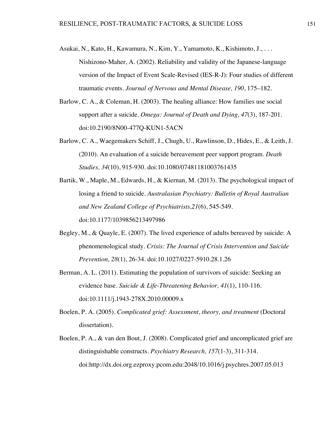- Asukai, N., Kato, H., Kawamura, N., Kim, Y., Yamamoto, K., Kishimoto, J., . . . Nishizono-Maher, A. (2002). Reliability and validity of the Japanese-language version of the Impact of Event Scale-Revised (IES-R-J): Four studies of different traumatic events. *Journal of Nervous and Mental Disease, 190*, 175–182.
- Barlow, C. A., & Coleman, H. (2003). The healing alliance: How families use social support after a suicide. *Omega: Journal of Death and Dying, 47*(3), 187-201. doi:10.2190/8N00-477Q-KUN1-5ACN
- Barlow, C. A., Waegemakers Schiff, J., Chugh, U., Rawlinson, D., Hides, E., & Leith, J. (2010). An evaluation of a suicide bereavement peer support program. *Death Studies, 34*(10), 915-930. doi:10.1080/07481181003761435
- Bartik, W., Maple, M., Edwards, H., & Kiernan, M. (2013). The psychological impact of losing a friend to suicide. *Australasian Psychiatry: Bulletin of Royal Australian and New Zealand College of Psychiatrists,21*(6), 545-549. doi:10.1177/1039856213497986
- Begley, M., & Quayle, E. (2007). The lived experience of adults bereaved by suicide: A phenomenological study. *Crisis: The Journal of Crisis Intervention and Suicide Prevention, 28*(1), 26-34. doi:10.1027/0227-5910.28.1.26
- Berman, A. L. (2011). Estimating the population of survivors of suicide: Seeking an evidence base. *Suicide & Life-Threatening Behavior, 41*(1), 110-116. doi:10.1111/j.1943-278X.2010.00009.x
- Boelen, P. A. (2005). *Complicated grief: Assessment, theory, and treatment* (Doctoral dissertation).
- Boelen, P. A., & van den Bout, J. (2008). Complicated grief and uncomplicated grief are distinguishable constructs. *Psychiatry Research, 157*(1-3), 311-314. doi:http://dx.doi.org.ezproxy.pcom.edu:2048/10.1016/j.psychres.2007.05.013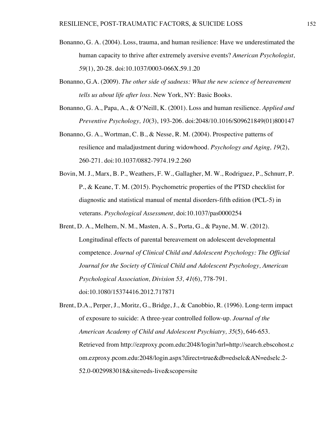- Bonanno, G. A. (2004). Loss, trauma, and human resilience: Have we underestimated the human capacity to thrive after extremely aversive events? *American Psychologist, 59*(1), 20-28. doi:10.1037/0003-066X.59.1.20
- Bonanno, G.A. (2009). *The other side of sadness: What the new science of bereavement tells us about life after loss.* New York, NY: Basic Books.
- Bonanno, G. A., Papa, A., & O'Neill, K. (2001). Loss and human resilience. *Applied and Preventive Psychology, 10*(3), 193-206. doi:2048/10.1016/S09621849(01)800147
- Bonanno, G. A., Wortman, C. B., & Nesse, R. M. (2004). Prospective patterns of resilience and maladjustment during widowhood. *Psychology and Aging, 19*(2), 260-271. doi:10.1037/0882-7974.19.2.260
- Bovin, M. J., Marx, B. P., Weathers, F. W., Gallagher, M. W., Rodriguez, P., Schnurr, P. P., & Keane, T. M. (2015). Psychometric properties of the PTSD checklist for diagnostic and statistical manual of mental disorders-fifth edition (PCL-5) in veterans. *Psychological Assessment,* doi:10.1037/pas0000254
- Brent, D. A., Melhem, N. M., Masten, A. S., Porta, G., & Payne, M. W. (2012). Longitudinal effects of parental bereavement on adolescent developmental competence. *Journal of Clinical Child and Adolescent Psychology: The Official Journal for the Society of Clinical Child and Adolescent Psychology, American Psychological Association, Division 53, 41*(6), 778-791. doi:10.1080/15374416.2012.717871
- Brent, D.A., Perper, J., Moritz, G., Bridge, J., & Canobbio, R. (1996). Long-term impact of exposure to suicide: A three-year controlled follow-up. *Journal of the American Academy of Child and Adolescent Psychiatry, 35*(5), 646-653. Retrieved from http://ezproxy.pcom.edu:2048/login?url=http://search.ebscohost.c om.ezproxy.pcom.edu:2048/login.aspx?direct=true&db=edselc&AN=edselc.2- 52.0-0029983018&site=eds-live&scope=site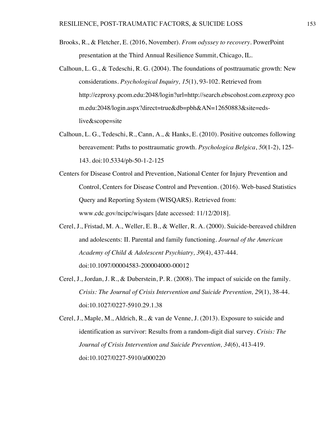- Brooks, R., & Fletcher, E. (2016, November). *From odyssey to recovery*. PowerPoint presentation at the Third Annual Resilience Summit, Chicago, IL.
- Calhoun, L. G., & Tedeschi, R. G. (2004). The foundations of posttraumatic growth: New considerations. *Psychological Inquiry, 15*(1), 93-102. Retrieved from http://ezproxy.pcom.edu:2048/login?url=http://search.ebscohost.com.ezproxy.pco m.edu:2048/login.aspx?direct=true&db=pbh&AN=12650883&site=edslive&scope=site
- Calhoun, L. G., Tedeschi, R., Cann, A., & Hanks, E. (2010). Positive outcomes following bereavement: Paths to posttraumatic growth. *Psychologica Belgica*, *50*(1-2), 125- 143. doi:10.5334/pb-50-1-2-125
- Centers for Disease Control and Prevention, National Center for Injury Prevention and Control, Centers for Disease Control and Prevention. (2016). Web-based Statistics Query and Reporting System (WISQARS). Retrieved from: www.cdc.gov/ncipc/wisqars [date accessed: 11/12/2018].
- Cerel, J., Fristad, M. A., Weller, E. B., & Weller, R. A. (2000). Suicide-bereaved children and adolescents: II. Parental and family functioning. *Journal of the American Academy of Child & Adolescent Psychiatry, 39*(4), 437-444. doi:10.1097/00004583-200004000-00012
- Cerel, J., Jordan, J. R., & Duberstein, P. R. (2008). The impact of suicide on the family. *Crisis: The Journal of Crisis Intervention and Suicide Prevention, 29*(1), 38-44. doi:10.1027/0227-5910.29.1.38
- Cerel, J., Maple, M., Aldrich, R., & van de Venne, J. (2013). Exposure to suicide and identification as survivor: Results from a random-digit dial survey. *Crisis: The Journal of Crisis Intervention and Suicide Prevention, 34*(6), 413-419. doi:10.1027/0227-5910/a000220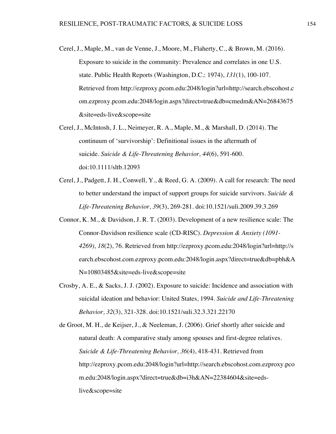- Cerel, J., Maple, M., van de Venne, J., Moore, M., Flaherty, C., & Brown, M. (2016). Exposure to suicide in the community: Prevalence and correlates in one U.S. state. Public Health Reports (Washington, D.C.: 1974), *131*(1), 100-107. Retrieved from http://ezproxy.pcom.edu:2048/login?url=http://search.ebscohost.c om.ezproxy.pcom.edu:2048/login.aspx?direct=true&db=cmedm&AN=26843675 &site=eds-live&scope=site
- Cerel, J., McIntosh, J. L., Neimeyer, R. A., Maple, M., & Marshall, D. (2014). The continuum of 'survivorship': Definitional issues in the aftermath of suicide. *Suicide & Life-Threatening Behavior, 44*(6), 591-600. doi:10.1111/sltb.12093
- Cerel, J., Padgett, J. H., Conwell, Y., & Reed, G. A. (2009). A call for research: The need to better understand the impact of support groups for suicide survivors. *Suicide & Life-Threatening Behavior, 39*(3), 269-281. doi:10.1521/suli.2009.39.3.269
- Connor, K. M., & Davidson, J. R. T. (2003). Development of a new resilience scale: The Connor-Davidson resilience scale (CD-RISC). *Depression & Anxiety (1091- 4269), 18*(2), 76. Retrieved from http://ezproxy.pcom.edu:2048/login?url=http://s earch.ebscohost.com.ezproxy.pcom.edu:2048/login.aspx?direct=true&db=pbh&A N=10803485&site=eds-live&scope=site
- Crosby, A. E., & Sacks, J. J. (2002). Exposure to suicide: Incidence and association with suicidal ideation and behavior: United States, 1994. *Suicide and Life-Threatening Behavior, 32*(3), 321-328. doi:10.1521/suli.32.3.321.22170

de Groot, M. H., de Keijser, J., & Neeleman, J. (2006). Grief shortly after suicide and natural death: A comparative study among spouses and first-degree relatives. *Suicide & Life-Threatening Behavior, 36*(4), 418-431. Retrieved from http://ezproxy.pcom.edu:2048/login?url=http://search.ebscohost.com.ezproxy.pco m.edu:2048/login.aspx?direct=true&db=i3h&AN=22384604&site=edslive&scope=site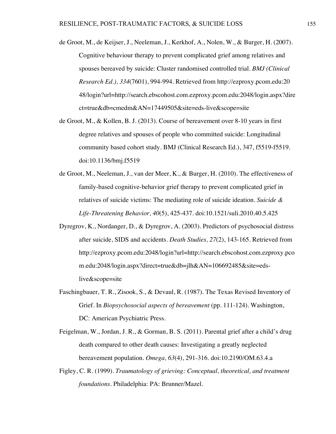- de Groot, M., de Keijser, J., Neeleman, J., Kerkhof, A., Nolen, W., & Burger, H. (2007). Cognitive behaviour therapy to prevent complicated grief among relatives and spouses bereaved by suicide: Cluster randomised controlled trial. *BMJ (Clinical Research Ed.), 334*(7601), 994-994. Retrieved from http://ezproxy.pcom.edu:20 48/login?url=http://search.ebscohost.com.ezproxy.pcom.edu:2048/login.aspx?dire ct=true&db=cmedm&AN=17449505&site=eds-live&scope=site
- de Groot, M., & Kollen, B. J. (2013). Course of bereavement over 8-10 years in first degree relatives and spouses of people who committed suicide: Longitudinal community based cohort study. BMJ (Clinical Research Ed.), 347, f5519-f5519. doi:10.1136/bmj.f5519
- de Groot, M., Neeleman, J., van der Meer, K., & Burger, H. (2010). The effectiveness of family-based cognitive-behavior grief therapy to prevent complicated grief in relatives of suicide victims: The mediating role of suicide ideation. *Suicide & Life-Threatening Behavior, 40*(5), 425-437. doi:10.1521/suli.2010.40.5.425
- Dyregrov, K., Nordanger, D., & Dyregrov, A. (2003). Predictors of psychosocial distress after suicide, SIDS and accidents. *Death Studies, 27*(2), 143-165. Retrieved from http://ezproxy.pcom.edu:2048/login?url=http://search.ebscohost.com.ezproxy.pco m.edu:2048/login.aspx?direct=true&db=jlh&AN=106692485&site=edslive&scope=site
- Faschingbauer, T. R., Zisook, S., & Devaul, R. (1987). The Texas Revised Inventory of Grief. In *Biopsychosocial aspects of bereavement* (pp. 111-124). Washington, DC: American Psychiatric Press.
- Feigelman, W., Jordan, J. R., & Gorman, B. S. (2011). Parental grief after a child's drug death compared to other death causes: Investigating a greatly neglected bereavement population. *Omega, 63*(4), 291-316. doi:10.2190/OM.63.4.a
- Figley, C. R. (1999). *Traumatology of grieving: Conceptual, theoretical, and treatment foundations.* Philadelphia: PA: Brunner/Mazel.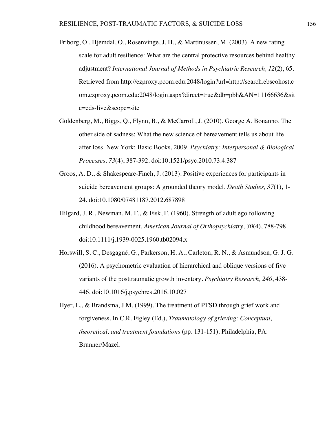- Friborg, O., Hjemdal, O., Rosenvinge, J. H., & Martinussen, M. (2003). A new rating scale for adult resilience: What are the central protective resources behind healthy adjustment? *International Journal of Methods in Psychiatric Research, 12*(2), 65. Retrieved from http://ezproxy.pcom.edu:2048/login?url=http://search.ebscohost.c om.ezproxy.pcom.edu:2048/login.aspx?direct=true&db=pbh&AN=11166636&sit e=eds-live&scope=site
- Goldenberg, M., Biggs, Q., Flynn, B., & McCarroll, J. (2010). George A. Bonanno. The other side of sadness: What the new science of bereavement tells us about life after loss. New York: Basic Books, 2009. *Psychiatry: Interpersonal & Biological Processes, 73*(4), 387-392. doi:10.1521/psyc.2010.73.4.387
- Groos, A. D., & Shakespeare-Finch, J. (2013). Positive experiences for participants in suicide bereavement groups: A grounded theory model. *Death Studies, 37*(1), 1- 24. doi:10.1080/07481187.2012.687898
- Hilgard, J. R., Newman, M. F., & Fisk, F. (1960). Strength of adult ego following childhood bereavement. *American Journal of Orthopsychiatry, 30*(4), 788-798. doi:10.1111/j.1939-0025.1960.tb02094.x
- Horswill, S. C., Desgagné, G., Parkerson, H. A., Carleton, R. N., & Asmundson, G. J. G. (2016). A psychometric evaluation of hierarchical and oblique versions of five variants of the posttraumatic growth inventory. *Psychiatry Research, 246*, 438- 446. doi:10.1016/j.psychres.2016.10.027
- Hyer, L., & Brandsma, J.M. (1999). The treatment of PTSD through grief work and forgiveness. In C.R. Figley (Ed.), *Traumatology of grieving: Conceptual, theoretical, and treatment foundations* (pp. 131-151)*.* Philadelphia, PA: Brunner/Mazel.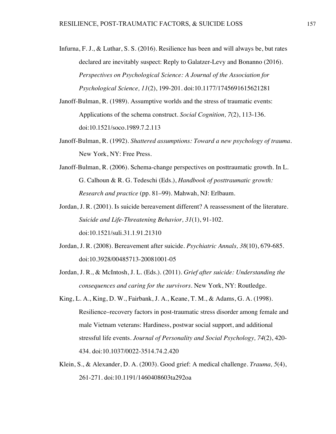- Infurna, F. J., & Luthar, S. S. (2016). Resilience has been and will always be, but rates declared are inevitably suspect: Reply to Galatzer-Levy and Bonanno (2016). *Perspectives on Psychological Science: A Journal of the Association for Psychological Science, 11*(2), 199-201. doi:10.1177/1745691615621281
- Janoff-Bulman, R. (1989). Assumptive worlds and the stress of traumatic events: Applications of the schema construct. *Social Cognition, 7*(2), 113-136. doi:10.1521/soco.1989.7.2.113
- Janoff-Bulman, R. (1992). *Shattered assumptions: Toward a new psychology of trauma.*  New York, NY: Free Press.
- Janoff-Bulman, R. (2006). Schema-change perspectives on posttraumatic growth. In L. G. Calhoun & R. G. Tedeschi (Eds.), *Handbook of posttraumatic growth: Research and practice* (pp. 81–99). Mahwah, NJ: Erlbaum.
- Jordan, J. R. (2001). Is suicide bereavement different? A reassessment of the literature. *Suicide and Life-Threatening Behavior, 31*(1), 91-102. doi:10.1521/suli.31.1.91.21310
- Jordan, J. R. (2008). Bereavement after suicide. *Psychiatric Annals, 38*(10), 679-685. doi:10.3928/00485713-20081001-05
- Jordan, J. R., & McIntosh, J. L. (Eds.). (2011). *Grief after suicide: Understanding the consequences and caring for the survivors*. New York, NY: Routledge.
- King, L. A., King, D. W., Fairbank, J. A., Keane, T. M., & Adams, G. A. (1998). Resilience–recovery factors in post-traumatic stress disorder among female and male Vietnam veterans: Hardiness, postwar social support, and additional stressful life events. *Journal of Personality and Social Psychology, 74*(2), 420- 434. doi:10.1037/0022-3514.74.2.420
- Klein, S., & Alexander, D. A. (2003). Good grief: A medical challenge. *Trauma, 5*(4), 261-271. doi:10.1191/1460408603ta292oa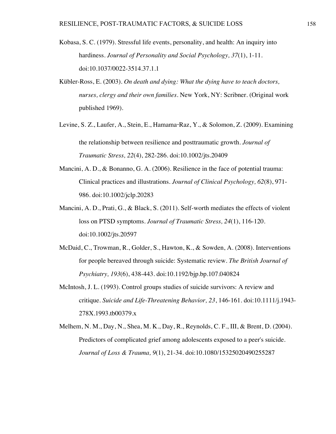- Kobasa, S. C. (1979). Stressful life events, personality, and health: An inquiry into hardiness. *Journal of Personality and Social Psychology, 37*(1), 1-11. doi:10.1037/0022-3514.37.1.1
- Kübler-Ross, E. (2003). *On death and dying: What the dying have to teach doctors, nurses, clergy and their own families.* New York, NY: Scribner. (Original work published 1969).
- Levine, S. Z., Laufer, A., Stein, E., Hamama-Raz, Y., & Solomon, Z. (2009). Examining the relationship between resilience and posttraumatic growth. *Journal of Traumatic Stress, 22*(4), 282-286. doi:10.1002/jts.20409
- Mancini, A. D., & Bonanno, G. A. (2006). Resilience in the face of potential trauma: Clinical practices and illustrations. *Journal of Clinical Psychology, 62*(8), 971- 986. doi:10.1002/jclp.20283
- Mancini, A. D., Prati, G., & Black, S. (2011). Self-worth mediates the effects of violent loss on PTSD symptoms. *Journal of Traumatic Stress, 24*(1), 116-120. doi:10.1002/jts.20597
- McDaid, C., Trowman, R., Golder, S., Hawton, K., & Sowden, A. (2008). Interventions for people bereaved through suicide: Systematic review. *The British Journal of Psychiatry, 193*(6), 438-443. doi:10.1192/bjp.bp.107.040824
- McIntosh, J. L. (1993). Control groups studies of suicide survivors: A review and critique. *Suicide and Life-Threatening Behavior, 23*, 146-161. doi:10.1111/j.1943- 278X.1993.tb00379.x
- Melhem, N. M., Day, N., Shea, M. K., Day, R., Reynolds, C. F., III, & Brent, D. (2004). Predictors of complicated grief among adolescents exposed to a peer's suicide. *Journal of Loss & Trauma, 9*(1), 21-34. doi:10.1080/15325020490255287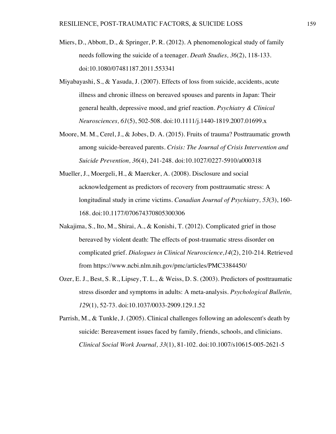- Miers, D., Abbott, D., & Springer, P. R. (2012). A phenomenological study of family needs following the suicide of a teenager. *Death Studies, 36*(2), 118-133. doi:10.1080/07481187.2011.553341
- Miyabayashi, S., & Yasuda, J. (2007). Effects of loss from suicide, accidents, acute illness and chronic illness on bereaved spouses and parents in Japan: Their general health, depressive mood, and grief reaction. *Psychiatry & Clinical Neurosciences, 61*(5), 502-508. doi:10.1111/j.1440-1819.2007.01699.x
- Moore, M. M., Cerel, J., & Jobes, D. A. (2015). Fruits of trauma? Posttraumatic growth among suicide-bereaved parents. *Crisis: The Journal of Crisis Intervention and Suicide Prevention, 36*(4), 241-248. doi:10.1027/0227-5910/a000318
- Mueller, J., Moergeli, H., & Maercker, A. (2008). Disclosure and social acknowledgement as predictors of recovery from posttraumatic stress: A longitudinal study in crime victims. *Canadian Journal of Psychiatry, 53*(3), 160- 168. doi:10.1177/070674370805300306
- Nakajima, S., Ito, M., Shirai, A., & Konishi, T. (2012). Complicated grief in those bereaved by violent death: The effects of post-traumatic stress disorder on complicated grief. *Dialogues in Clinical Neuroscience,14*(2), 210-214. Retrieved from https://www.ncbi.nlm.nih.gov/pmc/articles/PMC3384450/
- Ozer, E. J., Best, S. R., Lipsey, T. L., & Weiss, D. S. (2003). Predictors of posttraumatic stress disorder and symptoms in adults: A meta-analysis. *Psychological Bulletin, 129*(1), 52-73. doi:10.1037/0033-2909.129.1.52
- Parrish, M., & Tunkle, J. (2005). Clinical challenges following an adolescent's death by suicide: Bereavement issues faced by family, friends, schools, and clinicians. *Clinical Social Work Journal, 33*(1), 81-102. doi:10.1007/s10615-005-2621-5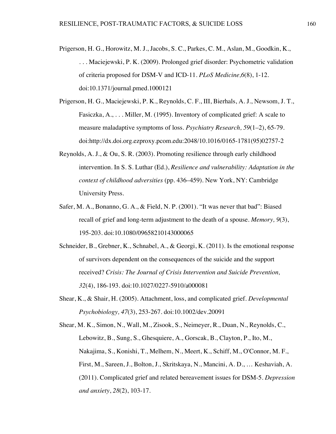- Prigerson, H. G., Horowitz, M. J., Jacobs, S. C., Parkes, C. M., Aslan, M., Goodkin, K., . . . Maciejewski, P. K. (2009). Prolonged grief disorder: Psychometric validation of criteria proposed for DSM-V and ICD-11. *PLoS Medicine,6*(8), 1-12. doi:10.1371/journal.pmed.1000121
- Prigerson, H. G., Maciejewski, P. K., Reynolds, C. F., III, Bierhals, A. J., Newsom, J. T., Fasiczka, A., . . . Miller, M. (1995). Inventory of complicated grief: A scale to measure maladaptive symptoms of loss. *Psychiatry Research, 59*(1–2), 65-79. doi:http://dx.doi.org.ezproxy.pcom.edu:2048/10.1016/0165-1781(95)02757-2
- Reynolds, A. J., & Ou, S. R. (2003). Promoting resilience through early childhood intervention. In S. S. Luthar (Ed.), *Resilience and vulnerability: Adaptation in the context of childhood adversities* (pp. 436–459). New York, NY: Cambridge University Press.
- Safer, M. A., Bonanno, G. A., & Field, N. P. (2001). "It was never that bad": Biased recall of grief and long-term adjustment to the death of a spouse. *Memory, 9*(3), 195-203. doi:10.1080/09658210143000065
- Schneider, B., Grebner, K., Schnabel, A., & Georgi, K. (2011). Is the emotional response of survivors dependent on the consequences of the suicide and the support received? *Crisis: The Journal of Crisis Intervention and Suicide Prevention, 32*(4), 186-193. doi:10.1027/0227-5910/a000081
- Shear, K., & Shair, H. (2005). Attachment, loss, and complicated grief. *Developmental Psychobiology, 47*(3), 253-267. doi:10.1002/dev.20091
- Shear, M. K., Simon, N., Wall, M., Zisook, S., Neimeyer, R., Duan, N., Reynolds, C., Lebowitz, B., Sung, S., Ghesquiere, A., Gorscak, B., Clayton, P., Ito, M., Nakajima, S., Konishi, T., Melhem, N., Meert, K., Schiff, M., O'Connor, M. F., First, M., Sareen, J., Bolton, J., Skritskaya, N., Mancini, A. D., … Keshaviah, A. (2011). Complicated grief and related bereavement issues for DSM-5. *Depression and anxiety*, *28*(2), 103-17.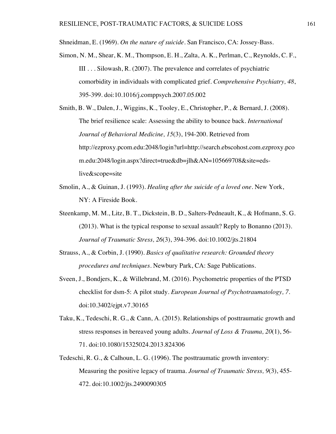Shneidman, E. (1969). *On the nature of suicide*. San Francisco, CA: Jossey-Bass.

Simon, N. M., Shear, K. M., Thompson, E. H., Zalta, A. K., Perlman, C., Reynolds, C. F., III . . . Silowash, R. (2007). The prevalence and correlates of psychiatric comorbidity in individuals with complicated grief. *Comprehensive Psychiatry, 48*, 395-399. doi:10.1016/j.comppsych.2007.05.002

Smith, B. W., Dalen, J., Wiggins, K., Tooley, E., Christopher, P., & Bernard, J. (2008). The brief resilience scale: Assessing the ability to bounce back. *International Journal of Behavioral Medicine, 15*(3), 194-200. Retrieved from http://ezproxy.pcom.edu:2048/login?url=http://search.ebscohost.com.ezproxy.pco m.edu:2048/login.aspx?direct=true&db=jlh&AN=105669708&site=edslive&scope=site

- Smolin, A., & Guinan, J. (1993). *Healing after the suicide of a loved one*. New York, NY: A Fireside Book.
- Steenkamp, M. M., Litz, B. T., Dickstein, B. D., Salters-Pedneault, K., & Hofmann, S. G. (2013). What is the typical response to sexual assault? Reply to Bonanno (2013). *Journal of Traumatic Stress, 26*(3), 394-396. doi:10.1002/jts.21804
- Strauss, A., & Corbin, J. (1990). *Basics of qualitative research: Grounded theory procedures and techniques*. Newbury Park, CA: Sage Publications.
- Sveen, J., Bondjers, K., & Willebrand, M. (2016). Psychometric properties of the PTSD checklist for dsm-5: A pilot study. *European Journal of Psychotraumatology, 7.* doi:10.3402/ejpt.v7.30165
- Taku, K., Tedeschi, R. G., & Cann, A. (2015). Relationships of posttraumatic growth and stress responses in bereaved young adults. *Journal of Loss & Trauma, 20*(1), 56- 71. doi:10.1080/15325024.2013.824306
- Tedeschi, R. G., & Calhoun, L. G. (1996). The posttraumatic growth inventory: Measuring the positive legacy of trauma. *Journal of Traumatic Stress, 9*(3), 455- 472. doi:10.1002/jts.2490090305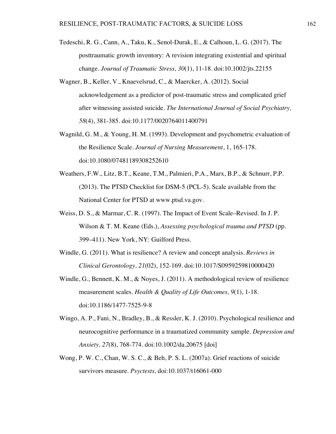- Tedeschi, R. G., Cann, A., Taku, K., Senol-Durak, E., & Calhoun, L. G. (2017). The posttraumatic growth inventory: A revision integrating existential and spiritual change. *Journal of Traumatic Stress, 30*(1), 11-18. doi:10.1002/jts.22155
- Wagner, B., Keller, V., Knaevelsrud, C., & Maercker, A. (2012). Social acknowledgement as a predictor of post-traumatic stress and complicated grief after witnessing assisted suicide. *The International Journal of Social Psychiatry, 58*(4), 381-385. doi:10.1177/0020764011400791
- Wagnild, G. M., & Young, H. M. (1993). Development and psychometric evaluation of the Resilience Scale. *Journal of Nursing Measurement*, 1, 165-178. doi:10.1080/07481189308252610
- Weathers, F.W., Litz, B.T., Keane, T.M., Palmieri, P.A., Marx, B.P., & Schnurr, P.P. (2013). The PTSD Checklist for DSM-5 (PCL-5). Scale available from the National Center for PTSD at www.ptsd.va.gov.
- Weiss, D. S., & Marmar, C. R. (1997). The Impact of Event Scale–Revised. In J. P. Wilson & T. M. Keane (Eds.), *Assessing psychological trauma and PTSD* (pp. 399–411). New York, NY: Guilford Press.
- Windle, G. (2011). What is resilience? A review and concept analysis. *Reviews in Clinical Gerontology, 21*(02), 152-169. doi:10.1017/S0959259810000420
- Windle, G., Bennett, K. M., & Noyes, J. (2011). A methodological review of resilience measurement scales. *Health & Quality of Life Outcomes, 9*(1), 1-18. doi:10.1186/1477-7525-9-8
- Wingo, A. P., Fani, N., Bradley, B., & Ressler, K. J. (2010). Psychological resilience and neurocognitive performance in a traumatized community sample. *Depression and Anxiety, 27*(8), 768-774. doi:10.1002/da.20675 [doi]
- Wong, P. W. C., Chan, W. S. C., & Beh, P. S. L. (2007a). Grief reactions of suicide survivors measure. *Psyctests,* doi:10.1037/t16061-000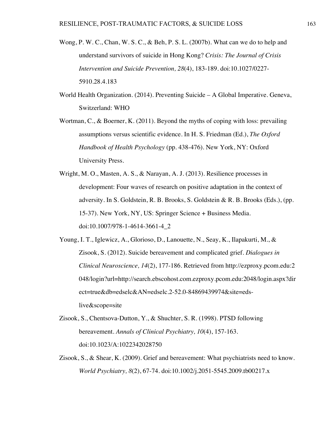- Wong, P. W. C., Chan, W. S. C., & Beh, P. S. L. (2007b). What can we do to help and understand survivors of suicide in Hong Kong? *Crisis: The Journal of Crisis Intervention and Suicide Prevention, 28*(4), 183-189. doi:10.1027/0227- 5910.28.4.183
- World Health Organization. (2014). Preventing Suicide A Global Imperative. Geneva, Switzerland: WHO
- Wortman, C., & Boerner, K. (2011). Beyond the myths of coping with loss: prevailing assumptions versus scientific evidence. In H. S. Friedman (Ed.), *The Oxford Handbook of Health Psychology* (pp. 438-476). New York, NY: Oxford University Press.
- Wright, M. O., Masten, A. S., & Narayan, A. J. (2013). Resilience processes in development: Four waves of research on positive adaptation in the context of adversity. In S. Goldstein, R. B. Brooks, S. Goldstein & R. B. Brooks (Eds.), (pp. 15-37). New York, NY, US: Springer Science + Business Media. doi:10.1007/978-1-4614-3661-4\_2
- Young, I. T., Iglewicz, A., Glorioso, D., Lanouette, N., Seay, K., Ilapakurti, M., & Zisook, S. (2012). Suicide bereavement and complicated grief. *Dialogues in Clinical Neuroscience, 14*(2), 177-186. Retrieved from http://ezproxy.pcom.edu:2 048/login?url=http://search.ebscohost.com.ezproxy.pcom.edu:2048/login.aspx?dir ect=true&db=edselc&AN=edselc.2-52.0-84869439974&site=edslive&scope=site
- Zisook, S., Chentsova-Dutton, Y., & Shuchter, S. R. (1998). PTSD following bereavement. *Annals of Clinical Psychiatry, 10*(4), 157-163. doi:10.1023/A:1022342028750
- Zisook, S., & Shear, K. (2009). Grief and bereavement: What psychiatrists need to know. *World Psychiatry, 8*(2), 67-74. doi:10.1002/j.2051-5545.2009.tb00217.x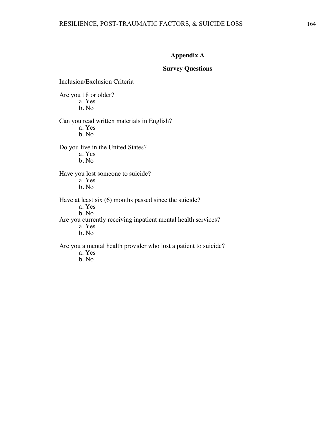#### **Appendix A**

#### **Survey Questions**

Inclusion/Exclusion Criteria

Are you 18 or older? a. Yes b. No

Can you read written materials in English?

a. Yes b. No

Do you live in the United States?

a. Yes

b. No

Have you lost someone to suicide? a. Yes

b. No

Have at least six (6) months passed since the suicide?

a. Yes

b. No

Are you currently receiving inpatient mental health services?

a. Yes

b. No

Are you a mental health provider who lost a patient to suicide?

a. Yes

b. No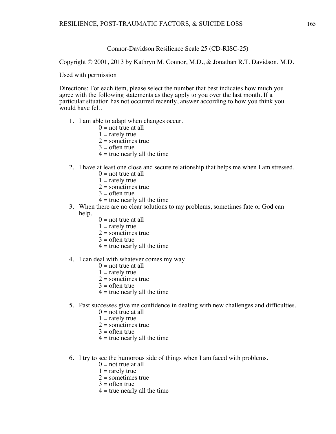Connor-Davidson Resilience Scale 25 (CD-RISC-25)

Copyright © 2001, 2013 by Kathryn M. Connor, M.D., & Jonathan R.T. Davidson. M.D.

Used with permission

Directions: For each item, please select the number that best indicates how much you agree with the following statements as they apply to you over the last month. If a particular situation has not occurred recently, answer according to how you think you would have felt.

- 1. I am able to adapt when changes occur.
	- $0 =$  not true at all
	- $1 =$  rarely true
	- $2 =$  sometimes true
	- $3 =$  often true
	- $4 =$  true nearly all the time
- 2. I have at least one close and secure relationship that helps me when I am stressed.
	- $0 =$  not true at all
	- $1 =$  rarely true
	- $2 =$  sometimes true
	- $3 =$  often true
	- $4 =$  true nearly all the time
- 3. When there are no clear solutions to my problems, sometimes fate or God can help.
	- $0 =$  not true at all
	- $1 =$  rarely true
	- $2 =$ sometimes true
	- $3 =$  often true
	- $4 =$  true nearly all the time
- 4. I can deal with whatever comes my way.
	- $0 =$  not true at all
	- $1 =$  rarely true
	- $2 =$  sometimes true
	- $3 =$  often true
	- $4 =$  true nearly all the time
- 5. Past successes give me confidence in dealing with new challenges and difficulties.
	- $0 =$  not true at all
	- $1 =$  rarely true
	- $2 =$  sometimes true
	- $3 =$  often true
	- $4 =$  true nearly all the time
- 6. I try to see the humorous side of things when I am faced with problems.
	- $0 =$  not true at all
	- $1 =$  rarely true
	- $2 =$  sometimes true
	- $3 =$  often true
	- $4 =$  true nearly all the time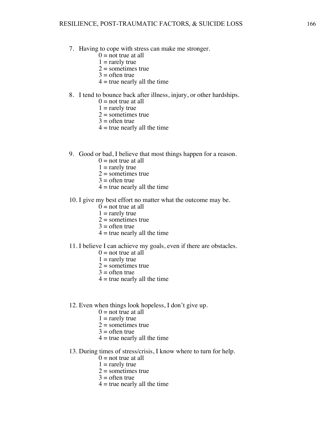- 7. Having to cope with stress can make me stronger.
	- $0 = \text{not true at all}$
	- $1 =$  rarely true
	- $2 =$  sometimes true
	- $3 =$  often true
	- $4 =$  true nearly all the time

## 8. I tend to bounce back after illness, injury, or other hardships.

- $0 =$  not true at all
- $1 =$  rarely true
- $2 =$  sometimes true
- $3 =$  often true
- $4 =$  true nearly all the time
- 9. Good or bad, I believe that most things happen for a reason.
	- $0 =$  not true at all
	- $1 =$  rarely true
	- $2 =$  sometimes true
	- $3 =$  often true
	- $4 =$  true nearly all the time
- 10. I give my best effort no matter what the outcome may be.
	- $0 =$  not true at all
	- $1 =$  rarely true
	- $2 =$  sometimes true
	- $3 =$  often true
	- $4 =$  true nearly all the time
- 11. I believe I can achieve my goals, even if there are obstacles.
	- $0 =$  not true at all
	- $1 =$  rarely true
	- $2 =$  sometimes true
	- $3 =$  often true
	- $4 =$  true nearly all the time
- 12. Even when things look hopeless, I don't give up.
	- $0 =$  not true at all
	- $1 =$  rarely true
	- $2 =$  sometimes true
	- $3 =$  often true
	- $4 =$  true nearly all the time
- 13. During times of stress/crisis, I know where to turn for help.
	- $0 =$  not true at all
	- $1 =$  rarely true
	- $2 =$  sometimes true
	- $3 =$  often true
	- $4 =$  true nearly all the time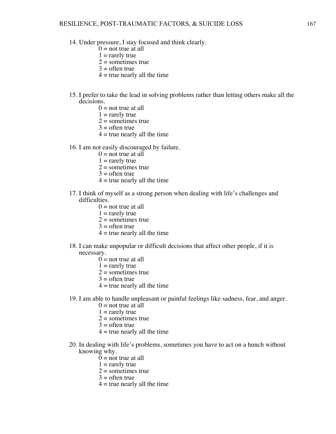- 14. Under pressure, I stay focused and think clearly.
	- $0 =$  not true at all
	- $1 =$  rarely true
	- $2 =$  sometimes true
	- $3 =$  often true
	- $4 =$  true nearly all the time
- 15. I prefer to take the lead in solving problems rather than letting others make all the decisions.
	- $0 =$  not true at all
	- $1 =$  rarely true
	- $2 =$  sometimes true
	- $3 =$  often true
	- $4$  = true nearly all the time

16. I am not easily discouraged by failure.

- $0 = \text{not true at all}$
- $1 =$  rarely true
- $2 =$  sometimes true
- $3 =$  often true
- $4 =$  true nearly all the time
- 17. I think of myself as a strong person when dealing with life's challenges and difficulties.
	- $0 =$  not true at all
	- $1 =$  rarely true
	- $2 =$  sometimes true
	- $3 =$  often true
	- $4 =$  true nearly all the time
- 18. I can make unpopular or difficult decisions that affect other people, if it is necessary.
	- $0 =$  not true at all
	- $1 =$  rarely true
	- $2 =$  sometimes true
	- $3 =$  often true
	- $4 =$  true nearly all the time
- 19. I am able to handle unpleasant or painful feelings like sadness, fear, and anger.
	- $0 =$  not true at all
	- $1 =$  rarely true
	- $2 =$  sometimes true
	- $3 =$  often true
	- $4 =$  true nearly all the time
- 20. In dealing with life's problems, sometimes you have to act on a hunch without knowing why.
	- $0 =$  not true at all
	- $1 =$  rarely true
	- $2 =$  sometimes true
	- $3 =$  often true
	- $4 =$  true nearly all the time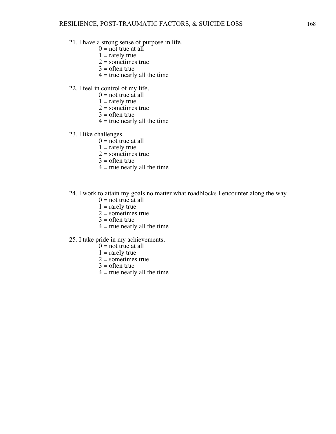- 21. I have a strong sense of purpose in life.
	- $0 = \text{not true at all}$
	- $1 =$  rarely true
	- $2 =$  sometimes true
	- $3 =$  often true
	- $4 =$  true nearly all the time
- 22. I feel in control of my life.
	- $0 =$  not true at all
	- $1 =$  rarely true
	- $2 =$ sometimes true
	- $3 =$  often true
	- $4 =$  true nearly all the time
- 23. I like challenges.
	- $0 = \text{not true at all}$
	- $1 =$  rarely true
	- $2 =$ sometimes true
	- $3 =$  often true
	- $4 =$  true nearly all the time
- 24. I work to attain my goals no matter what roadblocks I encounter along the way.
	- $0 =$  not true at all
	- $1 =$  rarely true
	- $2 =$  sometimes true
	- $3 =$  often true
	- $4 =$  true nearly all the time

25. I take pride in my achievements.

- $0 =$  not true at all
- $1 =$  rarely true
- $2 =$  sometimes true
- $3 =$  often true
- $4 =$  true nearly all the time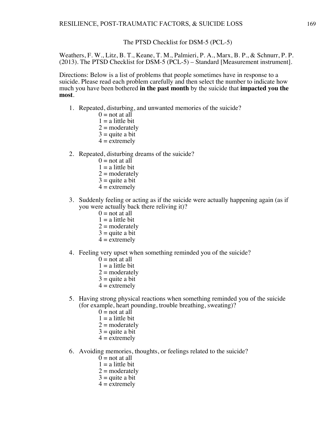#### The PTSD Checklist for DSM-5 (PCL-5)

Weathers, F. W., Litz, B. T., Keane, T. M., Palmieri, P. A., Marx, B. P., & Schnurr, P. P. (2013). The PTSD Checklist for DSM-5 (PCL-5) – Standard [Measurement instrument].

Directions: Below is a list of problems that people sometimes have in response to a suicide. Please read each problem carefully and then select the number to indicate how much you have been bothered **in the past month** by the suicide that **impacted you the most**.

- 1. Repeated, disturbing, and unwanted memories of the suicide?
	- $0 = \text{not at all}$
	- $1 = a$  little bit
	- $2 =$  moderately
	- $3$  = quite a bit
	- $4 =$  extremely
- 2. Repeated, disturbing dreams of the suicide?
	- $0 =$  not at all
	- $1 = a$  little bit
	- $2 =$  moderately
	- $3$  = quite a bit
	- $4 =$  extremely
- 3. Suddenly feeling or acting as if the suicide were actually happening again (as if you were actually back there reliving it)?
	- $0 =$  not at all
	- $1 = a$  little bit
	- $2 =$  moderately
	- $3$  = quite a bit
	- $4 =$  extremely
- 4. Feeling very upset when something reminded you of the suicide?
	- $0 = \text{not at all}$
	- $1 = a$  little bit
	- $2 =$  moderately
	- $3$  = quite a bit
	- $4 =$  extremely
- 5. Having strong physical reactions when something reminded you of the suicide (for example, heart pounding, trouble breathing, sweating)?
	- $0 =$ not at all
	- $1 = a$  little bit
	- $2 =$  moderately
	- $3$  = quite a bit
	- $4 =$  extremely
- 6. Avoiding memories, thoughts, or feelings related to the suicide?
	- $0 =$  not at all
	- $1 = a$  little bit
	- $2 =$  moderately
	- $3$  = quite a bit
	- $4 =$  extremely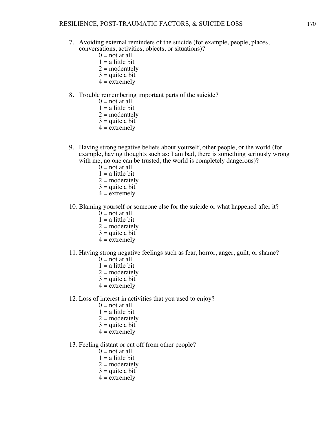- 7. Avoiding external reminders of the suicide (for example, people, places, conversations, activities, objects, or situations)?
	- $0 =$ not at all
	- $1 = a$  little bit
	- $2 =$  moderately
	- $3$  = quite a bit
	- $4 =$  extremely

## 8. Trouble remembering important parts of the suicide?

- $0 =$  not at all
- $1 = a$  little bit
- $2 =$  moderately
- $3$  = quite a bit
- $4 =$  extremely
- 9. Having strong negative beliefs about yourself, other people, or the world (for example, having thoughts such as: I am bad, there is something seriously wrong with me, no one can be trusted, the world is completely dangerous)?
	- $0 =$ not at all
	- $1 = a$  little bit
	- $2 =$  moderately
	- $3$  = quite a bit
	- $4 =$  extremely
- 10. Blaming yourself or someone else for the suicide or what happened after it?
	- $0 =$  not at all
	- $1 = a$  little bit
	- $2 =$  moderately
	- $3$  = quite a bit
	- $4 =$  extremely
- 11. Having strong negative feelings such as fear, horror, anger, guilt, or shame?
	- $0 = \text{not at all}$
	- $1 = a$  little bit
	- $2 =$  moderately
	- $3$  = quite a bit
	- $4 =$  extremely
- 12. Loss of interest in activities that you used to enjoy?
	- $0 =$ not at all
	- $1 = a$  little bit
	- $2 =$  moderately
	- $3$  = quite a bit
	- $4 =$  extremely
- 13. Feeling distant or cut off from other people?
	- $0 =$  not at all
	- $1 = a$  little bit
	- $2 =$  moderately
	- $3$  = quite a bit
	- $4 =$  extremely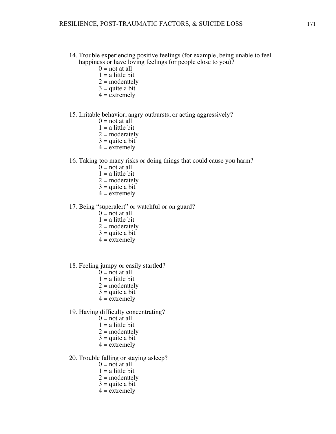- 14. Trouble experiencing positive feelings (for example, being unable to feel happiness or have loving feelings for people close to you)?
	- $0 =$  not at all
	- $1 = a$  little bit
	- $2 =$  moderately
	- $3$  = quite a bit
	- $4 =$  extremely

#### 15. Irritable behavior, angry outbursts, or acting aggressively?

- $0 =$ not at all
- $1 = a$  little bit
- $2 =$  moderately
- $3$  = quite a bit
- $4 =$  extremely

#### 16. Taking too many risks or doing things that could cause you harm?

- $0 = \text{not at all}$
- $1 = a$  little bit
- $2 =$  moderately
- $3$  = quite a bit
- $4 =$  extremely
- 17. Being "superalert" or watchful or on guard?
	- $0 =$  not at all
	- $1 = a$  little bit
	- $2 =$  moderately
	- $3 =$  quite a bit
	- $4 =$  extremely
- 18. Feeling jumpy or easily startled?
	- $0 = \text{not at all}$
	- $1 = a$  little bit
	- $2 =$  moderately
	- $3 =$  quite a bit
	- $4 =$  extremely

19. Having difficulty concentrating?

- $0 = \text{not at all}$
- $1 = a$  little bit
- $2 =$  moderately
- $3 =$  quite a bit
- $4 =$  extremely
- 20. Trouble falling or staying asleep?
	- $0 = \text{not at all}$
	- $1 = a$  little bit
	- $2 =$  moderately
	- $3 =$  quite a bit
	- $4 =$  extremely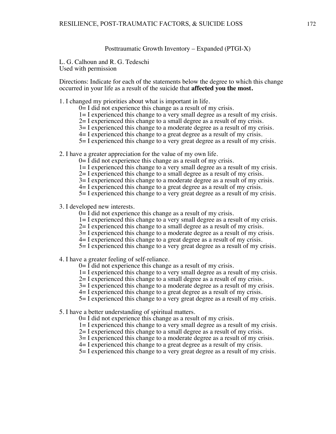Posttraumatic Growth Inventory – Expanded (PTGI-X)

L. G. Calhoun and R. G. Tedeschi Used with permission

Directions: Indicate for each of the statements below the degree to which this change occurred in your life as a result of the suicide that **affected you the most.**

1. I changed my priorities about what is important in life.

- 0= I did not experience this change as a result of my crisis.
- 1= I experienced this change to a very small degree as a result of my crisis.
- 2= I experienced this change to a small degree as a result of my crisis.
- 3= I experienced this change to a moderate degree as a result of my crisis.
- 4= I experienced this change to a great degree as a result of my crisis.
- 5= I experienced this change to a very great degree as a result of my crisis.

2. I have a greater appreciation for the value of my own life.

- 0= I did not experience this change as a result of my crisis.
- 1= I experienced this change to a very small degree as a result of my crisis.
- 2= I experienced this change to a small degree as a result of my crisis.
- 3= I experienced this change to a moderate degree as a result of my crisis.
- 4= I experienced this change to a great degree as a result of my crisis.
- 5= I experienced this change to a very great degree as a result of my crisis.
- 3. I developed new interests.
	- $0=$  I did not experience this change as a result of my crisis.
	- 1= I experienced this change to a very small degree as a result of my crisis.
	- 2= I experienced this change to a small degree as a result of my crisis.
	- 3= I experienced this change to a moderate degree as a result of my crisis.
	- 4= I experienced this change to a great degree as a result of my crisis.
	- 5= I experienced this change to a very great degree as a result of my crisis.
- 4. I have a greater feeling of self-reliance.
	- $0=$  I did not experience this change as a result of my crisis.
	- 1= I experienced this change to a very small degree as a result of my crisis.
	- 2= I experienced this change to a small degree as a result of my crisis.
	- 3= I experienced this change to a moderate degree as a result of my crisis.
	- 4= I experienced this change to a great degree as a result of my crisis.
	- 5= I experienced this change to a very great degree as a result of my crisis.
- 5. I have a better understanding of spiritual matters.
	- 0= I did not experience this change as a result of my crisis.
	- 1= I experienced this change to a very small degree as a result of my crisis.
	- 2= I experienced this change to a small degree as a result of my crisis.
	- 3= I experienced this change to a moderate degree as a result of my crisis.
	- 4= I experienced this change to a great degree as a result of my crisis.
	- 5= I experienced this change to a very great degree as a result of my crisis.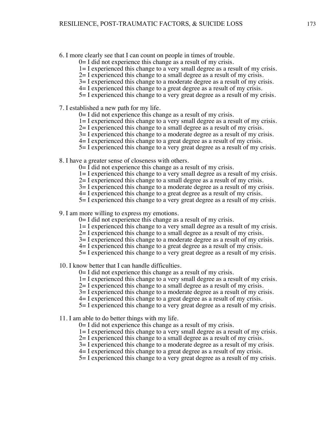6. I more clearly see that I can count on people in times of trouble.

- 0= I did not experience this change as a result of my crisis.
- 1= I experienced this change to a very small degree as a result of my crisis.
- 2= I experienced this change to a small degree as a result of my crisis.
- 3= I experienced this change to a moderate degree as a result of my crisis.
- 4= I experienced this change to a great degree as a result of my crisis.
- 5= I experienced this change to a very great degree as a result of my crisis.
- 7. I established a new path for my life.
	- 0= I did not experience this change as a result of my crisis.
	- 1= I experienced this change to a very small degree as a result of my crisis.
	- 2= I experienced this change to a small degree as a result of my crisis.
	- 3= I experienced this change to a moderate degree as a result of my crisis.
	- 4= I experienced this change to a great degree as a result of my crisis.
	- 5= I experienced this change to a very great degree as a result of my crisis.
- 8. I have a greater sense of closeness with others.
	- $0=$  I did not experience this change as a result of my crisis.
	- 1= I experienced this change to a very small degree as a result of my crisis.
	- 2= I experienced this change to a small degree as a result of my crisis.
	- 3= I experienced this change to a moderate degree as a result of my crisis.
	- 4= I experienced this change to a great degree as a result of my crisis.
	- 5= I experienced this change to a very great degree as a result of my crisis.

9. I am more willing to express my emotions.

- 0= I did not experience this change as a result of my crisis.
- 1= I experienced this change to a very small degree as a result of my crisis.
- 2= I experienced this change to a small degree as a result of my crisis.
- 3= I experienced this change to a moderate degree as a result of my crisis.
- 4= I experienced this change to a great degree as a result of my crisis.
- 5= I experienced this change to a very great degree as a result of my crisis.
- 10. I know better that I can handle difficulties.
	- 0= I did not experience this change as a result of my crisis.
	- 1= I experienced this change to a very small degree as a result of my crisis.
	- 2= I experienced this change to a small degree as a result of my crisis.
	- 3= I experienced this change to a moderate degree as a result of my crisis.
	- 4= I experienced this change to a great degree as a result of my crisis.
	- 5= I experienced this change to a very great degree as a result of my crisis.
- 11. I am able to do better things with my life.
	- 0= I did not experience this change as a result of my crisis.
	- 1= I experienced this change to a very small degree as a result of my crisis.
	- 2= I experienced this change to a small degree as a result of my crisis.
	- 3= I experienced this change to a moderate degree as a result of my crisis.
	- 4= I experienced this change to a great degree as a result of my crisis.
	- 5= I experienced this change to a very great degree as a result of my crisis.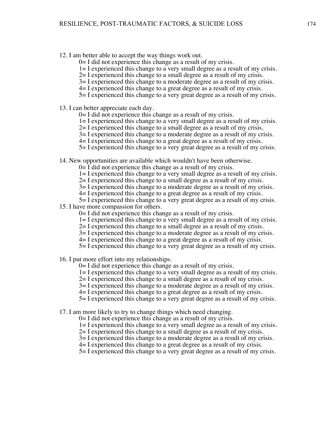#### 12. I am better able to accept the way things work out.

- 0= I did not experience this change as a result of my crisis.
- 1= I experienced this change to a very small degree as a result of my crisis.
- 2= I experienced this change to a small degree as a result of my crisis.
- 3= I experienced this change to a moderate degree as a result of my crisis.
- 4= I experienced this change to a great degree as a result of my crisis.
- 5= I experienced this change to a very great degree as a result of my crisis.
- 13. I can better appreciate each day.
	- 0= I did not experience this change as a result of my crisis.
	- 1= I experienced this change to a very small degree as a result of my crisis.
	- 2= I experienced this change to a small degree as a result of my crisis.
	- 3= I experienced this change to a moderate degree as a result of my crisis.
	- 4= I experienced this change to a great degree as a result of my crisis.
	- 5= I experienced this change to a very great degree as a result of my crisis.
- 14. New opportunities are available which wouldn't have been otherwise.
	- 0= I did not experience this change as a result of my crisis.
	- 1= I experienced this change to a very small degree as a result of my crisis.
	- 2= I experienced this change to a small degree as a result of my crisis.
	- 3= I experienced this change to a moderate degree as a result of my crisis.
	- 4= I experienced this change to a great degree as a result of my crisis.
	- 5= I experienced this change to a very great degree as a result of my crisis.
- 15. I have more compassion for others.
	- 0= I did not experience this change as a result of my crisis.
	- 1= I experienced this change to a very small degree as a result of my crisis.
	- 2= I experienced this change to a small degree as a result of my crisis.
	- 3= I experienced this change to a moderate degree as a result of my crisis.
	- 4= I experienced this change to a great degree as a result of my crisis.
	- 5= I experienced this change to a very great degree as a result of my crisis.
- 16. I put more effort into my relationships.
	- 0= I did not experience this change as a result of my crisis.
	- 1= I experienced this change to a very small degree as a result of my crisis.
	- 2= I experienced this change to a small degree as a result of my crisis.
	- 3= I experienced this change to a moderate degree as a result of my crisis.
	- 4= I experienced this change to a great degree as a result of my crisis.
	- 5= I experienced this change to a very great degree as a result of my crisis.
- 17. I am more likely to try to change things which need changing.
	- 0= I did not experience this change as a result of my crisis.
	- 1= I experienced this change to a very small degree as a result of my crisis.
	- 2= I experienced this change to a small degree as a result of my crisis.
	- 3= I experienced this change to a moderate degree as a result of my crisis.
	- 4= I experienced this change to a great degree as a result of my crisis.
	- 5= I experienced this change to a very great degree as a result of my crisis.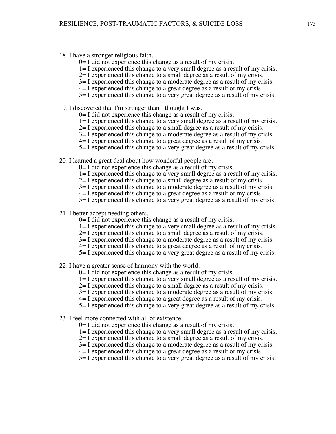- 18. I have a stronger religious faith.
	- 0= I did not experience this change as a result of my crisis.
	- 1= I experienced this change to a very small degree as a result of my crisis.
	- 2= I experienced this change to a small degree as a result of my crisis.
	- 3= I experienced this change to a moderate degree as a result of my crisis.
	- 4= I experienced this change to a great degree as a result of my crisis.
	- 5= I experienced this change to a very great degree as a result of my crisis.
- 19. I discovered that I'm stronger than I thought I was.
	- 0= I did not experience this change as a result of my crisis.
	- 1= I experienced this change to a very small degree as a result of my crisis.
	- 2= I experienced this change to a small degree as a result of my crisis.
	- 3= I experienced this change to a moderate degree as a result of my crisis.
	- 4= I experienced this change to a great degree as a result of my crisis.
	- 5= I experienced this change to a very great degree as a result of my crisis.
- 20. I learned a great deal about how wonderful people are.
	- 0= I did not experience this change as a result of my crisis.
	- 1= I experienced this change to a very small degree as a result of my crisis.
	- 2= I experienced this change to a small degree as a result of my crisis.
	- 3= I experienced this change to a moderate degree as a result of my crisis.
	- 4= I experienced this change to a great degree as a result of my crisis.
	- 5= I experienced this change to a very great degree as a result of my crisis.
- 21. I better accept needing others.
	- 0= I did not experience this change as a result of my crisis.
	- 1= I experienced this change to a very small degree as a result of my crisis.
	- 2= I experienced this change to a small degree as a result of my crisis.
	- 3= I experienced this change to a moderate degree as a result of my crisis.
	- 4= I experienced this change to a great degree as a result of my crisis.
	- 5= I experienced this change to a very great degree as a result of my crisis.
- 22. I have a greater sense of harmony with the world.
	- 0= I did not experience this change as a result of my crisis.
	- 1= I experienced this change to a very small degree as a result of my crisis.
	- 2= I experienced this change to a small degree as a result of my crisis.
	- 3= I experienced this change to a moderate degree as a result of my crisis.
	- 4= I experienced this change to a great degree as a result of my crisis.
	- 5= I experienced this change to a very great degree as a result of my crisis.
- 23. I feel more connected with all of existence.
	- 0= I did not experience this change as a result of my crisis.
	- 1= I experienced this change to a very small degree as a result of my crisis.
	- 2= I experienced this change to a small degree as a result of my crisis.
	- 3= I experienced this change to a moderate degree as a result of my crisis.
	- 4= I experienced this change to a great degree as a result of my crisis.
	- 5= I experienced this change to a very great degree as a result of my crisis.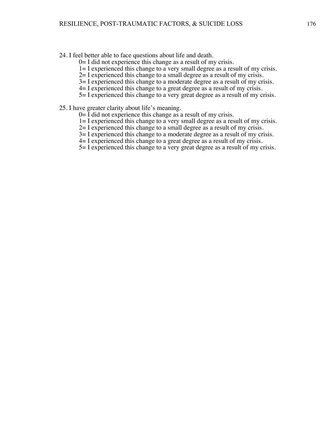24. I feel better able to face questions about life and death.

0= I did not experience this change as a result of my crisis.

1= I experienced this change to a very small degree as a result of my crisis.

2= I experienced this change to a small degree as a result of my crisis.

3= I experienced this change to a moderate degree as a result of my crisis.

4= I experienced this change to a great degree as a result of my crisis.

5= I experienced this change to a very great degree as a result of my crisis.

25. I have greater clarity about life's meaning.

 $0=$  I did not experience this change as a result of my crisis.

1= I experienced this change to a very small degree as a result of my crisis.

2= I experienced this change to a small degree as a result of my crisis.

3= I experienced this change to a moderate degree as a result of my crisis.

4= I experienced this change to a great degree as a result of my crisis.

5= I experienced this change to a very great degree as a result of my crisis.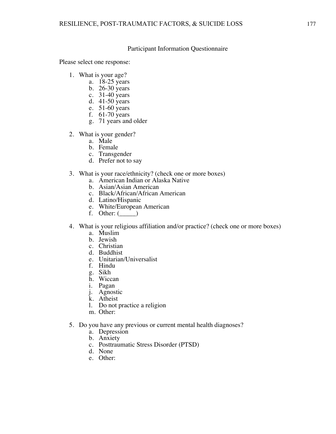## Participant Information Questionnaire

Please select one response:

- 1. What is your age?
	- a. 18-25 years
	- b. 26-30 years
	- c. 31-40 years
	- d. 41-50 years
	- e. 51-60 years
	- f. 61-70 years
	- g. 71 years and older
- 2. What is your gender?
	- a. Male
	- b. Female
	- c. Transgender
	- d. Prefer not to say
- 3. What is your race/ethnicity? (check one or more boxes)
	- a. American Indian or Alaska Native
	- b. Asian/Asian American
	- c. Black/African/African American
	- d. Latino/Hispanic
	- e. White/European American
	- f. Other:  $(\_\_$
- 4. What is your religious affiliation and/or practice? (check one or more boxes)
	- a. Muslim
	- b. Jewish
	- c. Christian
	- d. Buddhist
	- e. Unitarian/Universalist
	- f. Hindu
	- g. Sikh
	- h. Wiccan
	- i. Pagan
	- j. Agnostic
	- k. Atheist
	- l. Do not practice a religion
	- m. Other:
- 5. Do you have any previous or current mental health diagnoses?
	- a. Depression
	- b. Anxiety
	- c. Posttraumatic Stress Disorder (PTSD)
	- d. None
	- e. Other: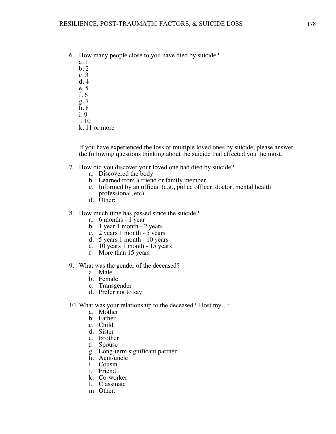6. How many people close to you have died by suicide?

a. 1 b. 2 c. 3 d. 4 e. 5 f. 6

g. 7

h. 8 i. 9

j. 10

k. 11 or more

If you have experienced the loss of multiple loved ones by suicide, please answer the following questions thinking about the suicide that affected you the most.

- 7. How did you discover your loved one had died by suicide?
	- a. Discovered the body
	- b. Learned from a friend or family member
	- c. Informed by an official (e.g., police officer, doctor, mental health professional, etc)
	- d. Other:
- 8. How much time has passed since the suicide?
	- a. 6 months 1 year
	- b. 1 year 1 month 2 years
	- c. 2 years 1 month 5 years
	- d. 5 years 1 month 10 years
	- e. 10 years 1 month 15 years
	- f. More than 15 years
- 9. What was the gender of the deceased?
	- a. Male
	- b. Female
	- c. Transgender
	- d. Prefer not to say

## 10. What was your relationship to the deceased? I lost my…:

- a. Mother
- b. Father
- c. Child
- d. Sister
- e. Brother
- f. Spouse
- g. Long-term significant partner
- h. Aunt/uncle
- i. Cousin
- j. Friend
- k. Co-worker
- l. Classmate
- m. Other: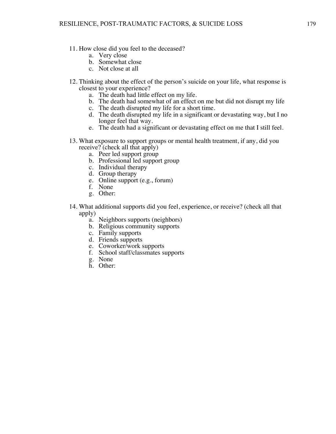- 11. How close did you feel to the deceased?
	- a. Very close
	- b. Somewhat close
	- c. Not close at all
- 12. Thinking about the effect of the person's suicide on your life, what response is closest to your experience?
	- a. The death had little effect on my life.
	- b. The death had somewhat of an effect on me but did not disrupt my life
	- c. The death disrupted my life for a short time.
	- d. The death disrupted my life in a significant or devastating way, but I no longer feel that way.
	- e. The death had a significant or devastating effect on me that I still feel.
- 13. What exposure to support groups or mental health treatment, if any, did you receive? (check all that apply)
	- a. Peer led support group
	- b. Professional led support group
	- c. Individual therapy
	- d. Group therapy
	- e. Online support (e.g., forum)
	- f. None
	- g. Other:
- 14. What additional supports did you feel, experience, or receive? (check all that apply)
	- a. Neighbors supports (neighbors)
	- b. Religious community supports
	- c. Family supports
	- d. Friends supports
	- e. Coworker/work supports
	- f. School staff/classmates supports
	- g. None
	- h. Other: